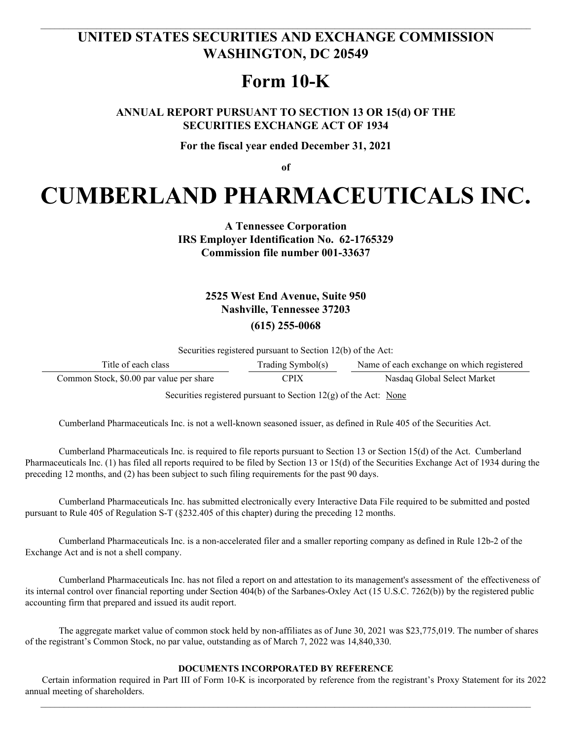# **UNITED STATES SECURITIES AND EXCHANGE COMMISSION WASHINGTON, DC 20549**

 $\mathcal{L}_\mathcal{L} = \{ \mathcal{L}_\mathcal{L} = \{ \mathcal{L}_\mathcal{L} = \{ \mathcal{L}_\mathcal{L} = \{ \mathcal{L}_\mathcal{L} = \{ \mathcal{L}_\mathcal{L} = \{ \mathcal{L}_\mathcal{L} = \{ \mathcal{L}_\mathcal{L} = \{ \mathcal{L}_\mathcal{L} = \{ \mathcal{L}_\mathcal{L} = \{ \mathcal{L}_\mathcal{L} = \{ \mathcal{L}_\mathcal{L} = \{ \mathcal{L}_\mathcal{L} = \{ \mathcal{L}_\mathcal{L} = \{ \mathcal{L}_\mathcal{$ 

# **Form 10-K**

**ANNUAL REPORT PURSUANT TO SECTION 13 OR 15(d) OF THE SECURITIES EXCHANGE ACT OF 1934**

**For the fiscal year ended December 31, 2021**

**of**

# **CUMBERLAND PHARMACEUTICALS INC.**

**A Tennessee Corporation IRS Employer Identification No. 62-1765329 Commission file number 001-33637**

> **2525 West End Avenue, Suite 950 Nashville, Tennessee 37203 (615) 255-0068**

Securities registered pursuant to Section 12(b) of the Act:

| Title of each class                      | Trading Symbol(s) | Name of each exchange on which registered |
|------------------------------------------|-------------------|-------------------------------------------|
| Common Stock, \$0.00 par value per share | <b>CPIX</b>       | Nasdag Global Select Market               |

Securities registered pursuant to Section 12(g) of the Act: None

Cumberland Pharmaceuticals Inc. is not a well-known seasoned issuer, as defined in Rule 405 of the Securities Act.

Cumberland Pharmaceuticals Inc. is required to file reports pursuant to Section 13 or Section 15(d) of the Act. Cumberland Pharmaceuticals Inc. (1) has filed all reports required to be filed by Section 13 or 15(d) of the Securities Exchange Act of 1934 during the preceding 12 months, and (2) has been subject to such filing requirements for the past 90 days.

Cumberland Pharmaceuticals Inc. has submitted electronically every Interactive Data File required to be submitted and posted pursuant to Rule 405 of Regulation S-T (§232.405 of this chapter) during the preceding 12 months.

Cumberland Pharmaceuticals Inc. is a non-accelerated filer and a smaller reporting company as defined in Rule 12b-2 of the Exchange Act and is not a shell company.

Cumberland Pharmaceuticals Inc. has not filed a report on and attestation to its management's assessment of the effectiveness of its internal control over financial reporting under Section 404(b) of the Sarbanes-Oxley Act (15 U.S.C. 7262(b)) by the registered public accounting firm that prepared and issued its audit report.

The aggregate market value of common stock held by non-affiliates as of June 30, 2021 was \$23,775,019. The number of shares of the registrant's Common Stock, no par value, outstanding as of March 7, 2022 was 14,840,330.

# **DOCUMENTS INCORPORATED BY REFERENCE**

Certain information required in Part III of Form 10-K is incorporated by reference from the registrant's Proxy Statement for its 2022 annual meeting of shareholders.  $\mathcal{L}_\mathcal{L} = \{ \mathcal{L}_\mathcal{L} = \{ \mathcal{L}_\mathcal{L} = \{ \mathcal{L}_\mathcal{L} = \{ \mathcal{L}_\mathcal{L} = \{ \mathcal{L}_\mathcal{L} = \{ \mathcal{L}_\mathcal{L} = \{ \mathcal{L}_\mathcal{L} = \{ \mathcal{L}_\mathcal{L} = \{ \mathcal{L}_\mathcal{L} = \{ \mathcal{L}_\mathcal{L} = \{ \mathcal{L}_\mathcal{L} = \{ \mathcal{L}_\mathcal{L} = \{ \mathcal{L}_\mathcal{L} = \{ \mathcal{L}_\mathcal{$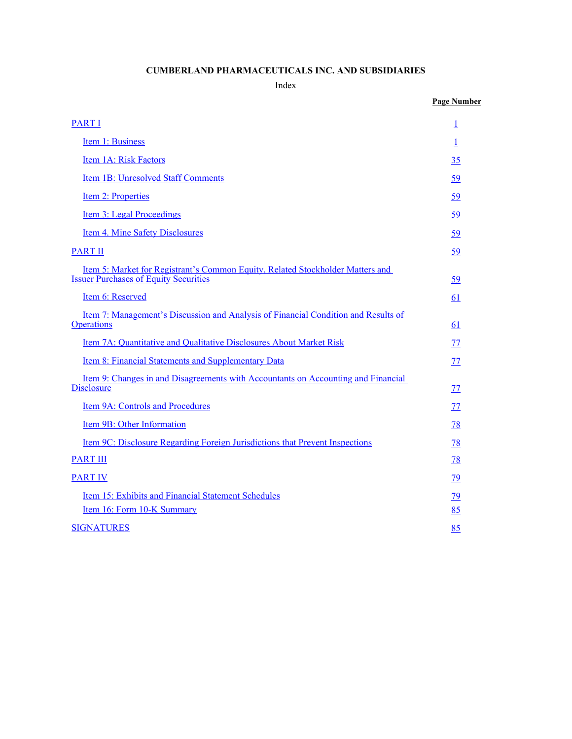# **CUMBERLAND PHARMACEUTICALS INC. AND SUBSIDIARIES**

Index

|                                                                                                                                | <b>Page Number</b> |
|--------------------------------------------------------------------------------------------------------------------------------|--------------------|
| <b>PART I</b>                                                                                                                  | $\overline{1}$     |
| Item 1: Business                                                                                                               | $\mathbf 1$        |
| Item 1A: Risk Factors                                                                                                          | 35                 |
| Item 1B: Unresolved Staff Comments                                                                                             | 59                 |
| Item 2: Properties                                                                                                             | 59                 |
| <b>Item 3: Legal Proceedings</b>                                                                                               | 59                 |
| <b>Item 4. Mine Safety Disclosures</b>                                                                                         | 59                 |
| <b>PART II</b>                                                                                                                 | 59                 |
| Item 5: Market for Registrant's Common Equity, Related Stockholder Matters and<br><b>Issuer Purchases of Equity Securities</b> | 59                 |
| Item 6: Reserved                                                                                                               | 61                 |
| Item 7: Management's Discussion and Analysis of Financial Condition and Results of<br><b>Operations</b>                        | 61                 |
| Item 7A: Quantitative and Qualitative Disclosures About Market Risk                                                            | 77                 |
| Item 8: Financial Statements and Supplementary Data                                                                            | 77                 |
| Item 9: Changes in and Disagreements with Accountants on Accounting and Financial<br><b>Disclosure</b>                         | 77                 |
| Item 9A: Controls and Procedures                                                                                               | <u>77</u>          |
| Item 9B: Other Information                                                                                                     | <u>78</u>          |
| Item 9C: Disclosure Regarding Foreign Jurisdictions that Prevent Inspections                                                   | 78                 |
| <b>PART III</b>                                                                                                                | 78                 |
| <b>PART IV</b>                                                                                                                 | 79                 |
| Item 15: Exhibits and Financial Statement Schedules                                                                            | $\overline{19}$    |
| Item 16: Form 10-K Summary                                                                                                     | 85                 |
| <b>SIGNATURES</b>                                                                                                              | 85                 |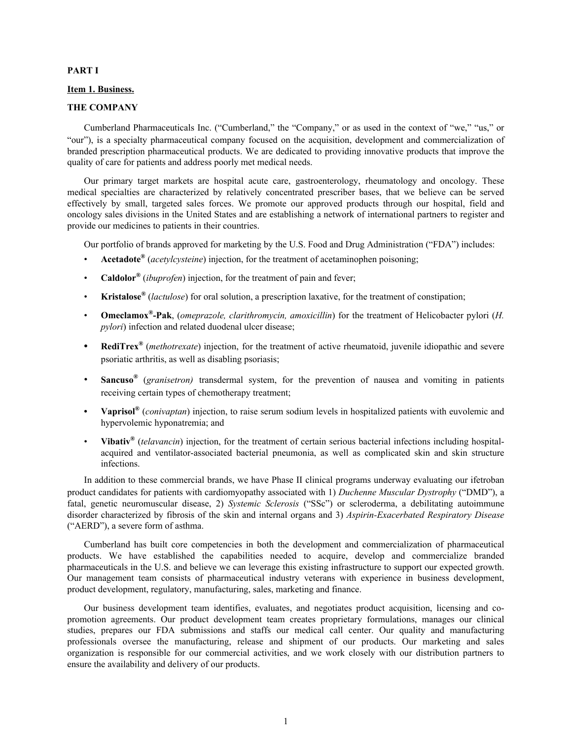#### **PART I**

# **Item 1. Business.**

# **THE COMPANY**

Cumberland Pharmaceuticals Inc. ("Cumberland," the "Company," or as used in the context of "we," "us," or "our"), is a specialty pharmaceutical company focused on the acquisition, development and commercialization of branded prescription pharmaceutical products. We are dedicated to providing innovative products that improve the quality of care for patients and address poorly met medical needs.

Our primary target markets are hospital acute care, gastroenterology, rheumatology and oncology. These medical specialties are characterized by relatively concentrated prescriber bases, that we believe can be served effectively by small, targeted sales forces. We promote our approved products through our hospital, field and oncology sales divisions in the United States and are establishing a network of international partners to register and provide our medicines to patients in their countries.

Our portfolio of brands approved for marketing by the U.S. Food and Drug Administration ("FDA") includes:

- **Acetadote**<sup>®</sup> (*acetylcysteine*) injection, for the treatment of acetaminophen poisoning;
- **Caldolor®** (*ibuprofen*) injection, for the treatment of pain and fever;
- **Kristalose®** (*lactulose*) for oral solution, a prescription laxative, for the treatment of constipation;
- **Omeclamox® -Pak**, (*omeprazole, clarithromycin, amoxicillin*) for the treatment of Helicobacter pylori (*H. pylori*) infection and related duodenal ulcer disease;
- **• RediTrex®** (*methotrexate*) injection, for the treatment of active rheumatoid, juvenile idiopathic and severe psoriatic arthritis, as well as disabling psoriasis;
- **Sancuso®** (*granisetron)* transdermal system, for the prevention of nausea and vomiting in patients receiving certain types of chemotherapy treatment;
- **• Vaprisol®** (*conivaptan*) injection, to raise serum sodium levels in hospitalized patients with euvolemic and hypervolemic hyponatremia; and
- **Vibativ®** (*telavancin*) injection, for the treatment of certain serious bacterial infections including hospitalacquired and ventilator-associated bacterial pneumonia, as well as complicated skin and skin structure infections.

In addition to these commercial brands, we have Phase II clinical programs underway evaluating our ifetroban product candidates for patients with cardiomyopathy associated with 1) *Duchenne Muscular Dystrophy* ("DMD"), a fatal, genetic neuromuscular disease, 2) *Systemic Sclerosis* ("SSc") or scleroderma, a debilitating autoimmune disorder characterized by fibrosis of the skin and internal organs and 3) *Aspirin-Exacerbated Respiratory Disease*  ("AERD"), a severe form of asthma.

Cumberland has built core competencies in both the development and commercialization of pharmaceutical products. We have established the capabilities needed to acquire, develop and commercialize branded pharmaceuticals in the U.S. and believe we can leverage this existing infrastructure to support our expected growth. Our management team consists of pharmaceutical industry veterans with experience in business development, product development, regulatory, manufacturing, sales, marketing and finance.

Our business development team identifies, evaluates, and negotiates product acquisition, licensing and copromotion agreements. Our product development team creates proprietary formulations, manages our clinical studies, prepares our FDA submissions and staffs our medical call center. Our quality and manufacturing professionals oversee the manufacturing, release and shipment of our products. Our marketing and sales organization is responsible for our commercial activities, and we work closely with our distribution partners to ensure the availability and delivery of our products.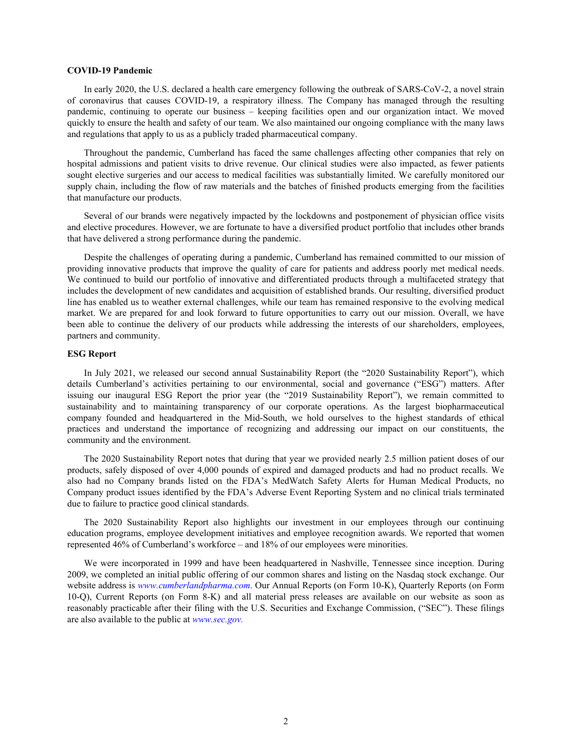#### **COVID-19 Pandemic**

In early 2020, the U.S. declared a health care emergency following the outbreak of SARS-CoV-2, a novel strain of coronavirus that causes COVID-19, a respiratory illness. The Company has managed through the resulting pandemic, continuing to operate our business – keeping facilities open and our organization intact. We moved quickly to ensure the health and safety of our team. We also maintained our ongoing compliance with the many laws and regulations that apply to us as a publicly traded pharmaceutical company.

Throughout the pandemic, Cumberland has faced the same challenges affecting other companies that rely on hospital admissions and patient visits to drive revenue. Our clinical studies were also impacted, as fewer patients sought elective surgeries and our access to medical facilities was substantially limited. We carefully monitored our supply chain, including the flow of raw materials and the batches of finished products emerging from the facilities that manufacture our products.

Several of our brands were negatively impacted by the lockdowns and postponement of physician office visits and elective procedures. However, we are fortunate to have a diversified product portfolio that includes other brands that have delivered a strong performance during the pandemic.

Despite the challenges of operating during a pandemic, Cumberland has remained committed to our mission of providing innovative products that improve the quality of care for patients and address poorly met medical needs. We continued to build our portfolio of innovative and differentiated products through a multifaceted strategy that includes the development of new candidates and acquisition of established brands. Our resulting, diversified product line has enabled us to weather external challenges, while our team has remained responsive to the evolving medical market. We are prepared for and look forward to future opportunities to carry out our mission. Overall, we have been able to continue the delivery of our products while addressing the interests of our shareholders, employees, partners and community.

#### **ESG Report**

In July 2021, we released our second annual Sustainability Report (the "2020 Sustainability Report"), which details Cumberland's activities pertaining to our environmental, social and governance ("ESG") matters. After issuing our inaugural ESG Report the prior year (the "2019 Sustainability Report"), we remain committed to sustainability and to maintaining transparency of our corporate operations. As the largest biopharmaceutical company founded and headquartered in the Mid-South, we hold ourselves to the highest standards of ethical practices and understand the importance of recognizing and addressing our impact on our constituents, the community and the environment.

The 2020 Sustainability Report notes that during that year we provided nearly 2.5 million patient doses of our products, safely disposed of over 4,000 pounds of expired and damaged products and had no product recalls. We also had no Company brands listed on the FDA's MedWatch Safety Alerts for Human Medical Products, no Company product issues identified by the FDA's Adverse Event Reporting System and no clinical trials terminated due to failure to practice good clinical standards.

The 2020 Sustainability Report also highlights our investment in our employees through our continuing education programs, employee development initiatives and employee recognition awards. We reported that women represented 46% of Cumberland's workforce – and 18% of our employees were minorities.

We were incorporated in 1999 and have been headquartered in Nashville, Tennessee since inception. During 2009, we completed an initial public offering of our common shares and listing on the Nasdaq stock exchange. Our website address is *www.cumberlandpharma.com*. Our Annual Reports (on Form 10-K), Quarterly Reports (on Form 10-Q), Current Reports (on Form 8-K) and all material press releases are available on our website as soon as reasonably practicable after their filing with the U.S. Securities and Exchange Commission, ("SEC"). These filings are also available to the public at *www.sec.gov.*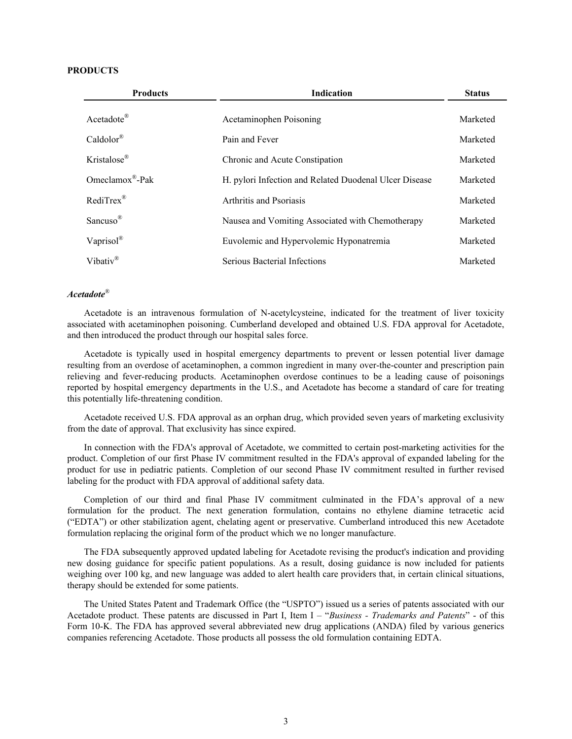#### **PRODUCTS**

| <b>Products</b>         | Indication                                             | <b>Status</b> |
|-------------------------|--------------------------------------------------------|---------------|
| Acetadote <sup>®</sup>  | Acetaminophen Poisoning                                | Marketed      |
| $Caldolor^{\circledR}$  | Pain and Fever                                         | Marketed      |
| Kristalose <sup>®</sup> | Chronic and Acute Constipation                         | Marketed      |
| Omeclamox®-Pak          | H. pylori Infection and Related Duodenal Ulcer Disease | Marketed      |
| $RediTrex^{\circledR}$  | Arthritis and Psoriasis                                | Marketed      |
| Sancuso <sup>®</sup>    | Nausea and Vomiting Associated with Chemotherapy       | Marketed      |
| Vaprisol <sup>®</sup>   | Euvolemic and Hypervolemic Hyponatremia                | Marketed      |
| Vibativ $^{\circledR}$  | Serious Bacterial Infections                           | Marketed      |

# *Acetadote*®

Acetadote is an intravenous formulation of N-acetylcysteine, indicated for the treatment of liver toxicity associated with acetaminophen poisoning. Cumberland developed and obtained U.S. FDA approval for Acetadote, and then introduced the product through our hospital sales force.

Acetadote is typically used in hospital emergency departments to prevent or lessen potential liver damage resulting from an overdose of acetaminophen, a common ingredient in many over-the-counter and prescription pain relieving and fever-reducing products. Acetaminophen overdose continues to be a leading cause of poisonings reported by hospital emergency departments in the U.S., and Acetadote has become a standard of care for treating this potentially life-threatening condition.

Acetadote received U.S. FDA approval as an orphan drug, which provided seven years of marketing exclusivity from the date of approval. That exclusivity has since expired.

In connection with the FDA's approval of Acetadote, we committed to certain post-marketing activities for the product. Completion of our first Phase IV commitment resulted in the FDA's approval of expanded labeling for the product for use in pediatric patients. Completion of our second Phase IV commitment resulted in further revised labeling for the product with FDA approval of additional safety data.

Completion of our third and final Phase IV commitment culminated in the FDA's approval of a new formulation for the product. The next generation formulation, contains no ethylene diamine tetracetic acid ("EDTA") or other stabilization agent, chelating agent or preservative. Cumberland introduced this new Acetadote formulation replacing the original form of the product which we no longer manufacture.

The FDA subsequently approved updated labeling for Acetadote revising the product's indication and providing new dosing guidance for specific patient populations. As a result, dosing guidance is now included for patients weighing over 100 kg, and new language was added to alert health care providers that, in certain clinical situations, therapy should be extended for some patients.

The United States Patent and Trademark Office (the "USPTO") issued us a series of patents associated with our Acetadote product. These patents are discussed in Part I, Item I – "*Business - Trademarks and Patents*" - of this Form 10-K. The FDA has approved several abbreviated new drug applications (ANDA) filed by various generics companies referencing Acetadote. Those products all possess the old formulation containing EDTA.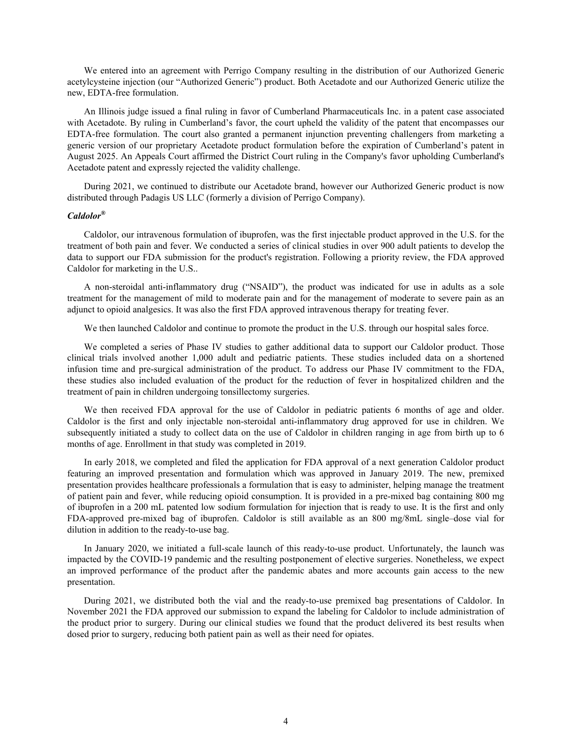We entered into an agreement with Perrigo Company resulting in the distribution of our Authorized Generic acetylcysteine injection (our "Authorized Generic") product. Both Acetadote and our Authorized Generic utilize the new, EDTA-free formulation.

An Illinois judge issued a final ruling in favor of Cumberland Pharmaceuticals Inc. in a patent case associated with Acetadote. By ruling in Cumberland's favor, the court upheld the validity of the patent that encompasses our EDTA-free formulation. The court also granted a permanent injunction preventing challengers from marketing a generic version of our proprietary Acetadote product formulation before the expiration of Cumberland's patent in August 2025. An Appeals Court affirmed the District Court ruling in the Company's favor upholding Cumberland's Acetadote patent and expressly rejected the validity challenge.

During 2021, we continued to distribute our Acetadote brand, however our Authorized Generic product is now distributed through Padagis US LLC (formerly a division of Perrigo Company).

### *Caldolor®*

Caldolor, our intravenous formulation of ibuprofen, was the first injectable product approved in the U.S. for the treatment of both pain and fever. We conducted a series of clinical studies in over 900 adult patients to develop the data to support our FDA submission for the product's registration. Following a priority review, the FDA approved Caldolor for marketing in the U.S..

A non-steroidal anti-inflammatory drug ("NSAID"), the product was indicated for use in adults as a sole treatment for the management of mild to moderate pain and for the management of moderate to severe pain as an adjunct to opioid analgesics. It was also the first FDA approved intravenous therapy for treating fever.

We then launched Caldolor and continue to promote the product in the U.S. through our hospital sales force.

We completed a series of Phase IV studies to gather additional data to support our Caldolor product. Those clinical trials involved another 1,000 adult and pediatric patients. These studies included data on a shortened infusion time and pre-surgical administration of the product. To address our Phase IV commitment to the FDA, these studies also included evaluation of the product for the reduction of fever in hospitalized children and the treatment of pain in children undergoing tonsillectomy surgeries.

We then received FDA approval for the use of Caldolor in pediatric patients 6 months of age and older. Caldolor is the first and only injectable non-steroidal anti-inflammatory drug approved for use in children. We subsequently initiated a study to collect data on the use of Caldolor in children ranging in age from birth up to 6 months of age. Enrollment in that study was completed in 2019.

In early 2018, we completed and filed the application for FDA approval of a next generation Caldolor product featuring an improved presentation and formulation which was approved in January 2019. The new, premixed presentation provides healthcare professionals a formulation that is easy to administer, helping manage the treatment of patient pain and fever, while reducing opioid consumption. It is provided in a pre-mixed bag containing 800 mg of ibuprofen in a 200 mL patented low sodium formulation for injection that is ready to use. It is the first and only FDA-approved pre-mixed bag of ibuprofen. Caldolor is still available as an 800 mg/8mL single–dose vial for dilution in addition to the ready-to-use bag.

In January 2020, we initiated a full-scale launch of this ready-to-use product. Unfortunately, the launch was impacted by the COVID-19 pandemic and the resulting postponement of elective surgeries. Nonetheless, we expect an improved performance of the product after the pandemic abates and more accounts gain access to the new presentation.

During 2021, we distributed both the vial and the ready-to-use premixed bag presentations of Caldolor. In November 2021 the FDA approved our submission to expand the labeling for Caldolor to include administration of the product prior to surgery. During our clinical studies we found that the product delivered its best results when dosed prior to surgery, reducing both patient pain as well as their need for opiates.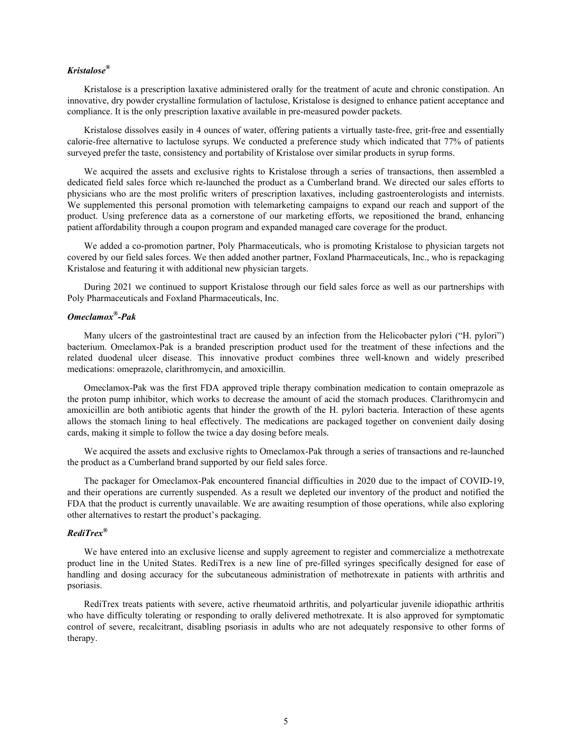# *Kristalose®*

Kristalose is a prescription laxative administered orally for the treatment of acute and chronic constipation. An innovative, dry powder crystalline formulation of lactulose, Kristalose is designed to enhance patient acceptance and compliance. It is the only prescription laxative available in pre-measured powder packets.

Kristalose dissolves easily in 4 ounces of water, offering patients a virtually taste-free, grit-free and essentially calorie-free alternative to lactulose syrups. We conducted a preference study which indicated that 77% of patients surveyed prefer the taste, consistency and portability of Kristalose over similar products in syrup forms.

We acquired the assets and exclusive rights to Kristalose through a series of transactions, then assembled a dedicated field sales force which re-launched the product as a Cumberland brand. We directed our sales efforts to physicians who are the most prolific writers of prescription laxatives, including gastroenterologists and internists. We supplemented this personal promotion with telemarketing campaigns to expand our reach and support of the product. Using preference data as a cornerstone of our marketing efforts, we repositioned the brand, enhancing patient affordability through a coupon program and expanded managed care coverage for the product.

We added a co-promotion partner, Poly Pharmaceuticals, who is promoting Kristalose to physician targets not covered by our field sales forces. We then added another partner, Foxland Pharmaceuticals, Inc., who is repackaging Kristalose and featuring it with additional new physician targets.

During 2021 we continued to support Kristalose through our field sales force as well as our partnerships with Poly Pharmaceuticals and Foxland Pharmaceuticals, Inc.

# *Omeclamox® -Pak*

Many ulcers of the gastrointestinal tract are caused by an infection from the Helicobacter pylori ("H. pylori") bacterium. Omeclamox-Pak is a branded prescription product used for the treatment of these infections and the related duodenal ulcer disease. This innovative product combines three well-known and widely prescribed medications: omeprazole, clarithromycin, and amoxicillin.

Omeclamox-Pak was the first FDA approved triple therapy combination medication to contain omeprazole as the proton pump inhibitor, which works to decrease the amount of acid the stomach produces. Clarithromycin and amoxicillin are both antibiotic agents that hinder the growth of the H. pylori bacteria. Interaction of these agents allows the stomach lining to heal effectively. The medications are packaged together on convenient daily dosing cards, making it simple to follow the twice a day dosing before meals.

We acquired the assets and exclusive rights to Omeclamox-Pak through a series of transactions and re-launched the product as a Cumberland brand supported by our field sales force.

The packager for Omeclamox-Pak encountered financial difficulties in 2020 due to the impact of COVID-19, and their operations are currently suspended. As a result we depleted our inventory of the product and notified the FDA that the product is currently unavailable. We are awaiting resumption of those operations, while also exploring other alternatives to restart the product's packaging.

#### *RediTrex®*

We have entered into an exclusive license and supply agreement to register and commercialize a methotrexate product line in the United States. RediTrex is a new line of pre-filled syringes specifically designed for ease of handling and dosing accuracy for the subcutaneous administration of methotrexate in patients with arthritis and psoriasis.

RediTrex treats patients with severe, active rheumatoid arthritis, and polyarticular juvenile idiopathic arthritis who have difficulty tolerating or responding to orally delivered methotrexate. It is also approved for symptomatic control of severe, recalcitrant, disabling psoriasis in adults who are not adequately responsive to other forms of therapy.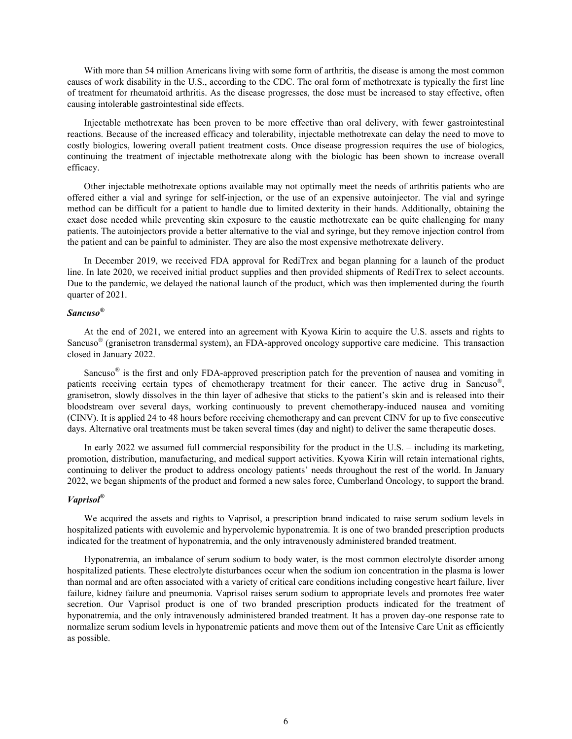With more than 54 million Americans living with some form of arthritis, the disease is among the most common causes of work disability in the U.S., according to the CDC. The oral form of methotrexate is typically the first line of treatment for rheumatoid arthritis. As the disease progresses, the dose must be increased to stay effective, often causing intolerable gastrointestinal side effects.

Injectable methotrexate has been proven to be more effective than oral delivery, with fewer gastrointestinal reactions. Because of the increased efficacy and tolerability, injectable methotrexate can delay the need to move to costly biologics, lowering overall patient treatment costs. Once disease progression requires the use of biologics, continuing the treatment of injectable methotrexate along with the biologic has been shown to increase overall efficacy.

Other injectable methotrexate options available may not optimally meet the needs of arthritis patients who are offered either a vial and syringe for self-injection, or the use of an expensive autoinjector. The vial and syringe method can be difficult for a patient to handle due to limited dexterity in their hands. Additionally, obtaining the exact dose needed while preventing skin exposure to the caustic methotrexate can be quite challenging for many patients. The autoinjectors provide a better alternative to the vial and syringe, but they remove injection control from the patient and can be painful to administer. They are also the most expensive methotrexate delivery.

In December 2019, we received FDA approval for RediTrex and began planning for a launch of the product line. In late 2020, we received initial product supplies and then provided shipments of RediTrex to select accounts. Due to the pandemic, we delayed the national launch of the product, which was then implemented during the fourth quarter of 2021.

# *Sancuso®*

At the end of 2021, we entered into an agreement with Kyowa Kirin to acquire the U.S. assets and rights to Sancuso<sup>®</sup> (granisetron transdermal system), an FDA-approved oncology supportive care medicine. This transaction closed in January 2022.

Sancuso<sup>®</sup> is the first and only FDA-approved prescription patch for the prevention of nausea and vomiting in patients receiving certain types of chemotherapy treatment for their cancer. The active drug in Sancuso®, granisetron, slowly dissolves in the thin layer of adhesive that sticks to the patient's skin and is released into their bloodstream over several days, working continuously to prevent chemotherapy-induced nausea and vomiting (CINV). It is applied 24 to 48 hours before receiving chemotherapy and can prevent CINV for up to five consecutive days. Alternative oral treatments must be taken several times (day and night) to deliver the same therapeutic doses.

In early 2022 we assumed full commercial responsibility for the product in the U.S. – including its marketing, promotion, distribution, manufacturing, and medical support activities. Kyowa Kirin will retain international rights, continuing to deliver the product to address oncology patients' needs throughout the rest of the world. In January 2022, we began shipments of the product and formed a new sales force, Cumberland Oncology, to support the brand.

# *Vaprisol®*

We acquired the assets and rights to Vaprisol, a prescription brand indicated to raise serum sodium levels in hospitalized patients with euvolemic and hypervolemic hyponatremia. It is one of two branded prescription products indicated for the treatment of hyponatremia, and the only intravenously administered branded treatment.

Hyponatremia, an imbalance of serum sodium to body water, is the most common electrolyte disorder among hospitalized patients. These electrolyte disturbances occur when the sodium ion concentration in the plasma is lower than normal and are often associated with a variety of critical care conditions including congestive heart failure, liver failure, kidney failure and pneumonia. Vaprisol raises serum sodium to appropriate levels and promotes free water secretion. Our Vaprisol product is one of two branded prescription products indicated for the treatment of hyponatremia, and the only intravenously administered branded treatment. It has a proven day-one response rate to normalize serum sodium levels in hyponatremic patients and move them out of the Intensive Care Unit as efficiently as possible.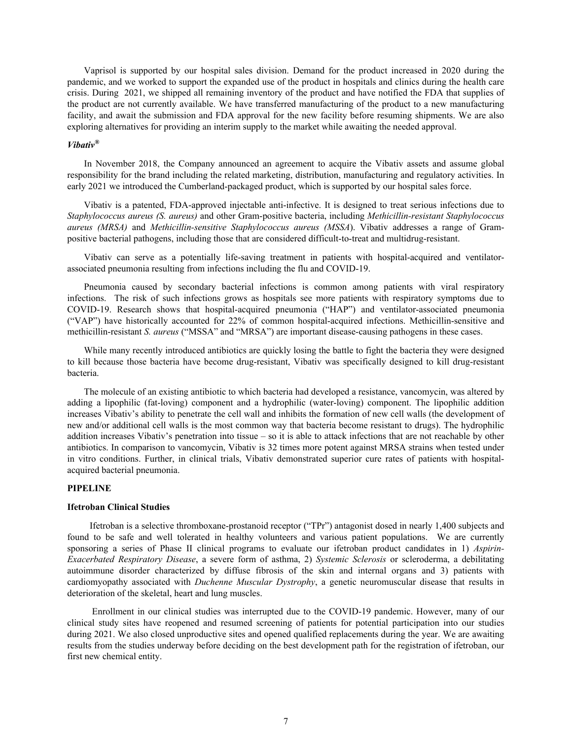Vaprisol is supported by our hospital sales division. Demand for the product increased in 2020 during the pandemic, and we worked to support the expanded use of the product in hospitals and clinics during the health care crisis. During 2021, we shipped all remaining inventory of the product and have notified the FDA that supplies of the product are not currently available. We have transferred manufacturing of the product to a new manufacturing facility, and await the submission and FDA approval for the new facility before resuming shipments. We are also exploring alternatives for providing an interim supply to the market while awaiting the needed approval.

# *Vibativ®*

In November 2018, the Company announced an agreement to acquire the Vibativ assets and assume global responsibility for the brand including the related marketing, distribution, manufacturing and regulatory activities. In early 2021 we introduced the Cumberland-packaged product, which is supported by our hospital sales force.

Vibativ is a patented, FDA-approved injectable anti-infective. It is designed to treat serious infections due to *Staphylococcus aureus (S. aureus)* and other Gram-positive bacteria, including *Methicillin-resistant Staphylococcus aureus (MRSA)* and *Methicillin-sensitive Staphylococcus aureus (MSSA*). Vibativ addresses a range of Grampositive bacterial pathogens, including those that are considered difficult-to-treat and multidrug-resistant.

Vibativ can serve as a potentially life-saving treatment in patients with hospital-acquired and ventilatorassociated pneumonia resulting from infections including the flu and COVID-19.

Pneumonia caused by secondary bacterial infections is common among patients with viral respiratory infections. The risk of such infections grows as hospitals see more patients with respiratory symptoms due to COVID-19. Research shows that hospital-acquired pneumonia ("HAP") and ventilator-associated pneumonia ("VAP") have historically accounted for 22% of common hospital-acquired infections. Methicillin-sensitive and methicillin-resistant *S. aureus* ("MSSA" and "MRSA") are important disease-causing pathogens in these cases.

While many recently introduced antibiotics are quickly losing the battle to fight the bacteria they were designed to kill because those bacteria have become drug-resistant, Vibativ was specifically designed to kill drug-resistant bacteria.

The molecule of an existing antibiotic to which bacteria had developed a resistance, vancomycin, was altered by adding a lipophilic (fat-loving) component and a hydrophilic (water-loving) component. The lipophilic addition increases Vibativ's ability to penetrate the cell wall and inhibits the formation of new cell walls (the development of new and/or additional cell walls is the most common way that bacteria become resistant to drugs). The hydrophilic addition increases Vibativ's penetration into tissue – so it is able to attack infections that are not reachable by other antibiotics. In comparison to vancomycin, Vibativ is 32 times more potent against MRSA strains when tested under in vitro conditions. Further, in clinical trials, Vibativ demonstrated superior cure rates of patients with hospitalacquired bacterial pneumonia.

#### **PIPELINE**

#### **Ifetroban Clinical Studies**

Ifetroban is a selective thromboxane-prostanoid receptor ("TPr") antagonist dosed in nearly 1,400 subjects and found to be safe and well tolerated in healthy volunteers and various patient populations. We are currently sponsoring a series of Phase II clinical programs to evaluate our ifetroban product candidates in 1) *Aspirin-Exacerbated Respiratory Disease*, a severe form of asthma, 2) *Systemic Sclerosis* or scleroderma, a debilitating autoimmune disorder characterized by diffuse fibrosis of the skin and internal organs and 3) patients with cardiomyopathy associated with *Duchenne Muscular Dystrophy*, a genetic neuromuscular disease that results in deterioration of the skeletal, heart and lung muscles.

Enrollment in our clinical studies was interrupted due to the COVID-19 pandemic. However, many of our clinical study sites have reopened and resumed screening of patients for potential participation into our studies during 2021. We also closed unproductive sites and opened qualified replacements during the year. We are awaiting results from the studies underway before deciding on the best development path for the registration of ifetroban, our first new chemical entity.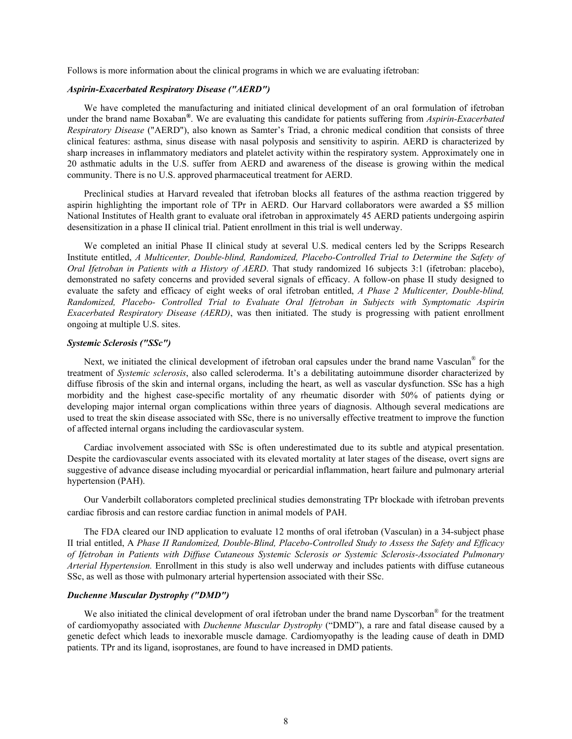Follows is more information about the clinical programs in which we are evaluating ifetroban:

# *Aspirin-Exacerbated Respiratory Disease ("AERD")*

We have completed the manufacturing and initiated clinical development of an oral formulation of ifetroban under the brand name Boxaban*®* . We are evaluating this candidate for patients suffering from *Aspirin-Exacerbated Respiratory Disease* ("AERD"), also known as Samter's Triad, a chronic medical condition that consists of three clinical features: asthma, sinus disease with nasal polyposis and sensitivity to aspirin. AERD is characterized by sharp increases in inflammatory mediators and platelet activity within the respiratory system. Approximately one in 20 asthmatic adults in the U.S. suffer from AERD and awareness of the disease is growing within the medical community. There is no U.S. approved pharmaceutical treatment for AERD.

Preclinical studies at Harvard revealed that ifetroban blocks all features of the asthma reaction triggered by aspirin highlighting the important role of TPr in AERD. Our Harvard collaborators were awarded a \$5 million National Institutes of Health grant to evaluate oral ifetroban in approximately 45 AERD patients undergoing aspirin desensitization in a phase II clinical trial. Patient enrollment in this trial is well underway.

We completed an initial Phase II clinical study at several U.S. medical centers led by the Scripps Research Institute entitled, *A Multicenter, Double-blind, Randomized, Placebo-Controlled Trial to Determine the Safety of Oral Ifetroban in Patients with a History of AERD*. That study randomized 16 subjects 3:1 (ifetroban: placebo), demonstrated no safety concerns and provided several signals of efficacy. A follow-on phase II study designed to evaluate the safety and efficacy of eight weeks of oral ifetroban entitled, *A Phase 2 Multicenter, Double-blind, Randomized, Placebo- Controlled Trial to Evaluate Oral Ifetroban in Subjects with Symptomatic Aspirin Exacerbated Respiratory Disease (AERD)*, was then initiated. The study is progressing with patient enrollment ongoing at multiple U.S. sites.

#### *Systemic Sclerosis ("SSc")*

Next, we initiated the clinical development of ifetroban oral capsules under the brand name Vasculan<sup>®</sup> for the treatment of *Systemic sclerosis*, also called scleroderma. It's a debilitating autoimmune disorder characterized by diffuse fibrosis of the skin and internal organs, including the heart, as well as vascular dysfunction. SSc has a high morbidity and the highest case-specific mortality of any rheumatic disorder with 50% of patients dying or developing major internal organ complications within three years of diagnosis. Although several medications are used to treat the skin disease associated with SSc, there is no universally effective treatment to improve the function of affected internal organs including the cardiovascular system.

Cardiac involvement associated with SSc is often underestimated due to its subtle and atypical presentation. Despite the cardiovascular events associated with its elevated mortality at later stages of the disease, overt signs are suggestive of advance disease including myocardial or pericardial inflammation, heart failure and pulmonary arterial hypertension (PAH).

Our Vanderbilt collaborators completed preclinical studies demonstrating TPr blockade with ifetroban prevents cardiac fibrosis and can restore cardiac function in animal models of PAH.

The FDA cleared our IND application to evaluate 12 months of oral ifetroban (Vasculan) in a 34-subject phase II trial entitled, A *Phase II Randomized, Double-Blind, Placebo-Controlled Study to Assess the Safety and Efficacy of Ifetroban in Patients with Diffuse Cutaneous Systemic Sclerosis or Systemic Sclerosis-Associated Pulmonary Arterial Hypertension.* Enrollment in this study is also well underway and includes patients with diffuse cutaneous SSc, as well as those with pulmonary arterial hypertension associated with their SSc.

# *Duchenne Muscular Dystrophy ("DMD")*

We also initiated the clinical development of oral ifetroban under the brand name Dyscorban<sup>®</sup> for the treatment of cardiomyopathy associated with *Duchenne Muscular Dystrophy* ("DMD"), a rare and fatal disease caused by a genetic defect which leads to inexorable muscle damage. Cardiomyopathy is the leading cause of death in DMD patients. TPr and its ligand, isoprostanes, are found to have increased in DMD patients.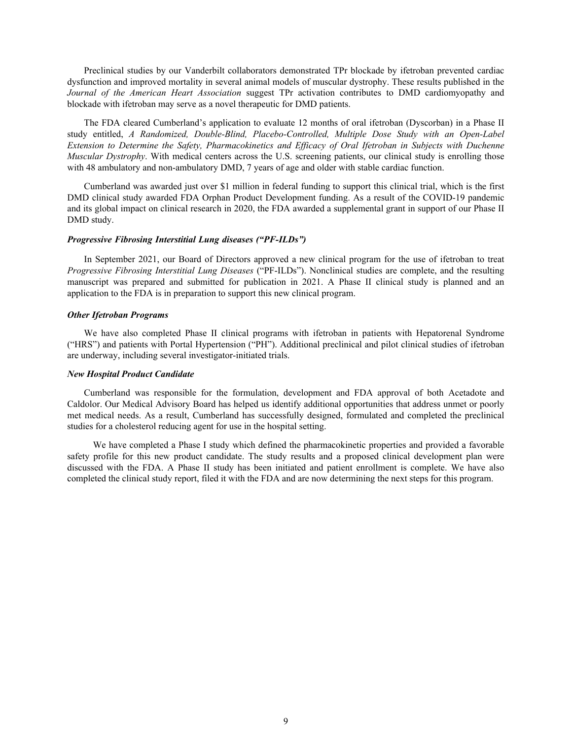Preclinical studies by our Vanderbilt collaborators demonstrated TPr blockade by ifetroban prevented cardiac dysfunction and improved mortality in several animal models of muscular dystrophy. These results published in the *Journal of the American Heart Association* suggest TPr activation contributes to DMD cardiomyopathy and blockade with ifetroban may serve as a novel therapeutic for DMD patients.

The FDA cleared Cumberland's application to evaluate 12 months of oral ifetroban (Dyscorban) in a Phase II study entitled, *A Randomized, Double-Blind, Placebo-Controlled, Multiple Dose Study with an Open-Label Extension to Determine the Safety, Pharmacokinetics and Efficacy of Oral Ifetroban in Subjects with Duchenne Muscular Dystrophy*. With medical centers across the U.S. screening patients, our clinical study is enrolling those with 48 ambulatory and non-ambulatory DMD, 7 years of age and older with stable cardiac function.

Cumberland was awarded just over \$1 million in federal funding to support this clinical trial, which is the first DMD clinical study awarded FDA Orphan Product Development funding. As a result of the COVID-19 pandemic and its global impact on clinical research in 2020, the FDA awarded a supplemental grant in support of our Phase II DMD study.

#### *Progressive Fibrosing Interstitial Lung diseases ("PF-ILDs")*

In September 2021, our Board of Directors approved a new clinical program for the use of ifetroban to treat *Progressive Fibrosing Interstitial Lung Diseases* ("PF-ILDs"). Nonclinical studies are complete, and the resulting manuscript was prepared and submitted for publication in 2021. A Phase II clinical study is planned and an application to the FDA is in preparation to support this new clinical program.

#### *Other Ifetroban Programs*

We have also completed Phase II clinical programs with ifetroban in patients with Hepatorenal Syndrome ("HRS") and patients with Portal Hypertension ("PH"). Additional preclinical and pilot clinical studies of ifetroban are underway, including several investigator-initiated trials.

#### *New Hospital Product Candidate*

Cumberland was responsible for the formulation, development and FDA approval of both Acetadote and Caldolor. Our Medical Advisory Board has helped us identify additional opportunities that address unmet or poorly met medical needs. As a result, Cumberland has successfully designed, formulated and completed the preclinical studies for a cholesterol reducing agent for use in the hospital setting.

 We have completed a Phase I study which defined the pharmacokinetic properties and provided a favorable safety profile for this new product candidate. The study results and a proposed clinical development plan were discussed with the FDA. A Phase II study has been initiated and patient enrollment is complete. We have also completed the clinical study report, filed it with the FDA and are now determining the next steps for this program.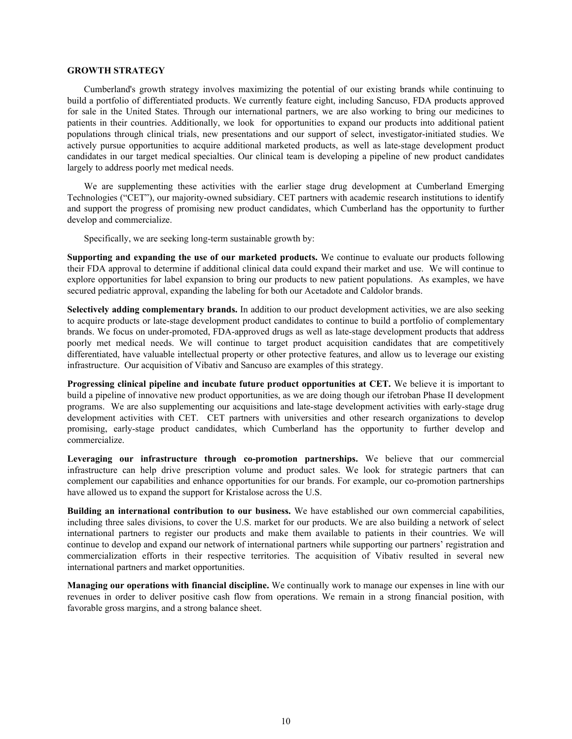#### **GROWTH STRATEGY**

Cumberland's growth strategy involves maximizing the potential of our existing brands while continuing to build a portfolio of differentiated products. We currently feature eight, including Sancuso, FDA products approved for sale in the United States. Through our international partners, we are also working to bring our medicines to patients in their countries. Additionally, we look for opportunities to expand our products into additional patient populations through clinical trials, new presentations and our support of select, investigator-initiated studies. We actively pursue opportunities to acquire additional marketed products, as well as late-stage development product candidates in our target medical specialties. Our clinical team is developing a pipeline of new product candidates largely to address poorly met medical needs.

We are supplementing these activities with the earlier stage drug development at Cumberland Emerging Technologies ("CET"), our majority-owned subsidiary. CET partners with academic research institutions to identify and support the progress of promising new product candidates, which Cumberland has the opportunity to further develop and commercialize.

Specifically, we are seeking long-term sustainable growth by:

**Supporting and expanding the use of our marketed products.** We continue to evaluate our products following their FDA approval to determine if additional clinical data could expand their market and use. We will continue to explore opportunities for label expansion to bring our products to new patient populations. As examples, we have secured pediatric approval, expanding the labeling for both our Acetadote and Caldolor brands.

**Selectively adding complementary brands.** In addition to our product development activities, we are also seeking to acquire products or late-stage development product candidates to continue to build a portfolio of complementary brands. We focus on under-promoted, FDA-approved drugs as well as late-stage development products that address poorly met medical needs. We will continue to target product acquisition candidates that are competitively differentiated, have valuable intellectual property or other protective features, and allow us to leverage our existing infrastructure. Our acquisition of Vibativ and Sancuso are examples of this strategy.

**Progressing clinical pipeline and incubate future product opportunities at CET.** We believe it is important to build a pipeline of innovative new product opportunities, as we are doing though our ifetroban Phase II development programs. We are also supplementing our acquisitions and late-stage development activities with early-stage drug development activities with CET. CET partners with universities and other research organizations to develop promising, early-stage product candidates, which Cumberland has the opportunity to further develop and commercialize.

**Leveraging our infrastructure through co-promotion partnerships.** We believe that our commercial infrastructure can help drive prescription volume and product sales. We look for strategic partners that can complement our capabilities and enhance opportunities for our brands. For example, our co-promotion partnerships have allowed us to expand the support for Kristalose across the U.S.

**Building an international contribution to our business.** We have established our own commercial capabilities, including three sales divisions, to cover the U.S. market for our products. We are also building a network of select international partners to register our products and make them available to patients in their countries. We will continue to develop and expand our network of international partners while supporting our partners' registration and commercialization efforts in their respective territories. The acquisition of Vibativ resulted in several new international partners and market opportunities.

**Managing our operations with financial discipline.** We continually work to manage our expenses in line with our revenues in order to deliver positive cash flow from operations. We remain in a strong financial position, with favorable gross margins, and a strong balance sheet.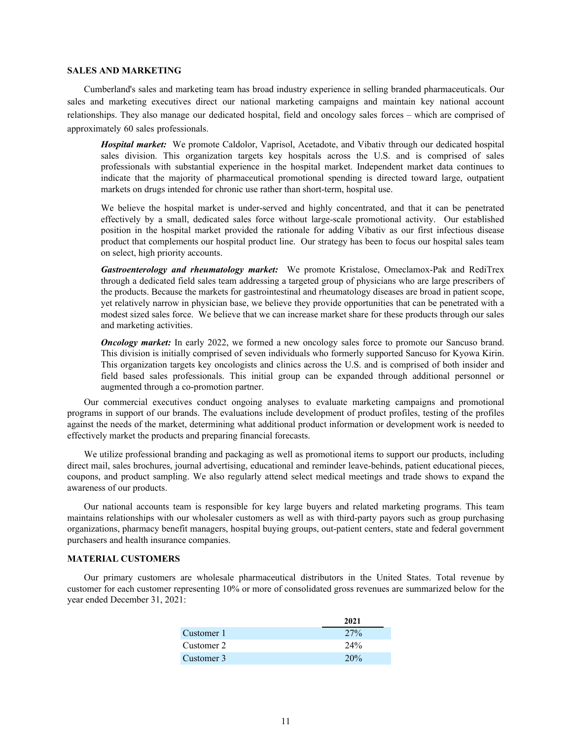#### **SALES AND MARKETING**

Cumberland's sales and marketing team has broad industry experience in selling branded pharmaceuticals. Our sales and marketing executives direct our national marketing campaigns and maintain key national account relationships. They also manage our dedicated hospital, field and oncology sales forces – which are comprised of approximately 60 sales professionals.

*Hospital market:* We promote Caldolor, Vaprisol, Acetadote, and Vibativ through our dedicated hospital sales division. This organization targets key hospitals across the U.S. and is comprised of sales professionals with substantial experience in the hospital market. Independent market data continues to indicate that the majority of pharmaceutical promotional spending is directed toward large, outpatient markets on drugs intended for chronic use rather than short-term, hospital use.

We believe the hospital market is under-served and highly concentrated, and that it can be penetrated effectively by a small, dedicated sales force without large-scale promotional activity. Our established position in the hospital market provided the rationale for adding Vibativ as our first infectious disease product that complements our hospital product line. Our strategy has been to focus our hospital sales team on select, high priority accounts.

*Gastroenterology and rheumatology market:* We promote Kristalose, Omeclamox-Pak and RediTrex through a dedicated field sales team addressing a targeted group of physicians who are large prescribers of the products. Because the markets for gastrointestinal and rheumatology diseases are broad in patient scope, yet relatively narrow in physician base, we believe they provide opportunities that can be penetrated with a modest sized sales force. We believe that we can increase market share for these products through our sales and marketing activities.

*Oncology market:* In early 2022, we formed a new oncology sales force to promote our Sancuso brand. This division is initially comprised of seven individuals who formerly supported Sancuso for Kyowa Kirin. This organization targets key oncologists and clinics across the U.S. and is comprised of both insider and field based sales professionals. This initial group can be expanded through additional personnel or augmented through a co-promotion partner.

Our commercial executives conduct ongoing analyses to evaluate marketing campaigns and promotional programs in support of our brands. The evaluations include development of product profiles, testing of the profiles against the needs of the market, determining what additional product information or development work is needed to effectively market the products and preparing financial forecasts.

We utilize professional branding and packaging as well as promotional items to support our products, including direct mail, sales brochures, journal advertising, educational and reminder leave-behinds, patient educational pieces, coupons, and product sampling. We also regularly attend select medical meetings and trade shows to expand the awareness of our products.

Our national accounts team is responsible for key large buyers and related marketing programs. This team maintains relationships with our wholesaler customers as well as with third-party payors such as group purchasing organizations, pharmacy benefit managers, hospital buying groups, out-patient centers, state and federal government purchasers and health insurance companies.

#### **MATERIAL CUSTOMERS**

Our primary customers are wholesale pharmaceutical distributors in the United States. Total revenue by customer for each customer representing 10% or more of consolidated gross revenues are summarized below for the year ended December 31, 2021:

|            | 2021 |
|------------|------|
| Customer 1 | 27%  |
| Customer 2 | 24%  |
| Customer 3 | 20%  |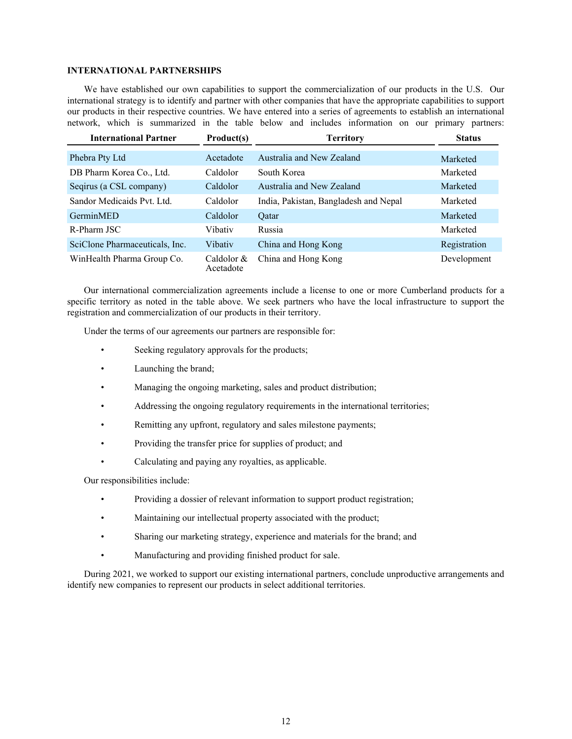# **INTERNATIONAL PARTNERSHIPS**

We have established our own capabilities to support the commercialization of our products in the U.S. Our international strategy is to identify and partner with other companies that have the appropriate capabilities to support our products in their respective countries. We have entered into a series of agreements to establish an international network, which is summarized in the table below and includes information on our primary partners:

| <b>International Partner</b>   | Product(s)                | <b>Territory</b>                      | <b>Status</b> |
|--------------------------------|---------------------------|---------------------------------------|---------------|
| Phebra Pty Ltd                 | Acetadote                 | Australia and New Zealand             | Marketed      |
| DB Pharm Korea Co., Ltd.       | Caldolor                  | South Korea                           | Marketed      |
| Seqirus (a CSL company)        | Caldolor                  | Australia and New Zealand             | Marketed      |
| Sandor Medicaids Pvt. Ltd.     | Caldolor                  | India, Pakistan, Bangladesh and Nepal | Marketed      |
| <b>GerminMED</b>               | Caldolor                  | Oatar                                 | Marketed      |
| R-Pharm JSC                    | Vibativ                   | Russia                                | Marketed      |
| SciClone Pharmaceuticals, Inc. | Vibativ                   | China and Hong Kong                   | Registration  |
| WinHealth Pharma Group Co.     | Caldolor $&$<br>Acetadote | China and Hong Kong                   | Development   |

Our international commercialization agreements include a license to one or more Cumberland products for a specific territory as noted in the table above. We seek partners who have the local infrastructure to support the registration and commercialization of our products in their territory.

Under the terms of our agreements our partners are responsible for:

- Seeking regulatory approvals for the products;
- Launching the brand;
- Managing the ongoing marketing, sales and product distribution;
- Addressing the ongoing regulatory requirements in the international territories;
- Remitting any upfront, regulatory and sales milestone payments;
- Providing the transfer price for supplies of product; and
- Calculating and paying any royalties, as applicable.

Our responsibilities include:

- Providing a dossier of relevant information to support product registration;
- Maintaining our intellectual property associated with the product;
- Sharing our marketing strategy, experience and materials for the brand; and
- Manufacturing and providing finished product for sale.

During 2021, we worked to support our existing international partners, conclude unproductive arrangements and identify new companies to represent our products in select additional territories.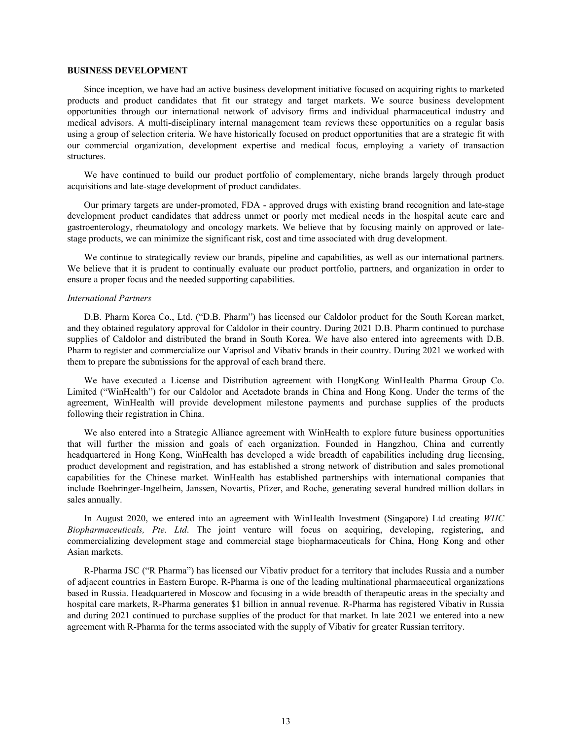#### **BUSINESS DEVELOPMENT**

Since inception, we have had an active business development initiative focused on acquiring rights to marketed products and product candidates that fit our strategy and target markets. We source business development opportunities through our international network of advisory firms and individual pharmaceutical industry and medical advisors. A multi-disciplinary internal management team reviews these opportunities on a regular basis using a group of selection criteria. We have historically focused on product opportunities that are a strategic fit with our commercial organization, development expertise and medical focus, employing a variety of transaction structures.

We have continued to build our product portfolio of complementary, niche brands largely through product acquisitions and late-stage development of product candidates.

Our primary targets are under-promoted, FDA - approved drugs with existing brand recognition and late-stage development product candidates that address unmet or poorly met medical needs in the hospital acute care and gastroenterology, rheumatology and oncology markets. We believe that by focusing mainly on approved or latestage products, we can minimize the significant risk, cost and time associated with drug development.

We continue to strategically review our brands, pipeline and capabilities, as well as our international partners. We believe that it is prudent to continually evaluate our product portfolio, partners, and organization in order to ensure a proper focus and the needed supporting capabilities.

#### *International Partners*

D.B. Pharm Korea Co., Ltd. ("D.B. Pharm") has licensed our Caldolor product for the South Korean market, and they obtained regulatory approval for Caldolor in their country. During 2021 D.B. Pharm continued to purchase supplies of Caldolor and distributed the brand in South Korea. We have also entered into agreements with D.B. Pharm to register and commercialize our Vaprisol and Vibativ brands in their country. During 2021 we worked with them to prepare the submissions for the approval of each brand there.

We have executed a License and Distribution agreement with HongKong WinHealth Pharma Group Co. Limited ("WinHealth") for our Caldolor and Acetadote brands in China and Hong Kong. Under the terms of the agreement, WinHealth will provide development milestone payments and purchase supplies of the products following their registration in China.

We also entered into a Strategic Alliance agreement with WinHealth to explore future business opportunities that will further the mission and goals of each organization. Founded in Hangzhou, China and currently headquartered in Hong Kong, WinHealth has developed a wide breadth of capabilities including drug licensing, product development and registration, and has established a strong network of distribution and sales promotional capabilities for the Chinese market. WinHealth has established partnerships with international companies that include Boehringer-Ingelheim, Janssen, Novartis, Pfizer, and Roche, generating several hundred million dollars in sales annually.

In August 2020, we entered into an agreement with WinHealth Investment (Singapore) Ltd creating *WHC Biopharmaceuticals, Pte. Ltd*. The joint venture will focus on acquiring, developing, registering, and commercializing development stage and commercial stage biopharmaceuticals for China, Hong Kong and other Asian markets.

R-Pharma JSC ("R Pharma") has licensed our Vibativ product for a territory that includes Russia and a number of adjacent countries in Eastern Europe. R-Pharma is one of the leading multinational pharmaceutical organizations based in Russia. Headquartered in Moscow and focusing in a wide breadth of therapeutic areas in the specialty and hospital care markets, R-Pharma generates \$1 billion in annual revenue. R-Pharma has registered Vibativ in Russia and during 2021 continued to purchase supplies of the product for that market. In late 2021 we entered into a new agreement with R-Pharma for the terms associated with the supply of Vibativ for greater Russian territory.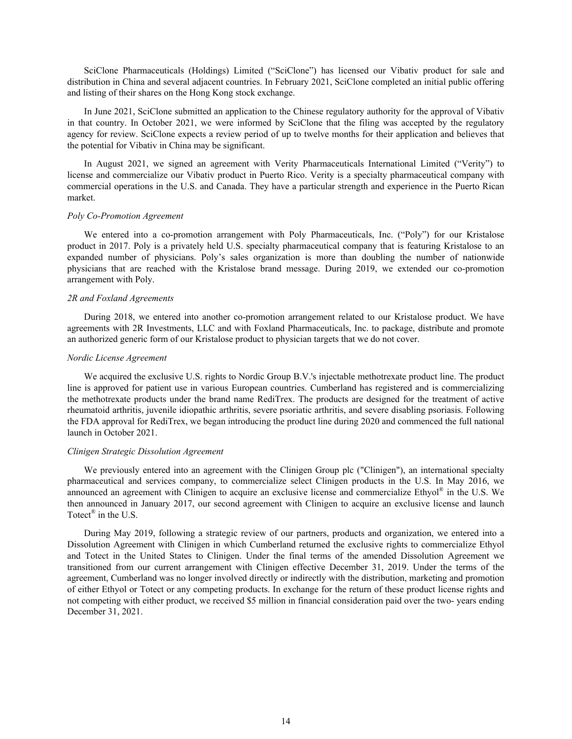SciClone Pharmaceuticals (Holdings) Limited ("SciClone") has licensed our Vibativ product for sale and distribution in China and several adjacent countries. In February 2021, SciClone completed an initial public offering and listing of their shares on the Hong Kong stock exchange.

In June 2021, SciClone submitted an application to the Chinese regulatory authority for the approval of Vibativ in that country. In October 2021, we were informed by SciClone that the filing was accepted by the regulatory agency for review. SciClone expects a review period of up to twelve months for their application and believes that the potential for Vibativ in China may be significant.

In August 2021, we signed an agreement with Verity Pharmaceuticals International Limited ("Verity") to license and commercialize our Vibativ product in Puerto Rico. Verity is a specialty pharmaceutical company with commercial operations in the U.S. and Canada. They have a particular strength and experience in the Puerto Rican market.

#### *Poly Co-Promotion Agreement*

We entered into a co-promotion arrangement with Poly Pharmaceuticals, Inc. ("Poly") for our Kristalose product in 2017. Poly is a privately held U.S. specialty pharmaceutical company that is featuring Kristalose to an expanded number of physicians. Poly's sales organization is more than doubling the number of nationwide physicians that are reached with the Kristalose brand message. During 2019, we extended our co-promotion arrangement with Poly.

#### *2R and Foxland Agreements*

During 2018, we entered into another co-promotion arrangement related to our Kristalose product. We have agreements with 2R Investments, LLC and with Foxland Pharmaceuticals, Inc. to package, distribute and promote an authorized generic form of our Kristalose product to physician targets that we do not cover.

#### *Nordic License Agreement*

We acquired the exclusive U.S. rights to Nordic Group B.V.'s injectable methotrexate product line. The product line is approved for patient use in various European countries. Cumberland has registered and is commercializing the methotrexate products under the brand name RediTrex. The products are designed for the treatment of active rheumatoid arthritis, juvenile idiopathic arthritis, severe psoriatic arthritis, and severe disabling psoriasis. Following the FDA approval for RediTrex, we began introducing the product line during 2020 and commenced the full national launch in October 2021.

# *Clinigen Strategic Dissolution Agreement*

We previously entered into an agreement with the Clinigen Group plc ("Clinigen"), an international specialty pharmaceutical and services company, to commercialize select Clinigen products in the U.S. In May 2016, we announced an agreement with Clinigen to acquire an exclusive license and commercialize Ethyol® in the U.S. We then announced in January 2017, our second agreement with Clinigen to acquire an exclusive license and launch Totect<sup>®</sup> in the U.S.

During May 2019, following a strategic review of our partners, products and organization, we entered into a Dissolution Agreement with Clinigen in which Cumberland returned the exclusive rights to commercialize Ethyol and Totect in the United States to Clinigen. Under the final terms of the amended Dissolution Agreement we transitioned from our current arrangement with Clinigen effective December 31, 2019. Under the terms of the agreement, Cumberland was no longer involved directly or indirectly with the distribution, marketing and promotion of either Ethyol or Totect or any competing products. In exchange for the return of these product license rights and not competing with either product, we received \$5 million in financial consideration paid over the two- years ending December 31, 2021.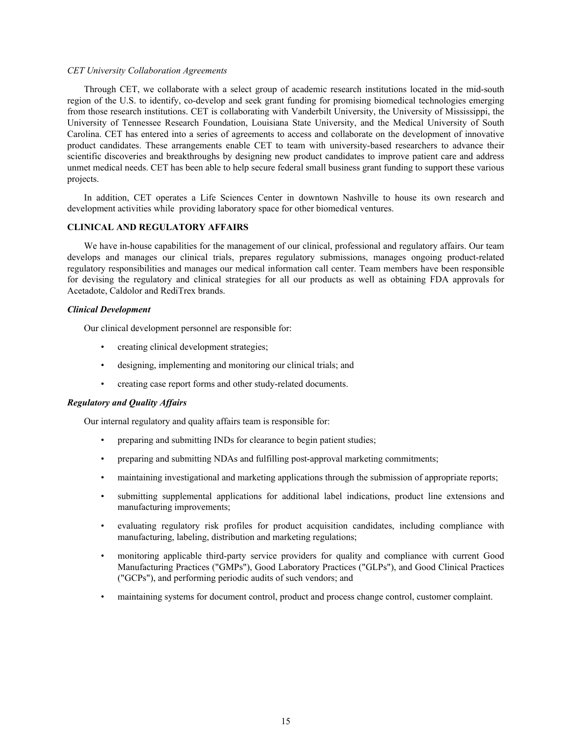#### *CET University Collaboration Agreements*

Through CET, we collaborate with a select group of academic research institutions located in the mid-south region of the U.S. to identify, co-develop and seek grant funding for promising biomedical technologies emerging from those research institutions. CET is collaborating with Vanderbilt University, the University of Mississippi, the University of Tennessee Research Foundation, Louisiana State University, and the Medical University of South Carolina. CET has entered into a series of agreements to access and collaborate on the development of innovative product candidates. These arrangements enable CET to team with university-based researchers to advance their scientific discoveries and breakthroughs by designing new product candidates to improve patient care and address unmet medical needs. CET has been able to help secure federal small business grant funding to support these various projects.

In addition, CET operates a Life Sciences Center in downtown Nashville to house its own research and development activities while providing laboratory space for other biomedical ventures.

## **CLINICAL AND REGULATORY AFFAIRS**

We have in-house capabilities for the management of our clinical, professional and regulatory affairs. Our team develops and manages our clinical trials, prepares regulatory submissions, manages ongoing product-related regulatory responsibilities and manages our medical information call center. Team members have been responsible for devising the regulatory and clinical strategies for all our products as well as obtaining FDA approvals for Acetadote, Caldolor and RediTrex brands.

# *Clinical Development*

Our clinical development personnel are responsible for:

- creating clinical development strategies;
- designing, implementing and monitoring our clinical trials; and
- creating case report forms and other study-related documents.

# *Regulatory and Quality Affairs*

Our internal regulatory and quality affairs team is responsible for:

- preparing and submitting INDs for clearance to begin patient studies;
- preparing and submitting NDAs and fulfilling post-approval marketing commitments;
- maintaining investigational and marketing applications through the submission of appropriate reports;
- submitting supplemental applications for additional label indications, product line extensions and manufacturing improvements;
- evaluating regulatory risk profiles for product acquisition candidates, including compliance with manufacturing, labeling, distribution and marketing regulations;
- monitoring applicable third-party service providers for quality and compliance with current Good Manufacturing Practices ("GMPs"), Good Laboratory Practices ("GLPs"), and Good Clinical Practices ("GCPs"), and performing periodic audits of such vendors; and
- maintaining systems for document control, product and process change control, customer complaint.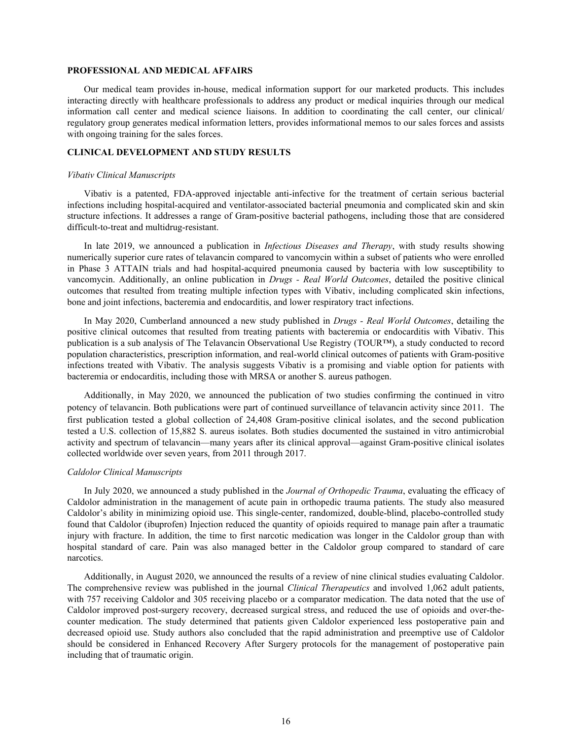#### **PROFESSIONAL AND MEDICAL AFFAIRS**

Our medical team provides in-house, medical information support for our marketed products. This includes interacting directly with healthcare professionals to address any product or medical inquiries through our medical information call center and medical science liaisons. In addition to coordinating the call center, our clinical/ regulatory group generates medical information letters, provides informational memos to our sales forces and assists with ongoing training for the sales forces.

# **CLINICAL DEVELOPMENT AND STUDY RESULTS**

#### *Vibativ Clinical Manuscripts*

Vibativ is a patented, FDA-approved injectable anti-infective for the treatment of certain serious bacterial infections including hospital-acquired and ventilator-associated bacterial pneumonia and complicated skin and skin structure infections. It addresses a range of Gram-positive bacterial pathogens, including those that are considered difficult-to-treat and multidrug-resistant.

In late 2019, we announced a publication in *Infectious Diseases and Therapy*, with study results showing numerically superior cure rates of telavancin compared to vancomycin within a subset of patients who were enrolled in Phase 3 ATTAIN trials and had hospital-acquired pneumonia caused by bacteria with low susceptibility to vancomycin. Additionally, an online publication in *Drugs - Real World Outcomes*, detailed the positive clinical outcomes that resulted from treating multiple infection types with Vibativ, including complicated skin infections, bone and joint infections, bacteremia and endocarditis, and lower respiratory tract infections.

In May 2020, Cumberland announced a new study published in *Drugs - Real World Outcomes*, detailing the positive clinical outcomes that resulted from treating patients with bacteremia or endocarditis with Vibativ. This publication is a sub analysis of The Telavancin Observational Use Registry (TOUR™), a study conducted to record population characteristics, prescription information, and real-world clinical outcomes of patients with Gram-positive infections treated with Vibativ. The analysis suggests Vibativ is a promising and viable option for patients with bacteremia or endocarditis, including those with MRSA or another S. aureus pathogen.

Additionally, in May 2020, we announced the publication of two studies confirming the continued in vitro potency of telavancin. Both publications were part of continued surveillance of telavancin activity since 2011. The first publication tested a global collection of 24,408 Gram-positive clinical isolates, and the second publication tested a U.S. collection of 15,882 S. aureus isolates. Both studies documented the sustained in vitro antimicrobial activity and spectrum of telavancin—many years after its clinical approval—against Gram-positive clinical isolates collected worldwide over seven years, from 2011 through 2017.

#### *Caldolor Clinical Manuscripts*

In July 2020, we announced a study published in the *Journal of Orthopedic Trauma*, evaluating the efficacy of Caldolor administration in the management of acute pain in orthopedic trauma patients. The study also measured Caldolor's ability in minimizing opioid use. This single-center, randomized, double-blind, placebo-controlled study found that Caldolor (ibuprofen) Injection reduced the quantity of opioids required to manage pain after a traumatic injury with fracture. In addition, the time to first narcotic medication was longer in the Caldolor group than with hospital standard of care. Pain was also managed better in the Caldolor group compared to standard of care narcotics.

Additionally, in August 2020, we announced the results of a review of nine clinical studies evaluating Caldolor. The comprehensive review was published in the journal *Clinical Therapeutics* and involved 1,062 adult patients, with 757 receiving Caldolor and 305 receiving placebo or a comparator medication. The data noted that the use of Caldolor improved post-surgery recovery, decreased surgical stress, and reduced the use of opioids and over-thecounter medication. The study determined that patients given Caldolor experienced less postoperative pain and decreased opioid use. Study authors also concluded that the rapid administration and preemptive use of Caldolor should be considered in Enhanced Recovery After Surgery protocols for the management of postoperative pain including that of traumatic origin.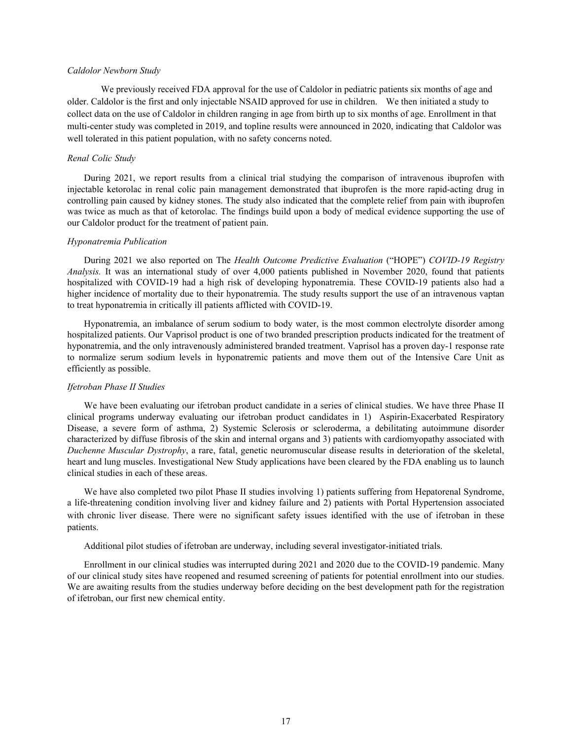#### *Caldolor Newborn Study*

We previously received FDA approval for the use of Caldolor in pediatric patients six months of age and older. Caldolor is the first and only injectable NSAID approved for use in children. We then initiated a study to collect data on the use of Caldolor in children ranging in age from birth up to six months of age. Enrollment in that multi-center study was completed in 2019, and topline results were announced in 2020, indicating that Caldolor was well tolerated in this patient population, with no safety concerns noted.

# *Renal Colic Study*

During 2021, we report results from a clinical trial studying the comparison of intravenous ibuprofen with injectable ketorolac in renal colic pain management demonstrated that ibuprofen is the more rapid-acting drug in controlling pain caused by kidney stones. The study also indicated that the complete relief from pain with ibuprofen was twice as much as that of ketorolac. The findings build upon a body of medical evidence supporting the use of our Caldolor product for the treatment of patient pain.

# *Hyponatremia Publication*

During 2021 we also reported on The *Health Outcome Predictive Evaluation* ("HOPE") *COVID-19 Registry Analysis.* It was an international study of over 4,000 patients published in November 2020, found that patients hospitalized with COVID-19 had a high risk of developing hyponatremia. These COVID-19 patients also had a higher incidence of mortality due to their hyponatremia. The study results support the use of an intravenous vaptan to treat hyponatremia in critically ill patients afflicted with COVID-19.

Hyponatremia, an imbalance of serum sodium to body water, is the most common electrolyte disorder among hospitalized patients. Our Vaprisol product is one of two branded prescription products indicated for the treatment of hyponatremia, and the only intravenously administered branded treatment. Vaprisol has a proven day-1 response rate to normalize serum sodium levels in hyponatremic patients and move them out of the Intensive Care Unit as efficiently as possible.

# *Ifetroban Phase II Studies*

We have been evaluating our ifetroban product candidate in a series of clinical studies. We have three Phase II clinical programs underway evaluating our ifetroban product candidates in 1) Aspirin-Exacerbated Respiratory Disease, a severe form of asthma, 2) Systemic Sclerosis or scleroderma, a debilitating autoimmune disorder characterized by diffuse fibrosis of the skin and internal organs and 3) patients with cardiomyopathy associated with *Duchenne Muscular Dystrophy*, a rare, fatal, genetic neuromuscular disease results in deterioration of the skeletal, heart and lung muscles. Investigational New Study applications have been cleared by the FDA enabling us to launch clinical studies in each of these areas.

We have also completed two pilot Phase II studies involving 1) patients suffering from Hepatorenal Syndrome, a life-threatening condition involving liver and kidney failure and 2) patients with Portal Hypertension associated with chronic liver disease. There were no significant safety issues identified with the use of ifetroban in these patients.

Additional pilot studies of ifetroban are underway, including several investigator-initiated trials.

Enrollment in our clinical studies was interrupted during 2021 and 2020 due to the COVID-19 pandemic. Many of our clinical study sites have reopened and resumed screening of patients for potential enrollment into our studies. We are awaiting results from the studies underway before deciding on the best development path for the registration of ifetroban, our first new chemical entity.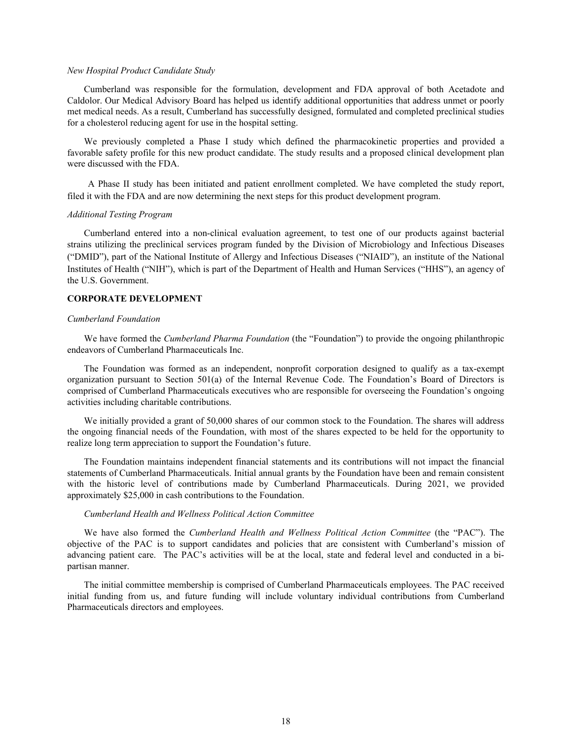#### *New Hospital Product Candidate Study*

Cumberland was responsible for the formulation, development and FDA approval of both Acetadote and Caldolor. Our Medical Advisory Board has helped us identify additional opportunities that address unmet or poorly met medical needs. As a result, Cumberland has successfully designed, formulated and completed preclinical studies for a cholesterol reducing agent for use in the hospital setting.

We previously completed a Phase I study which defined the pharmacokinetic properties and provided a favorable safety profile for this new product candidate. The study results and a proposed clinical development plan were discussed with the FDA.

A Phase II study has been initiated and patient enrollment completed. We have completed the study report, filed it with the FDA and are now determining the next steps for this product development program.

#### *Additional Testing Program*

Cumberland entered into a non-clinical evaluation agreement, to test one of our products against bacterial strains utilizing the preclinical services program funded by the Division of Microbiology and Infectious Diseases ("DMID"), part of the National Institute of Allergy and Infectious Diseases ("NIAID"), an institute of the National Institutes of Health ("NIH"), which is part of the Department of Health and Human Services ("HHS"), an agency of the U.S. Government.

# **CORPORATE DEVELOPMENT**

#### *Cumberland Foundation*

We have formed the *Cumberland Pharma Foundation* (the "Foundation") to provide the ongoing philanthropic endeavors of Cumberland Pharmaceuticals Inc.

The Foundation was formed as an independent, nonprofit corporation designed to qualify as a tax-exempt organization pursuant to Section 501(a) of the Internal Revenue Code. The Foundation's Board of Directors is comprised of Cumberland Pharmaceuticals executives who are responsible for overseeing the Foundation's ongoing activities including charitable contributions.

We initially provided a grant of 50,000 shares of our common stock to the Foundation. The shares will address the ongoing financial needs of the Foundation, with most of the shares expected to be held for the opportunity to realize long term appreciation to support the Foundation's future.

The Foundation maintains independent financial statements and its contributions will not impact the financial statements of Cumberland Pharmaceuticals. Initial annual grants by the Foundation have been and remain consistent with the historic level of contributions made by Cumberland Pharmaceuticals. During 2021, we provided approximately \$25,000 in cash contributions to the Foundation.

#### *Cumberland Health and Wellness Political Action Committee*

We have also formed the *Cumberland Health and Wellness Political Action Committee* (the "PAC"). The objective of the PAC is to support candidates and policies that are consistent with Cumberland's mission of advancing patient care. The PAC's activities will be at the local, state and federal level and conducted in a bipartisan manner.

The initial committee membership is comprised of Cumberland Pharmaceuticals employees. The PAC received initial funding from us, and future funding will include voluntary individual contributions from Cumberland Pharmaceuticals directors and employees.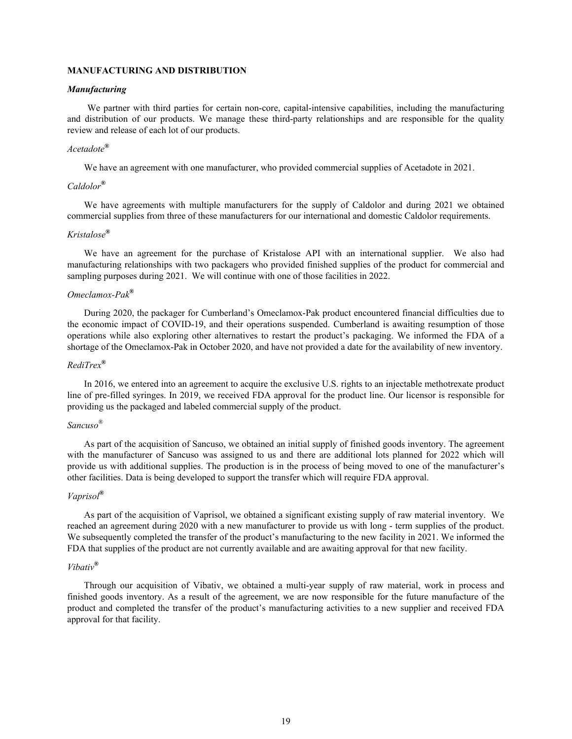#### **MANUFACTURING AND DISTRIBUTION**

#### *Manufacturing*

We partner with third parties for certain non-core, capital-intensive capabilities, including the manufacturing and distribution of our products. We manage these third-party relationships and are responsible for the quality review and release of each lot of our products.

# *Acetadote®*

We have an agreement with one manufacturer, who provided commercial supplies of Acetadote in 2021.

# *Caldolor®*

We have agreements with multiple manufacturers for the supply of Caldolor and during 2021 we obtained commercial supplies from three of these manufacturers for our international and domestic Caldolor requirements.

#### *Kristalose***®**

We have an agreement for the purchase of Kristalose API with an international supplier. We also had manufacturing relationships with two packagers who provided finished supplies of the product for commercial and sampling purposes during 2021. We will continue with one of those facilities in 2022.

# *Omeclamox-Pak***®**

During 2020, the packager for Cumberland's Omeclamox-Pak product encountered financial difficulties due to the economic impact of COVID-19, and their operations suspended. Cumberland is awaiting resumption of those operations while also exploring other alternatives to restart the product's packaging. We informed the FDA of a shortage of the Omeclamox-Pak in October 2020, and have not provided a date for the availability of new inventory.

# *RediTrex***®**

In 2016, we entered into an agreement to acquire the exclusive U.S. rights to an injectable methotrexate product line of pre-filled syringes. In 2019, we received FDA approval for the product line. Our licensor is responsible for providing us the packaged and labeled commercial supply of the product.

# *Sancuso®*

As part of the acquisition of Sancuso, we obtained an initial supply of finished goods inventory. The agreement with the manufacturer of Sancuso was assigned to us and there are additional lots planned for 2022 which will provide us with additional supplies. The production is in the process of being moved to one of the manufacturer's other facilities. Data is being developed to support the transfer which will require FDA approval.

#### *Vaprisol***®**

As part of the acquisition of Vaprisol, we obtained a significant existing supply of raw material inventory. We reached an agreement during 2020 with a new manufacturer to provide us with long - term supplies of the product. We subsequently completed the transfer of the product's manufacturing to the new facility in 2021. We informed the FDA that supplies of the product are not currently available and are awaiting approval for that new facility.

#### *Vibativ***®**

Through our acquisition of Vibativ, we obtained a multi-year supply of raw material, work in process and finished goods inventory. As a result of the agreement, we are now responsible for the future manufacture of the product and completed the transfer of the product's manufacturing activities to a new supplier and received FDA approval for that facility.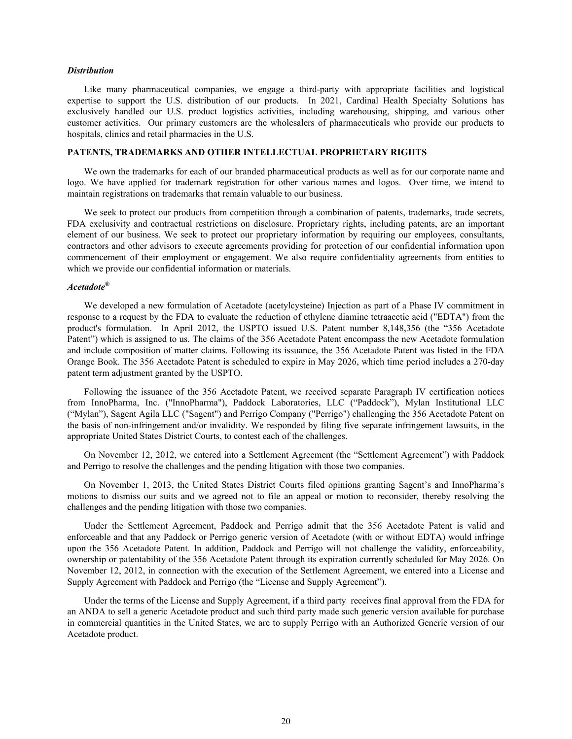#### *Distribution*

Like many pharmaceutical companies, we engage a third-party with appropriate facilities and logistical expertise to support the U.S. distribution of our products. In 2021, Cardinal Health Specialty Solutions has exclusively handled our U.S. product logistics activities, including warehousing, shipping, and various other customer activities. Our primary customers are the wholesalers of pharmaceuticals who provide our products to hospitals, clinics and retail pharmacies in the U.S.

#### **PATENTS, TRADEMARKS AND OTHER INTELLECTUAL PROPRIETARY RIGHTS**

We own the trademarks for each of our branded pharmaceutical products as well as for our corporate name and logo. We have applied for trademark registration for other various names and logos. Over time, we intend to maintain registrations on trademarks that remain valuable to our business.

We seek to protect our products from competition through a combination of patents, trademarks, trade secrets, FDA exclusivity and contractual restrictions on disclosure. Proprietary rights, including patents, are an important element of our business. We seek to protect our proprietary information by requiring our employees, consultants, contractors and other advisors to execute agreements providing for protection of our confidential information upon commencement of their employment or engagement. We also require confidentiality agreements from entities to which we provide our confidential information or materials.

#### *Acetadote***®**

We developed a new formulation of Acetadote (acetylcysteine) Injection as part of a Phase IV commitment in response to a request by the FDA to evaluate the reduction of ethylene diamine tetraacetic acid ("EDTA") from the product's formulation. In April 2012, the USPTO issued U.S. Patent number 8,148,356 (the "356 Acetadote Patent") which is assigned to us. The claims of the 356 Acetadote Patent encompass the new Acetadote formulation and include composition of matter claims. Following its issuance, the 356 Acetadote Patent was listed in the FDA Orange Book. The 356 Acetadote Patent is scheduled to expire in May 2026, which time period includes a 270-day patent term adjustment granted by the USPTO.

Following the issuance of the 356 Acetadote Patent, we received separate Paragraph IV certification notices from InnoPharma, Inc. ("InnoPharma"), Paddock Laboratories, LLC ("Paddock"), Mylan Institutional LLC ("Mylan"), Sagent Agila LLC ("Sagent") and Perrigo Company ("Perrigo") challenging the 356 Acetadote Patent on the basis of non-infringement and/or invalidity. We responded by filing five separate infringement lawsuits, in the appropriate United States District Courts, to contest each of the challenges.

On November 12, 2012, we entered into a Settlement Agreement (the "Settlement Agreement") with Paddock and Perrigo to resolve the challenges and the pending litigation with those two companies.

On November 1, 2013, the United States District Courts filed opinions granting Sagent's and InnoPharma's motions to dismiss our suits and we agreed not to file an appeal or motion to reconsider, thereby resolving the challenges and the pending litigation with those two companies.

Under the Settlement Agreement, Paddock and Perrigo admit that the 356 Acetadote Patent is valid and enforceable and that any Paddock or Perrigo generic version of Acetadote (with or without EDTA) would infringe upon the 356 Acetadote Patent. In addition, Paddock and Perrigo will not challenge the validity, enforceability, ownership or patentability of the 356 Acetadote Patent through its expiration currently scheduled for May 2026. On November 12, 2012, in connection with the execution of the Settlement Agreement, we entered into a License and Supply Agreement with Paddock and Perrigo (the "License and Supply Agreement").

Under the terms of the License and Supply Agreement, if a third party receives final approval from the FDA for an ANDA to sell a generic Acetadote product and such third party made such generic version available for purchase in commercial quantities in the United States, we are to supply Perrigo with an Authorized Generic version of our Acetadote product.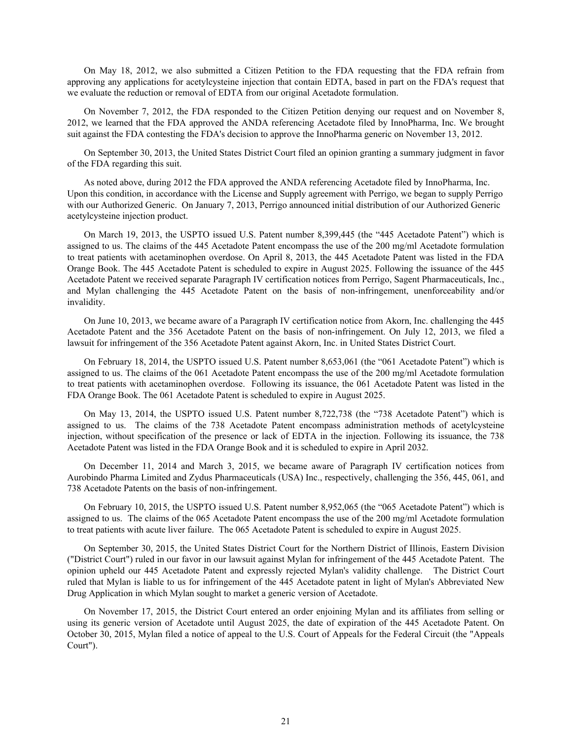On May 18, 2012, we also submitted a Citizen Petition to the FDA requesting that the FDA refrain from approving any applications for acetylcysteine injection that contain EDTA, based in part on the FDA's request that we evaluate the reduction or removal of EDTA from our original Acetadote formulation.

On November 7, 2012, the FDA responded to the Citizen Petition denying our request and on November 8, 2012, we learned that the FDA approved the ANDA referencing Acetadote filed by InnoPharma, Inc. We brought suit against the FDA contesting the FDA's decision to approve the InnoPharma generic on November 13, 2012.

On September 30, 2013, the United States District Court filed an opinion granting a summary judgment in favor of the FDA regarding this suit.

As noted above, during 2012 the FDA approved the ANDA referencing Acetadote filed by InnoPharma, Inc. Upon this condition, in accordance with the License and Supply agreement with Perrigo, we began to supply Perrigo with our Authorized Generic. On January 7, 2013, Perrigo announced initial distribution of our Authorized Generic acetylcysteine injection product.

On March 19, 2013, the USPTO issued U.S. Patent number 8,399,445 (the "445 Acetadote Patent") which is assigned to us. The claims of the 445 Acetadote Patent encompass the use of the 200 mg/ml Acetadote formulation to treat patients with acetaminophen overdose. On April 8, 2013, the 445 Acetadote Patent was listed in the FDA Orange Book. The 445 Acetadote Patent is scheduled to expire in August 2025. Following the issuance of the 445 Acetadote Patent we received separate Paragraph IV certification notices from Perrigo, Sagent Pharmaceuticals, Inc., and Mylan challenging the 445 Acetadote Patent on the basis of non-infringement, unenforceability and/or invalidity.

On June 10, 2013, we became aware of a Paragraph IV certification notice from Akorn, Inc. challenging the 445 Acetadote Patent and the 356 Acetadote Patent on the basis of non-infringement. On July 12, 2013, we filed a lawsuit for infringement of the 356 Acetadote Patent against Akorn, Inc. in United States District Court.

On February 18, 2014, the USPTO issued U.S. Patent number 8,653,061 (the "061 Acetadote Patent") which is assigned to us. The claims of the 061 Acetadote Patent encompass the use of the 200 mg/ml Acetadote formulation to treat patients with acetaminophen overdose. Following its issuance, the 061 Acetadote Patent was listed in the FDA Orange Book. The 061 Acetadote Patent is scheduled to expire in August 2025.

On May 13, 2014, the USPTO issued U.S. Patent number 8,722,738 (the "738 Acetadote Patent") which is assigned to us. The claims of the 738 Acetadote Patent encompass administration methods of acetylcysteine injection, without specification of the presence or lack of EDTA in the injection. Following its issuance, the 738 Acetadote Patent was listed in the FDA Orange Book and it is scheduled to expire in April 2032.

On December 11, 2014 and March 3, 2015, we became aware of Paragraph IV certification notices from Aurobindo Pharma Limited and Zydus Pharmaceuticals (USA) Inc., respectively, challenging the 356, 445, 061, and 738 Acetadote Patents on the basis of non-infringement.

On February 10, 2015, the USPTO issued U.S. Patent number 8,952,065 (the "065 Acetadote Patent") which is assigned to us. The claims of the 065 Acetadote Patent encompass the use of the 200 mg/ml Acetadote formulation to treat patients with acute liver failure. The 065 Acetadote Patent is scheduled to expire in August 2025.

On September 30, 2015, the United States District Court for the Northern District of Illinois, Eastern Division ("District Court") ruled in our favor in our lawsuit against Mylan for infringement of the 445 Acetadote Patent. The opinion upheld our 445 Acetadote Patent and expressly rejected Mylan's validity challenge. The District Court ruled that Mylan is liable to us for infringement of the 445 Acetadote patent in light of Mylan's Abbreviated New Drug Application in which Mylan sought to market a generic version of Acetadote.

On November 17, 2015, the District Court entered an order enjoining Mylan and its affiliates from selling or using its generic version of Acetadote until August 2025, the date of expiration of the 445 Acetadote Patent. On October 30, 2015, Mylan filed a notice of appeal to the U.S. Court of Appeals for the Federal Circuit (the "Appeals Court").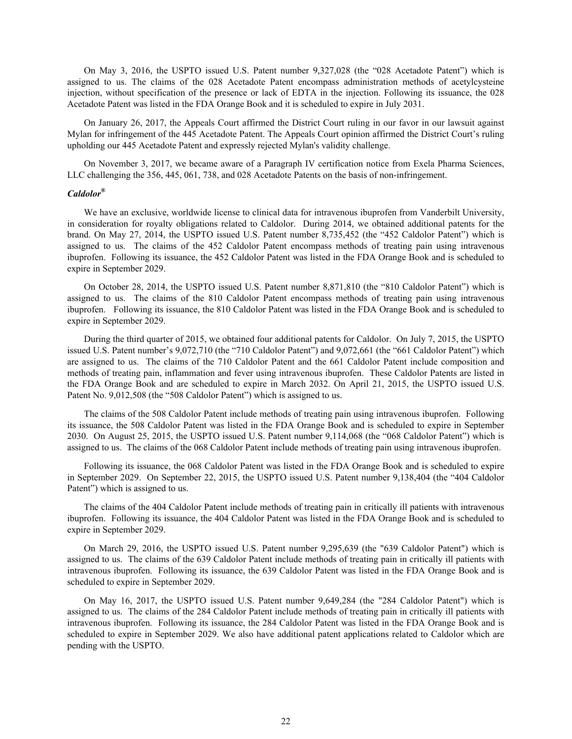On May 3, 2016, the USPTO issued U.S. Patent number 9,327,028 (the "028 Acetadote Patent") which is assigned to us. The claims of the 028 Acetadote Patent encompass administration methods of acetylcysteine injection, without specification of the presence or lack of EDTA in the injection. Following its issuance, the 028 Acetadote Patent was listed in the FDA Orange Book and it is scheduled to expire in July 2031.

On January 26, 2017, the Appeals Court affirmed the District Court ruling in our favor in our lawsuit against Mylan for infringement of the 445 Acetadote Patent. The Appeals Court opinion affirmed the District Court's ruling upholding our 445 Acetadote Patent and expressly rejected Mylan's validity challenge.

On November 3, 2017, we became aware of a Paragraph IV certification notice from Exela Pharma Sciences, LLC challenging the 356, 445, 061, 738, and 028 Acetadote Patents on the basis of non-infringement.

# *Caldolor***®**

We have an exclusive, worldwide license to clinical data for intravenous ibuprofen from Vanderbilt University, in consideration for royalty obligations related to Caldolor. During 2014, we obtained additional patents for the brand. On May 27, 2014, the USPTO issued U.S. Patent number 8,735,452 (the "452 Caldolor Patent") which is assigned to us. The claims of the 452 Caldolor Patent encompass methods of treating pain using intravenous ibuprofen. Following its issuance, the 452 Caldolor Patent was listed in the FDA Orange Book and is scheduled to expire in September 2029.

On October 28, 2014, the USPTO issued U.S. Patent number 8,871,810 (the "810 Caldolor Patent") which is assigned to us. The claims of the 810 Caldolor Patent encompass methods of treating pain using intravenous ibuprofen. Following its issuance, the 810 Caldolor Patent was listed in the FDA Orange Book and is scheduled to expire in September 2029.

During the third quarter of 2015, we obtained four additional patents for Caldolor. On July 7, 2015, the USPTO issued U.S. Patent number's 9,072,710 (the "710 Caldolor Patent") and 9,072,661 (the "661 Caldolor Patent") which are assigned to us. The claims of the 710 Caldolor Patent and the 661 Caldolor Patent include composition and methods of treating pain, inflammation and fever using intravenous ibuprofen. These Caldolor Patents are listed in the FDA Orange Book and are scheduled to expire in March 2032. On April 21, 2015, the USPTO issued U.S. Patent No. 9,012,508 (the "508 Caldolor Patent") which is assigned to us.

The claims of the 508 Caldolor Patent include methods of treating pain using intravenous ibuprofen. Following its issuance, the 508 Caldolor Patent was listed in the FDA Orange Book and is scheduled to expire in September 2030. On August 25, 2015, the USPTO issued U.S. Patent number 9,114,068 (the "068 Caldolor Patent") which is assigned to us. The claims of the 068 Caldolor Patent include methods of treating pain using intravenous ibuprofen.

Following its issuance, the 068 Caldolor Patent was listed in the FDA Orange Book and is scheduled to expire in September 2029. On September 22, 2015, the USPTO issued U.S. Patent number 9,138,404 (the "404 Caldolor Patent") which is assigned to us.

The claims of the 404 Caldolor Patent include methods of treating pain in critically ill patients with intravenous ibuprofen. Following its issuance, the 404 Caldolor Patent was listed in the FDA Orange Book and is scheduled to expire in September 2029.

On March 29, 2016, the USPTO issued U.S. Patent number 9,295,639 (the "639 Caldolor Patent") which is assigned to us. The claims of the 639 Caldolor Patent include methods of treating pain in critically ill patients with intravenous ibuprofen. Following its issuance, the 639 Caldolor Patent was listed in the FDA Orange Book and is scheduled to expire in September 2029.

On May 16, 2017, the USPTO issued U.S. Patent number 9,649,284 (the "284 Caldolor Patent") which is assigned to us. The claims of the 284 Caldolor Patent include methods of treating pain in critically ill patients with intravenous ibuprofen. Following its issuance, the 284 Caldolor Patent was listed in the FDA Orange Book and is scheduled to expire in September 2029. We also have additional patent applications related to Caldolor which are pending with the USPTO.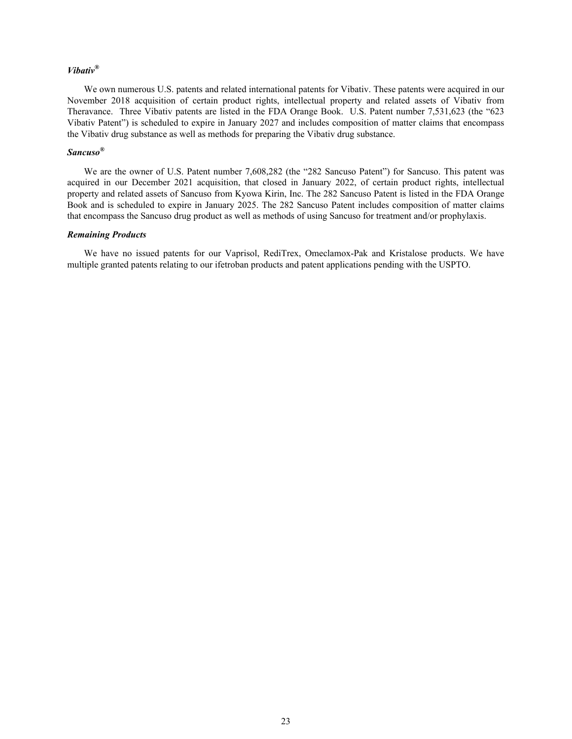# *Vibativ***®**

We own numerous U.S. patents and related international patents for Vibativ. These patents were acquired in our November 2018 acquisition of certain product rights, intellectual property and related assets of Vibativ from Theravance. Three Vibativ patents are listed in the FDA Orange Book. U.S. Patent number 7,531,623 (the "623 Vibativ Patent") is scheduled to expire in January 2027 and includes composition of matter claims that encompass the Vibativ drug substance as well as methods for preparing the Vibativ drug substance.

# *Sancuso®*

We are the owner of U.S. Patent number 7,608,282 (the "282 Sancuso Patent") for Sancuso. This patent was acquired in our December 2021 acquisition, that closed in January 2022, of certain product rights, intellectual property and related assets of Sancuso from Kyowa Kirin, Inc. The 282 Sancuso Patent is listed in the FDA Orange Book and is scheduled to expire in January 2025. The 282 Sancuso Patent includes composition of matter claims that encompass the Sancuso drug product as well as methods of using Sancuso for treatment and/or prophylaxis.

#### *Remaining Products*

We have no issued patents for our Vaprisol, RediTrex, Omeclamox-Pak and Kristalose products. We have multiple granted patents relating to our ifetroban products and patent applications pending with the USPTO.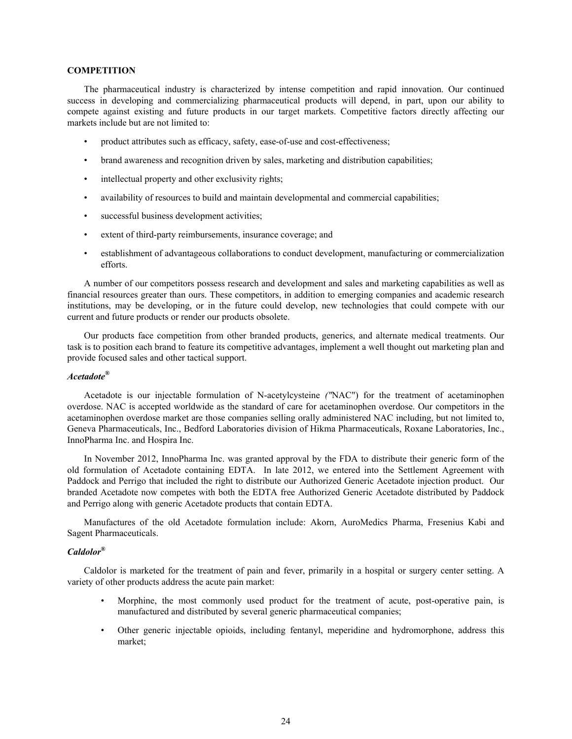#### **COMPETITION**

The pharmaceutical industry is characterized by intense competition and rapid innovation. Our continued success in developing and commercializing pharmaceutical products will depend, in part, upon our ability to compete against existing and future products in our target markets. Competitive factors directly affecting our markets include but are not limited to:

- product attributes such as efficacy, safety, ease-of-use and cost-effectiveness;
- brand awareness and recognition driven by sales, marketing and distribution capabilities;
- intellectual property and other exclusivity rights;
- availability of resources to build and maintain developmental and commercial capabilities;
- successful business development activities;
- extent of third-party reimbursements, insurance coverage; and
- establishment of advantageous collaborations to conduct development, manufacturing or commercialization efforts.

A number of our competitors possess research and development and sales and marketing capabilities as well as financial resources greater than ours. These competitors, in addition to emerging companies and academic research institutions, may be developing, or in the future could develop, new technologies that could compete with our current and future products or render our products obsolete.

Our products face competition from other branded products, generics, and alternate medical treatments. Our task is to position each brand to feature its competitive advantages, implement a well thought out marketing plan and provide focused sales and other tactical support.

#### *Acetadote***®**

Acetadote is our injectable formulation of N-acetylcysteine *("*NAC") for the treatment of acetaminophen overdose. NAC is accepted worldwide as the standard of care for acetaminophen overdose. Our competitors in the acetaminophen overdose market are those companies selling orally administered NAC including, but not limited to, Geneva Pharmaceuticals, Inc., Bedford Laboratories division of Hikma Pharmaceuticals, Roxane Laboratories, Inc., InnoPharma Inc. and Hospira Inc.

In November 2012, InnoPharma Inc. was granted approval by the FDA to distribute their generic form of the old formulation of Acetadote containing EDTA. In late 2012, we entered into the Settlement Agreement with Paddock and Perrigo that included the right to distribute our Authorized Generic Acetadote injection product. Our branded Acetadote now competes with both the EDTA free Authorized Generic Acetadote distributed by Paddock and Perrigo along with generic Acetadote products that contain EDTA.

Manufactures of the old Acetadote formulation include: Akorn, AuroMedics Pharma, Fresenius Kabi and Sagent Pharmaceuticals.

# *Caldolor***®**

Caldolor is marketed for the treatment of pain and fever, primarily in a hospital or surgery center setting. A variety of other products address the acute pain market:

- Morphine, the most commonly used product for the treatment of acute, post-operative pain, is manufactured and distributed by several generic pharmaceutical companies;
- Other generic injectable opioids, including fentanyl, meperidine and hydromorphone, address this market;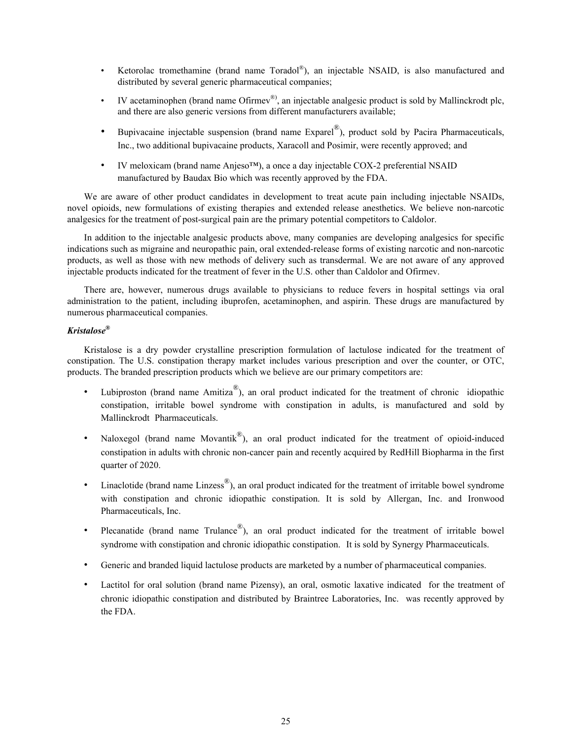- Ketorolac tromethamine (brand name Toradol® ), an injectable NSAID, is also manufactured and distributed by several generic pharmaceutical companies;
- IV acetaminophen (brand name Ofirmev<sup>®)</sup>, an injectable analgesic product is sold by Mallinckrodt plc, and there are also generic versions from different manufacturers available;
- Bupivacaine injectable suspension (brand name Exparel®), product sold by Pacira Pharmaceuticals, Inc., two additional bupivacaine products, Xaracoll and Posimir, were recently approved; and
- IV meloxicam (brand name Anjeso<sup>™</sup>), a once a day injectable COX-2 preferential NSAID manufactured by Baudax Bio which was recently approved by the FDA.

We are aware of other product candidates in development to treat acute pain including injectable NSAIDs, novel opioids, new formulations of existing therapies and extended release anesthetics. We believe non-narcotic analgesics for the treatment of post-surgical pain are the primary potential competitors to Caldolor.

In addition to the injectable analgesic products above, many companies are developing analgesics for specific indications such as migraine and neuropathic pain, oral extended-release forms of existing narcotic and non-narcotic products, as well as those with new methods of delivery such as transdermal. We are not aware of any approved injectable products indicated for the treatment of fever in the U.S. other than Caldolor and Ofirmev.

There are, however, numerous drugs available to physicians to reduce fevers in hospital settings via oral administration to the patient, including ibuprofen, acetaminophen, and aspirin. These drugs are manufactured by numerous pharmaceutical companies.

# *Kristalose***®**

Kristalose is a dry powder crystalline prescription formulation of lactulose indicated for the treatment of constipation. The U.S. constipation therapy market includes various prescription and over the counter, or OTC, products. The branded prescription products which we believe are our primary competitors are:

- Lubiproston (brand name Amitiza $^{\circledR}$ ), an oral product indicated for the treatment of chronic idiopathic constipation, irritable bowel syndrome with constipation in adults, is manufactured and sold by Mallinckrodt Pharmaceuticals.
- Naloxegol (brand name Movantik<sup>®</sup>), an oral product indicated for the treatment of opioid-induced constipation in adults with chronic non-cancer pain and recently acquired by RedHill Biopharma in the first quarter of 2020.
- Linaclotide (brand name Linzess<sup>®</sup>), an oral product indicated for the treatment of irritable bowel syndrome with constipation and chronic idiopathic constipation. It is sold by Allergan, Inc. and Ironwood Pharmaceuticals, Inc.
- Plecanatide (brand name Trulance<sup>®</sup>), an oral product indicated for the treatment of irritable bowel syndrome with constipation and chronic idiopathic constipation. It is sold by Synergy Pharmaceuticals.
- Generic and branded liquid lactulose products are marketed by a number of pharmaceutical companies.
- Lactitol for oral solution (brand name Pizensy), an oral, osmotic laxative indicated for the treatment of chronic idiopathic constipation and distributed by Braintree Laboratories, Inc. was recently approved by the FDA.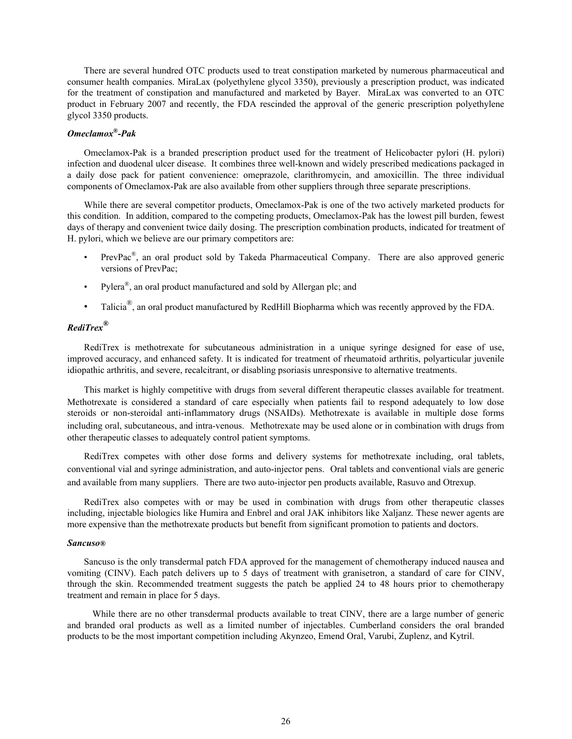There are several hundred OTC products used to treat constipation marketed by numerous pharmaceutical and consumer health companies. MiraLax (polyethylene glycol 3350), previously a prescription product, was indicated for the treatment of constipation and manufactured and marketed by Bayer. MiraLax was converted to an OTC product in February 2007 and recently, the FDA rescinded the approval of the generic prescription polyethylene glycol 3350 products.

# *Omeclamox***®** *-Pak*

Omeclamox-Pak is a branded prescription product used for the treatment of Helicobacter pylori (H. pylori) infection and duodenal ulcer disease. It combines three well-known and widely prescribed medications packaged in a daily dose pack for patient convenience: omeprazole, clarithromycin, and amoxicillin. The three individual components of Omeclamox-Pak are also available from other suppliers through three separate prescriptions.

While there are several competitor products, Omeclamox-Pak is one of the two actively marketed products for this condition. In addition, compared to the competing products, Omeclamox-Pak has the lowest pill burden, fewest days of therapy and convenient twice daily dosing. The prescription combination products, indicated for treatment of H. pylori, which we believe are our primary competitors are:

- PrevPac<sup>®</sup>, an oral product sold by Takeda Pharmaceutical Company. There are also approved generic versions of PrevPac;
- Pylera<sup>®</sup>, an oral product manufactured and sold by Allergan plc; and
- Talicia<sup>®</sup>, an oral product manufactured by RedHill Biopharma which was recently approved by the FDA.

# *RediTrex®*

RediTrex is methotrexate for subcutaneous administration in a unique syringe designed for ease of use, improved accuracy, and enhanced safety. It is indicated for treatment of rheumatoid arthritis, polyarticular juvenile idiopathic arthritis, and severe, recalcitrant, or disabling psoriasis unresponsive to alternative treatments.

This market is highly competitive with drugs from several different therapeutic classes available for treatment. Methotrexate is considered a standard of care especially when patients fail to respond adequately to low dose steroids or non-steroidal anti-inflammatory drugs (NSAIDs). Methotrexate is available in multiple dose forms including oral, subcutaneous, and intra-venous. Methotrexate may be used alone or in combination with drugs from other therapeutic classes to adequately control patient symptoms.

RediTrex competes with other dose forms and delivery systems for methotrexate including, oral tablets, conventional vial and syringe administration, and auto-injector pens. Oral tablets and conventional vials are generic and available from many suppliers. There are two auto-injector pen products available, Rasuvo and Otrexup.

RediTrex also competes with or may be used in combination with drugs from other therapeutic classes including, injectable biologics like Humira and Enbrel and oral JAK inhibitors like Xaljanz. These newer agents are more expensive than the methotrexate products but benefit from significant promotion to patients and doctors.

#### *Sancuso®*

Sancuso is the only transdermal patch FDA approved for the management of chemotherapy induced nausea and vomiting (CINV). Each patch delivers up to 5 days of treatment with granisetron, a standard of care for CINV, through the skin. Recommended treatment suggests the patch be applied 24 to 48 hours prior to chemotherapy treatment and remain in place for 5 days.

While there are no other transdermal products available to treat CINV, there are a large number of generic and branded oral products as well as a limited number of injectables. Cumberland considers the oral branded products to be the most important competition including Akynzeo, Emend Oral, Varubi, Zuplenz, and Kytril.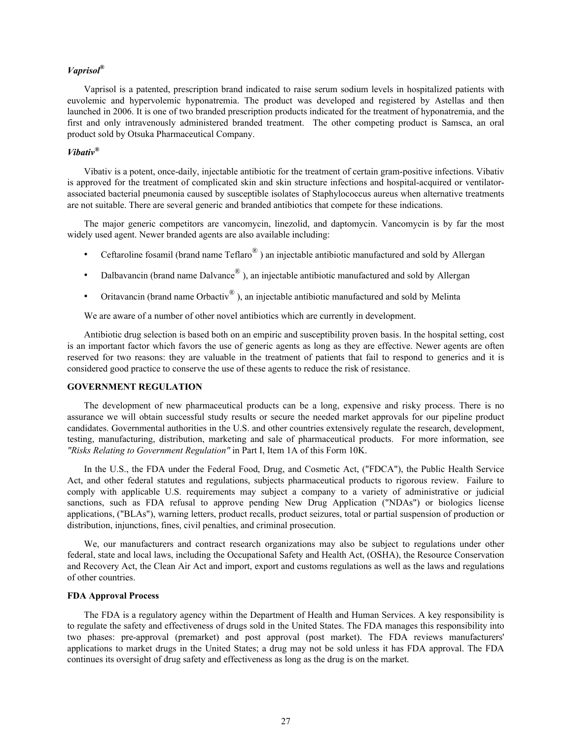# *Vaprisol***®**

Vaprisol is a patented, prescription brand indicated to raise serum sodium levels in hospitalized patients with euvolemic and hypervolemic hyponatremia. The product was developed and registered by Astellas and then launched in 2006. It is one of two branded prescription products indicated for the treatment of hyponatremia, and the first and only intravenously administered branded treatment. The other competing product is Samsca, an oral product sold by Otsuka Pharmaceutical Company.

# *Vibativ®*

Vibativ is a potent, once-daily, injectable antibiotic for the treatment of certain gram-positive infections. Vibativ is approved for the treatment of complicated skin and skin structure infections and hospital-acquired or ventilatorassociated bacterial pneumonia caused by susceptible isolates of Staphylococcus aureus when alternative treatments are not suitable. There are several generic and branded antibiotics that compete for these indications.

The major generic competitors are vancomycin, linezolid, and daptomycin. Vancomycin is by far the most widely used agent. Newer branded agents are also available including:

- Ceftaroline fosamil (brand name Teflaro<sup>®</sup>) an injectable antibiotic manufactured and sold by Allergan
- Dalbavancin (brand name Dalvance $^{\circledR}$ ), an injectable antibiotic manufactured and sold by Allergan
- Oritavancin (brand name Orbactiv $^{\circledR}$ ), an injectable antibiotic manufactured and sold by Melinta

We are aware of a number of other novel antibiotics which are currently in development.

Antibiotic drug selection is based both on an empiric and susceptibility proven basis. In the hospital setting, cost is an important factor which favors the use of generic agents as long as they are effective. Newer agents are often reserved for two reasons: they are valuable in the treatment of patients that fail to respond to generics and it is considered good practice to conserve the use of these agents to reduce the risk of resistance.

#### **GOVERNMENT REGULATION**

The development of new pharmaceutical products can be a long, expensive and risky process. There is no assurance we will obtain successful study results or secure the needed market approvals for our pipeline product candidates. Governmental authorities in the U.S. and other countries extensively regulate the research, development, testing, manufacturing, distribution, marketing and sale of pharmaceutical products. For more information, see *"Risks Relating to Government Regulation"* in Part I, Item 1A of this Form 10K.

In the U.S., the FDA under the Federal Food, Drug, and Cosmetic Act, ("FDCA"), the Public Health Service Act, and other federal statutes and regulations, subjects pharmaceutical products to rigorous review. Failure to comply with applicable U.S. requirements may subject a company to a variety of administrative or judicial sanctions, such as FDA refusal to approve pending New Drug Application ("NDAs") or biologics license applications, ("BLAs"), warning letters, product recalls, product seizures, total or partial suspension of production or distribution, injunctions, fines, civil penalties, and criminal prosecution.

We, our manufacturers and contract research organizations may also be subject to regulations under other federal, state and local laws, including the Occupational Safety and Health Act, (OSHA), the Resource Conservation and Recovery Act, the Clean Air Act and import, export and customs regulations as well as the laws and regulations of other countries.

#### **FDA Approval Process**

The FDA is a regulatory agency within the Department of Health and Human Services. A key responsibility is to regulate the safety and effectiveness of drugs sold in the United States. The FDA manages this responsibility into two phases: pre-approval (premarket) and post approval (post market). The FDA reviews manufacturers' applications to market drugs in the United States; a drug may not be sold unless it has FDA approval. The FDA continues its oversight of drug safety and effectiveness as long as the drug is on the market.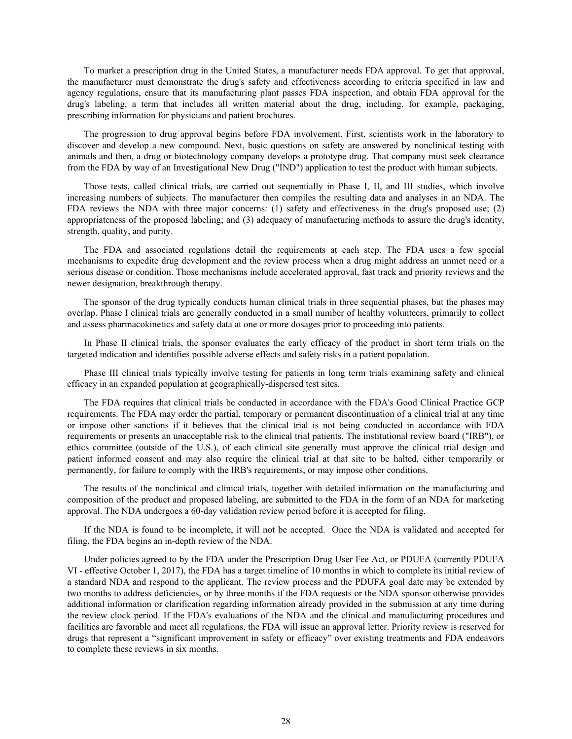To market a prescription drug in the United States, a manufacturer needs FDA approval. To get that approval, the manufacturer must demonstrate the drug's safety and effectiveness according to criteria specified in law and agency regulations, ensure that its manufacturing plant passes FDA inspection, and obtain FDA approval for the drug's labeling, a term that includes all written material about the drug, including, for example, packaging, prescribing information for physicians and patient brochures.

The progression to drug approval begins before FDA involvement. First, scientists work in the laboratory to discover and develop a new compound. Next, basic questions on safety are answered by nonclinical testing with animals and then, a drug or biotechnology company develops a prototype drug. That company must seek clearance from the FDA by way of an Investigational New Drug ("IND") application to test the product with human subjects.

Those tests, called clinical trials, are carried out sequentially in Phase I, II, and III studies, which involve increasing numbers of subjects. The manufacturer then compiles the resulting data and analyses in an NDA. The FDA reviews the NDA with three major concerns: (1) safety and effectiveness in the drug's proposed use; (2) appropriateness of the proposed labeling; and (3) adequacy of manufacturing methods to assure the drug's identity, strength, quality, and purity.

The FDA and associated regulations detail the requirements at each step. The FDA uses a few special mechanisms to expedite drug development and the review process when a drug might address an unmet need or a serious disease or condition. Those mechanisms include accelerated approval, fast track and priority reviews and the newer designation, breakthrough therapy.

The sponsor of the drug typically conducts human clinical trials in three sequential phases, but the phases may overlap. Phase I clinical trials are generally conducted in a small number of healthy volunteers, primarily to collect and assess pharmacokinetics and safety data at one or more dosages prior to proceeding into patients.

In Phase II clinical trials, the sponsor evaluates the early efficacy of the product in short term trials on the targeted indication and identifies possible adverse effects and safety risks in a patient population.

Phase III clinical trials typically involve testing for patients in long term trials examining safety and clinical efficacy in an expanded population at geographically-dispersed test sites.

The FDA requires that clinical trials be conducted in accordance with the FDA's Good Clinical Practice GCP requirements. The FDA may order the partial, temporary or permanent discontinuation of a clinical trial at any time or impose other sanctions if it believes that the clinical trial is not being conducted in accordance with FDA requirements or presents an unacceptable risk to the clinical trial patients. The institutional review board ("IRB"), or ethics committee (outside of the U.S.), of each clinical site generally must approve the clinical trial design and patient informed consent and may also require the clinical trial at that site to be halted, either temporarily or permanently, for failure to comply with the IRB's requirements, or may impose other conditions.

The results of the nonclinical and clinical trials, together with detailed information on the manufacturing and composition of the product and proposed labeling, are submitted to the FDA in the form of an NDA for marketing approval. The NDA undergoes a 60-day validation review period before it is accepted for filing.

If the NDA is found to be incomplete, it will not be accepted. Once the NDA is validated and accepted for filing, the FDA begins an in-depth review of the NDA.

Under policies agreed to by the FDA under the Prescription Drug User Fee Act, or PDUFA (currently PDUFA VI - effective October 1, 2017), the FDA has a target timeline of 10 months in which to complete its initial review of a standard NDA and respond to the applicant. The review process and the PDUFA goal date may be extended by two months to address deficiencies, or by three months if the FDA requests or the NDA sponsor otherwise provides additional information or clarification regarding information already provided in the submission at any time during the review clock period. If the FDA's evaluations of the NDA and the clinical and manufacturing procedures and facilities are favorable and meet all regulations, the FDA will issue an approval letter. Priority review is reserved for drugs that represent a "significant improvement in safety or efficacy" over existing treatments and FDA endeavors to complete these reviews in six months.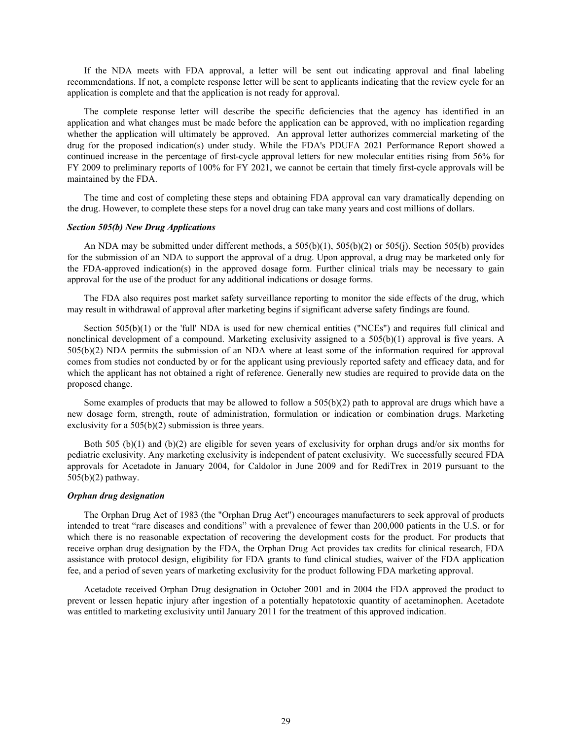If the NDA meets with FDA approval, a letter will be sent out indicating approval and final labeling recommendations. If not, a complete response letter will be sent to applicants indicating that the review cycle for an application is complete and that the application is not ready for approval.

The complete response letter will describe the specific deficiencies that the agency has identified in an application and what changes must be made before the application can be approved, with no implication regarding whether the application will ultimately be approved. An approval letter authorizes commercial marketing of the drug for the proposed indication(s) under study. While the FDA's PDUFA 2021 Performance Report showed a continued increase in the percentage of first-cycle approval letters for new molecular entities rising from 56% for FY 2009 to preliminary reports of 100% for FY 2021, we cannot be certain that timely first-cycle approvals will be maintained by the FDA.

The time and cost of completing these steps and obtaining FDA approval can vary dramatically depending on the drug. However, to complete these steps for a novel drug can take many years and cost millions of dollars.

## *Section 505(b) New Drug Applications*

An NDA may be submitted under different methods, a 505(b)(1), 505(b)(2) or 505(j). Section 505(b) provides for the submission of an NDA to support the approval of a drug. Upon approval, a drug may be marketed only for the FDA-approved indication(s) in the approved dosage form. Further clinical trials may be necessary to gain approval for the use of the product for any additional indications or dosage forms.

The FDA also requires post market safety surveillance reporting to monitor the side effects of the drug, which may result in withdrawal of approval after marketing begins if significant adverse safety findings are found.

Section 505(b)(1) or the 'full' NDA is used for new chemical entities ("NCEs") and requires full clinical and nonclinical development of a compound. Marketing exclusivity assigned to a 505(b)(1) approval is five years. A 505(b)(2) NDA permits the submission of an NDA where at least some of the information required for approval comes from studies not conducted by or for the applicant using previously reported safety and efficacy data, and for which the applicant has not obtained a right of reference. Generally new studies are required to provide data on the proposed change.

Some examples of products that may be allowed to follow a 505(b)(2) path to approval are drugs which have a new dosage form, strength, route of administration, formulation or indication or combination drugs. Marketing exclusivity for a 505(b)(2) submission is three years.

Both 505 (b)(1) and (b)(2) are eligible for seven years of exclusivity for orphan drugs and/or six months for pediatric exclusivity. Any marketing exclusivity is independent of patent exclusivity. We successfully secured FDA approvals for Acetadote in January 2004, for Caldolor in June 2009 and for RediTrex in 2019 pursuant to the 505(b)(2) pathway.

#### *Orphan drug designation*

The Orphan Drug Act of 1983 (the "Orphan Drug Act") encourages manufacturers to seek approval of products intended to treat "rare diseases and conditions" with a prevalence of fewer than 200,000 patients in the U.S. or for which there is no reasonable expectation of recovering the development costs for the product. For products that receive orphan drug designation by the FDA, the Orphan Drug Act provides tax credits for clinical research, FDA assistance with protocol design, eligibility for FDA grants to fund clinical studies, waiver of the FDA application fee, and a period of seven years of marketing exclusivity for the product following FDA marketing approval.

Acetadote received Orphan Drug designation in October 2001 and in 2004 the FDA approved the product to prevent or lessen hepatic injury after ingestion of a potentially hepatotoxic quantity of acetaminophen. Acetadote was entitled to marketing exclusivity until January 2011 for the treatment of this approved indication.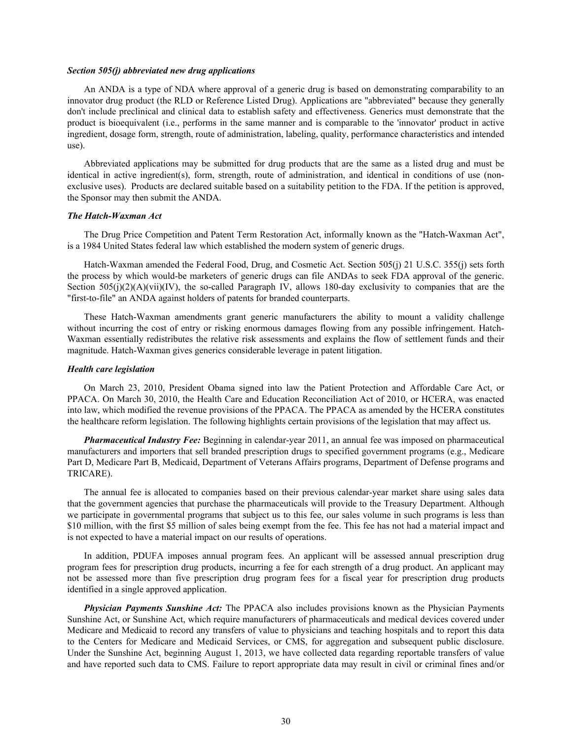#### *Section 505(j) abbreviated new drug applications*

An ANDA is a type of NDA where approval of a generic drug is based on demonstrating comparability to an innovator drug product (the RLD or Reference Listed Drug). Applications are "abbreviated" because they generally don't include preclinical and clinical data to establish safety and effectiveness. Generics must demonstrate that the product is bioequivalent (i.e., performs in the same manner and is comparable to the 'innovator' product in active ingredient, dosage form, strength, route of administration, labeling, quality, performance characteristics and intended use).

Abbreviated applications may be submitted for drug products that are the same as a listed drug and must be identical in active ingredient(s), form, strength, route of administration, and identical in conditions of use (nonexclusive uses). Products are declared suitable based on a suitability petition to the FDA. If the petition is approved, the Sponsor may then submit the ANDA.

#### *The Hatch-Waxman Act*

The Drug Price Competition and Patent Term Restoration Act, informally known as the "Hatch-Waxman Act", is a 1984 United States federal law which established the modern system of generic drugs.

Hatch-Waxman amended the Federal Food, Drug, and Cosmetic Act. Section 505(j) 21 U.S.C. 355(j) sets forth the process by which would-be marketers of generic drugs can file ANDAs to seek FDA approval of the generic. Section 505(j)(2)(A)(vii)(IV), the so-called Paragraph IV, allows 180-day exclusivity to companies that are the "first-to-file" an ANDA against holders of patents for branded counterparts.

These Hatch-Waxman amendments grant generic manufacturers the ability to mount a validity challenge without incurring the cost of entry or risking enormous damages flowing from any possible infringement. Hatch-Waxman essentially redistributes the relative risk assessments and explains the flow of settlement funds and their magnitude. Hatch-Waxman gives generics considerable leverage in patent litigation.

#### *Health care legislation*

On March 23, 2010, President Obama signed into law the Patient Protection and Affordable Care Act, or PPACA. On March 30, 2010, the Health Care and Education Reconciliation Act of 2010, or HCERA, was enacted into law, which modified the revenue provisions of the PPACA. The PPACA as amended by the HCERA constitutes the healthcare reform legislation. The following highlights certain provisions of the legislation that may affect us.

*Pharmaceutical Industry Fee:* Beginning in calendar-year 2011, an annual fee was imposed on pharmaceutical manufacturers and importers that sell branded prescription drugs to specified government programs (e.g., Medicare Part D, Medicare Part B, Medicaid, Department of Veterans Affairs programs, Department of Defense programs and TRICARE).

The annual fee is allocated to companies based on their previous calendar-year market share using sales data that the government agencies that purchase the pharmaceuticals will provide to the Treasury Department. Although we participate in governmental programs that subject us to this fee, our sales volume in such programs is less than \$10 million, with the first \$5 million of sales being exempt from the fee. This fee has not had a material impact and is not expected to have a material impact on our results of operations.

In addition, PDUFA imposes annual program fees. An applicant will be assessed annual prescription drug program fees for prescription drug products, incurring a fee for each strength of a drug product. An applicant may not be assessed more than five prescription drug program fees for a fiscal year for prescription drug products identified in a single approved application.

*Physician Payments Sunshine Act:* The PPACA also includes provisions known as the Physician Payments Sunshine Act, or Sunshine Act, which require manufacturers of pharmaceuticals and medical devices covered under Medicare and Medicaid to record any transfers of value to physicians and teaching hospitals and to report this data to the Centers for Medicare and Medicaid Services, or CMS, for aggregation and subsequent public disclosure. Under the Sunshine Act, beginning August 1, 2013, we have collected data regarding reportable transfers of value and have reported such data to CMS. Failure to report appropriate data may result in civil or criminal fines and/or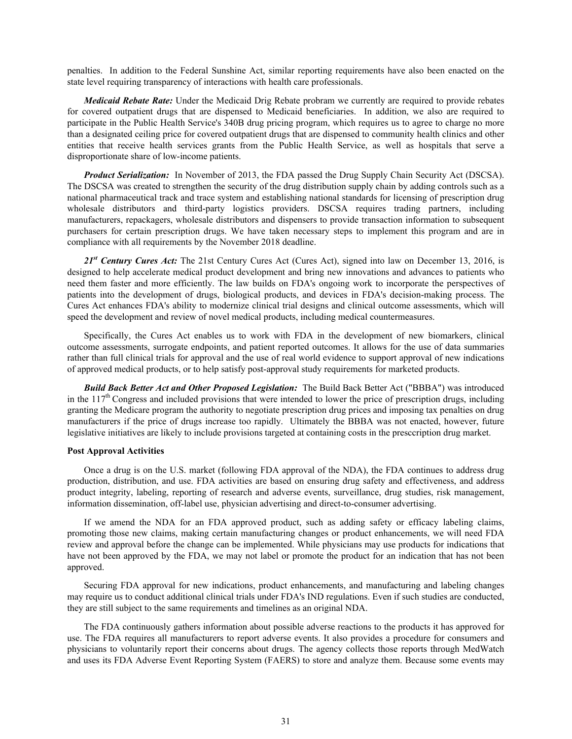penalties. In addition to the Federal Sunshine Act, similar reporting requirements have also been enacted on the state level requiring transparency of interactions with health care professionals.

*Medicaid Rebate Rate:* Under the Medicaid Drig Rebate probram we currently are required to provide rebates for covered outpatient drugs that are dispensed to Medicaid beneficiaries. In addition, we also are required to participate in the Public Health Service's 340B drug pricing program, which requires us to agree to charge no more than a designated ceiling price for covered outpatient drugs that are dispensed to community health clinics and other entities that receive health services grants from the Public Health Service, as well as hospitals that serve a disproportionate share of low-income patients.

*Product Serialization:* In November of 2013, the FDA passed the Drug Supply Chain Security Act (DSCSA). The DSCSA was created to strengthen the security of the drug distribution supply chain by adding controls such as a national pharmaceutical track and trace system and establishing national standards for licensing of prescription drug wholesale distributors and third-party logistics providers. DSCSA requires trading partners, including manufacturers, repackagers, wholesale distributors and dispensers to provide transaction information to subsequent purchasers for certain prescription drugs. We have taken necessary steps to implement this program and are in compliance with all requirements by the November 2018 deadline.

21<sup>st</sup> Century Cures Act: The 21st Century Cures Act (Cures Act), signed into law on December 13, 2016, is designed to help accelerate medical product development and bring new innovations and advances to patients who need them faster and more efficiently. The law builds on FDA's ongoing work to incorporate the perspectives of patients into the development of drugs, biological products, and devices in FDA's decision-making process. The Cures Act enhances FDA's ability to modernize clinical trial designs and clinical outcome assessments, which will speed the development and review of novel medical products, including medical countermeasures.

Specifically, the Cures Act enables us to work with FDA in the development of new biomarkers, clinical outcome assessments, surrogate endpoints, and patient reported outcomes. It allows for the use of data summaries rather than full clinical trials for approval and the use of real world evidence to support approval of new indications of approved medical products, or to help satisfy post-approval study requirements for marketed products.

*Build Back Better Act and Other Proposed Legislation:* The Build Back Better Act ("BBBA") was introduced in the 117<sup>th</sup> Congress and included provisions that were intended to lower the price of prescription drugs, including granting the Medicare program the authority to negotiate prescription drug prices and imposing tax penalties on drug manufacturers if the price of drugs increase too rapidly. Ultimately the BBBA was not enacted, however, future legislative initiatives are likely to include provisions targeted at containing costs in the presccription drug market.

# **Post Approval Activities**

Once a drug is on the U.S. market (following FDA approval of the NDA), the FDA continues to address drug production, distribution, and use. FDA activities are based on ensuring drug safety and effectiveness, and address product integrity, labeling, reporting of research and adverse events, surveillance, drug studies, risk management, information dissemination, off-label use, physician advertising and direct-to-consumer advertising.

If we amend the NDA for an FDA approved product, such as adding safety or efficacy labeling claims, promoting those new claims, making certain manufacturing changes or product enhancements, we will need FDA review and approval before the change can be implemented. While physicians may use products for indications that have not been approved by the FDA, we may not label or promote the product for an indication that has not been approved.

Securing FDA approval for new indications, product enhancements, and manufacturing and labeling changes may require us to conduct additional clinical trials under FDA's IND regulations. Even if such studies are conducted, they are still subject to the same requirements and timelines as an original NDA.

The FDA continuously gathers information about possible adverse reactions to the products it has approved for use. The FDA requires all manufacturers to report adverse events. It also provides a procedure for consumers and physicians to voluntarily report their concerns about drugs. The agency collects those reports through MedWatch and uses its FDA Adverse Event Reporting System (FAERS) to store and analyze them. Because some events may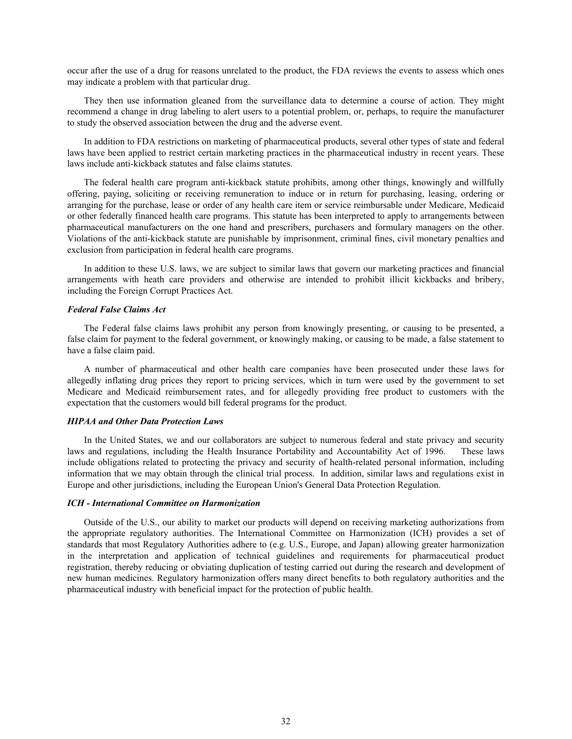occur after the use of a drug for reasons unrelated to the product, the FDA reviews the events to assess which ones may indicate a problem with that particular drug.

They then use information gleaned from the surveillance data to determine a course of action. They might recommend a change in drug labeling to alert users to a potential problem, or, perhaps, to require the manufacturer to study the observed association between the drug and the adverse event.

In addition to FDA restrictions on marketing of pharmaceutical products, several other types of state and federal laws have been applied to restrict certain marketing practices in the pharmaceutical industry in recent years. These laws include anti-kickback statutes and false claims statutes.

The federal health care program anti-kickback statute prohibits, among other things, knowingly and willfully offering, paying, soliciting or receiving remuneration to induce or in return for purchasing, leasing, ordering or arranging for the purchase, lease or order of any health care item or service reimbursable under Medicare, Medicaid or other federally financed health care programs. This statute has been interpreted to apply to arrangements between pharmaceutical manufacturers on the one hand and prescribers, purchasers and formulary managers on the other. Violations of the anti-kickback statute are punishable by imprisonment, criminal fines, civil monetary penalties and exclusion from participation in federal health care programs.

In addition to these U.S. laws, we are subject to similar laws that govern our marketing practices and financial arrangements with heath care providers and otherwise are intended to prohibit illicit kickbacks and bribery, including the Foreign Corrupt Practices Act.

# *Federal False Claims Act*

The Federal false claims laws prohibit any person from knowingly presenting, or causing to be presented, a false claim for payment to the federal government, or knowingly making, or causing to be made, a false statement to have a false claim paid.

A number of pharmaceutical and other health care companies have been prosecuted under these laws for allegedly inflating drug prices they report to pricing services, which in turn were used by the government to set Medicare and Medicaid reimbursement rates, and for allegedly providing free product to customers with the expectation that the customers would bill federal programs for the product.

#### *HIPAA and Other Data Protection Laws*

In the United States, we and our collaborators are subject to numerous federal and state privacy and security laws and regulations, including the Health Insurance Portability and Accountability Act of 1996. These laws include obligations related to protecting the privacy and security of health-related personal information, including information that we may obtain through the clinical trial process. In addition, similar laws and regulations exist in Europe and other jurisdictions, including the European Union's General Data Protection Regulation.

### *ICH - International Committee on Harmonization*

Outside of the U.S., our ability to market our products will depend on receiving marketing authorizations from the appropriate regulatory authorities. The International Committee on Harmonization (ICH) provides a set of standards that most Regulatory Authorities adhere to (e.g. U.S., Europe, and Japan) allowing greater harmonization in the interpretation and application of technical guidelines and requirements for pharmaceutical product registration, thereby reducing or obviating duplication of testing carried out during the research and development of new human medicines. Regulatory harmonization offers many direct benefits to both regulatory authorities and the pharmaceutical industry with beneficial impact for the protection of public health.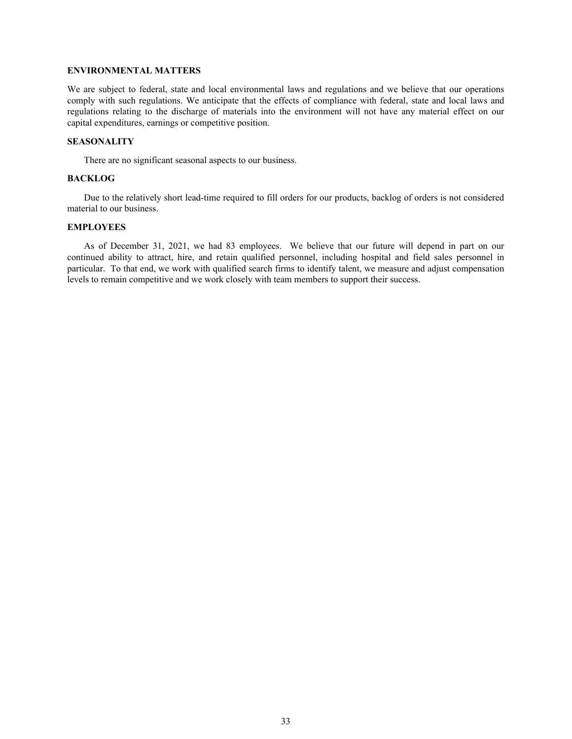## **ENVIRONMENTAL MATTERS**

We are subject to federal, state and local environmental laws and regulations and we believe that our operations comply with such regulations. We anticipate that the effects of compliance with federal, state and local laws and regulations relating to the discharge of materials into the environment will not have any material effect on our capital expenditures, earnings or competitive position.

# **SEASONALITY**

There are no significant seasonal aspects to our business.

#### **BACKLOG**

Due to the relatively short lead-time required to fill orders for our products, backlog of orders is not considered material to our business.

#### **EMPLOYEES**

As of December 31, 2021, we had 83 employees. We believe that our future will depend in part on our continued ability to attract, hire, and retain qualified personnel, including hospital and field sales personnel in particular. To that end, we work with qualified search firms to identify talent, we measure and adjust compensation levels to remain competitive and we work closely with team members to support their success.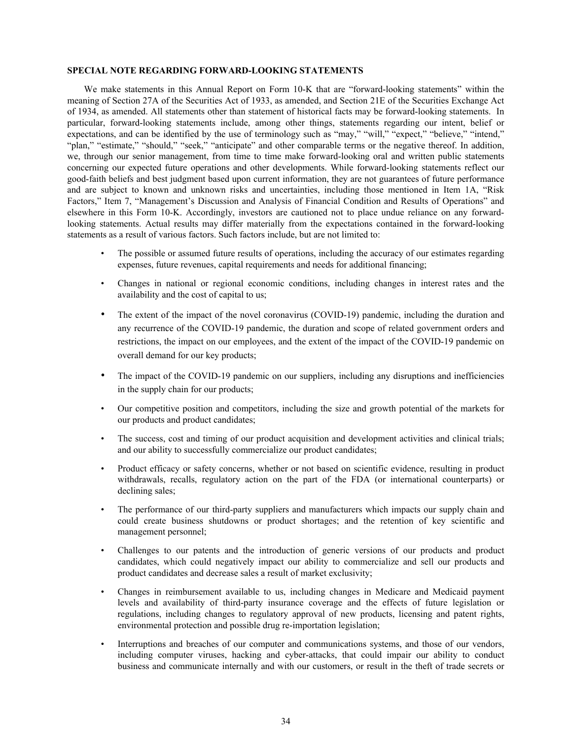#### **SPECIAL NOTE REGARDING FORWARD-LOOKING STATEMENTS**

We make statements in this Annual Report on Form 10-K that are "forward-looking statements" within the meaning of Section 27A of the Securities Act of 1933, as amended, and Section 21E of the Securities Exchange Act of 1934, as amended. All statements other than statement of historical facts may be forward-looking statements. In particular, forward-looking statements include, among other things, statements regarding our intent, belief or expectations, and can be identified by the use of terminology such as "may," "will," "expect," "believe," "intend," "plan," "estimate," "should," "seek," "anticipate" and other comparable terms or the negative thereof. In addition, we, through our senior management, from time to time make forward-looking oral and written public statements concerning our expected future operations and other developments. While forward-looking statements reflect our good-faith beliefs and best judgment based upon current information, they are not guarantees of future performance and are subject to known and unknown risks and uncertainties, including those mentioned in Item 1A, "Risk Factors," Item 7, "Management's Discussion and Analysis of Financial Condition and Results of Operations" and elsewhere in this Form 10-K. Accordingly, investors are cautioned not to place undue reliance on any forwardlooking statements. Actual results may differ materially from the expectations contained in the forward-looking statements as a result of various factors. Such factors include, but are not limited to:

- The possible or assumed future results of operations, including the accuracy of our estimates regarding expenses, future revenues, capital requirements and needs for additional financing;
- Changes in national or regional economic conditions, including changes in interest rates and the availability and the cost of capital to us;
- The extent of the impact of the novel coronavirus (COVID-19) pandemic, including the duration and any recurrence of the COVID-19 pandemic, the duration and scope of related government orders and restrictions, the impact on our employees, and the extent of the impact of the COVID-19 pandemic on overall demand for our key products;
- The impact of the COVID-19 pandemic on our suppliers, including any disruptions and inefficiencies in the supply chain for our products;
- Our competitive position and competitors, including the size and growth potential of the markets for our products and product candidates;
- The success, cost and timing of our product acquisition and development activities and clinical trials; and our ability to successfully commercialize our product candidates;
- Product efficacy or safety concerns, whether or not based on scientific evidence, resulting in product withdrawals, recalls, regulatory action on the part of the FDA (or international counterparts) or declining sales;
- The performance of our third-party suppliers and manufacturers which impacts our supply chain and could create business shutdowns or product shortages; and the retention of key scientific and management personnel;
- Challenges to our patents and the introduction of generic versions of our products and product candidates, which could negatively impact our ability to commercialize and sell our products and product candidates and decrease sales a result of market exclusivity;
- Changes in reimbursement available to us, including changes in Medicare and Medicaid payment levels and availability of third-party insurance coverage and the effects of future legislation or regulations, including changes to regulatory approval of new products, licensing and patent rights, environmental protection and possible drug re-importation legislation;
- Interruptions and breaches of our computer and communications systems, and those of our vendors, including computer viruses, hacking and cyber-attacks, that could impair our ability to conduct business and communicate internally and with our customers, or result in the theft of trade secrets or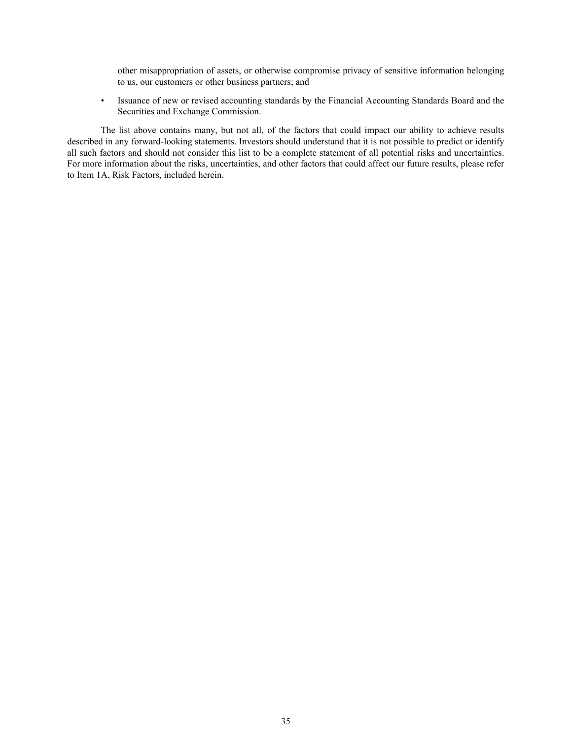other misappropriation of assets, or otherwise compromise privacy of sensitive information belonging to us, our customers or other business partners; and

• Issuance of new or revised accounting standards by the Financial Accounting Standards Board and the Securities and Exchange Commission.

The list above contains many, but not all, of the factors that could impact our ability to achieve results described in any forward-looking statements. Investors should understand that it is not possible to predict or identify all such factors and should not consider this list to be a complete statement of all potential risks and uncertainties. For more information about the risks, uncertainties, and other factors that could affect our future results, please refer to Item 1A, Risk Factors, included herein.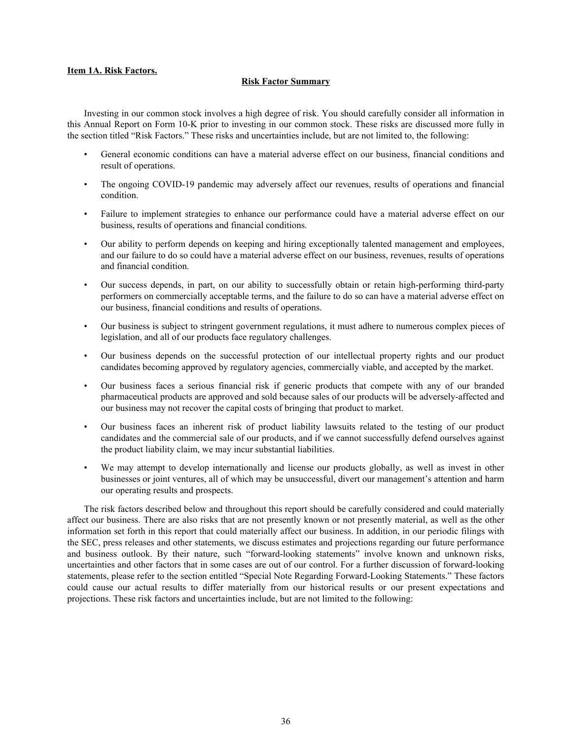### **Item 1A. Risk Factors.**

### **Risk Factor Summary**

Investing in our common stock involves a high degree of risk. You should carefully consider all information in this Annual Report on Form 10-K prior to investing in our common stock. These risks are discussed more fully in the section titled "Risk Factors." These risks and uncertainties include, but are not limited to, the following:

- General economic conditions can have a material adverse effect on our business, financial conditions and result of operations.
- The ongoing COVID-19 pandemic may adversely affect our revenues, results of operations and financial condition.
- Failure to implement strategies to enhance our performance could have a material adverse effect on our business, results of operations and financial conditions.
- Our ability to perform depends on keeping and hiring exceptionally talented management and employees, and our failure to do so could have a material adverse effect on our business, revenues, results of operations and financial condition.
- Our success depends, in part, on our ability to successfully obtain or retain high-performing third-party performers on commercially acceptable terms, and the failure to do so can have a material adverse effect on our business, financial conditions and results of operations.
- Our business is subject to stringent government regulations, it must adhere to numerous complex pieces of legislation, and all of our products face regulatory challenges.
- Our business depends on the successful protection of our intellectual property rights and our product candidates becoming approved by regulatory agencies, commercially viable, and accepted by the market.
- Our business faces a serious financial risk if generic products that compete with any of our branded pharmaceutical products are approved and sold because sales of our products will be adversely-affected and our business may not recover the capital costs of bringing that product to market.
- Our business faces an inherent risk of product liability lawsuits related to the testing of our product candidates and the commercial sale of our products, and if we cannot successfully defend ourselves against the product liability claim, we may incur substantial liabilities.
- We may attempt to develop internationally and license our products globally, as well as invest in other businesses or joint ventures, all of which may be unsuccessful, divert our management's attention and harm our operating results and prospects.

The risk factors described below and throughout this report should be carefully considered and could materially affect our business. There are also risks that are not presently known or not presently material, as well as the other information set forth in this report that could materially affect our business. In addition, in our periodic filings with the SEC, press releases and other statements, we discuss estimates and projections regarding our future performance and business outlook. By their nature, such "forward-looking statements" involve known and unknown risks, uncertainties and other factors that in some cases are out of our control. For a further discussion of forward-looking statements, please refer to the section entitled "Special Note Regarding Forward-Looking Statements." These factors could cause our actual results to differ materially from our historical results or our present expectations and projections. These risk factors and uncertainties include, but are not limited to the following: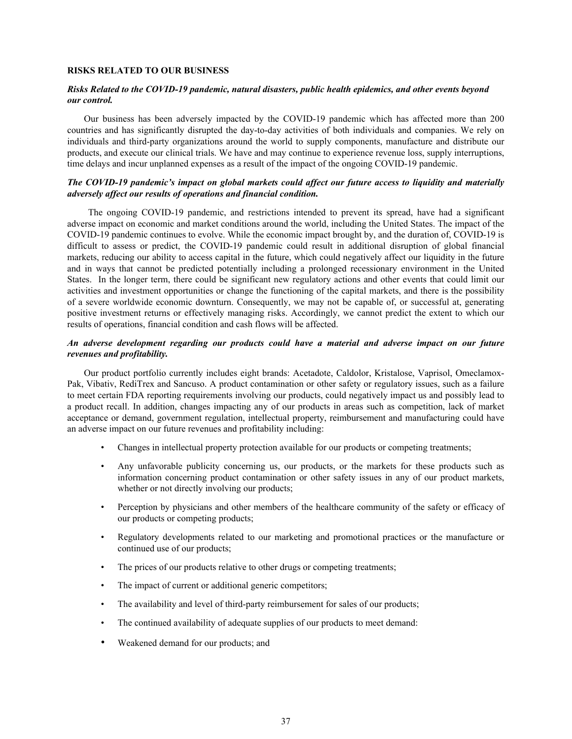#### **RISKS RELATED TO OUR BUSINESS**

## *Risks Related to the COVID-19 pandemic, natural disasters, public health epidemics, and other events beyond our control.*

Our business has been adversely impacted by the COVID-19 pandemic which has affected more than 200 countries and has significantly disrupted the day-to-day activities of both individuals and companies. We rely on individuals and third-party organizations around the world to supply components, manufacture and distribute our products, and execute our clinical trials. We have and may continue to experience revenue loss, supply interruptions, time delays and incur unplanned expenses as a result of the impact of the ongoing COVID-19 pandemic.

## *The COVID-19 pandemic's impact on global markets could affect our future access to liquidity and materially adversely affect our results of operations and financial condition.*

 The ongoing COVID-19 pandemic, and restrictions intended to prevent its spread, have had a significant adverse impact on economic and market conditions around the world, including the United States. The impact of the COVID-19 pandemic continues to evolve. While the economic impact brought by, and the duration of, COVID-19 is difficult to assess or predict, the COVID-19 pandemic could result in additional disruption of global financial markets, reducing our ability to access capital in the future, which could negatively affect our liquidity in the future and in ways that cannot be predicted potentially including a prolonged recessionary environment in the United States. In the longer term, there could be significant new regulatory actions and other events that could limit our activities and investment opportunities or change the functioning of the capital markets, and there is the possibility of a severe worldwide economic downturn. Consequently, we may not be capable of, or successful at, generating positive investment returns or effectively managing risks. Accordingly, we cannot predict the extent to which our results of operations, financial condition and cash flows will be affected.

## *An adverse development regarding our products could have a material and adverse impact on our future revenues and profitability.*

Our product portfolio currently includes eight brands: Acetadote, Caldolor, Kristalose, Vaprisol, Omeclamox-Pak, Vibativ, RediTrex and Sancuso. A product contamination or other safety or regulatory issues, such as a failure to meet certain FDA reporting requirements involving our products, could negatively impact us and possibly lead to a product recall. In addition, changes impacting any of our products in areas such as competition, lack of market acceptance or demand, government regulation, intellectual property, reimbursement and manufacturing could have an adverse impact on our future revenues and profitability including:

- Changes in intellectual property protection available for our products or competing treatments;
- Any unfavorable publicity concerning us, our products, or the markets for these products such as information concerning product contamination or other safety issues in any of our product markets, whether or not directly involving our products;
- Perception by physicians and other members of the healthcare community of the safety or efficacy of our products or competing products;
- Regulatory developments related to our marketing and promotional practices or the manufacture or continued use of our products;
- The prices of our products relative to other drugs or competing treatments;
- The impact of current or additional generic competitors;
- The availability and level of third-party reimbursement for sales of our products;
- The continued availability of adequate supplies of our products to meet demand:
- Weakened demand for our products; and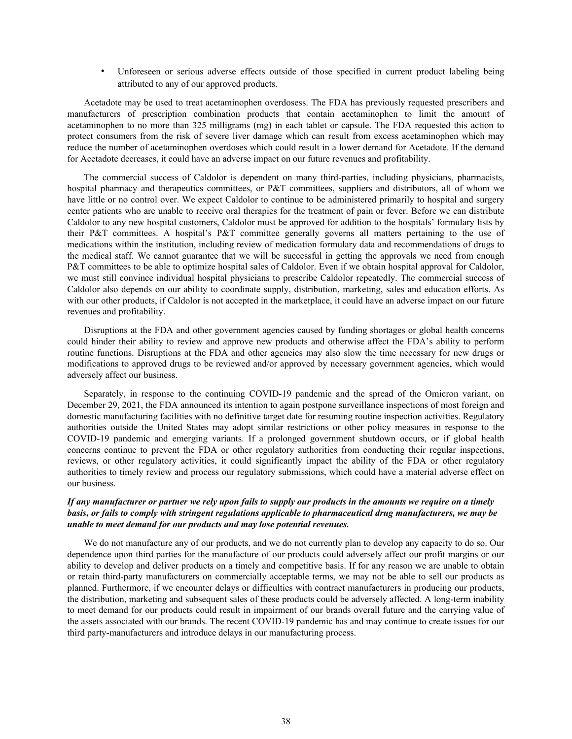• Unforeseen or serious adverse effects outside of those specified in current product labeling being attributed to any of our approved products.

Acetadote may be used to treat acetaminophen overdosess. The FDA has previously requested prescribers and manufacturers of prescription combination products that contain acetaminophen to limit the amount of acetaminophen to no more than 325 milligrams (mg) in each tablet or capsule. The FDA requested this action to protect consumers from the risk of severe liver damage which can result from excess acetaminophen which may reduce the number of acetaminophen overdoses which could result in a lower demand for Acetadote. If the demand for Acetadote decreases, it could have an adverse impact on our future revenues and profitability.

The commercial success of Caldolor is dependent on many third-parties, including physicians, pharmacists, hospital pharmacy and therapeutics committees, or P&T committees, suppliers and distributors, all of whom we have little or no control over. We expect Caldolor to continue to be administered primarily to hospital and surgery center patients who are unable to receive oral therapies for the treatment of pain or fever. Before we can distribute Caldolor to any new hospital customers, Caldolor must be approved for addition to the hospitals' formulary lists by their P&T committees. A hospital's P&T committee generally governs all matters pertaining to the use of medications within the institution, including review of medication formulary data and recommendations of drugs to the medical staff. We cannot guarantee that we will be successful in getting the approvals we need from enough P&T committees to be able to optimize hospital sales of Caldolor. Even if we obtain hospital approval for Caldolor, we must still convince individual hospital physicians to prescribe Caldolor repeatedly. The commercial success of Caldolor also depends on our ability to coordinate supply, distribution, marketing, sales and education efforts. As with our other products, if Caldolor is not accepted in the marketplace, it could have an adverse impact on our future revenues and profitability.

Disruptions at the FDA and other government agencies caused by funding shortages or global health concerns could hinder their ability to review and approve new products and otherwise affect the FDA's ability to perform routine functions. Disruptions at the FDA and other agencies may also slow the time necessary for new drugs or modifications to approved drugs to be reviewed and/or approved by necessary government agencies, which would adversely affect our business.

Separately, in response to the continuing COVID-19 pandemic and the spread of the Omicron variant, on December 29, 2021, the FDA announced its intention to again postpone surveillance inspections of most foreign and domestic manufacturing facilities with no definitive target date for resuming routine inspection activities. Regulatory authorities outside the United States may adopt similar restrictions or other policy measures in response to the COVID-19 pandemic and emerging variants. If a prolonged government shutdown occurs, or if global health concerns continue to prevent the FDA or other regulatory authorities from conducting their regular inspections, reviews, or other regulatory activities, it could significantly impact the ability of the FDA or other regulatory authorities to timely review and process our regulatory submissions, which could have a material adverse effect on our business.

## *If any manufacturer or partner we rely upon fails to supply our products in the amounts we require on a timely basis, or fails to comply with stringent regulations applicable to pharmaceutical drug manufacturers, we may be unable to meet demand for our products and may lose potential revenues.*

We do not manufacture any of our products, and we do not currently plan to develop any capacity to do so. Our dependence upon third parties for the manufacture of our products could adversely affect our profit margins or our ability to develop and deliver products on a timely and competitive basis. If for any reason we are unable to obtain or retain third-party manufacturers on commercially acceptable terms, we may not be able to sell our products as planned. Furthermore, if we encounter delays or difficulties with contract manufacturers in producing our products, the distribution, marketing and subsequent sales of these products could be adversely affected. A long-term inability to meet demand for our products could result in impairment of our brands overall future and the carrying value of the assets associated with our brands. The recent COVID-19 pandemic has and may continue to create issues for our third party-manufacturers and introduce delays in our manufacturing process.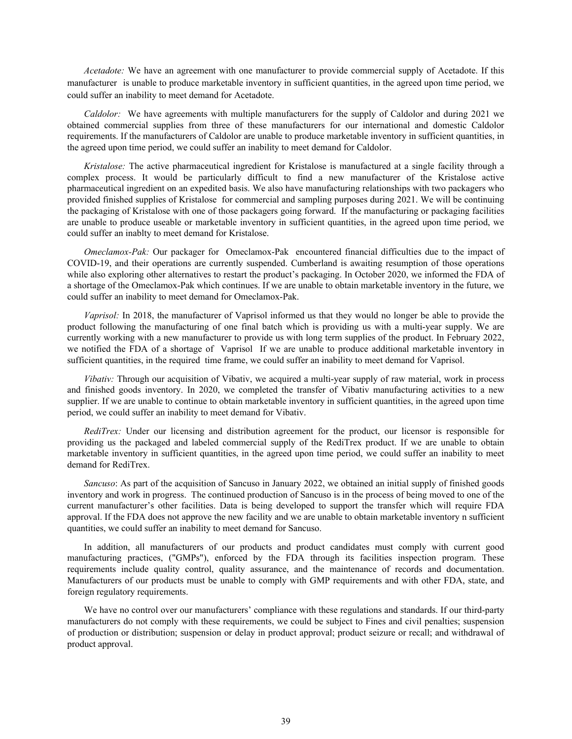*Acetadote:* We have an agreement with one manufacturer to provide commercial supply of Acetadote. If this manufacturer is unable to produce marketable inventory in sufficient quantities, in the agreed upon time period, we could suffer an inability to meet demand for Acetadote.

*Caldolor:* We have agreements with multiple manufacturers for the supply of Caldolor and during 2021 we obtained commercial supplies from three of these manufacturers for our international and domestic Caldolor requirements. If the manufacturers of Caldolor are unable to produce marketable inventory in sufficient quantities, in the agreed upon time period, we could suffer an inability to meet demand for Caldolor.

*Kristalose:* The active pharmaceutical ingredient for Kristalose is manufactured at a single facility through a complex process. It would be particularly difficult to find a new manufacturer of the Kristalose active pharmaceutical ingredient on an expedited basis. We also have manufacturing relationships with two packagers who provided finished supplies of Kristalose for commercial and sampling purposes during 2021. We will be continuing the packaging of Kristalose with one of those packagers going forward. If the manufacturing or packaging facilities are unable to produce useable or marketable inventory in sufficient quantities, in the agreed upon time period, we could suffer an inablty to meet demand for Kristalose.

*Omeclamox-Pak:* Our packager for Omeclamox-Pak encountered financial difficulties due to the impact of COVID-19, and their operations are currently suspended. Cumberland is awaiting resumption of those operations while also exploring other alternatives to restart the product's packaging. In October 2020, we informed the FDA of a shortage of the Omeclamox-Pak which continues. If we are unable to obtain marketable inventory in the future, we could suffer an inability to meet demand for Omeclamox-Pak.

*Vaprisol:* In 2018, the manufacturer of Vaprisol informed us that they would no longer be able to provide the product following the manufacturing of one final batch which is providing us with a multi-year supply. We are currently working with a new manufacturer to provide us with long term supplies of the product. In February 2022, we notified the FDA of a shortage of Vaprisol If we are unable to produce additional marketable inventory in sufficient quantities, in the required time frame, we could suffer an inability to meet demand for Vaprisol.

*Vibativ:* Through our acquisition of Vibativ, we acquired a multi-year supply of raw material, work in process and finished goods inventory. In 2020, we completed the transfer of Vibativ manufacturing activities to a new supplier. If we are unable to continue to obtain marketable inventory in sufficient quantities, in the agreed upon time period, we could suffer an inability to meet demand for Vibativ.

*RediTrex:* Under our licensing and distribution agreement for the product, our licensor is responsible for providing us the packaged and labeled commercial supply of the RediTrex product. If we are unable to obtain marketable inventory in sufficient quantities, in the agreed upon time period, we could suffer an inability to meet demand for RediTrex.

*Sancuso*: As part of the acquisition of Sancuso in January 2022, we obtained an initial supply of finished goods inventory and work in progress. The continued production of Sancuso is in the process of being moved to one of the current manufacturer's other facilities. Data is being developed to support the transfer which will require FDA approval. If the FDA does not approve the new facility and we are unable to obtain marketable inventory n sufficient quantities, we could suffer an inability to meet demand for Sancuso.

In addition, all manufacturers of our products and product candidates must comply with current good manufacturing practices, ("GMPs"), enforced by the FDA through its facilities inspection program. These requirements include quality control, quality assurance, and the maintenance of records and documentation. Manufacturers of our products must be unable to comply with GMP requirements and with other FDA, state, and foreign regulatory requirements.

We have no control over our manufacturers' compliance with these regulations and standards. If our third-party manufacturers do not comply with these requirements, we could be subject to Fines and civil penalties; suspension of production or distribution; suspension or delay in product approval; product seizure or recall; and withdrawal of product approval.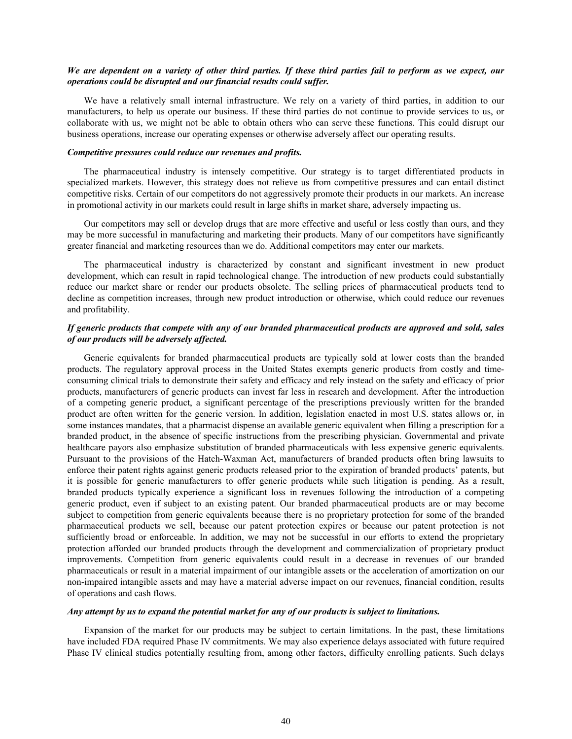### *We are dependent on a variety of other third parties. If these third parties fail to perform as we expect, our operations could be disrupted and our financial results could suffer.*

We have a relatively small internal infrastructure. We rely on a variety of third parties, in addition to our manufacturers, to help us operate our business. If these third parties do not continue to provide services to us, or collaborate with us, we might not be able to obtain others who can serve these functions. This could disrupt our business operations, increase our operating expenses or otherwise adversely affect our operating results.

#### *Competitive pressures could reduce our revenues and profits.*

The pharmaceutical industry is intensely competitive. Our strategy is to target differentiated products in specialized markets. However, this strategy does not relieve us from competitive pressures and can entail distinct competitive risks. Certain of our competitors do not aggressively promote their products in our markets. An increase in promotional activity in our markets could result in large shifts in market share, adversely impacting us.

Our competitors may sell or develop drugs that are more effective and useful or less costly than ours, and they may be more successful in manufacturing and marketing their products. Many of our competitors have significantly greater financial and marketing resources than we do. Additional competitors may enter our markets.

The pharmaceutical industry is characterized by constant and significant investment in new product development, which can result in rapid technological change. The introduction of new products could substantially reduce our market share or render our products obsolete. The selling prices of pharmaceutical products tend to decline as competition increases, through new product introduction or otherwise, which could reduce our revenues and profitability.

## *If generic products that compete with any of our branded pharmaceutical products are approved and sold, sales of our products will be adversely affected.*

Generic equivalents for branded pharmaceutical products are typically sold at lower costs than the branded products. The regulatory approval process in the United States exempts generic products from costly and timeconsuming clinical trials to demonstrate their safety and efficacy and rely instead on the safety and efficacy of prior products, manufacturers of generic products can invest far less in research and development. After the introduction of a competing generic product, a significant percentage of the prescriptions previously written for the branded product are often written for the generic version. In addition, legislation enacted in most U.S. states allows or, in some instances mandates, that a pharmacist dispense an available generic equivalent when filling a prescription for a branded product, in the absence of specific instructions from the prescribing physician. Governmental and private healthcare payors also emphasize substitution of branded pharmaceuticals with less expensive generic equivalents. Pursuant to the provisions of the Hatch-Waxman Act, manufacturers of branded products often bring lawsuits to enforce their patent rights against generic products released prior to the expiration of branded products' patents, but it is possible for generic manufacturers to offer generic products while such litigation is pending. As a result, branded products typically experience a significant loss in revenues following the introduction of a competing generic product, even if subject to an existing patent. Our branded pharmaceutical products are or may become subject to competition from generic equivalents because there is no proprietary protection for some of the branded pharmaceutical products we sell, because our patent protection expires or because our patent protection is not sufficiently broad or enforceable. In addition, we may not be successful in our efforts to extend the proprietary protection afforded our branded products through the development and commercialization of proprietary product improvements. Competition from generic equivalents could result in a decrease in revenues of our branded pharmaceuticals or result in a material impairment of our intangible assets or the acceleration of amortization on our non-impaired intangible assets and may have a material adverse impact on our revenues, financial condition, results of operations and cash flows.

## *Any attempt by us to expand the potential market for any of our products is subject to limitations.*

Expansion of the market for our products may be subject to certain limitations. In the past, these limitations have included FDA required Phase IV commitments. We may also experience delays associated with future required Phase IV clinical studies potentially resulting from, among other factors, difficulty enrolling patients. Such delays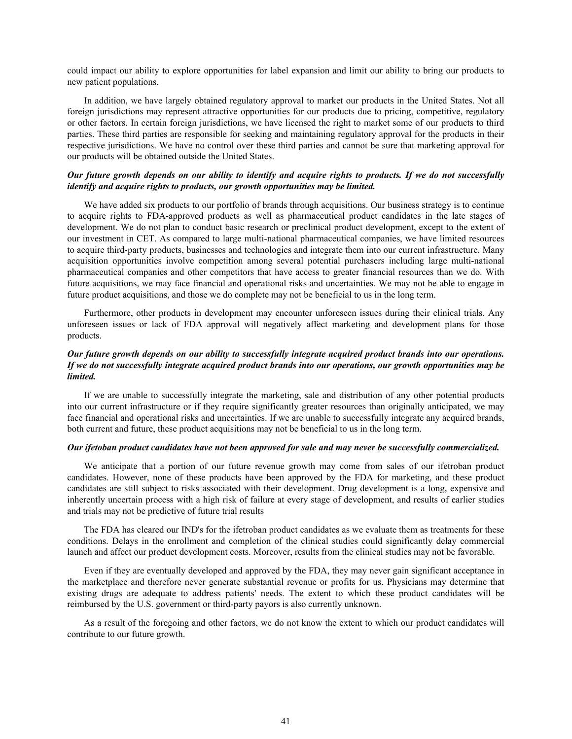could impact our ability to explore opportunities for label expansion and limit our ability to bring our products to new patient populations.

In addition, we have largely obtained regulatory approval to market our products in the United States. Not all foreign jurisdictions may represent attractive opportunities for our products due to pricing, competitive, regulatory or other factors. In certain foreign jurisdictions, we have licensed the right to market some of our products to third parties. These third parties are responsible for seeking and maintaining regulatory approval for the products in their respective jurisdictions. We have no control over these third parties and cannot be sure that marketing approval for our products will be obtained outside the United States.

## *Our future growth depends on our ability to identify and acquire rights to products. If we do not successfully identify and acquire rights to products, our growth opportunities may be limited.*

We have added six products to our portfolio of brands through acquisitions. Our business strategy is to continue to acquire rights to FDA-approved products as well as pharmaceutical product candidates in the late stages of development. We do not plan to conduct basic research or preclinical product development, except to the extent of our investment in CET. As compared to large multi-national pharmaceutical companies, we have limited resources to acquire third-party products, businesses and technologies and integrate them into our current infrastructure. Many acquisition opportunities involve competition among several potential purchasers including large multi-national pharmaceutical companies and other competitors that have access to greater financial resources than we do. With future acquisitions, we may face financial and operational risks and uncertainties. We may not be able to engage in future product acquisitions, and those we do complete may not be beneficial to us in the long term.

Furthermore, other products in development may encounter unforeseen issues during their clinical trials. Any unforeseen issues or lack of FDA approval will negatively affect marketing and development plans for those products.

# *Our future growth depends on our ability to successfully integrate acquired product brands into our operations. If we do not successfully integrate acquired product brands into our operations, our growth opportunities may be limited.*

If we are unable to successfully integrate the marketing, sale and distribution of any other potential products into our current infrastructure or if they require significantly greater resources than originally anticipated, we may face financial and operational risks and uncertainties. If we are unable to successfully integrate any acquired brands, both current and future, these product acquisitions may not be beneficial to us in the long term.

## *Our ifetoban product candidates have not been approved for sale and may never be successfully commercialized.*

We anticipate that a portion of our future revenue growth may come from sales of our ifetroban product candidates. However, none of these products have been approved by the FDA for marketing, and these product candidates are still subject to risks associated with their development. Drug development is a long, expensive and inherently uncertain process with a high risk of failure at every stage of development, and results of earlier studies and trials may not be predictive of future trial results

The FDA has cleared our IND's for the ifetroban product candidates as we evaluate them as treatments for these conditions. Delays in the enrollment and completion of the clinical studies could significantly delay commercial launch and affect our product development costs. Moreover, results from the clinical studies may not be favorable.

Even if they are eventually developed and approved by the FDA, they may never gain significant acceptance in the marketplace and therefore never generate substantial revenue or profits for us. Physicians may determine that existing drugs are adequate to address patients' needs. The extent to which these product candidates will be reimbursed by the U.S. government or third-party payors is also currently unknown.

As a result of the foregoing and other factors, we do not know the extent to which our product candidates will contribute to our future growth.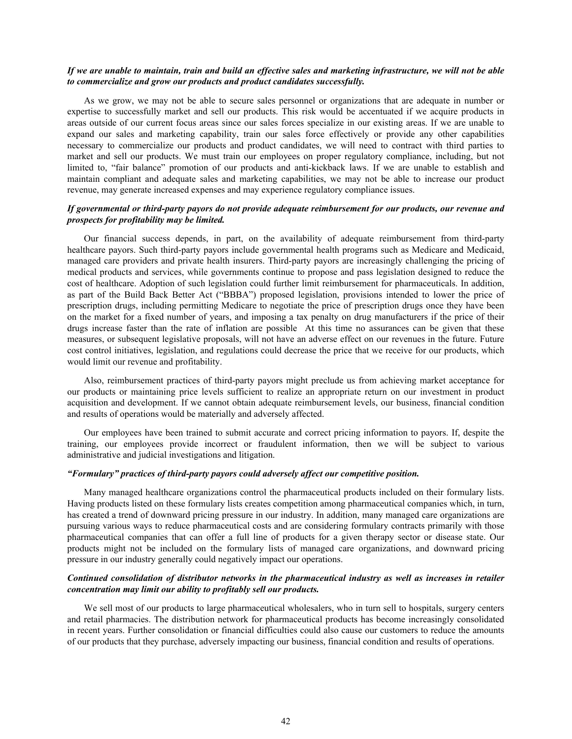### *If we are unable to maintain, train and build an effective sales and marketing infrastructure, we will not be able to commercialize and grow our products and product candidates successfully.*

As we grow, we may not be able to secure sales personnel or organizations that are adequate in number or expertise to successfully market and sell our products. This risk would be accentuated if we acquire products in areas outside of our current focus areas since our sales forces specialize in our existing areas. If we are unable to expand our sales and marketing capability, train our sales force effectively or provide any other capabilities necessary to commercialize our products and product candidates, we will need to contract with third parties to market and sell our products. We must train our employees on proper regulatory compliance, including, but not limited to, "fair balance" promotion of our products and anti-kickback laws. If we are unable to establish and maintain compliant and adequate sales and marketing capabilities, we may not be able to increase our product revenue, may generate increased expenses and may experience regulatory compliance issues.

### *If governmental or third-party payors do not provide adequate reimbursement for our products, our revenue and prospects for profitability may be limited.*

Our financial success depends, in part, on the availability of adequate reimbursement from third-party healthcare payors. Such third-party payors include governmental health programs such as Medicare and Medicaid, managed care providers and private health insurers. Third-party payors are increasingly challenging the pricing of medical products and services, while governments continue to propose and pass legislation designed to reduce the cost of healthcare. Adoption of such legislation could further limit reimbursement for pharmaceuticals. In addition, as part of the Build Back Better Act ("BBBA") proposed legislation, provisions intended to lower the price of prescription drugs, including permitting Medicare to negotiate the price of prescription drugs once they have been on the market for a fixed number of years, and imposing a tax penalty on drug manufacturers if the price of their drugs increase faster than the rate of inflation are possible At this time no assurances can be given that these measures, or subsequent legislative proposals, will not have an adverse effect on our revenues in the future. Future cost control initiatives, legislation, and regulations could decrease the price that we receive for our products, which would limit our revenue and profitability.

Also, reimbursement practices of third-party payors might preclude us from achieving market acceptance for our products or maintaining price levels sufficient to realize an appropriate return on our investment in product acquisition and development. If we cannot obtain adequate reimbursement levels, our business, financial condition and results of operations would be materially and adversely affected.

Our employees have been trained to submit accurate and correct pricing information to payors. If, despite the training, our employees provide incorrect or fraudulent information, then we will be subject to various administrative and judicial investigations and litigation.

## *"Formulary" practices of third-party payors could adversely affect our competitive position.*

Many managed healthcare organizations control the pharmaceutical products included on their formulary lists. Having products listed on these formulary lists creates competition among pharmaceutical companies which, in turn, has created a trend of downward pricing pressure in our industry. In addition, many managed care organizations are pursuing various ways to reduce pharmaceutical costs and are considering formulary contracts primarily with those pharmaceutical companies that can offer a full line of products for a given therapy sector or disease state. Our products might not be included on the formulary lists of managed care organizations, and downward pricing pressure in our industry generally could negatively impact our operations.

### *Continued consolidation of distributor networks in the pharmaceutical industry as well as increases in retailer concentration may limit our ability to profitably sell our products.*

We sell most of our products to large pharmaceutical wholesalers, who in turn sell to hospitals, surgery centers and retail pharmacies. The distribution network for pharmaceutical products has become increasingly consolidated in recent years. Further consolidation or financial difficulties could also cause our customers to reduce the amounts of our products that they purchase, adversely impacting our business, financial condition and results of operations.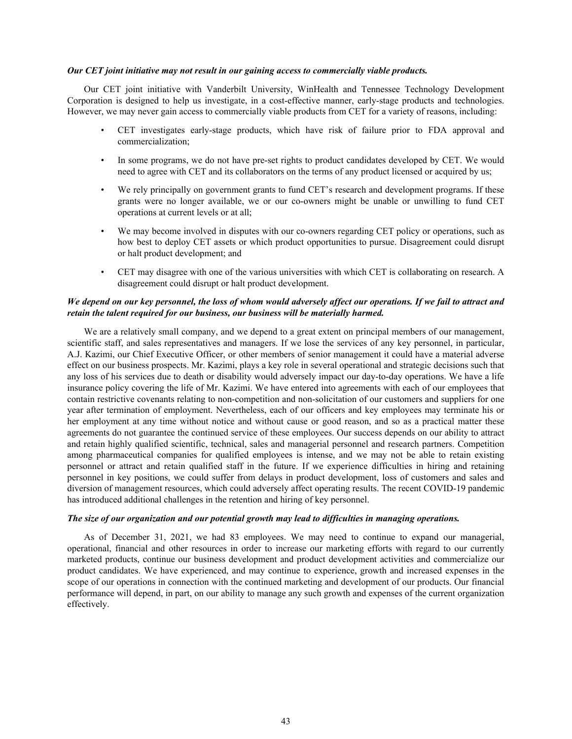#### *Our CET joint initiative may not result in our gaining access to commercially viable products.*

Our CET joint initiative with Vanderbilt University, WinHealth and Tennessee Technology Development Corporation is designed to help us investigate, in a cost-effective manner, early-stage products and technologies. However, we may never gain access to commercially viable products from CET for a variety of reasons, including:

- CET investigates early-stage products, which have risk of failure prior to FDA approval and commercialization;
- In some programs, we do not have pre-set rights to product candidates developed by CET. We would need to agree with CET and its collaborators on the terms of any product licensed or acquired by us;
- We rely principally on government grants to fund CET's research and development programs. If these grants were no longer available, we or our co-owners might be unable or unwilling to fund CET operations at current levels or at all;
- We may become involved in disputes with our co-owners regarding CET policy or operations, such as how best to deploy CET assets or which product opportunities to pursue. Disagreement could disrupt or halt product development; and
- CET may disagree with one of the various universities with which CET is collaborating on research. A disagreement could disrupt or halt product development.

## *We depend on our key personnel, the loss of whom would adversely affect our operations. If we fail to attract and retain the talent required for our business, our business will be materially harmed.*

We are a relatively small company, and we depend to a great extent on principal members of our management, scientific staff, and sales representatives and managers. If we lose the services of any key personnel, in particular, A.J. Kazimi, our Chief Executive Officer, or other members of senior management it could have a material adverse effect on our business prospects. Mr. Kazimi, plays a key role in several operational and strategic decisions such that any loss of his services due to death or disability would adversely impact our day-to-day operations. We have a life insurance policy covering the life of Mr. Kazimi. We have entered into agreements with each of our employees that contain restrictive covenants relating to non-competition and non-solicitation of our customers and suppliers for one year after termination of employment. Nevertheless, each of our officers and key employees may terminate his or her employment at any time without notice and without cause or good reason, and so as a practical matter these agreements do not guarantee the continued service of these employees. Our success depends on our ability to attract and retain highly qualified scientific, technical, sales and managerial personnel and research partners. Competition among pharmaceutical companies for qualified employees is intense, and we may not be able to retain existing personnel or attract and retain qualified staff in the future. If we experience difficulties in hiring and retaining personnel in key positions, we could suffer from delays in product development, loss of customers and sales and diversion of management resources, which could adversely affect operating results. The recent COVID-19 pandemic has introduced additional challenges in the retention and hiring of key personnel.

### *The size of our organization and our potential growth may lead to difficulties in managing operations.*

As of December 31, 2021, we had 83 employees. We may need to continue to expand our managerial, operational, financial and other resources in order to increase our marketing efforts with regard to our currently marketed products, continue our business development and product development activities and commercialize our product candidates. We have experienced, and may continue to experience, growth and increased expenses in the scope of our operations in connection with the continued marketing and development of our products. Our financial performance will depend, in part, on our ability to manage any such growth and expenses of the current organization effectively.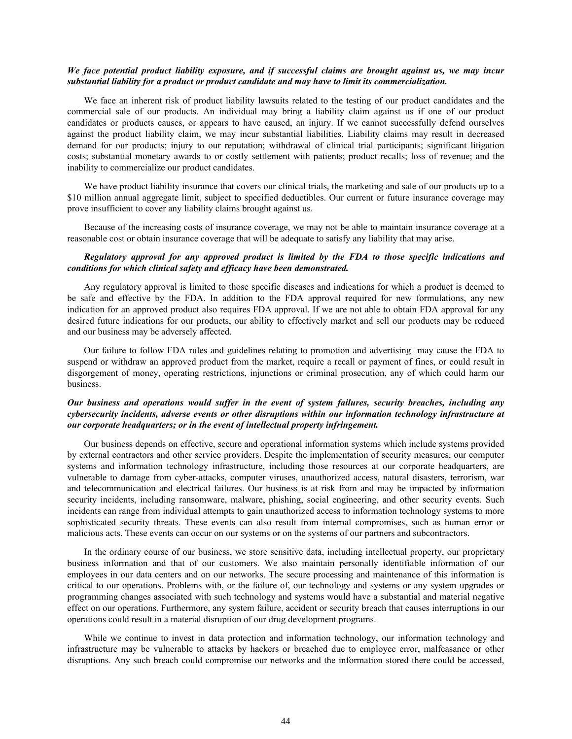### *We face potential product liability exposure, and if successful claims are brought against us, we may incur substantial liability for a product or product candidate and may have to limit its commercialization.*

We face an inherent risk of product liability lawsuits related to the testing of our product candidates and the commercial sale of our products. An individual may bring a liability claim against us if one of our product candidates or products causes, or appears to have caused, an injury. If we cannot successfully defend ourselves against the product liability claim, we may incur substantial liabilities. Liability claims may result in decreased demand for our products; injury to our reputation; withdrawal of clinical trial participants; significant litigation costs; substantial monetary awards to or costly settlement with patients; product recalls; loss of revenue; and the inability to commercialize our product candidates.

We have product liability insurance that covers our clinical trials, the marketing and sale of our products up to a \$10 million annual aggregate limit, subject to specified deductibles. Our current or future insurance coverage may prove insufficient to cover any liability claims brought against us.

Because of the increasing costs of insurance coverage, we may not be able to maintain insurance coverage at a reasonable cost or obtain insurance coverage that will be adequate to satisfy any liability that may arise.

## *Regulatory approval for any approved product is limited by the FDA to those specific indications and conditions for which clinical safety and efficacy have been demonstrated.*

Any regulatory approval is limited to those specific diseases and indications for which a product is deemed to be safe and effective by the FDA. In addition to the FDA approval required for new formulations, any new indication for an approved product also requires FDA approval. If we are not able to obtain FDA approval for any desired future indications for our products, our ability to effectively market and sell our products may be reduced and our business may be adversely affected.

Our failure to follow FDA rules and guidelines relating to promotion and advertising may cause the FDA to suspend or withdraw an approved product from the market, require a recall or payment of fines, or could result in disgorgement of money, operating restrictions, injunctions or criminal prosecution, any of which could harm our business.

## *Our business and operations would suffer in the event of system failures, security breaches, including any cybersecurity incidents, adverse events or other disruptions within our information technology infrastructure at our corporate headquarters; or in the event of intellectual property infringement.*

Our business depends on effective, secure and operational information systems which include systems provided by external contractors and other service providers. Despite the implementation of security measures, our computer systems and information technology infrastructure, including those resources at our corporate headquarters, are vulnerable to damage from cyber-attacks, computer viruses, unauthorized access, natural disasters, terrorism, war and telecommunication and electrical failures. Our business is at risk from and may be impacted by information security incidents, including ransomware, malware, phishing, social engineering, and other security events. Such incidents can range from individual attempts to gain unauthorized access to information technology systems to more sophisticated security threats. These events can also result from internal compromises, such as human error or malicious acts. These events can occur on our systems or on the systems of our partners and subcontractors.

In the ordinary course of our business, we store sensitive data, including intellectual property, our proprietary business information and that of our customers. We also maintain personally identifiable information of our employees in our data centers and on our networks. The secure processing and maintenance of this information is critical to our operations. Problems with, or the failure of, our technology and systems or any system upgrades or programming changes associated with such technology and systems would have a substantial and material negative effect on our operations. Furthermore, any system failure, accident or security breach that causes interruptions in our operations could result in a material disruption of our drug development programs.

While we continue to invest in data protection and information technology, our information technology and infrastructure may be vulnerable to attacks by hackers or breached due to employee error, malfeasance or other disruptions. Any such breach could compromise our networks and the information stored there could be accessed,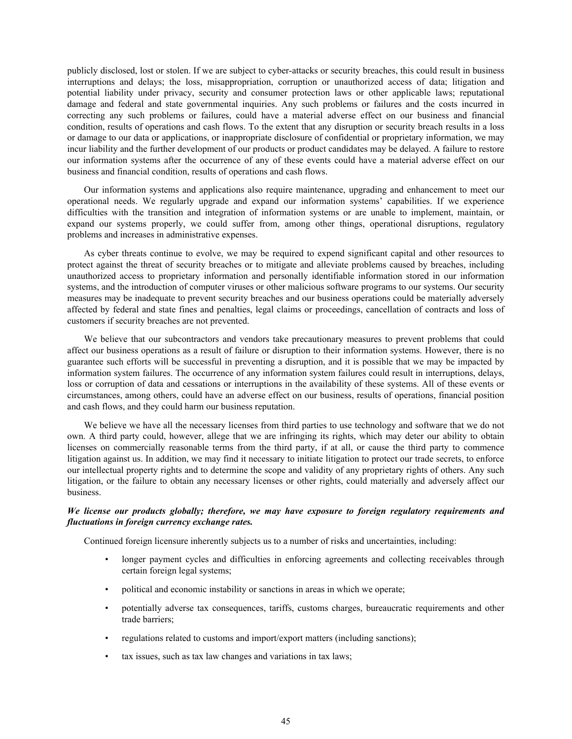publicly disclosed, lost or stolen. If we are subject to cyber-attacks or security breaches, this could result in business interruptions and delays; the loss, misappropriation, corruption or unauthorized access of data; litigation and potential liability under privacy, security and consumer protection laws or other applicable laws; reputational damage and federal and state governmental inquiries. Any such problems or failures and the costs incurred in correcting any such problems or failures, could have a material adverse effect on our business and financial condition, results of operations and cash flows. To the extent that any disruption or security breach results in a loss or damage to our data or applications, or inappropriate disclosure of confidential or proprietary information, we may incur liability and the further development of our products or product candidates may be delayed. A failure to restore our information systems after the occurrence of any of these events could have a material adverse effect on our business and financial condition, results of operations and cash flows.

Our information systems and applications also require maintenance, upgrading and enhancement to meet our operational needs. We regularly upgrade and expand our information systems' capabilities. If we experience difficulties with the transition and integration of information systems or are unable to implement, maintain, or expand our systems properly, we could suffer from, among other things, operational disruptions, regulatory problems and increases in administrative expenses.

As cyber threats continue to evolve, we may be required to expend significant capital and other resources to protect against the threat of security breaches or to mitigate and alleviate problems caused by breaches, including unauthorized access to proprietary information and personally identifiable information stored in our information systems, and the introduction of computer viruses or other malicious software programs to our systems. Our security measures may be inadequate to prevent security breaches and our business operations could be materially adversely affected by federal and state fines and penalties, legal claims or proceedings, cancellation of contracts and loss of customers if security breaches are not prevented.

We believe that our subcontractors and vendors take precautionary measures to prevent problems that could affect our business operations as a result of failure or disruption to their information systems. However, there is no guarantee such efforts will be successful in preventing a disruption, and it is possible that we may be impacted by information system failures. The occurrence of any information system failures could result in interruptions, delays, loss or corruption of data and cessations or interruptions in the availability of these systems. All of these events or circumstances, among others, could have an adverse effect on our business, results of operations, financial position and cash flows, and they could harm our business reputation.

We believe we have all the necessary licenses from third parties to use technology and software that we do not own. A third party could, however, allege that we are infringing its rights, which may deter our ability to obtain licenses on commercially reasonable terms from the third party, if at all, or cause the third party to commence litigation against us. In addition, we may find it necessary to initiate litigation to protect our trade secrets, to enforce our intellectual property rights and to determine the scope and validity of any proprietary rights of others. Any such litigation, or the failure to obtain any necessary licenses or other rights, could materially and adversely affect our business.

## *We license our products globally; therefore, we may have exposure to foreign regulatory requirements and fluctuations in foreign currency exchange rates.*

Continued foreign licensure inherently subjects us to a number of risks and uncertainties, including:

- longer payment cycles and difficulties in enforcing agreements and collecting receivables through certain foreign legal systems;
- political and economic instability or sanctions in areas in which we operate;
- potentially adverse tax consequences, tariffs, customs charges, bureaucratic requirements and other trade barriers;
- regulations related to customs and import/export matters (including sanctions);
- tax issues, such as tax law changes and variations in tax laws;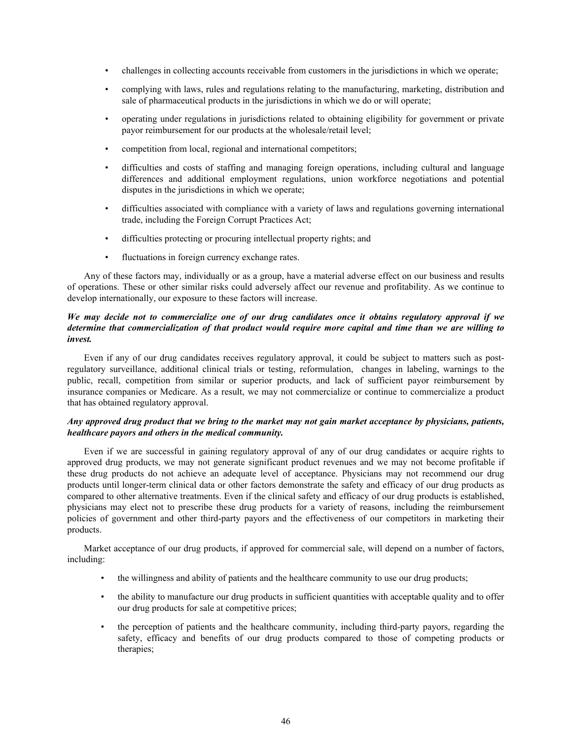- challenges in collecting accounts receivable from customers in the jurisdictions in which we operate;
- complying with laws, rules and regulations relating to the manufacturing, marketing, distribution and sale of pharmaceutical products in the jurisdictions in which we do or will operate;
- operating under regulations in jurisdictions related to obtaining eligibility for government or private payor reimbursement for our products at the wholesale/retail level;
- competition from local, regional and international competitors;
- difficulties and costs of staffing and managing foreign operations, including cultural and language differences and additional employment regulations, union workforce negotiations and potential disputes in the jurisdictions in which we operate;
- difficulties associated with compliance with a variety of laws and regulations governing international trade, including the Foreign Corrupt Practices Act;
- difficulties protecting or procuring intellectual property rights; and
- fluctuations in foreign currency exchange rates.

Any of these factors may, individually or as a group, have a material adverse effect on our business and results of operations. These or other similar risks could adversely affect our revenue and profitability. As we continue to develop internationally, our exposure to these factors will increase.

## *We may decide not to commercialize one of our drug candidates once it obtains regulatory approval if we determine that commercialization of that product would require more capital and time than we are willing to invest.*

Even if any of our drug candidates receives regulatory approval, it could be subject to matters such as postregulatory surveillance, additional clinical trials or testing, reformulation, changes in labeling, warnings to the public, recall, competition from similar or superior products, and lack of sufficient payor reimbursement by insurance companies or Medicare. As a result, we may not commercialize or continue to commercialize a product that has obtained regulatory approval.

## *Any approved drug product that we bring to the market may not gain market acceptance by physicians, patients, healthcare payors and others in the medical community.*

Even if we are successful in gaining regulatory approval of any of our drug candidates or acquire rights to approved drug products, we may not generate significant product revenues and we may not become profitable if these drug products do not achieve an adequate level of acceptance. Physicians may not recommend our drug products until longer-term clinical data or other factors demonstrate the safety and efficacy of our drug products as compared to other alternative treatments. Even if the clinical safety and efficacy of our drug products is established, physicians may elect not to prescribe these drug products for a variety of reasons, including the reimbursement policies of government and other third-party payors and the effectiveness of our competitors in marketing their products.

Market acceptance of our drug products, if approved for commercial sale, will depend on a number of factors, including:

- the willingness and ability of patients and the healthcare community to use our drug products;
- the ability to manufacture our drug products in sufficient quantities with acceptable quality and to offer our drug products for sale at competitive prices;
- the perception of patients and the healthcare community, including third-party payors, regarding the safety, efficacy and benefits of our drug products compared to those of competing products or therapies;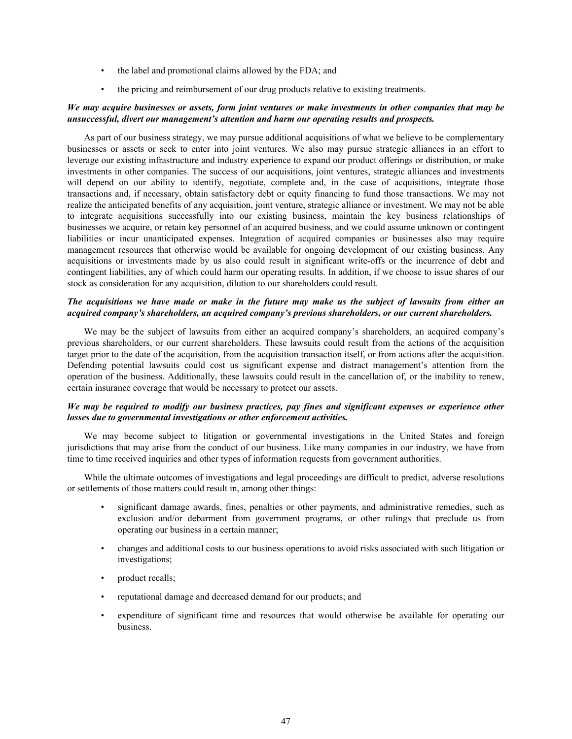- the label and promotional claims allowed by the FDA; and
- the pricing and reimbursement of our drug products relative to existing treatments.

## *We may acquire businesses or assets, form joint ventures or make investments in other companies that may be unsuccessful, divert our management's attention and harm our operating results and prospects.*

As part of our business strategy, we may pursue additional acquisitions of what we believe to be complementary businesses or assets or seek to enter into joint ventures. We also may pursue strategic alliances in an effort to leverage our existing infrastructure and industry experience to expand our product offerings or distribution, or make investments in other companies. The success of our acquisitions, joint ventures, strategic alliances and investments will depend on our ability to identify, negotiate, complete and, in the case of acquisitions, integrate those transactions and, if necessary, obtain satisfactory debt or equity financing to fund those transactions. We may not realize the anticipated benefits of any acquisition, joint venture, strategic alliance or investment. We may not be able to integrate acquisitions successfully into our existing business, maintain the key business relationships of businesses we acquire, or retain key personnel of an acquired business, and we could assume unknown or contingent liabilities or incur unanticipated expenses. Integration of acquired companies or businesses also may require management resources that otherwise would be available for ongoing development of our existing business. Any acquisitions or investments made by us also could result in significant write-offs or the incurrence of debt and contingent liabilities, any of which could harm our operating results. In addition, if we choose to issue shares of our stock as consideration for any acquisition, dilution to our shareholders could result.

## *The acquisitions we have made or make in the future may make us the subject of lawsuits from either an acquired company's shareholders, an acquired company's previous shareholders, or our current shareholders.*

We may be the subject of lawsuits from either an acquired company's shareholders, an acquired company's previous shareholders, or our current shareholders. These lawsuits could result from the actions of the acquisition target prior to the date of the acquisition, from the acquisition transaction itself, or from actions after the acquisition. Defending potential lawsuits could cost us significant expense and distract management's attention from the operation of the business. Additionally, these lawsuits could result in the cancellation of, or the inability to renew, certain insurance coverage that would be necessary to protect our assets.

## *We may be required to modify our business practices, pay fines and significant expenses or experience other losses due to governmental investigations or other enforcement activities.*

We may become subject to litigation or governmental investigations in the United States and foreign jurisdictions that may arise from the conduct of our business. Like many companies in our industry, we have from time to time received inquiries and other types of information requests from government authorities.

While the ultimate outcomes of investigations and legal proceedings are difficult to predict, adverse resolutions or settlements of those matters could result in, among other things:

- significant damage awards, fines, penalties or other payments, and administrative remedies, such as exclusion and/or debarment from government programs, or other rulings that preclude us from operating our business in a certain manner;
- changes and additional costs to our business operations to avoid risks associated with such litigation or investigations;
- product recalls;
- reputational damage and decreased demand for our products; and
- expenditure of significant time and resources that would otherwise be available for operating our business.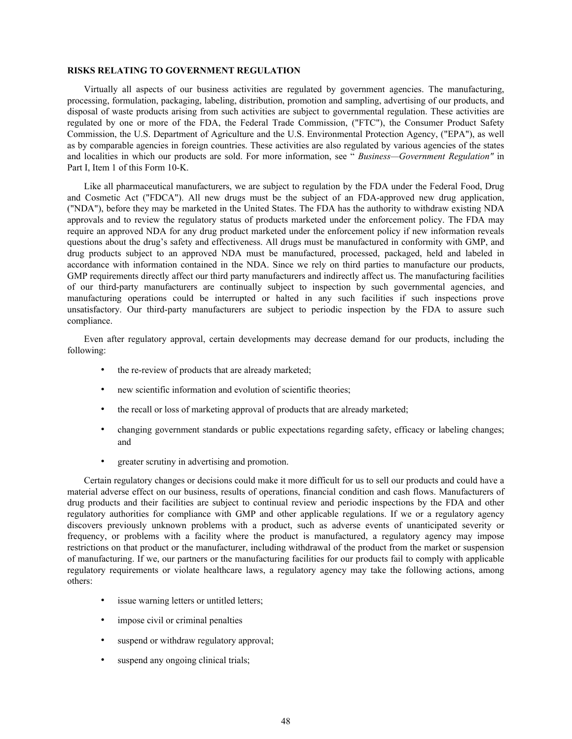#### **RISKS RELATING TO GOVERNMENT REGULATION**

Virtually all aspects of our business activities are regulated by government agencies. The manufacturing, processing, formulation, packaging, labeling, distribution, promotion and sampling, advertising of our products, and disposal of waste products arising from such activities are subject to governmental regulation. These activities are regulated by one or more of the FDA, the Federal Trade Commission, ("FTC"), the Consumer Product Safety Commission, the U.S. Department of Agriculture and the U.S. Environmental Protection Agency, ("EPA"), as well as by comparable agencies in foreign countries. These activities are also regulated by various agencies of the states and localities in which our products are sold. For more information, see " *Business—Government Regulation"* in Part I, Item 1 of this Form 10-K.

Like all pharmaceutical manufacturers, we are subject to regulation by the FDA under the Federal Food, Drug and Cosmetic Act ("FDCA"). All new drugs must be the subject of an FDA-approved new drug application, ("NDA"), before they may be marketed in the United States. The FDA has the authority to withdraw existing NDA approvals and to review the regulatory status of products marketed under the enforcement policy. The FDA may require an approved NDA for any drug product marketed under the enforcement policy if new information reveals questions about the drug's safety and effectiveness. All drugs must be manufactured in conformity with GMP, and drug products subject to an approved NDA must be manufactured, processed, packaged, held and labeled in accordance with information contained in the NDA. Since we rely on third parties to manufacture our products, GMP requirements directly affect our third party manufacturers and indirectly affect us. The manufacturing facilities of our third-party manufacturers are continually subject to inspection by such governmental agencies, and manufacturing operations could be interrupted or halted in any such facilities if such inspections prove unsatisfactory. Our third-party manufacturers are subject to periodic inspection by the FDA to assure such compliance.

Even after regulatory approval, certain developments may decrease demand for our products, including the following:

- the re-review of products that are already marketed;
- new scientific information and evolution of scientific theories;
- the recall or loss of marketing approval of products that are already marketed;
- changing government standards or public expectations regarding safety, efficacy or labeling changes; and
- greater scrutiny in advertising and promotion.

Certain regulatory changes or decisions could make it more difficult for us to sell our products and could have a material adverse effect on our business, results of operations, financial condition and cash flows. Manufacturers of drug products and their facilities are subject to continual review and periodic inspections by the FDA and other regulatory authorities for compliance with GMP and other applicable regulations. If we or a regulatory agency discovers previously unknown problems with a product, such as adverse events of unanticipated severity or frequency, or problems with a facility where the product is manufactured, a regulatory agency may impose restrictions on that product or the manufacturer, including withdrawal of the product from the market or suspension of manufacturing. If we, our partners or the manufacturing facilities for our products fail to comply with applicable regulatory requirements or violate healthcare laws, a regulatory agency may take the following actions, among others:

- issue warning letters or untitled letters;
- impose civil or criminal penalties
- suspend or withdraw regulatory approval;
- suspend any ongoing clinical trials;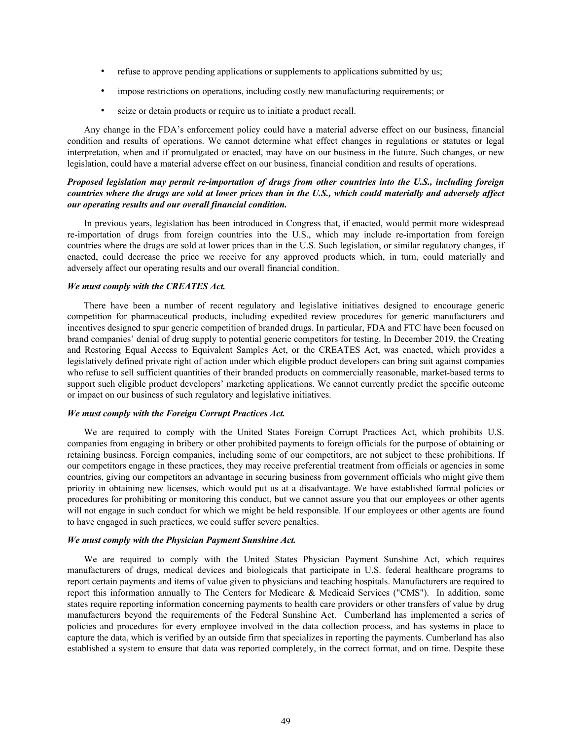- refuse to approve pending applications or supplements to applications submitted by us;
- impose restrictions on operations, including costly new manufacturing requirements; or
- seize or detain products or require us to initiate a product recall.

Any change in the FDA's enforcement policy could have a material adverse effect on our business, financial condition and results of operations. We cannot determine what effect changes in regulations or statutes or legal interpretation, when and if promulgated or enacted, may have on our business in the future. Such changes, or new legislation, could have a material adverse effect on our business, financial condition and results of operations.

## *Proposed legislation may permit re-importation of drugs from other countries into the U.S., including foreign countries where the drugs are sold at lower prices than in the U.S., which could materially and adversely affect our operating results and our overall financial condition.*

In previous years, legislation has been introduced in Congress that, if enacted, would permit more widespread re-importation of drugs from foreign countries into the U.S., which may include re-importation from foreign countries where the drugs are sold at lower prices than in the U.S. Such legislation, or similar regulatory changes, if enacted, could decrease the price we receive for any approved products which, in turn, could materially and adversely affect our operating results and our overall financial condition.

### *We must comply with the CREATES Act.*

There have been a number of recent regulatory and legislative initiatives designed to encourage generic competition for pharmaceutical products, including expedited review procedures for generic manufacturers and incentives designed to spur generic competition of branded drugs. In particular, FDA and FTC have been focused on brand companies' denial of drug supply to potential generic competitors for testing. In December 2019, the Creating and Restoring Equal Access to Equivalent Samples Act, or the CREATES Act, was enacted, which provides a legislatively defined private right of action under which eligible product developers can bring suit against companies who refuse to sell sufficient quantities of their branded products on commercially reasonable, market-based terms to support such eligible product developers' marketing applications. We cannot currently predict the specific outcome or impact on our business of such regulatory and legislative initiatives.

#### *We must comply with the Foreign Corrupt Practices Act.*

We are required to comply with the United States Foreign Corrupt Practices Act, which prohibits U.S. companies from engaging in bribery or other prohibited payments to foreign officials for the purpose of obtaining or retaining business. Foreign companies, including some of our competitors, are not subject to these prohibitions. If our competitors engage in these practices, they may receive preferential treatment from officials or agencies in some countries, giving our competitors an advantage in securing business from government officials who might give them priority in obtaining new licenses, which would put us at a disadvantage. We have established formal policies or procedures for prohibiting or monitoring this conduct, but we cannot assure you that our employees or other agents will not engage in such conduct for which we might be held responsible. If our employees or other agents are found to have engaged in such practices, we could suffer severe penalties.

### *We must comply with the Physician Payment Sunshine Act.*

We are required to comply with the United States Physician Payment Sunshine Act, which requires manufacturers of drugs, medical devices and biologicals that participate in U.S. federal healthcare programs to report certain payments and items of value given to physicians and teaching hospitals. Manufacturers are required to report this information annually to The Centers for Medicare & Medicaid Services ("CMS"). In addition, some states require reporting information concerning payments to health care providers or other transfers of value by drug manufacturers beyond the requirements of the Federal Sunshine Act. Cumberland has implemented a series of policies and procedures for every employee involved in the data collection process, and has systems in place to capture the data, which is verified by an outside firm that specializes in reporting the payments. Cumberland has also established a system to ensure that data was reported completely, in the correct format, and on time. Despite these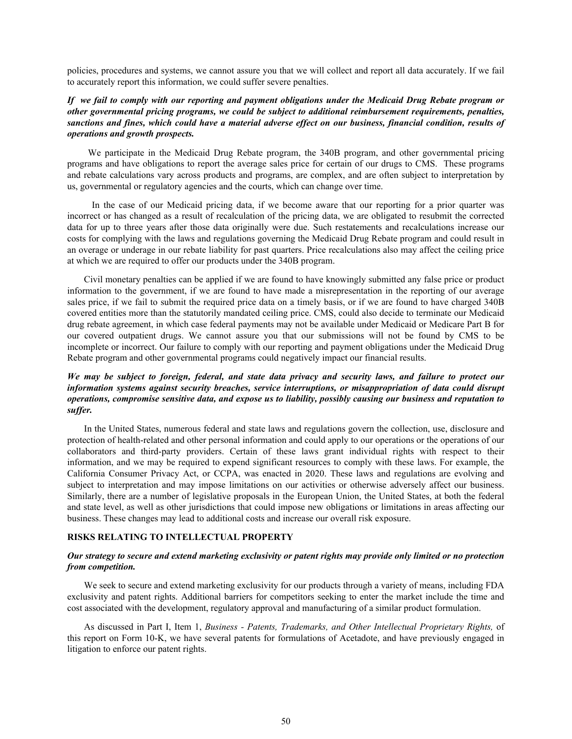policies, procedures and systems, we cannot assure you that we will collect and report all data accurately. If we fail to accurately report this information, we could suffer severe penalties.

## *If we fail to comply with our reporting and payment obligations under the Medicaid Drug Rebate program or other governmental pricing programs, we could be subject to additional reimbursement requirements, penalties, sanctions and fines, which could have a material adverse effect on our business, financial condition, results of operations and growth prospects.*

 We participate in the Medicaid Drug Rebate program, the 340B program, and other governmental pricing programs and have obligations to report the average sales price for certain of our drugs to CMS. These programs and rebate calculations vary across products and programs, are complex, and are often subject to interpretation by us, governmental or regulatory agencies and the courts, which can change over time.

In the case of our Medicaid pricing data, if we become aware that our reporting for a prior quarter was incorrect or has changed as a result of recalculation of the pricing data, we are obligated to resubmit the corrected data for up to three years after those data originally were due. Such restatements and recalculations increase our costs for complying with the laws and regulations governing the Medicaid Drug Rebate program and could result in an overage or underage in our rebate liability for past quarters. Price recalculations also may affect the ceiling price at which we are required to offer our products under the 340B program.

Civil monetary penalties can be applied if we are found to have knowingly submitted any false price or product information to the government, if we are found to have made a misrepresentation in the reporting of our average sales price, if we fail to submit the required price data on a timely basis, or if we are found to have charged 340B covered entities more than the statutorily mandated ceiling price. CMS, could also decide to terminate our Medicaid drug rebate agreement, in which case federal payments may not be available under Medicaid or Medicare Part B for our covered outpatient drugs. We cannot assure you that our submissions will not be found by CMS to be incomplete or incorrect. Our failure to comply with our reporting and payment obligations under the Medicaid Drug Rebate program and other governmental programs could negatively impact our financial results.

# *We may be subject to foreign, federal, and state data privacy and security laws, and failure to protect our information systems against security breaches, service interruptions, or misappropriation of data could disrupt operations, compromise sensitive data, and expose us to liability, possibly causing our business and reputation to suffer.*

In the United States, numerous federal and state laws and regulations govern the collection, use, disclosure and protection of health-related and other personal information and could apply to our operations or the operations of our collaborators and third-party providers. Certain of these laws grant individual rights with respect to their information, and we may be required to expend significant resources to comply with these laws. For example, the California Consumer Privacy Act, or CCPA, was enacted in 2020. These laws and regulations are evolving and subject to interpretation and may impose limitations on our activities or otherwise adversely affect our business. Similarly, there are a number of legislative proposals in the European Union, the United States, at both the federal and state level, as well as other jurisdictions that could impose new obligations or limitations in areas affecting our business. These changes may lead to additional costs and increase our overall risk exposure.

#### **RISKS RELATING TO INTELLECTUAL PROPERTY**

### *Our strategy to secure and extend marketing exclusivity or patent rights may provide only limited or no protection from competition.*

We seek to secure and extend marketing exclusivity for our products through a variety of means, including FDA exclusivity and patent rights. Additional barriers for competitors seeking to enter the market include the time and cost associated with the development, regulatory approval and manufacturing of a similar product formulation.

As discussed in Part I, Item 1, *Business - Patents, Trademarks, and Other Intellectual Proprietary Rights,* of this report on Form 10-K, we have several patents for formulations of Acetadote, and have previously engaged in litigation to enforce our patent rights.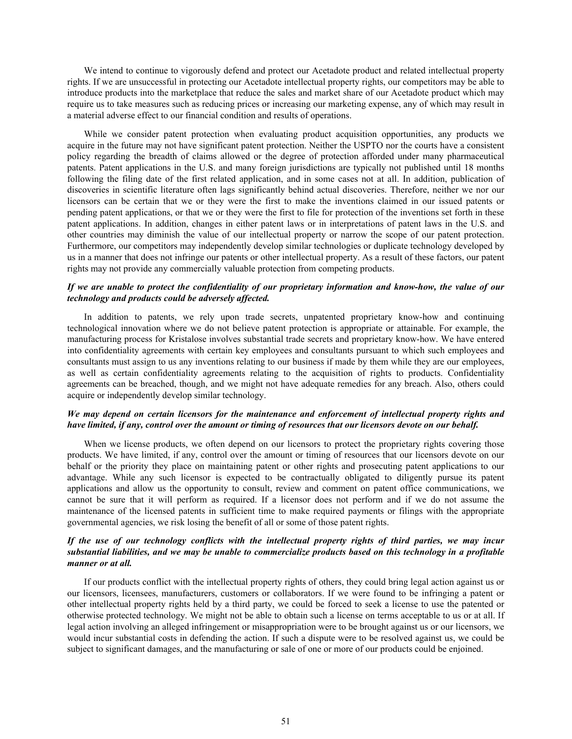We intend to continue to vigorously defend and protect our Acetadote product and related intellectual property rights. If we are unsuccessful in protecting our Acetadote intellectual property rights, our competitors may be able to introduce products into the marketplace that reduce the sales and market share of our Acetadote product which may require us to take measures such as reducing prices or increasing our marketing expense, any of which may result in a material adverse effect to our financial condition and results of operations.

While we consider patent protection when evaluating product acquisition opportunities, any products we acquire in the future may not have significant patent protection. Neither the USPTO nor the courts have a consistent policy regarding the breadth of claims allowed or the degree of protection afforded under many pharmaceutical patents. Patent applications in the U.S. and many foreign jurisdictions are typically not published until 18 months following the filing date of the first related application, and in some cases not at all. In addition, publication of discoveries in scientific literature often lags significantly behind actual discoveries. Therefore, neither we nor our licensors can be certain that we or they were the first to make the inventions claimed in our issued patents or pending patent applications, or that we or they were the first to file for protection of the inventions set forth in these patent applications. In addition, changes in either patent laws or in interpretations of patent laws in the U.S. and other countries may diminish the value of our intellectual property or narrow the scope of our patent protection. Furthermore, our competitors may independently develop similar technologies or duplicate technology developed by us in a manner that does not infringe our patents or other intellectual property. As a result of these factors, our patent rights may not provide any commercially valuable protection from competing products.

## *If we are unable to protect the confidentiality of our proprietary information and know-how, the value of our technology and products could be adversely affected.*

In addition to patents, we rely upon trade secrets, unpatented proprietary know-how and continuing technological innovation where we do not believe patent protection is appropriate or attainable. For example, the manufacturing process for Kristalose involves substantial trade secrets and proprietary know-how. We have entered into confidentiality agreements with certain key employees and consultants pursuant to which such employees and consultants must assign to us any inventions relating to our business if made by them while they are our employees, as well as certain confidentiality agreements relating to the acquisition of rights to products. Confidentiality agreements can be breached, though, and we might not have adequate remedies for any breach. Also, others could acquire or independently develop similar technology.

## *We may depend on certain licensors for the maintenance and enforcement of intellectual property rights and have limited, if any, control over the amount or timing of resources that our licensors devote on our behalf.*

When we license products, we often depend on our licensors to protect the proprietary rights covering those products. We have limited, if any, control over the amount or timing of resources that our licensors devote on our behalf or the priority they place on maintaining patent or other rights and prosecuting patent applications to our advantage. While any such licensor is expected to be contractually obligated to diligently pursue its patent applications and allow us the opportunity to consult, review and comment on patent office communications, we cannot be sure that it will perform as required. If a licensor does not perform and if we do not assume the maintenance of the licensed patents in sufficient time to make required payments or filings with the appropriate governmental agencies, we risk losing the benefit of all or some of those patent rights.

## *If the use of our technology conflicts with the intellectual property rights of third parties, we may incur substantial liabilities, and we may be unable to commercialize products based on this technology in a profitable manner or at all.*

If our products conflict with the intellectual property rights of others, they could bring legal action against us or our licensors, licensees, manufacturers, customers or collaborators. If we were found to be infringing a patent or other intellectual property rights held by a third party, we could be forced to seek a license to use the patented or otherwise protected technology. We might not be able to obtain such a license on terms acceptable to us or at all. If legal action involving an alleged infringement or misappropriation were to be brought against us or our licensors, we would incur substantial costs in defending the action. If such a dispute were to be resolved against us, we could be subject to significant damages, and the manufacturing or sale of one or more of our products could be enjoined.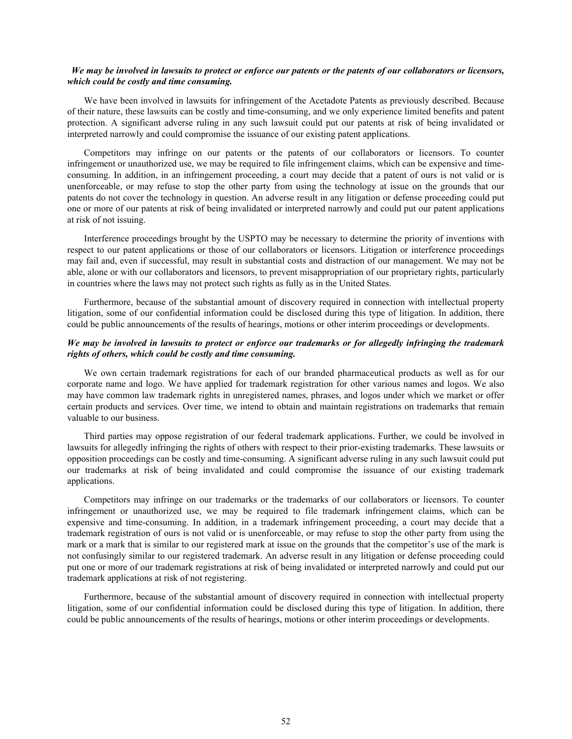### *We may be involved in lawsuits to protect or enforce our patents or the patents of our collaborators or licensors, which could be costly and time consuming.*

We have been involved in lawsuits for infringement of the Acetadote Patents as previously described. Because of their nature, these lawsuits can be costly and time-consuming, and we only experience limited benefits and patent protection. A significant adverse ruling in any such lawsuit could put our patents at risk of being invalidated or interpreted narrowly and could compromise the issuance of our existing patent applications.

Competitors may infringe on our patents or the patents of our collaborators or licensors. To counter infringement or unauthorized use, we may be required to file infringement claims, which can be expensive and timeconsuming. In addition, in an infringement proceeding, a court may decide that a patent of ours is not valid or is unenforceable, or may refuse to stop the other party from using the technology at issue on the grounds that our patents do not cover the technology in question. An adverse result in any litigation or defense proceeding could put one or more of our patents at risk of being invalidated or interpreted narrowly and could put our patent applications at risk of not issuing.

Interference proceedings brought by the USPTO may be necessary to determine the priority of inventions with respect to our patent applications or those of our collaborators or licensors. Litigation or interference proceedings may fail and, even if successful, may result in substantial costs and distraction of our management. We may not be able, alone or with our collaborators and licensors, to prevent misappropriation of our proprietary rights, particularly in countries where the laws may not protect such rights as fully as in the United States.

Furthermore, because of the substantial amount of discovery required in connection with intellectual property litigation, some of our confidential information could be disclosed during this type of litigation. In addition, there could be public announcements of the results of hearings, motions or other interim proceedings or developments.

## *We may be involved in lawsuits to protect or enforce our trademarks or for allegedly infringing the trademark rights of others, which could be costly and time consuming.*

We own certain trademark registrations for each of our branded pharmaceutical products as well as for our corporate name and logo. We have applied for trademark registration for other various names and logos. We also may have common law trademark rights in unregistered names, phrases, and logos under which we market or offer certain products and services. Over time, we intend to obtain and maintain registrations on trademarks that remain valuable to our business.

Third parties may oppose registration of our federal trademark applications. Further, we could be involved in lawsuits for allegedly infringing the rights of others with respect to their prior-existing trademarks. These lawsuits or opposition proceedings can be costly and time-consuming. A significant adverse ruling in any such lawsuit could put our trademarks at risk of being invalidated and could compromise the issuance of our existing trademark applications.

Competitors may infringe on our trademarks or the trademarks of our collaborators or licensors. To counter infringement or unauthorized use, we may be required to file trademark infringement claims, which can be expensive and time-consuming. In addition, in a trademark infringement proceeding, a court may decide that a trademark registration of ours is not valid or is unenforceable, or may refuse to stop the other party from using the mark or a mark that is similar to our registered mark at issue on the grounds that the competitor's use of the mark is not confusingly similar to our registered trademark. An adverse result in any litigation or defense proceeding could put one or more of our trademark registrations at risk of being invalidated or interpreted narrowly and could put our trademark applications at risk of not registering.

Furthermore, because of the substantial amount of discovery required in connection with intellectual property litigation, some of our confidential information could be disclosed during this type of litigation. In addition, there could be public announcements of the results of hearings, motions or other interim proceedings or developments.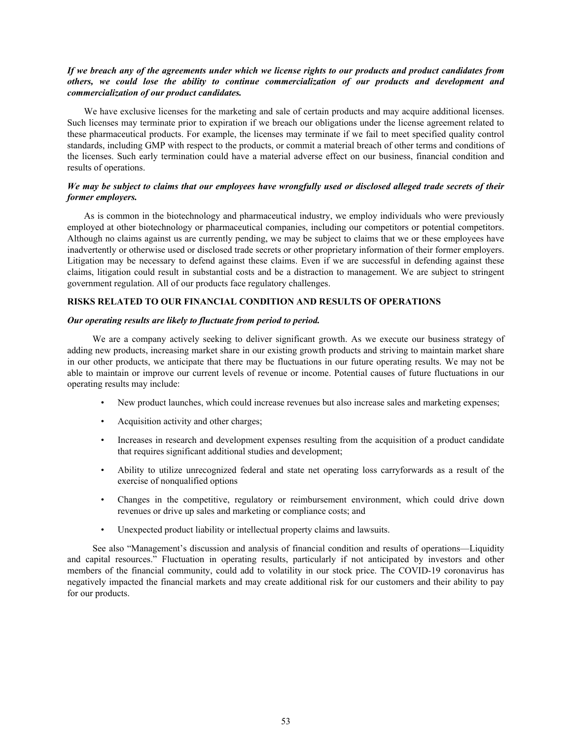## *If we breach any of the agreements under which we license rights to our products and product candidates from others, we could lose the ability to continue commercialization of our products and development and commercialization of our product candidates.*

We have exclusive licenses for the marketing and sale of certain products and may acquire additional licenses. Such licenses may terminate prior to expiration if we breach our obligations under the license agreement related to these pharmaceutical products. For example, the licenses may terminate if we fail to meet specified quality control standards, including GMP with respect to the products, or commit a material breach of other terms and conditions of the licenses. Such early termination could have a material adverse effect on our business, financial condition and results of operations.

## *We may be subject to claims that our employees have wrongfully used or disclosed alleged trade secrets of their former employers.*

As is common in the biotechnology and pharmaceutical industry, we employ individuals who were previously employed at other biotechnology or pharmaceutical companies, including our competitors or potential competitors. Although no claims against us are currently pending, we may be subject to claims that we or these employees have inadvertently or otherwise used or disclosed trade secrets or other proprietary information of their former employers. Litigation may be necessary to defend against these claims. Even if we are successful in defending against these claims, litigation could result in substantial costs and be a distraction to management. We are subject to stringent government regulation. All of our products face regulatory challenges.

### **RISKS RELATED TO OUR FINANCIAL CONDITION AND RESULTS OF OPERATIONS**

#### *Our operating results are likely to fluctuate from period to period.*

We are a company actively seeking to deliver significant growth. As we execute our business strategy of adding new products, increasing market share in our existing growth products and striving to maintain market share in our other products, we anticipate that there may be fluctuations in our future operating results. We may not be able to maintain or improve our current levels of revenue or income. Potential causes of future fluctuations in our operating results may include:

- New product launches, which could increase revenues but also increase sales and marketing expenses;
- Acquisition activity and other charges;
- Increases in research and development expenses resulting from the acquisition of a product candidate that requires significant additional studies and development;
- Ability to utilize unrecognized federal and state net operating loss carryforwards as a result of the exercise of nonqualified options
- Changes in the competitive, regulatory or reimbursement environment, which could drive down revenues or drive up sales and marketing or compliance costs; and
- Unexpected product liability or intellectual property claims and lawsuits.

See also "Management's discussion and analysis of financial condition and results of operations—Liquidity and capital resources." Fluctuation in operating results, particularly if not anticipated by investors and other members of the financial community, could add to volatility in our stock price. The COVID-19 coronavirus has negatively impacted the financial markets and may create additional risk for our customers and their ability to pay for our products.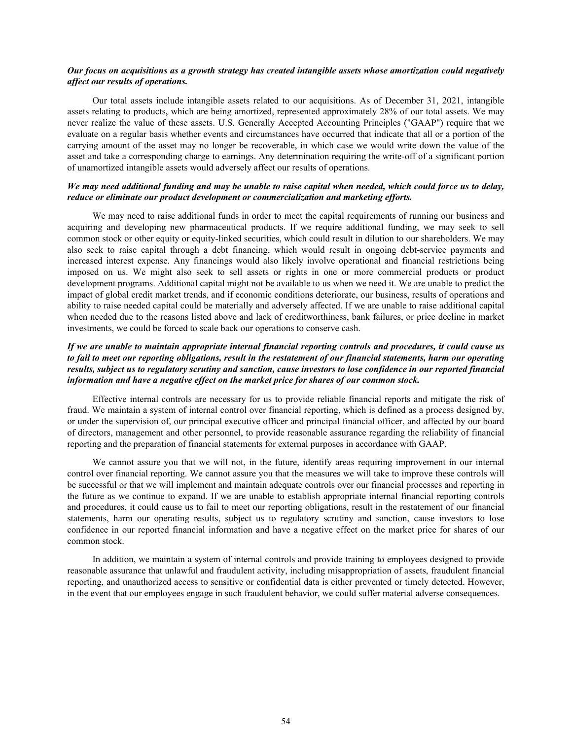### *Our focus on acquisitions as a growth strategy has created intangible assets whose amortization could negatively affect our results of operations.*

Our total assets include intangible assets related to our acquisitions. As of December 31, 2021, intangible assets relating to products, which are being amortized, represented approximately 28% of our total assets. We may never realize the value of these assets. U.S. Generally Accepted Accounting Principles ("GAAP") require that we evaluate on a regular basis whether events and circumstances have occurred that indicate that all or a portion of the carrying amount of the asset may no longer be recoverable, in which case we would write down the value of the asset and take a corresponding charge to earnings. Any determination requiring the write-off of a significant portion of unamortized intangible assets would adversely affect our results of operations.

## *We may need additional funding and may be unable to raise capital when needed, which could force us to delay, reduce or eliminate our product development or commercialization and marketing efforts.*

We may need to raise additional funds in order to meet the capital requirements of running our business and acquiring and developing new pharmaceutical products. If we require additional funding, we may seek to sell common stock or other equity or equity-linked securities, which could result in dilution to our shareholders. We may also seek to raise capital through a debt financing, which would result in ongoing debt-service payments and increased interest expense. Any financings would also likely involve operational and financial restrictions being imposed on us. We might also seek to sell assets or rights in one or more commercial products or product development programs. Additional capital might not be available to us when we need it. We are unable to predict the impact of global credit market trends, and if economic conditions deteriorate, our business, results of operations and ability to raise needed capital could be materially and adversely affected. If we are unable to raise additional capital when needed due to the reasons listed above and lack of creditworthiness, bank failures, or price decline in market investments, we could be forced to scale back our operations to conserve cash.

## *If we are unable to maintain appropriate internal financial reporting controls and procedures, it could cause us to fail to meet our reporting obligations, result in the restatement of our financial statements, harm our operating results, subject us to regulatory scrutiny and sanction, cause investors to lose confidence in our reported financial information and have a negative effect on the market price for shares of our common stock.*

Effective internal controls are necessary for us to provide reliable financial reports and mitigate the risk of fraud. We maintain a system of internal control over financial reporting, which is defined as a process designed by, or under the supervision of, our principal executive officer and principal financial officer, and affected by our board of directors, management and other personnel, to provide reasonable assurance regarding the reliability of financial reporting and the preparation of financial statements for external purposes in accordance with GAAP.

We cannot assure you that we will not, in the future, identify areas requiring improvement in our internal control over financial reporting. We cannot assure you that the measures we will take to improve these controls will be successful or that we will implement and maintain adequate controls over our financial processes and reporting in the future as we continue to expand. If we are unable to establish appropriate internal financial reporting controls and procedures, it could cause us to fail to meet our reporting obligations, result in the restatement of our financial statements, harm our operating results, subject us to regulatory scrutiny and sanction, cause investors to lose confidence in our reported financial information and have a negative effect on the market price for shares of our common stock.

In addition, we maintain a system of internal controls and provide training to employees designed to provide reasonable assurance that unlawful and fraudulent activity, including misappropriation of assets, fraudulent financial reporting, and unauthorized access to sensitive or confidential data is either prevented or timely detected. However, in the event that our employees engage in such fraudulent behavior, we could suffer material adverse consequences.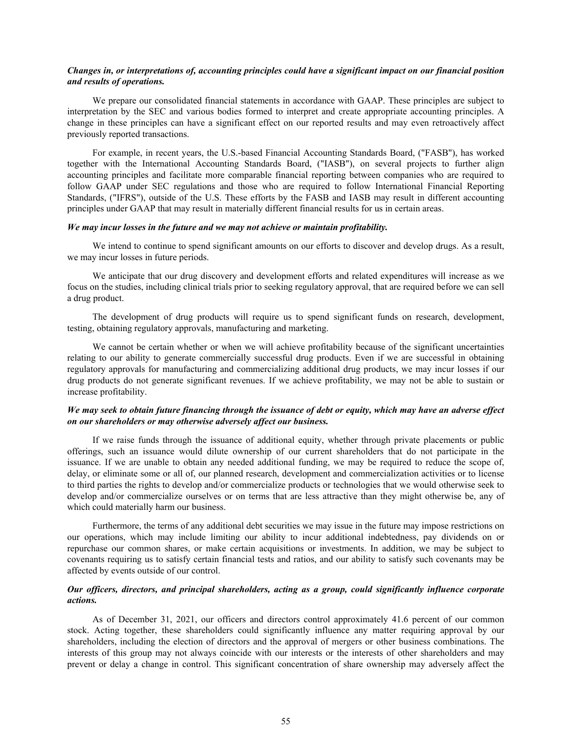### *Changes in, or interpretations of, accounting principles could have a significant impact on our financial position and results of operations.*

We prepare our consolidated financial statements in accordance with GAAP. These principles are subject to interpretation by the SEC and various bodies formed to interpret and create appropriate accounting principles. A change in these principles can have a significant effect on our reported results and may even retroactively affect previously reported transactions.

For example, in recent years, the U.S.-based Financial Accounting Standards Board, ("FASB"), has worked together with the International Accounting Standards Board, ("IASB"), on several projects to further align accounting principles and facilitate more comparable financial reporting between companies who are required to follow GAAP under SEC regulations and those who are required to follow International Financial Reporting Standards, ("IFRS"), outside of the U.S. These efforts by the FASB and IASB may result in different accounting principles under GAAP that may result in materially different financial results for us in certain areas.

### *We may incur losses in the future and we may not achieve or maintain profitability.*

We intend to continue to spend significant amounts on our efforts to discover and develop drugs. As a result, we may incur losses in future periods.

We anticipate that our drug discovery and development efforts and related expenditures will increase as we focus on the studies, including clinical trials prior to seeking regulatory approval, that are required before we can sell a drug product.

The development of drug products will require us to spend significant funds on research, development, testing, obtaining regulatory approvals, manufacturing and marketing.

We cannot be certain whether or when we will achieve profitability because of the significant uncertainties relating to our ability to generate commercially successful drug products. Even if we are successful in obtaining regulatory approvals for manufacturing and commercializing additional drug products, we may incur losses if our drug products do not generate significant revenues. If we achieve profitability, we may not be able to sustain or increase profitability.

## *We may seek to obtain future financing through the issuance of debt or equity, which may have an adverse effect on our shareholders or may otherwise adversely affect our business.*

If we raise funds through the issuance of additional equity, whether through private placements or public offerings, such an issuance would dilute ownership of our current shareholders that do not participate in the issuance. If we are unable to obtain any needed additional funding, we may be required to reduce the scope of, delay, or eliminate some or all of, our planned research, development and commercialization activities or to license to third parties the rights to develop and/or commercialize products or technologies that we would otherwise seek to develop and/or commercialize ourselves or on terms that are less attractive than they might otherwise be, any of which could materially harm our business.

Furthermore, the terms of any additional debt securities we may issue in the future may impose restrictions on our operations, which may include limiting our ability to incur additional indebtedness, pay dividends on or repurchase our common shares, or make certain acquisitions or investments. In addition, we may be subject to covenants requiring us to satisfy certain financial tests and ratios, and our ability to satisfy such covenants may be affected by events outside of our control.

## *Our officers, directors, and principal shareholders, acting as a group, could significantly influence corporate actions.*

As of December 31, 2021, our officers and directors control approximately 41.6 percent of our common stock. Acting together, these shareholders could significantly influence any matter requiring approval by our shareholders, including the election of directors and the approval of mergers or other business combinations. The interests of this group may not always coincide with our interests or the interests of other shareholders and may prevent or delay a change in control. This significant concentration of share ownership may adversely affect the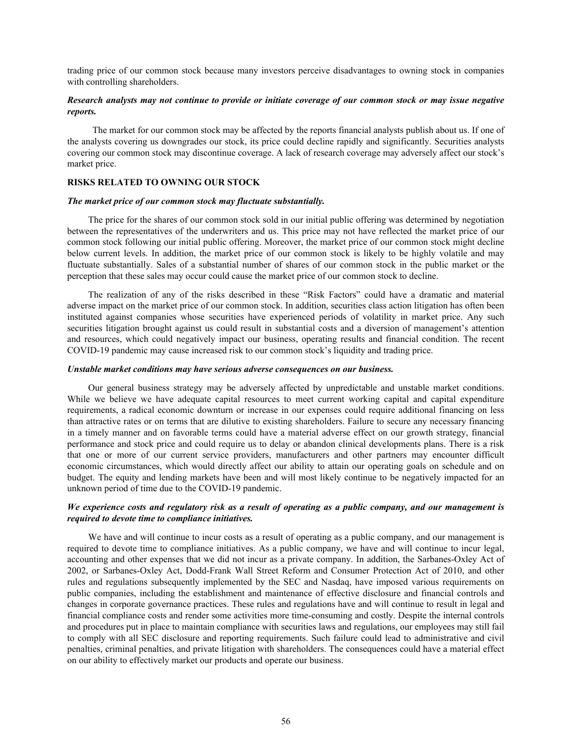trading price of our common stock because many investors perceive disadvantages to owning stock in companies with controlling shareholders.

### *Research analysts may not continue to provide or initiate coverage of our common stock or may issue negative reports.*

The market for our common stock may be affected by the reports financial analysts publish about us. If one of the analysts covering us downgrades our stock, its price could decline rapidly and significantly. Securities analysts covering our common stock may discontinue coverage. A lack of research coverage may adversely affect our stock's market price.

#### **RISKS RELATED TO OWNING OUR STOCK**

#### *The market price of our common stock may fluctuate substantially.*

The price for the shares of our common stock sold in our initial public offering was determined by negotiation between the representatives of the underwriters and us. This price may not have reflected the market price of our common stock following our initial public offering. Moreover, the market price of our common stock might decline below current levels. In addition, the market price of our common stock is likely to be highly volatile and may fluctuate substantially. Sales of a substantial number of shares of our common stock in the public market or the perception that these sales may occur could cause the market price of our common stock to decline.

The realization of any of the risks described in these "Risk Factors" could have a dramatic and material adverse impact on the market price of our common stock. In addition, securities class action litigation has often been instituted against companies whose securities have experienced periods of volatility in market price. Any such securities litigation brought against us could result in substantial costs and a diversion of management's attention and resources, which could negatively impact our business, operating results and financial condition. The recent COVID-19 pandemic may cause increased risk to our common stock's liquidity and trading price.

#### *Unstable market conditions may have serious adverse consequences on our business.*

Our general business strategy may be adversely affected by unpredictable and unstable market conditions. While we believe we have adequate capital resources to meet current working capital and capital expenditure requirements, a radical economic downturn or increase in our expenses could require additional financing on less than attractive rates or on terms that are dilutive to existing shareholders. Failure to secure any necessary financing in a timely manner and on favorable terms could have a material adverse effect on our growth strategy, financial performance and stock price and could require us to delay or abandon clinical developments plans. There is a risk that one or more of our current service providers, manufacturers and other partners may encounter difficult economic circumstances, which would directly affect our ability to attain our operating goals on schedule and on budget. The equity and lending markets have been and will most likely continue to be negatively impacted for an unknown period of time due to the COVID-19 pandemic.

## *We experience costs and regulatory risk as a result of operating as a public company, and our management is required to devote time to compliance initiatives.*

We have and will continue to incur costs as a result of operating as a public company, and our management is required to devote time to compliance initiatives. As a public company, we have and will continue to incur legal, accounting and other expenses that we did not incur as a private company. In addition, the Sarbanes-Oxley Act of 2002, or Sarbanes-Oxley Act, Dodd-Frank Wall Street Reform and Consumer Protection Act of 2010, and other rules and regulations subsequently implemented by the SEC and Nasdaq, have imposed various requirements on public companies, including the establishment and maintenance of effective disclosure and financial controls and changes in corporate governance practices. These rules and regulations have and will continue to result in legal and financial compliance costs and render some activities more time-consuming and costly. Despite the internal controls and procedures put in place to maintain compliance with securities laws and regulations, our employees may still fail to comply with all SEC disclosure and reporting requirements. Such failure could lead to administrative and civil penalties, criminal penalties, and private litigation with shareholders. The consequences could have a material effect on our ability to effectively market our products and operate our business.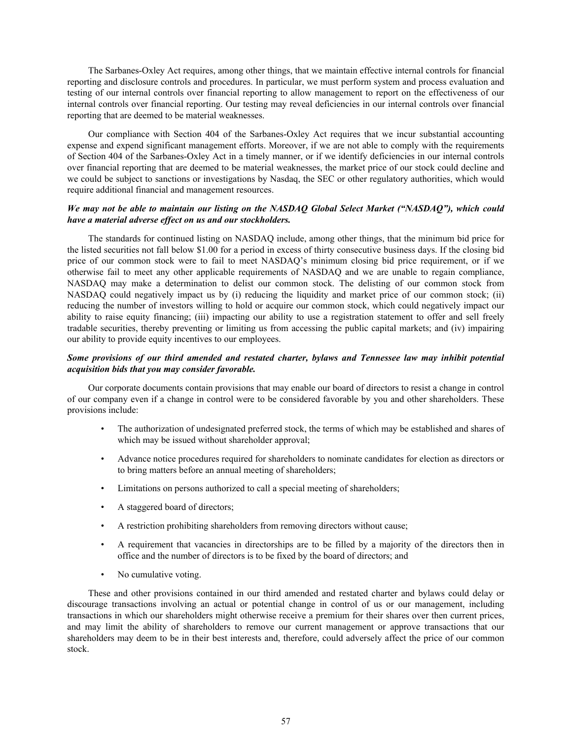The Sarbanes-Oxley Act requires, among other things, that we maintain effective internal controls for financial reporting and disclosure controls and procedures. In particular, we must perform system and process evaluation and testing of our internal controls over financial reporting to allow management to report on the effectiveness of our internal controls over financial reporting. Our testing may reveal deficiencies in our internal controls over financial reporting that are deemed to be material weaknesses.

Our compliance with Section 404 of the Sarbanes-Oxley Act requires that we incur substantial accounting expense and expend significant management efforts. Moreover, if we are not able to comply with the requirements of Section 404 of the Sarbanes-Oxley Act in a timely manner, or if we identify deficiencies in our internal controls over financial reporting that are deemed to be material weaknesses, the market price of our stock could decline and we could be subject to sanctions or investigations by Nasdaq, the SEC or other regulatory authorities, which would require additional financial and management resources.

### *We may not be able to maintain our listing on the NASDAQ Global Select Market ("NASDAQ"), which could have a material adverse effect on us and our stockholders.*

The standards for continued listing on NASDAQ include, among other things, that the minimum bid price for the listed securities not fall below \$1.00 for a period in excess of thirty consecutive business days. If the closing bid price of our common stock were to fail to meet NASDAQ's minimum closing bid price requirement, or if we otherwise fail to meet any other applicable requirements of NASDAQ and we are unable to regain compliance, NASDAQ may make a determination to delist our common stock. The delisting of our common stock from NASDAQ could negatively impact us by (i) reducing the liquidity and market price of our common stock; (ii) reducing the number of investors willing to hold or acquire our common stock, which could negatively impact our ability to raise equity financing; (iii) impacting our ability to use a registration statement to offer and sell freely tradable securities, thereby preventing or limiting us from accessing the public capital markets; and (iv) impairing our ability to provide equity incentives to our employees.

## *Some provisions of our third amended and restated charter, bylaws and Tennessee law may inhibit potential acquisition bids that you may consider favorable.*

Our corporate documents contain provisions that may enable our board of directors to resist a change in control of our company even if a change in control were to be considered favorable by you and other shareholders. These provisions include:

- The authorization of undesignated preferred stock, the terms of which may be established and shares of which may be issued without shareholder approval;
- Advance notice procedures required for shareholders to nominate candidates for election as directors or to bring matters before an annual meeting of shareholders;
- Limitations on persons authorized to call a special meeting of shareholders;
- A staggered board of directors;
- A restriction prohibiting shareholders from removing directors without cause;
- A requirement that vacancies in directorships are to be filled by a majority of the directors then in office and the number of directors is to be fixed by the board of directors; and
- No cumulative voting.

These and other provisions contained in our third amended and restated charter and bylaws could delay or discourage transactions involving an actual or potential change in control of us or our management, including transactions in which our shareholders might otherwise receive a premium for their shares over then current prices, and may limit the ability of shareholders to remove our current management or approve transactions that our shareholders may deem to be in their best interests and, therefore, could adversely affect the price of our common stock.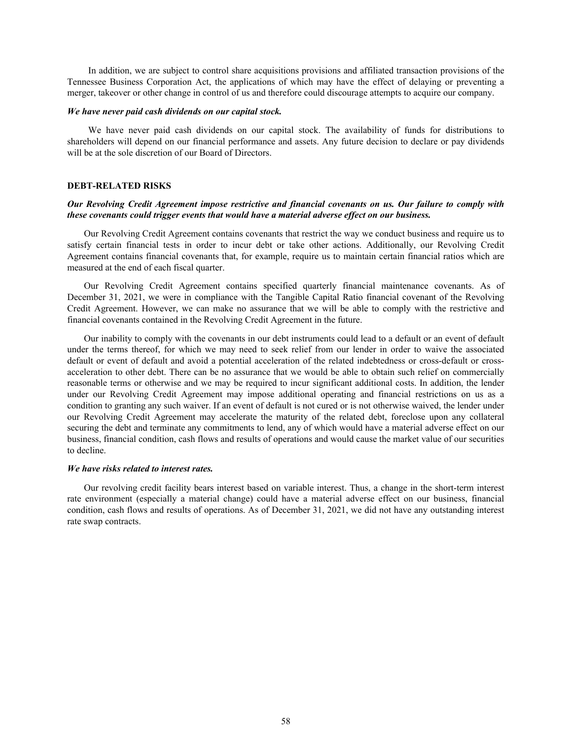In addition, we are subject to control share acquisitions provisions and affiliated transaction provisions of the Tennessee Business Corporation Act, the applications of which may have the effect of delaying or preventing a merger, takeover or other change in control of us and therefore could discourage attempts to acquire our company.

#### *We have never paid cash dividends on our capital stock.*

We have never paid cash dividends on our capital stock. The availability of funds for distributions to shareholders will depend on our financial performance and assets. Any future decision to declare or pay dividends will be at the sole discretion of our Board of Directors.

#### **DEBT-RELATED RISKS**

### *Our Revolving Credit Agreement impose restrictive and financial covenants on us. Our failure to comply with these covenants could trigger events that would have a material adverse effect on our business.*

Our Revolving Credit Agreement contains covenants that restrict the way we conduct business and require us to satisfy certain financial tests in order to incur debt or take other actions. Additionally, our Revolving Credit Agreement contains financial covenants that, for example, require us to maintain certain financial ratios which are measured at the end of each fiscal quarter.

Our Revolving Credit Agreement contains specified quarterly financial maintenance covenants. As of December 31, 2021, we were in compliance with the Tangible Capital Ratio financial covenant of the Revolving Credit Agreement. However, we can make no assurance that we will be able to comply with the restrictive and financial covenants contained in the Revolving Credit Agreement in the future.

Our inability to comply with the covenants in our debt instruments could lead to a default or an event of default under the terms thereof, for which we may need to seek relief from our lender in order to waive the associated default or event of default and avoid a potential acceleration of the related indebtedness or cross-default or crossacceleration to other debt. There can be no assurance that we would be able to obtain such relief on commercially reasonable terms or otherwise and we may be required to incur significant additional costs. In addition, the lender under our Revolving Credit Agreement may impose additional operating and financial restrictions on us as a condition to granting any such waiver. If an event of default is not cured or is not otherwise waived, the lender under our Revolving Credit Agreement may accelerate the maturity of the related debt, foreclose upon any collateral securing the debt and terminate any commitments to lend, any of which would have a material adverse effect on our business, financial condition, cash flows and results of operations and would cause the market value of our securities to decline.

#### *We have risks related to interest rates.*

Our revolving credit facility bears interest based on variable interest. Thus, a change in the short-term interest rate environment (especially a material change) could have a material adverse effect on our business, financial condition, cash flows and results of operations. As of December 31, 2021, we did not have any outstanding interest rate swap contracts.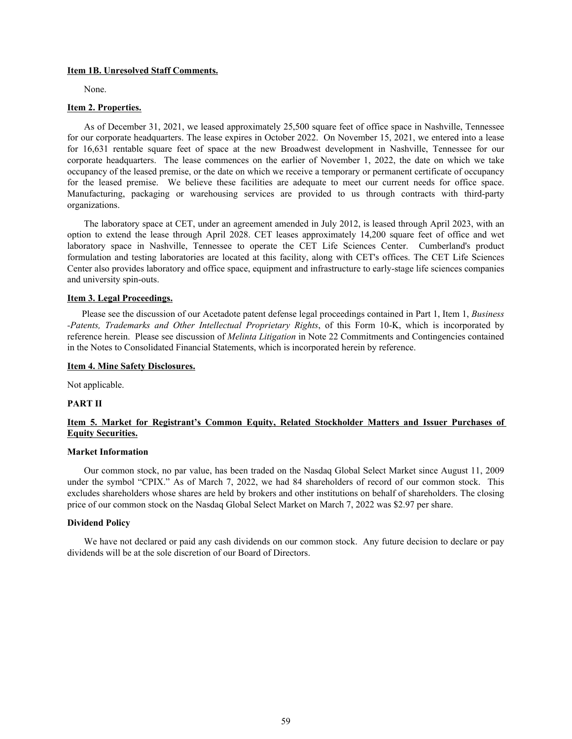#### **Item 1B. Unresolved Staff Comments.**

None.

#### **Item 2. Properties.**

As of December 31, 2021, we leased approximately 25,500 square feet of office space in Nashville, Tennessee for our corporate headquarters. The lease expires in October 2022. On November 15, 2021, we entered into a lease for 16,631 rentable square feet of space at the new Broadwest development in Nashville, Tennessee for our corporate headquarters. The lease commences on the earlier of November 1, 2022, the date on which we take occupancy of the leased premise, or the date on which we receive a temporary or permanent certificate of occupancy for the leased premise. We believe these facilities are adequate to meet our current needs for office space. Manufacturing, packaging or warehousing services are provided to us through contracts with third-party organizations.

The laboratory space at CET, under an agreement amended in July 2012, is leased through April 2023, with an option to extend the lease through April 2028. CET leases approximately 14,200 square feet of office and wet laboratory space in Nashville, Tennessee to operate the CET Life Sciences Center. Cumberland's product formulation and testing laboratories are located at this facility, along with CET's offices. The CET Life Sciences Center also provides laboratory and office space, equipment and infrastructure to early-stage life sciences companies and university spin-outs.

#### **Item 3. Legal Proceedings.**

 Please see the discussion of our Acetadote patent defense legal proceedings contained in Part 1, Item 1, *Business -Patents, Trademarks and Other Intellectual Proprietary Rights*, of this Form 10-K, which is incorporated by reference herein. Please see discussion of *Melinta Litigation* in Note 22 Commitments and Contingencies contained in the Notes to Consolidated Financial Statements, which is incorporated herein by reference.

#### **Item 4. Mine Safety Disclosures.**

Not applicable.

### **PART II**

## **Item 5. Market for Registrant's Common Equity, Related Stockholder Matters and Issuer Purchases of Equity Securities.**

### **Market Information**

Our common stock, no par value, has been traded on the Nasdaq Global Select Market since August 11, 2009 under the symbol "CPIX." As of March 7, 2022, we had 84 shareholders of record of our common stock. This excludes shareholders whose shares are held by brokers and other institutions on behalf of shareholders. The closing price of our common stock on the Nasdaq Global Select Market on March 7, 2022 was \$2.97 per share.

### **Dividend Policy**

We have not declared or paid any cash dividends on our common stock. Any future decision to declare or pay dividends will be at the sole discretion of our Board of Directors.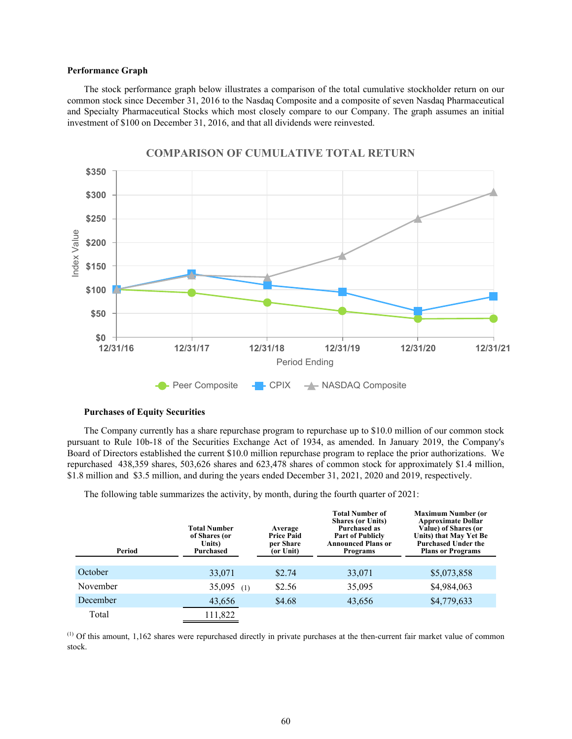#### **Performance Graph**

The stock performance graph below illustrates a comparison of the total cumulative stockholder return on our common stock since December 31, 2016 to the Nasdaq Composite and a composite of seven Nasdaq Pharmaceutical and Specialty Pharmaceutical Stocks which most closely compare to our Company. The graph assumes an initial investment of \$100 on December 31, 2016, and that all dividends were reinvested.



**COMPARISON OF CUMULATIVE TOTAL RETURN**

#### **Purchases of Equity Securities**

The Company currently has a share repurchase program to repurchase up to \$10.0 million of our common stock pursuant to Rule 10b-18 of the Securities Exchange Act of 1934, as amended. In January 2019, the Company's Board of Directors established the current \$10.0 million repurchase program to replace the prior authorizations. We repurchased 438,359 shares, 503,626 shares and 623,478 shares of common stock for approximately \$1.4 million, \$1.8 million and \$3.5 million, and during the years ended December 31, 2021, 2020 and 2019, respectively.

The following table summarizes the activity, by month, during the fourth quarter of 2021:

| Period   | <b>Total Number</b><br>of Shares (or<br>Units)<br>Purchased | Average<br><b>Price Paid</b><br>per Share<br>(or Unit) | <b>Total Number of</b><br><b>Shares (or Units)</b><br><b>Purchased as</b><br><b>Part of Publicly</b><br><b>Announced Plans or</b><br><b>Programs</b> | <b>Maximum Number (or</b><br><b>Approximate Dollar</b><br>Value) of Shares (or<br>Units) that May Yet Be<br><b>Purchased Under the</b><br><b>Plans or Programs</b> |
|----------|-------------------------------------------------------------|--------------------------------------------------------|------------------------------------------------------------------------------------------------------------------------------------------------------|--------------------------------------------------------------------------------------------------------------------------------------------------------------------|
|          |                                                             |                                                        |                                                                                                                                                      |                                                                                                                                                                    |
| October  | 33,071                                                      | \$2.74                                                 | 33,071                                                                                                                                               | \$5,073,858                                                                                                                                                        |
| November | 35,095<br>(1)                                               | \$2.56                                                 | 35,095                                                                                                                                               | \$4,984,063                                                                                                                                                        |
| December | 43,656                                                      | \$4.68                                                 | 43,656                                                                                                                                               | \$4,779,633                                                                                                                                                        |
| Total    | 111,822                                                     |                                                        |                                                                                                                                                      |                                                                                                                                                                    |

(1) Of this amount, 1,162 shares were repurchased directly in private purchases at the then-current fair market value of common stock.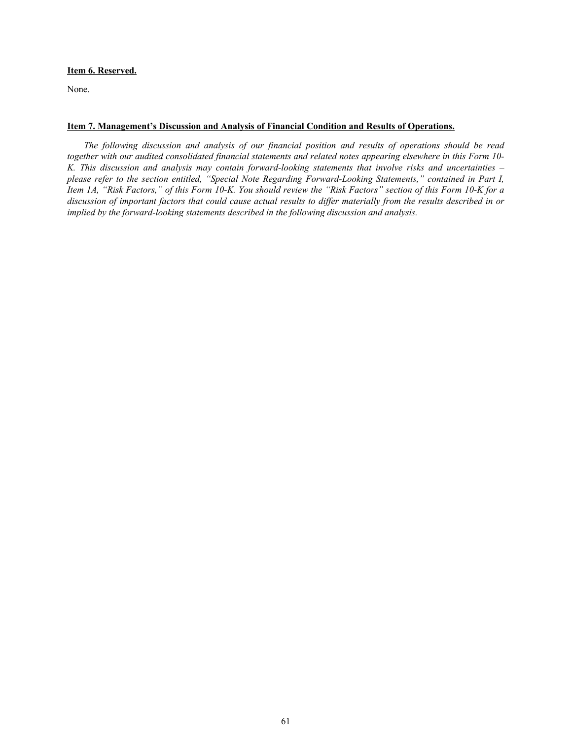### **Item 6. Reserved.**

None.

### **Item 7. Management's Discussion and Analysis of Financial Condition and Results of Operations.**

*The following discussion and analysis of our financial position and results of operations should be read together with our audited consolidated financial statements and related notes appearing elsewhere in this Form 10- K. This discussion and analysis may contain forward-looking statements that involve risks and uncertainties – please refer to the section entitled, "Special Note Regarding Forward-Looking Statements," contained in Part I, Item 1A, "Risk Factors," of this Form 10-K. You should review the "Risk Factors" section of this Form 10-K for a discussion of important factors that could cause actual results to differ materially from the results described in or implied by the forward-looking statements described in the following discussion and analysis.*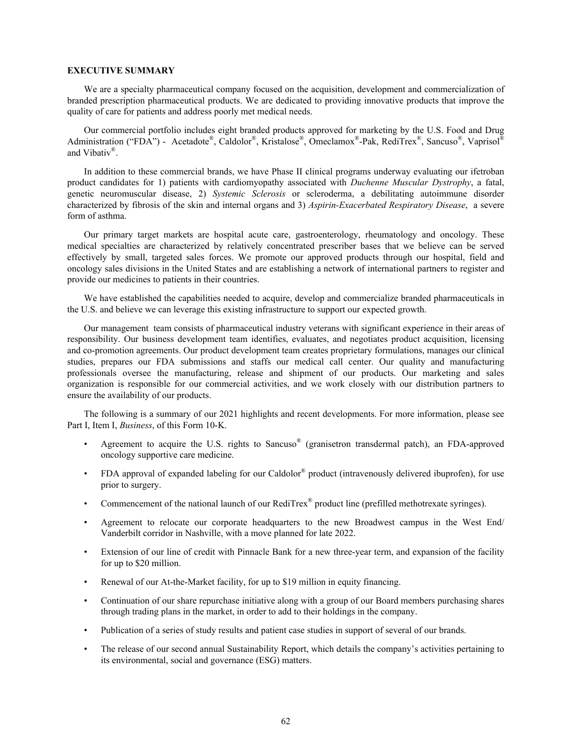#### **EXECUTIVE SUMMARY**

We are a specialty pharmaceutical company focused on the acquisition, development and commercialization of branded prescription pharmaceutical products. We are dedicated to providing innovative products that improve the quality of care for patients and address poorly met medical needs.

Our commercial portfolio includes eight branded products approved for marketing by the U.S. Food and Drug Administration ("FDA") - Acetadote®, Caldolor®, Kristalose®, Omeclamox®-Pak, RediTrex®, Sancuso®, Vaprisol® and Vibativ® .

In addition to these commercial brands, we have Phase II clinical programs underway evaluating our ifetroban product candidates for 1) patients with cardiomyopathy associated with *Duchenne Muscular Dystrophy*, a fatal, genetic neuromuscular disease, 2) *Systemic Sclerosis* or scleroderma, a debilitating autoimmune disorder characterized by fibrosis of the skin and internal organs and 3) *Aspirin-Exacerbated Respiratory Disease*, a severe form of asthma.

Our primary target markets are hospital acute care, gastroenterology, rheumatology and oncology. These medical specialties are characterized by relatively concentrated prescriber bases that we believe can be served effectively by small, targeted sales forces. We promote our approved products through our hospital, field and oncology sales divisions in the United States and are establishing a network of international partners to register and provide our medicines to patients in their countries.

We have established the capabilities needed to acquire, develop and commercialize branded pharmaceuticals in the U.S. and believe we can leverage this existing infrastructure to support our expected growth.

Our management team consists of pharmaceutical industry veterans with significant experience in their areas of responsibility. Our business development team identifies, evaluates, and negotiates product acquisition, licensing and co-promotion agreements. Our product development team creates proprietary formulations, manages our clinical studies, prepares our FDA submissions and staffs our medical call center. Our quality and manufacturing professionals oversee the manufacturing, release and shipment of our products. Our marketing and sales organization is responsible for our commercial activities, and we work closely with our distribution partners to ensure the availability of our products.

The following is a summary of our 2021 highlights and recent developments. For more information, please see Part I, Item I, *Business*, of this Form 10-K.

- Agreement to acquire the U.S. rights to Sancuso® (granisetron transdermal patch), an FDA-approved oncology supportive care medicine.
- FDA approval of expanded labeling for our Caldolor<sup>®</sup> product (intravenously delivered ibuprofen), for use prior to surgery.
- Commencement of the national launch of our RediTrex<sup>®</sup> product line (prefilled methotrexate syringes).
- Agreement to relocate our corporate headquarters to the new Broadwest campus in the West End/ Vanderbilt corridor in Nashville, with a move planned for late 2022.
- Extension of our line of credit with Pinnacle Bank for a new three-year term, and expansion of the facility for up to \$20 million.
- Renewal of our At-the-Market facility, for up to \$19 million in equity financing.
- Continuation of our share repurchase initiative along with a group of our Board members purchasing shares through trading plans in the market, in order to add to their holdings in the company.
- Publication of a series of study results and patient case studies in support of several of our brands.
- The release of our second annual Sustainability Report, which details the company's activities pertaining to its environmental, social and governance (ESG) matters.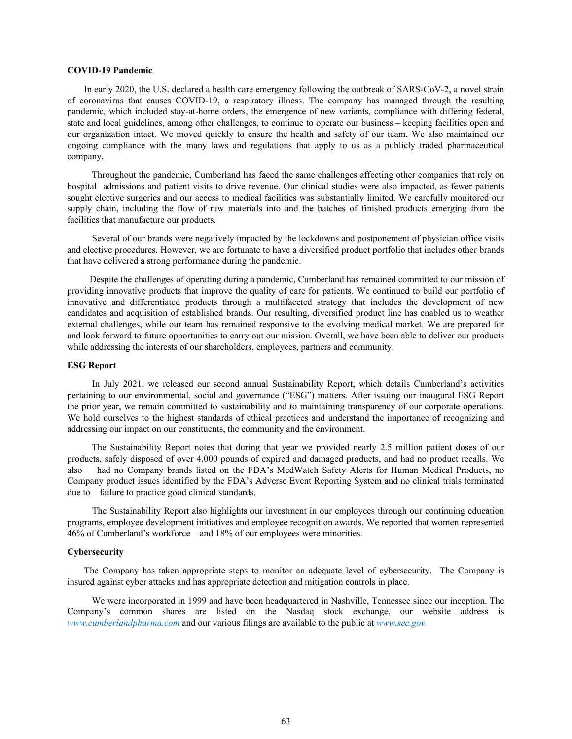#### **COVID-19 Pandemic**

In early 2020, the U.S. declared a health care emergency following the outbreak of SARS-CoV-2, a novel strain of coronavirus that causes COVID-19, a respiratory illness. The company has managed through the resulting pandemic, which included stay-at-home orders, the emergence of new variants, compliance with differing federal, state and local guidelines, among other challenges, to continue to operate our business – keeping facilities open and our organization intact. We moved quickly to ensure the health and safety of our team. We also maintained our ongoing compliance with the many laws and regulations that apply to us as a publicly traded pharmaceutical company.

Throughout the pandemic, Cumberland has faced the same challenges affecting other companies that rely on hospital admissions and patient visits to drive revenue. Our clinical studies were also impacted, as fewer patients sought elective surgeries and our access to medical facilities was substantially limited. We carefully monitored our supply chain, including the flow of raw materials into and the batches of finished products emerging from the facilities that manufacture our products.

Several of our brands were negatively impacted by the lockdowns and postponement of physician office visits and elective procedures. However, we are fortunate to have a diversified product portfolio that includes other brands that have delivered a strong performance during the pandemic.

Despite the challenges of operating during a pandemic, Cumberland has remained committed to our mission of providing innovative products that improve the quality of care for patients. We continued to build our portfolio of innovative and differentiated products through a multifaceted strategy that includes the development of new candidates and acquisition of established brands. Our resulting, diversified product line has enabled us to weather external challenges, while our team has remained responsive to the evolving medical market. We are prepared for and look forward to future opportunities to carry out our mission. Overall, we have been able to deliver our products while addressing the interests of our shareholders, employees, partners and community.

## **ESG Report**

In July 2021, we released our second annual Sustainability Report, which details Cumberland's activities pertaining to our environmental, social and governance ("ESG") matters. After issuing our inaugural ESG Report the prior year, we remain committed to sustainability and to maintaining transparency of our corporate operations. We hold ourselves to the highest standards of ethical practices and understand the importance of recognizing and addressing our impact on our constituents, the community and the environment.

The Sustainability Report notes that during that year we provided nearly 2.5 million patient doses of our products, safely disposed of over 4,000 pounds of expired and damaged products, and had no product recalls. We also had no Company brands listed on the FDA's MedWatch Safety Alerts for Human Medical Products, no Company product issues identified by the FDA's Adverse Event Reporting System and no clinical trials terminated due to failure to practice good clinical standards.

The Sustainability Report also highlights our investment in our employees through our continuing education programs, employee development initiatives and employee recognition awards. We reported that women represented 46% of Cumberland's workforce – and 18% of our employees were minorities.

#### **Cybersecurity**

The Company has taken appropriate steps to monitor an adequate level of cybersecurity. The Company is insured against cyber attacks and has appropriate detection and mitigation controls in place.

We were incorporated in 1999 and have been headquartered in Nashville, Tennessee since our inception. The Company's common shares are listed on the Nasdaq stock exchange, our website address is *www.cumberlandpharma.com* and our various filings are available to the public at *www.sec.gov.*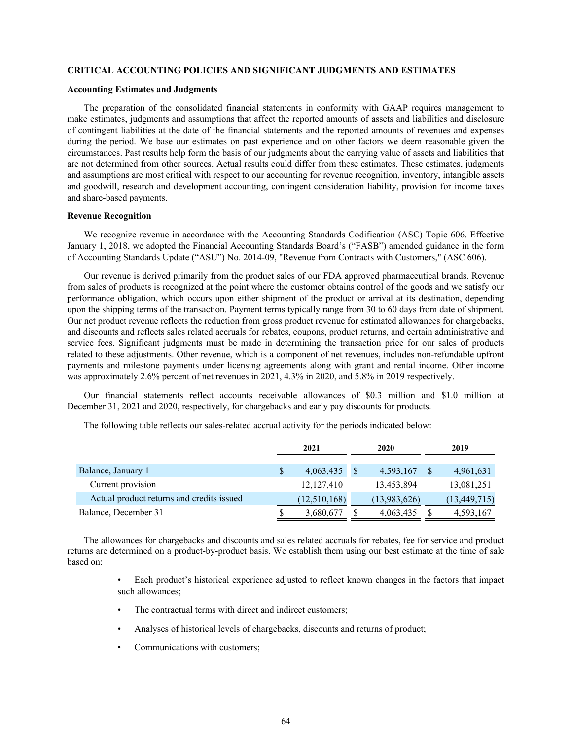#### **CRITICAL ACCOUNTING POLICIES AND SIGNIFICANT JUDGMENTS AND ESTIMATES**

#### **Accounting Estimates and Judgments**

The preparation of the consolidated financial statements in conformity with GAAP requires management to make estimates, judgments and assumptions that affect the reported amounts of assets and liabilities and disclosure of contingent liabilities at the date of the financial statements and the reported amounts of revenues and expenses during the period. We base our estimates on past experience and on other factors we deem reasonable given the circumstances. Past results help form the basis of our judgments about the carrying value of assets and liabilities that are not determined from other sources. Actual results could differ from these estimates. These estimates, judgments and assumptions are most critical with respect to our accounting for revenue recognition, inventory, intangible assets and goodwill, research and development accounting, contingent consideration liability, provision for income taxes and share-based payments.

#### **Revenue Recognition**

We recognize revenue in accordance with the Accounting Standards Codification (ASC) Topic 606. Effective January 1, 2018, we adopted the Financial Accounting Standards Board's ("FASB") amended guidance in the form of Accounting Standards Update ("ASU") No. 2014-09, "Revenue from Contracts with Customers," (ASC 606).

Our revenue is derived primarily from the product sales of our FDA approved pharmaceutical brands. Revenue from sales of products is recognized at the point where the customer obtains control of the goods and we satisfy our performance obligation, which occurs upon either shipment of the product or arrival at its destination, depending upon the shipping terms of the transaction. Payment terms typically range from 30 to 60 days from date of shipment. Our net product revenue reflects the reduction from gross product revenue for estimated allowances for chargebacks, and discounts and reflects sales related accruals for rebates, coupons, product returns, and certain administrative and service fees. Significant judgments must be made in determining the transaction price for our sales of products related to these adjustments. Other revenue, which is a component of net revenues, includes non-refundable upfront payments and milestone payments under licensing agreements along with grant and rental income. Other income was approximately 2.6% percent of net revenues in 2021, 4.3% in 2020, and 5.8% in 2019 respectively.

Our financial statements reflect accounts receivable allowances of \$0.3 million and \$1.0 million at December 31, 2021 and 2020, respectively, for chargebacks and early pay discounts for products.

|                                           | 2021            | 2020         | 2019           |
|-------------------------------------------|-----------------|--------------|----------------|
| Balance, January 1                        | \$<br>4,063,435 | 4,593,167    | 4,961,631      |
| Current provision                         | 12,127,410      | 13,453,894   | 13,081,251     |
| Actual product returns and credits issued | (12,510,168)    | (13,983,626) | (13, 449, 715) |
| Balance, December 31                      | 3,680,677       | 4,063,435    | 4,593,167      |

The following table reflects our sales-related accrual activity for the periods indicated below:

The allowances for chargebacks and discounts and sales related accruals for rebates, fee for service and product returns are determined on a product-by-product basis. We establish them using our best estimate at the time of sale based on:

- Each product's historical experience adjusted to reflect known changes in the factors that impact such allowances;
- The contractual terms with direct and indirect customers;
- Analyses of historical levels of chargebacks, discounts and returns of product;
- Communications with customers;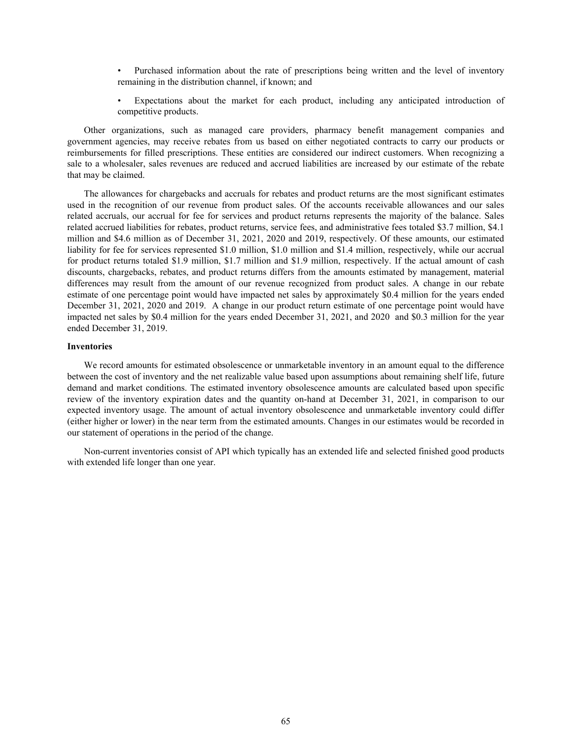- Purchased information about the rate of prescriptions being written and the level of inventory remaining in the distribution channel, if known; and
- Expectations about the market for each product, including any anticipated introduction of competitive products.

Other organizations, such as managed care providers, pharmacy benefit management companies and government agencies, may receive rebates from us based on either negotiated contracts to carry our products or reimbursements for filled prescriptions. These entities are considered our indirect customers. When recognizing a sale to a wholesaler, sales revenues are reduced and accrued liabilities are increased by our estimate of the rebate that may be claimed.

The allowances for chargebacks and accruals for rebates and product returns are the most significant estimates used in the recognition of our revenue from product sales. Of the accounts receivable allowances and our sales related accruals, our accrual for fee for services and product returns represents the majority of the balance. Sales related accrued liabilities for rebates, product returns, service fees, and administrative fees totaled \$3.7 million, \$4.1 million and \$4.6 million as of December 31, 2021, 2020 and 2019, respectively. Of these amounts, our estimated liability for fee for services represented \$1.0 million, \$1.0 million and \$1.4 million, respectively, while our accrual for product returns totaled \$1.9 million, \$1.7 million and \$1.9 million, respectively. If the actual amount of cash discounts, chargebacks, rebates, and product returns differs from the amounts estimated by management, material differences may result from the amount of our revenue recognized from product sales. A change in our rebate estimate of one percentage point would have impacted net sales by approximately \$0.4 million for the years ended December 31, 2021, 2020 and 2019. A change in our product return estimate of one percentage point would have impacted net sales by \$0.4 million for the years ended December 31, 2021, and 2020 and \$0.3 million for the year ended December 31, 2019.

#### **Inventories**

We record amounts for estimated obsolescence or unmarketable inventory in an amount equal to the difference between the cost of inventory and the net realizable value based upon assumptions about remaining shelf life, future demand and market conditions. The estimated inventory obsolescence amounts are calculated based upon specific review of the inventory expiration dates and the quantity on-hand at December 31, 2021, in comparison to our expected inventory usage. The amount of actual inventory obsolescence and unmarketable inventory could differ (either higher or lower) in the near term from the estimated amounts. Changes in our estimates would be recorded in our statement of operations in the period of the change.

Non-current inventories consist of API which typically has an extended life and selected finished good products with extended life longer than one year.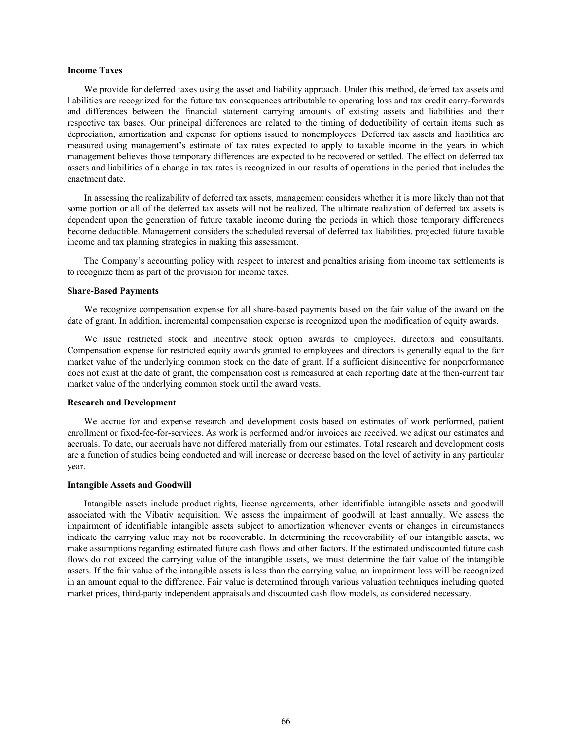#### **Income Taxes**

We provide for deferred taxes using the asset and liability approach. Under this method, deferred tax assets and liabilities are recognized for the future tax consequences attributable to operating loss and tax credit carry-forwards and differences between the financial statement carrying amounts of existing assets and liabilities and their respective tax bases. Our principal differences are related to the timing of deductibility of certain items such as depreciation, amortization and expense for options issued to nonemployees. Deferred tax assets and liabilities are measured using management's estimate of tax rates expected to apply to taxable income in the years in which management believes those temporary differences are expected to be recovered or settled. The effect on deferred tax assets and liabilities of a change in tax rates is recognized in our results of operations in the period that includes the enactment date.

In assessing the realizability of deferred tax assets, management considers whether it is more likely than not that some portion or all of the deferred tax assets will not be realized. The ultimate realization of deferred tax assets is dependent upon the generation of future taxable income during the periods in which those temporary differences become deductible. Management considers the scheduled reversal of deferred tax liabilities, projected future taxable income and tax planning strategies in making this assessment.

The Company's accounting policy with respect to interest and penalties arising from income tax settlements is to recognize them as part of the provision for income taxes.

#### **Share-Based Payments**

We recognize compensation expense for all share-based payments based on the fair value of the award on the date of grant. In addition, incremental compensation expense is recognized upon the modification of equity awards.

We issue restricted stock and incentive stock option awards to employees, directors and consultants. Compensation expense for restricted equity awards granted to employees and directors is generally equal to the fair market value of the underlying common stock on the date of grant. If a sufficient disincentive for nonperformance does not exist at the date of grant, the compensation cost is remeasured at each reporting date at the then-current fair market value of the underlying common stock until the award vests.

#### **Research and Development**

We accrue for and expense research and development costs based on estimates of work performed, patient enrollment or fixed-fee-for-services. As work is performed and/or invoices are received, we adjust our estimates and accruals. To date, our accruals have not differed materially from our estimates. Total research and development costs are a function of studies being conducted and will increase or decrease based on the level of activity in any particular year.

#### **Intangible Assets and Goodwill**

Intangible assets include product rights, license agreements, other identifiable intangible assets and goodwill associated with the Vibativ acquisition. We assess the impairment of goodwill at least annually. We assess the impairment of identifiable intangible assets subject to amortization whenever events or changes in circumstances indicate the carrying value may not be recoverable. In determining the recoverability of our intangible assets, we make assumptions regarding estimated future cash flows and other factors. If the estimated undiscounted future cash flows do not exceed the carrying value of the intangible assets, we must determine the fair value of the intangible assets. If the fair value of the intangible assets is less than the carrying value, an impairment loss will be recognized in an amount equal to the difference. Fair value is determined through various valuation techniques including quoted market prices, third-party independent appraisals and discounted cash flow models, as considered necessary.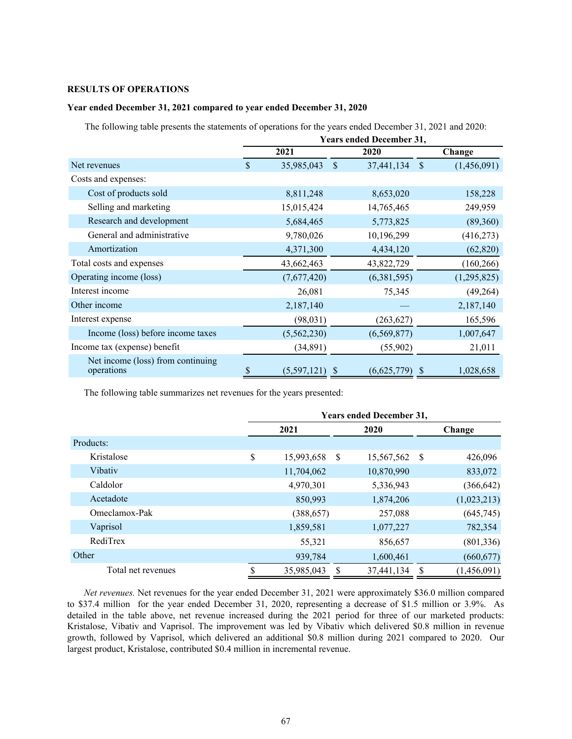### **RESULTS OF OPERATIONS**

## **Year ended December 31, 2021 compared to year ended December 31, 2020**

The following table presents the statements of operations for the years ended December 31, 2021 and 2020:

|                                                 | <b>Years ended December 31,</b> |               |  |                             |   |             |  |
|-------------------------------------------------|---------------------------------|---------------|--|-----------------------------|---|-------------|--|
|                                                 |                                 | 2021          |  | 2020                        |   | Change      |  |
| Net revenues                                    | \$                              | 35,985,043    |  | $\mathcal{S}$<br>37,441,134 | S | (1,456,091) |  |
| Costs and expenses:                             |                                 |               |  |                             |   |             |  |
| Cost of products sold                           |                                 | 8,811,248     |  | 8,653,020                   |   | 158,228     |  |
| Selling and marketing                           |                                 | 15,015,424    |  | 14,765,465                  |   | 249,959     |  |
| Research and development                        |                                 | 5,684,465     |  | 5,773,825                   |   | (89,360)    |  |
| General and administrative                      |                                 | 9,780,026     |  | 10,196,299                  |   | (416, 273)  |  |
| Amortization                                    |                                 | 4,371,300     |  | 4,434,120                   |   | (62, 820)   |  |
| Total costs and expenses                        |                                 | 43,662,463    |  | 43,822,729                  |   | (160, 266)  |  |
| Operating income (loss)                         |                                 | (7,677,420)   |  | (6,381,595)                 |   | (1,295,825) |  |
| Interest income                                 |                                 | 26,081        |  | 75,345                      |   | (49,264)    |  |
| Other income                                    |                                 | 2,187,140     |  |                             |   | 2,187,140   |  |
| Interest expense                                |                                 | (98, 031)     |  | (263, 627)                  |   | 165,596     |  |
| Income (loss) before income taxes               |                                 | (5, 562, 230) |  | (6, 569, 877)               |   | 1,007,647   |  |
| Income tax (expense) benefit                    |                                 | (34,891)      |  | (55,902)                    |   | 21,011      |  |
| Net income (loss) from continuing<br>operations |                                 | (5,597,121)   |  | (6,625,779)                 |   | 1,028,658   |  |

The following table summarizes net revenues for the years presented:

|                    | <b>Years ended December 31,</b> |                           |            |    |             |  |
|--------------------|---------------------------------|---------------------------|------------|----|-------------|--|
|                    | 2021                            |                           | 2020       |    | Change      |  |
| Products:          |                                 |                           |            |    |             |  |
| Kristalose         | \$<br>15,993,658                | $\boldsymbol{\mathsf{S}}$ | 15,567,562 | -S | 426,096     |  |
| Vibativ            | 11,704,062                      |                           | 10,870,990 |    | 833,072     |  |
| Caldolor           | 4,970,301                       |                           | 5,336,943  |    | (366, 642)  |  |
| Acetadote          | 850,993                         |                           | 1,874,206  |    | (1,023,213) |  |
| Omeclamox-Pak      | (388, 657)                      |                           | 257,088    |    | (645,745)   |  |
| Vaprisol           | 1,859,581                       |                           | 1,077,227  |    | 782,354     |  |
| RediTrex           | 55,321                          |                           | 856,657    |    | (801, 336)  |  |
| Other              | 939,784                         |                           | 1,600,461  |    | (660, 677)  |  |
| Total net revenues | \$<br>35,985,043                | S                         | 37,441,134 | S  | (1,456,091) |  |

*Net revenues.* Net revenues for the year ended December 31, 2021 were approximately \$36.0 million compared to \$37.4 million for the year ended December 31, 2020, representing a decrease of \$1.5 million or 3.9%. As detailed in the table above, net revenue increased during the 2021 period for three of our marketed products: Kristalose, Vibativ and Vaprisol. The improvement was led by Vibativ which delivered \$0.8 million in revenue growth, followed by Vaprisol, which delivered an additional \$0.8 million during 2021 compared to 2020. Our largest product, Kristalose, contributed \$0.4 million in incremental revenue.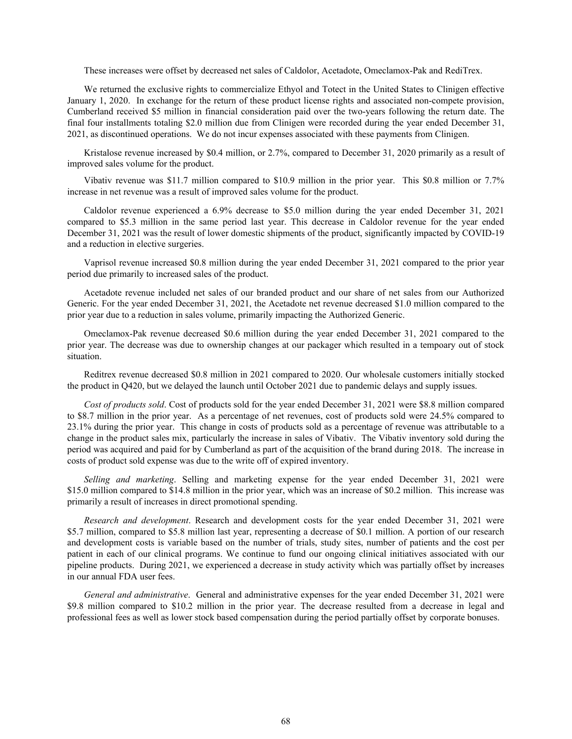These increases were offset by decreased net sales of Caldolor, Acetadote, Omeclamox-Pak and RediTrex.

We returned the exclusive rights to commercialize Ethyol and Totect in the United States to Clinigen effective January 1, 2020. In exchange for the return of these product license rights and associated non-compete provision, Cumberland received \$5 million in financial consideration paid over the two-years following the return date. The final four installments totaling \$2.0 million due from Clinigen were recorded during the year ended December 31, 2021, as discontinued operations. We do not incur expenses associated with these payments from Clinigen.

Kristalose revenue increased by \$0.4 million, or 2.7%, compared to December 31, 2020 primarily as a result of improved sales volume for the product.

Vibativ revenue was \$11.7 million compared to \$10.9 million in the prior year. This \$0.8 million or 7.7% increase in net revenue was a result of improved sales volume for the product.

Caldolor revenue experienced a 6.9% decrease to \$5.0 million during the year ended December 31, 2021 compared to \$5.3 million in the same period last year. This decrease in Caldolor revenue for the year ended December 31, 2021 was the result of lower domestic shipments of the product, significantly impacted by COVID-19 and a reduction in elective surgeries.

Vaprisol revenue increased \$0.8 million during the year ended December 31, 2021 compared to the prior year period due primarily to increased sales of the product.

Acetadote revenue included net sales of our branded product and our share of net sales from our Authorized Generic. For the year ended December 31, 2021, the Acetadote net revenue decreased \$1.0 million compared to the prior year due to a reduction in sales volume, primarily impacting the Authorized Generic.

Omeclamox-Pak revenue decreased \$0.6 million during the year ended December 31, 2021 compared to the prior year. The decrease was due to ownership changes at our packager which resulted in a tempoary out of stock situation.

Reditrex revenue decreased \$0.8 million in 2021 compared to 2020. Our wholesale customers initially stocked the product in Q420, but we delayed the launch until October 2021 due to pandemic delays and supply issues.

*Cost of products sold*. Cost of products sold for the year ended December 31, 2021 were \$8.8 million compared to \$8.7 million in the prior year. As a percentage of net revenues, cost of products sold were 24.5% compared to 23.1% during the prior year. This change in costs of products sold as a percentage of revenue was attributable to a change in the product sales mix, particularly the increase in sales of Vibativ. The Vibativ inventory sold during the period was acquired and paid for by Cumberland as part of the acquisition of the brand during 2018. The increase in costs of product sold expense was due to the write off of expired inventory.

*Selling and marketing*. Selling and marketing expense for the year ended December 31, 2021 were \$15.0 million compared to \$14.8 million in the prior year, which was an increase of \$0.2 million. This increase was primarily a result of increases in direct promotional spending.

*Research and development*. Research and development costs for the year ended December 31, 2021 were \$5.7 million, compared to \$5.8 million last year, representing a decrease of \$0.1 million. A portion of our research and development costs is variable based on the number of trials, study sites, number of patients and the cost per patient in each of our clinical programs. We continue to fund our ongoing clinical initiatives associated with our pipeline products. During 2021, we experienced a decrease in study activity which was partially offset by increases in our annual FDA user fees.

*General and administrative*. General and administrative expenses for the year ended December 31, 2021 were \$9.8 million compared to \$10.2 million in the prior year. The decrease resulted from a decrease in legal and professional fees as well as lower stock based compensation during the period partially offset by corporate bonuses.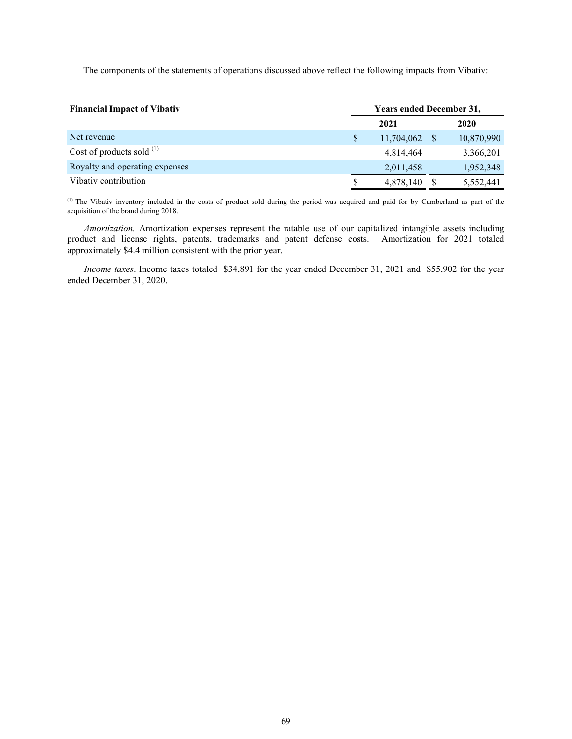The components of the statements of operations discussed above reflect the following impacts from Vibativ:

| <b>Financial Impact of Vibativ</b> | <b>Years ended December 31,</b> |  |            |  |  |  |
|------------------------------------|---------------------------------|--|------------|--|--|--|
|                                    | 2021                            |  | 2020       |  |  |  |
| Net revenue                        | 11,704,062                      |  | 10,870,990 |  |  |  |
| Cost of products sold $(1)$        | 4,814,464                       |  | 3,366,201  |  |  |  |
| Royalty and operating expenses     | 2,011,458                       |  | 1,952,348  |  |  |  |
| Vibativ contribution               | 4,878,140                       |  | 5,552,441  |  |  |  |

(1) The Vibativ inventory included in the costs of product sold during the period was acquired and paid for by Cumberland as part of the acquisition of the brand during 2018.

*Amortization.* Amortization expenses represent the ratable use of our capitalized intangible assets including product and license rights, patents, trademarks and patent defense costs. Amortization for 2021 totaled approximately \$4.4 million consistent with the prior year.

*Income taxes*. Income taxes totaled \$34,891 for the year ended December 31, 2021 and \$55,902 for the year ended December 31, 2020.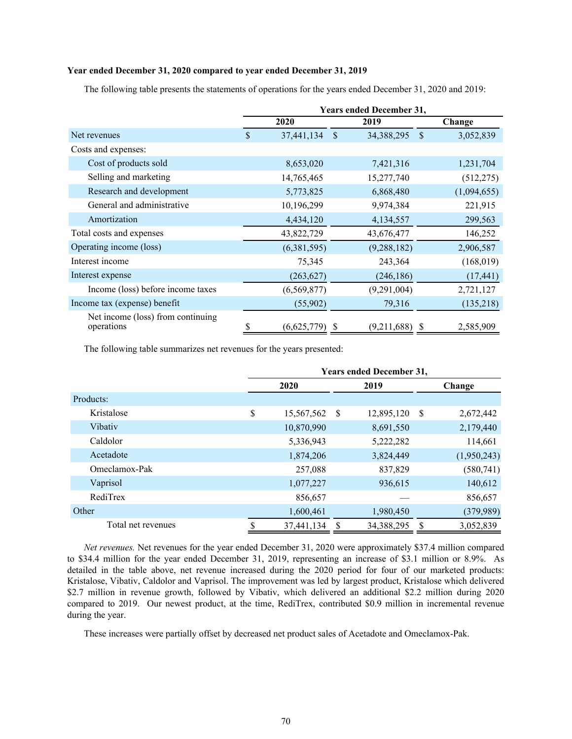#### **Year ended December 31, 2020 compared to year ended December 31, 2019**

The following table presents the statements of operations for the years ended December 31, 2020 and 2019:

|                                                 | <b>Years ended December 31,</b> |               |                             |                            |  |  |
|-------------------------------------------------|---------------------------------|---------------|-----------------------------|----------------------------|--|--|
|                                                 |                                 | 2020          | 2019                        | Change                     |  |  |
| Net revenues                                    | \$                              | 37,441,134    | $\mathcal{S}$<br>34,388,295 | $\mathbf{\$}$<br>3,052,839 |  |  |
| Costs and expenses:                             |                                 |               |                             |                            |  |  |
| Cost of products sold                           |                                 | 8,653,020     | 7,421,316                   | 1,231,704                  |  |  |
| Selling and marketing                           |                                 | 14,765,465    | 15,277,740                  | (512, 275)                 |  |  |
| Research and development                        |                                 | 5,773,825     | 6,868,480                   | (1,094,655)                |  |  |
| General and administrative                      |                                 | 10,196,299    | 9,974,384                   | 221,915                    |  |  |
| Amortization                                    |                                 | 4,434,120     | 4,134,557                   | 299,563                    |  |  |
| Total costs and expenses                        |                                 | 43,822,729    | 43,676,477                  | 146,252                    |  |  |
| Operating income (loss)                         |                                 | (6,381,595)   | (9, 288, 182)               | 2,906,587                  |  |  |
| Interest income                                 |                                 | 75,345        | 243,364                     | (168, 019)                 |  |  |
| Interest expense                                |                                 | (263, 627)    | (246, 186)                  | (17, 441)                  |  |  |
| Income (loss) before income taxes               |                                 | (6, 569, 877) | (9,291,004)                 | 2,721,127                  |  |  |
| Income tax (expense) benefit                    |                                 | (55,902)      | 79,316                      | (135,218)                  |  |  |
| Net income (loss) from continuing<br>operations | S                               | (6,625,779)   | (9,211,688)<br>S            | 2,585,909                  |  |  |

The following table summarizes net revenues for the years presented:

|                    |    | <b>Years ended December 31,</b> |                           |            |               |             |  |
|--------------------|----|---------------------------------|---------------------------|------------|---------------|-------------|--|
|                    |    | 2020                            |                           | 2019       |               | Change      |  |
| Products:          |    |                                 |                           |            |               |             |  |
| Kristalose         | \$ | 15,567,562                      | $\boldsymbol{\mathsf{S}}$ | 12,895,120 | <sup>\$</sup> | 2,672,442   |  |
| Vibativ            |    | 10,870,990                      |                           | 8,691,550  |               | 2,179,440   |  |
| Caldolor           |    | 5,336,943                       |                           | 5,222,282  |               | 114,661     |  |
| Acetadote          |    | 1,874,206                       |                           | 3,824,449  |               | (1,950,243) |  |
| Omeclamox-Pak      |    | 257,088                         |                           | 837,829    |               | (580, 741)  |  |
| Vaprisol           |    | 1,077,227                       |                           | 936,615    |               | 140,612     |  |
| RediTrex           |    | 856,657                         |                           |            |               | 856,657     |  |
| Other              |    | 1,600,461                       |                           | 1,980,450  |               | (379, 989)  |  |
| Total net revenues | S  | 37,441,134                      | S                         | 34,388,295 |               | 3,052,839   |  |

*Net revenues.* Net revenues for the year ended December 31, 2020 were approximately \$37.4 million compared to \$34.4 million for the year ended December 31, 2019, representing an increase of \$3.1 million or 8.9%. As detailed in the table above, net revenue increased during the 2020 period for four of our marketed products: Kristalose, Vibativ, Caldolor and Vaprisol. The improvement was led by largest product, Kristalose which delivered \$2.7 million in revenue growth, followed by Vibativ, which delivered an additional \$2.2 million during 2020 compared to 2019. Our newest product, at the time, RediTrex, contributed \$0.9 million in incremental revenue during the year.

These increases were partially offset by decreased net product sales of Acetadote and Omeclamox-Pak.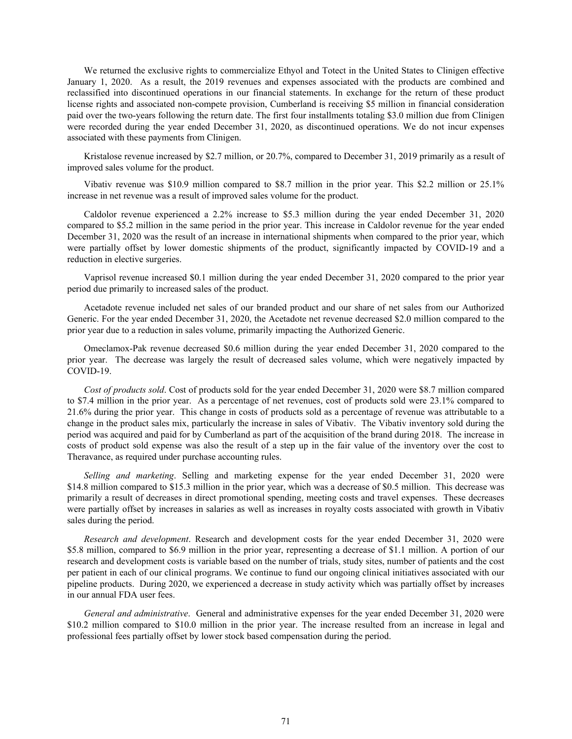We returned the exclusive rights to commercialize Ethyol and Totect in the United States to Clinigen effective January 1, 2020. As a result, the 2019 revenues and expenses associated with the products are combined and reclassified into discontinued operations in our financial statements. In exchange for the return of these product license rights and associated non-compete provision, Cumberland is receiving \$5 million in financial consideration paid over the two-years following the return date. The first four installments totaling \$3.0 million due from Clinigen were recorded during the year ended December 31, 2020, as discontinued operations. We do not incur expenses associated with these payments from Clinigen.

Kristalose revenue increased by \$2.7 million, or 20.7%, compared to December 31, 2019 primarily as a result of improved sales volume for the product.

Vibativ revenue was \$10.9 million compared to \$8.7 million in the prior year. This \$2.2 million or 25.1% increase in net revenue was a result of improved sales volume for the product.

Caldolor revenue experienced a 2.2% increase to \$5.3 million during the year ended December 31, 2020 compared to \$5.2 million in the same period in the prior year. This increase in Caldolor revenue for the year ended December 31, 2020 was the result of an increase in international shipments when compared to the prior year, which were partially offset by lower domestic shipments of the product, significantly impacted by COVID-19 and a reduction in elective surgeries.

Vaprisol revenue increased \$0.1 million during the year ended December 31, 2020 compared to the prior year period due primarily to increased sales of the product.

Acetadote revenue included net sales of our branded product and our share of net sales from our Authorized Generic. For the year ended December 31, 2020, the Acetadote net revenue decreased \$2.0 million compared to the prior year due to a reduction in sales volume, primarily impacting the Authorized Generic.

Omeclamox-Pak revenue decreased \$0.6 million during the year ended December 31, 2020 compared to the prior year. The decrease was largely the result of decreased sales volume, which were negatively impacted by COVID-19.

*Cost of products sold*. Cost of products sold for the year ended December 31, 2020 were \$8.7 million compared to \$7.4 million in the prior year. As a percentage of net revenues, cost of products sold were 23.1% compared to 21.6% during the prior year. This change in costs of products sold as a percentage of revenue was attributable to a change in the product sales mix, particularly the increase in sales of Vibativ. The Vibativ inventory sold during the period was acquired and paid for by Cumberland as part of the acquisition of the brand during 2018. The increase in costs of product sold expense was also the result of a step up in the fair value of the inventory over the cost to Theravance, as required under purchase accounting rules.

*Selling and marketing*. Selling and marketing expense for the year ended December 31, 2020 were \$14.8 million compared to \$15.3 million in the prior year, which was a decrease of \$0.5 million. This decrease was primarily a result of decreases in direct promotional spending, meeting costs and travel expenses. These decreases were partially offset by increases in salaries as well as increases in royalty costs associated with growth in Vibativ sales during the period.

*Research and development*. Research and development costs for the year ended December 31, 2020 were \$5.8 million, compared to \$6.9 million in the prior year, representing a decrease of \$1.1 million. A portion of our research and development costs is variable based on the number of trials, study sites, number of patients and the cost per patient in each of our clinical programs. We continue to fund our ongoing clinical initiatives associated with our pipeline products. During 2020, we experienced a decrease in study activity which was partially offset by increases in our annual FDA user fees.

*General and administrative*. General and administrative expenses for the year ended December 31, 2020 were \$10.2 million compared to \$10.0 million in the prior year. The increase resulted from an increase in legal and professional fees partially offset by lower stock based compensation during the period.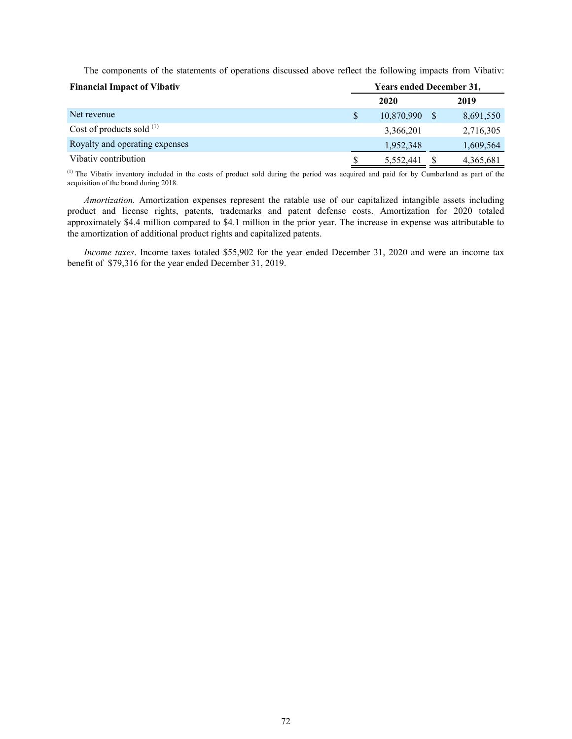The components of the statements of operations discussed above reflect the following impacts from Vibativ:

| <b>Financial Impact of Vibativ</b> | <b>Years ended December 31,</b> |  |           |  |  |  |  |  |  |
|------------------------------------|---------------------------------|--|-----------|--|--|--|--|--|--|
|                                    | 2020                            |  | 2019      |  |  |  |  |  |  |
| Net revenue                        | 10,870,990                      |  | 8,691,550 |  |  |  |  |  |  |
| Cost of products sold $^{(1)}$     | 3,366,201                       |  | 2,716,305 |  |  |  |  |  |  |
| Royalty and operating expenses     | 1,952,348                       |  | 1,609,564 |  |  |  |  |  |  |
| Vibativ contribution               | 5,552,441                       |  | 4,365,681 |  |  |  |  |  |  |

<sup>(1)</sup> The Vibativ inventory included in the costs of product sold during the period was acquired and paid for by Cumberland as part of the acquisition of the brand during 2018.

*Amortization.* Amortization expenses represent the ratable use of our capitalized intangible assets including product and license rights, patents, trademarks and patent defense costs. Amortization for 2020 totaled approximately \$4.4 million compared to \$4.1 million in the prior year. The increase in expense was attributable to the amortization of additional product rights and capitalized patents.

*Income taxes*. Income taxes totaled \$55,902 for the year ended December 31, 2020 and were an income tax benefit of \$79,316 for the year ended December 31, 2019.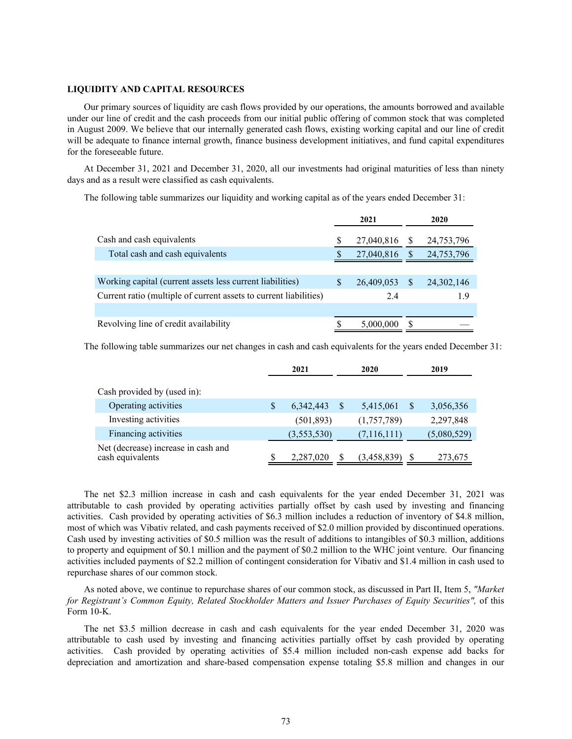# **LIQUIDITY AND CAPITAL RESOURCES**

Our primary sources of liquidity are cash flows provided by our operations, the amounts borrowed and available under our line of credit and the cash proceeds from our initial public offering of common stock that was completed in August 2009. We believe that our internally generated cash flows, existing working capital and our line of credit will be adequate to finance internal growth, finance business development initiatives, and fund capital expenditures for the foreseeable future.

At December 31, 2021 and December 31, 2020, all our investments had original maturities of less than ninety days and as a result were classified as cash equivalents.

The following table summarizes our liquidity and working capital as of the years ended December 31:

|                                                                   |   | 2021                     |                   | 2020                     |
|-------------------------------------------------------------------|---|--------------------------|-------------------|--------------------------|
| Cash and cash equivalents<br>Total cash and cash equivalents      |   | 27,040,816<br>27,040,816 | S<br><sup>S</sup> | 24,753,796<br>24,753,796 |
|                                                                   |   |                          |                   |                          |
| Working capital (current assets less current liabilities)         | S | 26,409,053               | <sup>S</sup>      | 24, 302, 146             |
| Current ratio (multiple of current assets to current liabilities) |   | 2.4                      |                   | 1.9                      |
|                                                                   |   |                          |                   |                          |
| Revolving line of credit availability                             |   | 5,000,000                |                   |                          |

The following table summarizes our net changes in cash and cash equivalents for the years ended December 31:

|                                                         |   | 2021        | 2020 |             |              | 2019        |  |
|---------------------------------------------------------|---|-------------|------|-------------|--------------|-------------|--|
| Cash provided by (used in):                             |   |             |      |             |              |             |  |
| Operating activities                                    | S | 6,342,443   |      | 5,415,061   | <sup>S</sup> | 3,056,356   |  |
| Investing activities                                    |   | (501, 893)  |      | (1,757,789) |              | 2,297,848   |  |
| Financing activities                                    |   | (3,553,530) |      | (7,116,111) |              | (5,080,529) |  |
| Net (decrease) increase in cash and<br>cash equivalents |   | 2,287,020   |      | (3,458,839) |              | 273,675     |  |

The net \$2.3 million increase in cash and cash equivalents for the year ended December 31, 2021 was attributable to cash provided by operating activities partially offset by cash used by investing and financing activities. Cash provided by operating activities of \$6.3 million includes a reduction of inventory of \$4.8 million, most of which was Vibativ related, and cash payments received of \$2.0 million provided by discontinued operations. Cash used by investing activities of \$0.5 million was the result of additions to intangibles of \$0.3 million, additions to property and equipment of \$0.1 million and the payment of \$0.2 million to the WHC joint venture. Our financing activities included payments of \$2.2 million of contingent consideration for Vibativ and \$1.4 million in cash used to repurchase shares of our common stock.

As noted above, we continue to repurchase shares of our common stock, as discussed in Part II, Item 5, *"Market for Registrant's Common Equity, Related Stockholder Matters and Issuer Purchases of Equity Securities",* of this Form 10-K.

The net \$3.5 million decrease in cash and cash equivalents for the year ended December 31, 2020 was attributable to cash used by investing and financing activities partially offset by cash provided by operating activities. Cash provided by operating activities of \$5.4 million included non-cash expense add backs for depreciation and amortization and share-based compensation expense totaling \$5.8 million and changes in our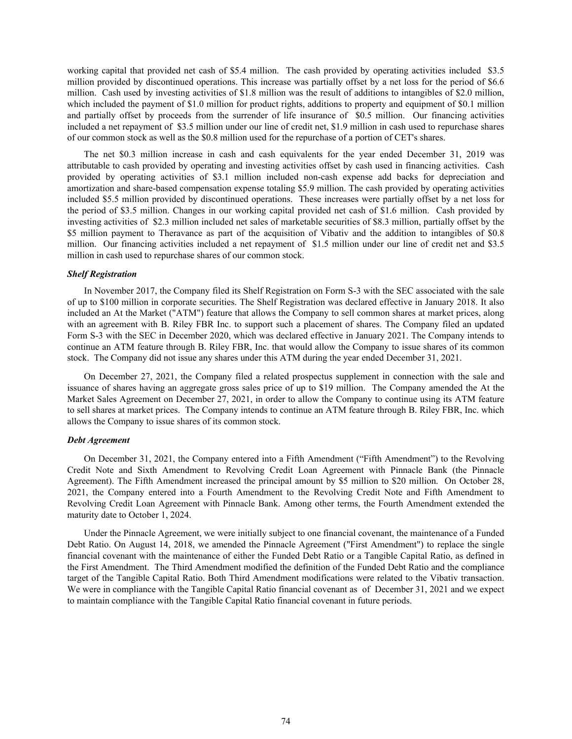working capital that provided net cash of \$5.4 million. The cash provided by operating activities included \$3.5 million provided by discontinued operations. This increase was partially offset by a net loss for the period of \$6.6 million. Cash used by investing activities of \$1.8 million was the result of additions to intangibles of \$2.0 million, which included the payment of \$1.0 million for product rights, additions to property and equipment of \$0.1 million and partially offset by proceeds from the surrender of life insurance of \$0.5 million. Our financing activities included a net repayment of \$3.5 million under our line of credit net, \$1.9 million in cash used to repurchase shares of our common stock as well as the \$0.8 million used for the repurchase of a portion of CET's shares.

The net \$0.3 million increase in cash and cash equivalents for the year ended December 31, 2019 was attributable to cash provided by operating and investing activities offset by cash used in financing activities. Cash provided by operating activities of \$3.1 million included non-cash expense add backs for depreciation and amortization and share-based compensation expense totaling \$5.9 million. The cash provided by operating activities included \$5.5 million provided by discontinued operations. These increases were partially offset by a net loss for the period of \$3.5 million. Changes in our working capital provided net cash of \$1.6 million. Cash provided by investing activities of \$2.3 million included net sales of marketable securities of \$8.3 million, partially offset by the \$5 million payment to Theravance as part of the acquisition of Vibativ and the addition to intangibles of \$0.8 million. Our financing activities included a net repayment of \$1.5 million under our line of credit net and \$3.5 million in cash used to repurchase shares of our common stock.

### *Shelf Registration*

In November 2017, the Company filed its Shelf Registration on Form S-3 with the SEC associated with the sale of up to \$100 million in corporate securities. The Shelf Registration was declared effective in January 2018. It also included an At the Market ("ATM") feature that allows the Company to sell common shares at market prices, along with an agreement with B. Riley FBR Inc. to support such a placement of shares. The Company filed an updated Form S-3 with the SEC in December 2020, which was declared effective in January 2021. The Company intends to continue an ATM feature through B. Riley FBR, Inc. that would allow the Company to issue shares of its common stock. The Company did not issue any shares under this ATM during the year ended December 31, 2021.

On December 27, 2021, the Company filed a related prospectus supplement in connection with the sale and issuance of shares having an aggregate gross sales price of up to \$19 million. The Company amended the At the Market Sales Agreement on December 27, 2021, in order to allow the Company to continue using its ATM feature to sell shares at market prices. The Company intends to continue an ATM feature through B. Riley FBR, Inc. which allows the Company to issue shares of its common stock.

#### *Debt Agreement*

On December 31, 2021, the Company entered into a Fifth Amendment ("Fifth Amendment") to the Revolving Credit Note and Sixth Amendment to Revolving Credit Loan Agreement with Pinnacle Bank (the Pinnacle Agreement). The Fifth Amendment increased the principal amount by \$5 million to \$20 million. On October 28, 2021, the Company entered into a Fourth Amendment to the Revolving Credit Note and Fifth Amendment to Revolving Credit Loan Agreement with Pinnacle Bank. Among other terms, the Fourth Amendment extended the maturity date to October 1, 2024.

Under the Pinnacle Agreement, we were initially subject to one financial covenant, the maintenance of a Funded Debt Ratio. On August 14, 2018, we amended the Pinnacle Agreement ("First Amendment") to replace the single financial covenant with the maintenance of either the Funded Debt Ratio or a Tangible Capital Ratio, as defined in the First Amendment. The Third Amendment modified the definition of the Funded Debt Ratio and the compliance target of the Tangible Capital Ratio. Both Third Amendment modifications were related to the Vibativ transaction. We were in compliance with the Tangible Capital Ratio financial covenant as of December 31, 2021 and we expect to maintain compliance with the Tangible Capital Ratio financial covenant in future periods.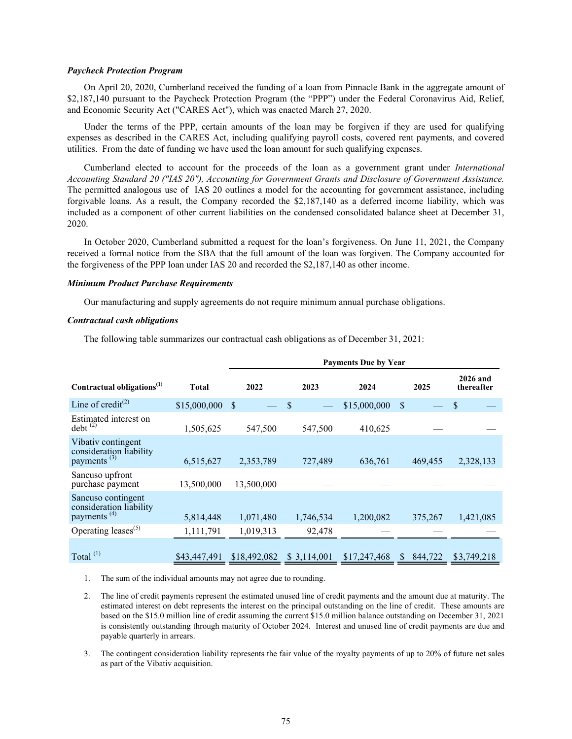### *Paycheck Protection Program*

On April 20, 2020, Cumberland received the funding of a loan from Pinnacle Bank in the aggregate amount of \$2,187,140 pursuant to the Paycheck Protection Program (the "PPP") under the Federal Coronavirus Aid, Relief, and Economic Security Act ("CARES Act"), which was enacted March 27, 2020.

Under the terms of the PPP, certain amounts of the loan may be forgiven if they are used for qualifying expenses as described in the CARES Act, including qualifying payroll costs, covered rent payments, and covered utilities. From the date of funding we have used the loan amount for such qualifying expenses.

Cumberland elected to account for the proceeds of the loan as a government grant under *International Accounting Standard 20 ("IAS 20"), Accounting for Government Grants and Disclosure of Government Assistance.*  The permitted analogous use of IAS 20 outlines a model for the accounting for government assistance, including forgivable loans. As a result, the Company recorded the \$2,187,140 as a deferred income liability, which was included as a component of other current liabilities on the condensed consolidated balance sheet at December 31, 2020.

In October 2020, Cumberland submitted a request for the loan's forgiveness. On June 11, 2021, the Company received a formal notice from the SBA that the full amount of the loan was forgiven. The Company accounted for the forgiveness of the PPP loan under IAS 20 and recorded the \$2,187,140 as other income.

#### *Minimum Product Purchase Requirements*

Our manufacturing and supply agreements do not require minimum annual purchase obligations.

#### *Contractual cash obligations*

The following table summarizes our contractual cash obligations as of December 31, 2021:

|                                                                          |              | <b>Payments Due by Year</b> |                           |              |                           |                        |  |  |
|--------------------------------------------------------------------------|--------------|-----------------------------|---------------------------|--------------|---------------------------|------------------------|--|--|
| Contractual obligations <sup>(1)</sup>                                   | <b>Total</b> | 2022                        | 2023                      | 2024         | 2025                      | 2026 and<br>thereafter |  |  |
| Line of credit <sup><math>(2)</math></sup>                               | \$15,000,000 | $\boldsymbol{\mathsf{S}}$   | $\boldsymbol{\mathsf{S}}$ | \$15,000,000 | $\boldsymbol{\mathsf{S}}$ | \$                     |  |  |
| Estimated interest on<br>$debt^{(2)}$                                    | 1,505,625    | 547,500                     | 547,500                   | 410,625      |                           |                        |  |  |
| Vibativ contingent<br>consideration liability<br>payments $^{(3)}$       | 6,515,627    | 2,353,789                   | 727,489                   | 636,761      | 469,455                   | 2,328,133              |  |  |
| Sancuso upfront<br>purchase payment                                      | 13,500,000   | 13,500,000                  |                           |              |                           |                        |  |  |
| Sancuso contingent<br>consideration liability<br>payments <sup>(4)</sup> | 5,814,448    | 1,071,480                   | 1,746,534                 | 1,200,082    | 375,267                   | 1,421,085              |  |  |
| Operating leases $(5)$                                                   | 1,111,791    | 1,019,313                   | 92,478                    |              |                           |                        |  |  |
| Total $^{(1)}$                                                           | \$43,447,491 | \$18,492,082                | \$3,114,001               | \$17,247,468 | 844,722<br>\$.            | \$3,749,218            |  |  |

1. The sum of the individual amounts may not agree due to rounding.

- 2. The line of credit payments represent the estimated unused line of credit payments and the amount due at maturity. The estimated interest on debt represents the interest on the principal outstanding on the line of credit. These amounts are based on the \$15.0 million line of credit assuming the current \$15.0 million balance outstanding on December 31, 2021 is consistently outstanding through maturity of October 2024. Interest and unused line of credit payments are due and payable quarterly in arrears.
- 3. The contingent consideration liability represents the fair value of the royalty payments of up to 20% of future net sales as part of the Vibativ acquisition.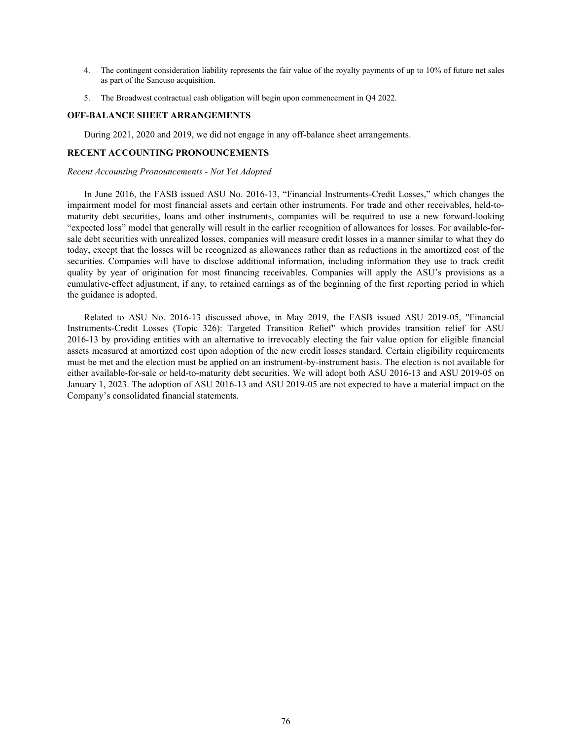- 4. The contingent consideration liability represents the fair value of the royalty payments of up to 10% of future net sales as part of the Sancuso acquisition.
- 5. The Broadwest contractual cash obligation will begin upon commencement in Q4 2022.

#### **OFF-BALANCE SHEET ARRANGEMENTS**

During 2021, 2020 and 2019, we did not engage in any off-balance sheet arrangements.

# **RECENT ACCOUNTING PRONOUNCEMENTS**

#### *Recent Accounting Pronouncements - Not Yet Adopted*

In June 2016, the FASB issued ASU No. 2016-13, "Financial Instruments-Credit Losses," which changes the impairment model for most financial assets and certain other instruments. For trade and other receivables, held-tomaturity debt securities, loans and other instruments, companies will be required to use a new forward-looking "expected loss" model that generally will result in the earlier recognition of allowances for losses. For available-forsale debt securities with unrealized losses, companies will measure credit losses in a manner similar to what they do today, except that the losses will be recognized as allowances rather than as reductions in the amortized cost of the securities. Companies will have to disclose additional information, including information they use to track credit quality by year of origination for most financing receivables. Companies will apply the ASU's provisions as a cumulative-effect adjustment, if any, to retained earnings as of the beginning of the first reporting period in which the guidance is adopted.

Related to ASU No. 2016-13 discussed above, in May 2019, the FASB issued ASU 2019-05, "Financial Instruments-Credit Losses (Topic 326): Targeted Transition Relief" which provides transition relief for ASU 2016-13 by providing entities with an alternative to irrevocably electing the fair value option for eligible financial assets measured at amortized cost upon adoption of the new credit losses standard. Certain eligibility requirements must be met and the election must be applied on an instrument-by-instrument basis. The election is not available for either available-for-sale or held-to-maturity debt securities. We will adopt both ASU 2016-13 and ASU 2019-05 on January 1, 2023. The adoption of ASU 2016-13 and ASU 2019-05 are not expected to have a material impact on the Company's consolidated financial statements.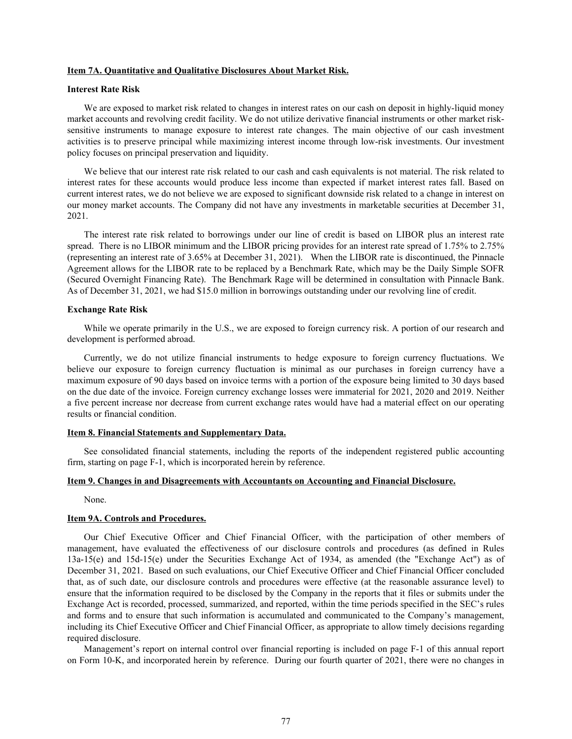#### **Item 7A. Quantitative and Qualitative Disclosures About Market Risk.**

#### **Interest Rate Risk**

We are exposed to market risk related to changes in interest rates on our cash on deposit in highly-liquid money market accounts and revolving credit facility. We do not utilize derivative financial instruments or other market risksensitive instruments to manage exposure to interest rate changes. The main objective of our cash investment activities is to preserve principal while maximizing interest income through low-risk investments. Our investment policy focuses on principal preservation and liquidity.

We believe that our interest rate risk related to our cash and cash equivalents is not material. The risk related to interest rates for these accounts would produce less income than expected if market interest rates fall. Based on current interest rates, we do not believe we are exposed to significant downside risk related to a change in interest on our money market accounts. The Company did not have any investments in marketable securities at December 31, 2021.

The interest rate risk related to borrowings under our line of credit is based on LIBOR plus an interest rate spread. There is no LIBOR minimum and the LIBOR pricing provides for an interest rate spread of 1.75% to 2.75% (representing an interest rate of 3.65% at December 31, 2021). When the LIBOR rate is discontinued, the Pinnacle Agreement allows for the LIBOR rate to be replaced by a Benchmark Rate, which may be the Daily Simple SOFR (Secured Overnight Financing Rate). The Benchmark Rage will be determined in consultation with Pinnacle Bank. As of December 31, 2021, we had \$15.0 million in borrowings outstanding under our revolving line of credit.

#### **Exchange Rate Risk**

While we operate primarily in the U.S., we are exposed to foreign currency risk. A portion of our research and development is performed abroad.

Currently, we do not utilize financial instruments to hedge exposure to foreign currency fluctuations. We believe our exposure to foreign currency fluctuation is minimal as our purchases in foreign currency have a maximum exposure of 90 days based on invoice terms with a portion of the exposure being limited to 30 days based on the due date of the invoice. Foreign currency exchange losses were immaterial for 2021, 2020 and 2019. Neither a five percent increase nor decrease from current exchange rates would have had a material effect on our operating results or financial condition.

#### **Item 8. Financial Statements and Supplementary Data.**

See consolidated financial statements, including the reports of the independent registered public accounting firm, starting on page F-1, which is incorporated herein by reference.

### **Item 9. Changes in and Disagreements with Accountants on Accounting and Financial Disclosure.**

None.

# **Item 9A. Controls and Procedures.**

Our Chief Executive Officer and Chief Financial Officer, with the participation of other members of management, have evaluated the effectiveness of our disclosure controls and procedures (as defined in Rules 13a-15(e) and 15d-15(e) under the Securities Exchange Act of 1934, as amended (the "Exchange Act") as of December 31, 2021. Based on such evaluations, our Chief Executive Officer and Chief Financial Officer concluded that, as of such date, our disclosure controls and procedures were effective (at the reasonable assurance level) to ensure that the information required to be disclosed by the Company in the reports that it files or submits under the Exchange Act is recorded, processed, summarized, and reported, within the time periods specified in the SEC's rules and forms and to ensure that such information is accumulated and communicated to the Company's management, including its Chief Executive Officer and Chief Financial Officer, as appropriate to allow timely decisions regarding required disclosure.

Management's report on internal control over financial reporting is included on page F-1 of this annual report on Form 10-K, and incorporated herein by reference. During our fourth quarter of 2021, there were no changes in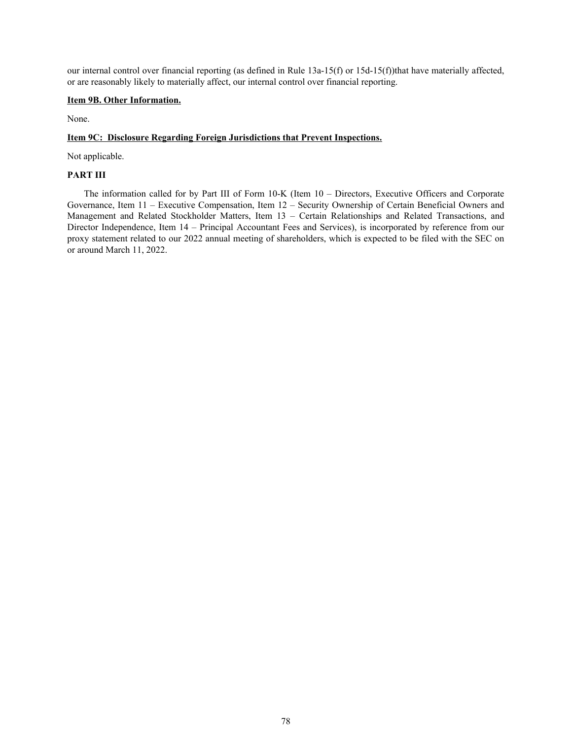our internal control over financial reporting (as defined in Rule 13a-15(f) or 15d-15(f))that have materially affected, or are reasonably likely to materially affect, our internal control over financial reporting.

# **Item 9B. Other Information.**

None.

# **Item 9C: Disclosure Regarding Foreign Jurisdictions that Prevent Inspections.**

Not applicable.

# **PART III**

The information called for by Part III of Form 10-K (Item 10 – Directors, Executive Officers and Corporate Governance, Item 11 – Executive Compensation, Item 12 – Security Ownership of Certain Beneficial Owners and Management and Related Stockholder Matters, Item 13 – Certain Relationships and Related Transactions, and Director Independence, Item 14 – Principal Accountant Fees and Services), is incorporated by reference from our proxy statement related to our 2022 annual meeting of shareholders, which is expected to be filed with the SEC on or around March 11, 2022.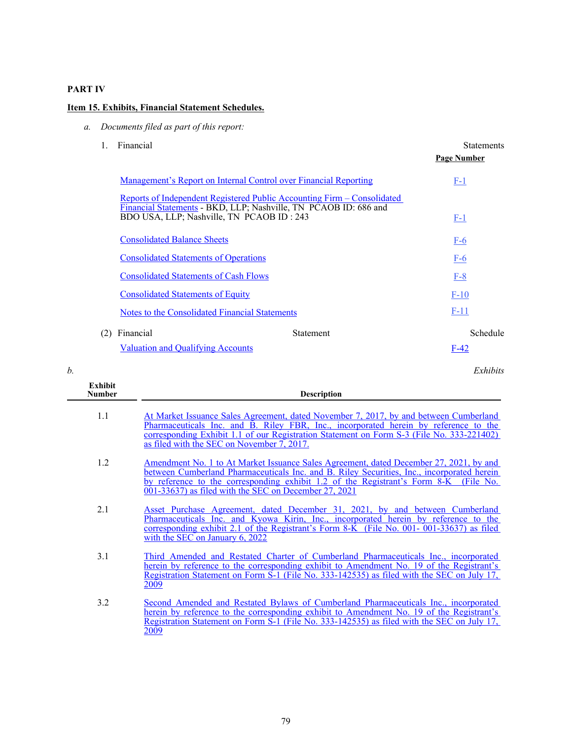# **PART IV**

# **Item 15. Exhibits, Financial Statement Schedules.**

- *a. Documents filed as part of this report:*
	- 1. Financial Statements

|     |                                                                                                                                                                                                  |                  | Page Number |
|-----|--------------------------------------------------------------------------------------------------------------------------------------------------------------------------------------------------|------------------|-------------|
|     | <u>Management's Report on Internal Control over Financial Reporting</u>                                                                                                                          |                  | $F-1$       |
|     | <u> Reports of Independent Registered Public Accounting Firm – Consolidated</u><br>Financial Statements - BKD, LLP; Nashville, TN PCAOB ID: 686 and<br>BDO USA, LLP; Nashville, TN PCAOB ID: 243 |                  | $F-1$       |
|     | <b>Consolidated Balance Sheets</b>                                                                                                                                                               |                  | $F-6$       |
|     | <b>Consolidated Statements of Operations</b>                                                                                                                                                     |                  | $F-6$       |
|     | <b>Consolidated Statements of Cash Flows</b>                                                                                                                                                     |                  | $F-8$       |
|     | <b>Consolidated Statements of Equity</b>                                                                                                                                                         |                  | $F-10$      |
|     | <b>Notes to the Consolidated Financial Statements</b>                                                                                                                                            |                  | $F-11$      |
| (2) | Financial                                                                                                                                                                                        | <b>Statement</b> | Schedule    |
|     | <b>Valuation and Qualifying Accounts</b>                                                                                                                                                         |                  | $F-42$      |
| h.  |                                                                                                                                                                                                  |                  | Exhibits    |

| Exhibit<br><b>Number</b> | <b>Description</b>                                                                                                                                                                                                                                                                                                                          |
|--------------------------|---------------------------------------------------------------------------------------------------------------------------------------------------------------------------------------------------------------------------------------------------------------------------------------------------------------------------------------------|
| 1.1                      | At Market Issuance Sales Agreement, dated November 7, 2017, by and between Cumberland<br>Pharmaceuticals Inc. and B. Riley FBR, Inc., incorporated herein by reference to the<br>corresponding Exhibit 1.1 of our Registration Statement on Form S-3 (File No. 333-221402)<br>as filed with the SEC on November 7, 2017.                    |
| 1.2                      | Amendment No. 1 to At Market Issuance Sales Agreement, dated December 27, 2021, by and<br>between Cumberland Pharmaceuticals Inc. and B. Riley Securities, Inc., incorporated herein<br>by reference to the corresponding exhibit 1.2 of the Registrant's Form 8-K<br>(File No.<br>$001-33637$ ) as filed with the SEC on December 27, 2021 |
| 2.1                      | Asset Purchase Agreement, dated December 31, 2021, by and between Cumberland<br>Pharmaceuticals Inc. and Kyowa Kirin, Inc., incorporated herein by reference to the<br>corresponding exhibit 2.1 of the Registrant's Form 8-K (File No. 001-001-33637) as filed<br>with the SEC on January 6, 2022                                          |
| 3.1                      | Third Amended and Restated Charter of Cumberland Pharmaceuticals Inc., incorporated<br>herein by reference to the corresponding exhibit to Amendment No. 19 of the Registrant's<br>Registration Statement on Form S-1 (File No. 333-142535) as filed with the SEC on July 17,<br>200 <sup>9</sup>                                           |
| 3.2                      | Second Amended and Restated Bylaws of Cumberland Pharmaceuticals Inc., incorporated<br>herein by reference to the corresponding exhibit to Amendment No. 19 of the Registrant's<br>Registration Statement on Form S-1 (File No. 333-142535) as filed with the SEC on July 17,<br>2009                                                       |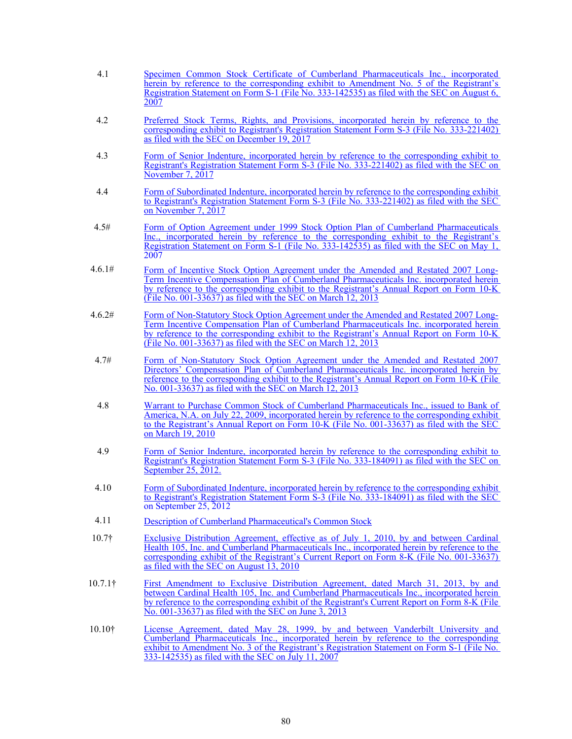| 4.1             | Specimen Common Stock Certificate of Cumberland Pharmaceuticals Inc., incorporated<br>herein by reference to the corresponding exhibit to Amendment No. 5 of the Registrant's<br>Registration Statement on Form S-1 (File No. 333-142535) as filed with the SEC on August 6,<br>2007                                                             |
|-----------------|--------------------------------------------------------------------------------------------------------------------------------------------------------------------------------------------------------------------------------------------------------------------------------------------------------------------------------------------------|
| 4.2             | Preferred Stock Terms, Rights, and Provisions, incorporated herein by reference to the<br>corresponding exhibit to Registrant's Registration Statement Form S-3 (File No. 333-221402)<br>as filed with the SEC on December 19, 2017                                                                                                              |
| 4.3             | Form of Senior Indenture, incorporated herein by reference to the corresponding exhibit to<br>Registrant's Registration Statement Form S-3 (File No. 333-221402) as filed with the SEC on<br>November 7, 2017                                                                                                                                    |
| 4.4             | Form of Subordinated Indenture, incorporated herein by reference to the corresponding exhibit<br>to Registrant's Registration Statement Form S-3 (File No. 333-221402) as filed with the SEC<br>on November 7, 2017                                                                                                                              |
| 4.5#            | Form of Option Agreement under 1999 Stock Option Plan of Cumberland Pharmaceuticals<br>Inc., incorporated herein by reference to the corresponding exhibit to the Registrant's<br>Registration Statement on Form S-1 (File No. 333-142535) as filed with the SEC on May 1,<br>2007                                                               |
| 4.6.1#          | Form of Incentive Stock Option Agreement under the Amended and Restated 2007 Long-<br>Term Incentive Compensation Plan of Cumberland Pharmaceuticals Inc. incorporated herein<br>by reference to the corresponding exhibit to the Registrant's Annual Report on Form 10-K<br>$(File No. 001-33637)$ as filed with the SEC on March 12, 2013      |
| 4.6.2#          | Form of Non-Statutory Stock Option Agreement under the Amended and Restated 2007 Long-<br>Term Incentive Compensation Plan of Cumberland Pharmaceuticals Inc. incorporated herein<br>by reference to the corresponding exhibit to the Registrant's Annual Report on Form 10-K<br>(File No. $001-33637$ ) as filed with the SEC on March 12, 2013 |
| 4.7#            | Form of Non-Statutory Stock Option Agreement under the Amended and Restated 2007<br>Directors' Compensation Plan of Cumberland Pharmaceuticals Inc. incorporated herein by<br>reference to the corresponding exhibit to the Registrant's Annual Report on Form 10-K (File<br>No. 001-33637) as filed with the SEC on March 12, 2013              |
| 4.8             | Warrant to Purchase Common Stock of Cumberland Pharmaceuticals Inc., issued to Bank of<br>America, N.A. on July 22, 2009, incorporated herein by reference to the corresponding exhibit<br>to the Registrant's Annual Report on Form 10-K (File No. 001-33637) as filed with the SEC<br>on March 19, 2010                                        |
| 4.9             | Form of Senior Indenture, incorporated herein by reference to the corresponding exhibit to<br>Registrant's Registration Statement Form S-3 (File No. 333-184091) as filed with the SEC on<br>September $25, 2012$ .                                                                                                                              |
| 4.10            | Form of Subordinated Indenture, incorporated herein by reference to the corresponding exhibit<br>to Registrant's Registration Statement Form S-3 (File No. 333-184091) as filed with the SEC<br>on September 25, 2012                                                                                                                            |
| 4.11            | <b>Description of Cumberland Pharmaceutical's Common Stock</b>                                                                                                                                                                                                                                                                                   |
| 10.7†           | Exclusive Distribution Agreement, effective as of July 1, 2010, by and between Cardinal<br>Health 105, Inc. and Cumberland Pharmaceuticals Inc., incorporated herein by reference to the<br>corresponding exhibit of the Registrant's Current Report on Form 8-K (File No. 001-33637)<br>as filed with the SEC on August 13, 2010                |
| $10.7.1\dagger$ | First Amendment to Exclusive Distribution Agreement, dated March 31, 2013, by and<br>between Cardinal Health 105, Inc. and Cumberland Pharmaceuticals Inc., incorporated herein<br>by reference to the corresponding exhibit of the Registrant's Current Report on Form 8-K (File<br>No. 001-33637) as filed with the SEC on June 3, $2013$      |
| $10.10\dagger$  | License Agreement, dated May 28, 1999, by and between Vanderbilt University and<br>Cumberland Pharmaceuticals Inc., incorporated herein by reference to the corresponding<br>exhibit to Amendment No. 3 of the Registrant's Registration Statement on Form S-1 (File No.<br>$333-142535$ ) as filed with the SEC on July 11, 2007                |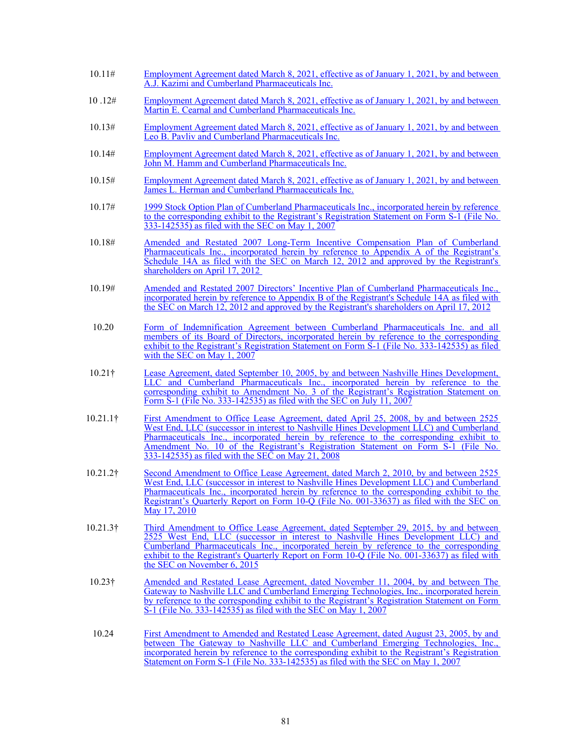- 10.11# Employment Agreement dated March 8, 2021, effective as of January 1, 2021, by and between A.J. Kazimi and Cumberland Pharmaceuticals Inc.
- 10 .12# Employment Agreement dated March 8, 2021, effective as of January 1, 2021, by and between Martin E. Cearnal and Cumberland Pharmaceuticals Inc.
- 10.13# Employment Agreement dated March 8, 2021, effective as of January 1, 2021, by and between Leo B. Pavliv and Cumberland Pharmaceuticals Inc.
- 10.14# Employment Agreement dated March 8, 2021, effective as of January 1, 2021, by and between John M. Hamm and Cumberland Pharmaceuticals Inc.
- 10.15# Employment Agreement dated March 8, 2021, effective as of January 1, 2021, by and between James L. Herman and Cumberland Pharmaceuticals Inc.
- 10.17# 1999 Stock Option Plan of Cumberland Pharmaceuticals Inc., incorporated herein by reference to the corresponding exhibit to the Registrant's Registration Statement on Form S-1 (File No. 333-142535) as filed with the SEC on May 1, 2007
- 10.18# Amended and Restated 2007 Long-Term Incentive Compensation Plan of Cumberland Pharmaceuticals Inc., incorporated herein by reference to Appendix A of the Registrant's Schedule 14A as filed with the SEC on March 12, 2012 and approved by the Registrant's shareholders on April 17, 2012
- 10.19# Amended and Restated 2007 Directors' Incentive Plan of Cumberland Pharmaceuticals Inc., incorporated herein by reference to Appendix B of the Registrant's Schedule 14A as filed with the SEC on March 12, 2012 and approved by the Registrant's shareholders on April 17, 2012
- 10.20 Form of Indemnification Agreement between Cumberland Pharmaceuticals Inc. and all members of its Board of Directors, incorporated herein by reference to the corresponding exhibit to the Registrant's Registration Statement on Form S-1 (File No. 333-142535) as filed with the SEC on May 1, 2007
- 10.21† Lease Agreement, dated September 10, 2005, by and between Nashville Hines Development, LLC and Cumberland Pharmaceuticals Inc., incorporated herein by reference to the corresponding exhibit to Amendment No. 3 of the Registrant's Registration Statement on Form S-1 (File No. 333-142535) as filed with the SEC on July 11, 2007
- 10.21.1† First Amendment to Office Lease Agreement, dated April 25, 2008, by and between 2525 West End, LLC (successor in interest to Nashville Hines Development LLC) and Cumberland Pharmaceuticals Inc., incorporated herein by reference to the corresponding exhibit to Amendment No. 10 of the Registrant's Registration Statement on Form S-1 (File No. 333-142535) as filed with the SEC on May 21, 2008
- 10.21.2† Second Amendment to Office Lease Agreement, dated March 2, 2010, by and between 2525 West End, LLC (successor in interest to Nashville Hines Development LLC) and Cumberland Pharmaceuticals Inc., incorporated herein by reference to the corresponding exhibit to the Registrant's Quarterly Report on Form 10-Q (File No. 001-33637) as filed with the SEC on May 17, 2010
- 10.21.3† Third Amendment to Office Lease Agreement, dated September 29, 2015, by and between 2525 West End, LLC (successor in interest to Nashville Hines Development LLC) and Cumberland Pharmaceuticals Inc., incorporated herein by reference to the corresponding exhibit to the Registrant's Quarterly Report on Form 10-Q (File No. 001-33637) as filed with the SEC on November 6, 2015
- 10.23† Amended and Restated Lease Agreement, dated November 11, 2004, by and between The Gateway to Nashville LLC and Cumberland Emerging Technologies, Inc., incorporated herein by reference to the corresponding exhibit to the Registrant's Registration Statement on Form S-1 (File No. 333-142535) as filed with the SEC on May 1, 2007
- 10.24 First Amendment to Amended and Restated Lease Agreement, dated August 23, 2005, by and between The Gateway to Nashville LLC and Cumberland Emerging Technologies, Inc., incorporated herein by reference to the corresponding exhibit to the Registrant's Registration Statement on Form S-1 (File No. 333-142535) as filed with the SEC on May 1, 2007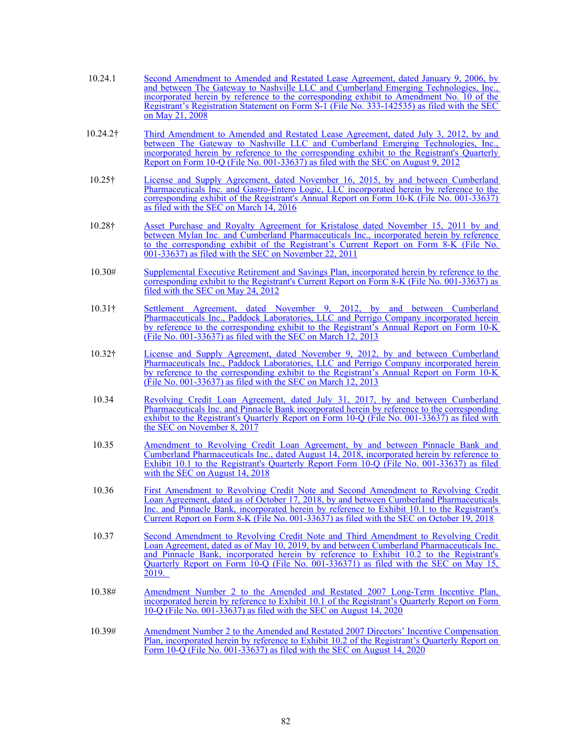- 10.24.1 Second Amendment to Amended and Restated Lease Agreement, dated January 9, 2006, by and between The Gateway to Nashville LLC and Cumberland Emerging Technologies, Inc., incorporated herein by reference to the corresponding exhibit to Amendment No. 10 of the Registrant's Registration Statement on Form S-1 (File No. 333-142535) as filed with the SEC on May 21, 2008
- 10.24.2† Third Amendment to Amended and Restated Lease Agreement, dated July 3, 2012, by and between The Gateway to Nashville LLC and Cumberland Emerging Technologies, Inc., incorporated herein by reference to the corresponding exhibit to the Registrant's Quarterly Report on Form 10-Q (File No. 001-33637) as filed with the SEC on August 9, 2012
- 10.25† License and Supply Agreement, dated November 16, 2015, by and between Cumberland Pharmaceuticals Inc. and Gastro-Entero Logic, LLC incorporated herein by reference to the corresponding exhibit of the Registrant's Annual Report on Form 10-K (File No. 001-33637) as filed with the SEC on March 14, 2016
- 10.28† Asset Purchase and Royalty Agreement for Kristalose dated November 15, 2011 by and between Mylan Inc. and Cumberland Pharmaceuticals Inc., incorporated herein by reference to the corresponding exhibit of the Registrant's Current Report on Form 8-K (File No. 001-33637) as filed with the SEC on November 22, 2011
- 10.30# Supplemental Executive Retirement and Savings Plan, incorporated herein by reference to the corresponding exhibit to the Registrant's Current Report on Form 8-K (File No. 001-33637) as filed with the SEC on May 24, 2012
- 10.31† Settlement Agreement, dated November 9, 2012, by and between Cumberland Pharmaceuticals Inc., Paddock Laboratories, LLC and Perrigo Company incorporated herein by reference to the corresponding exhibit to the Registrant's Annual Report on Form 10-K (File No. 001-33637) as filed with the SEC on March 12, 2013
- 10.32† License and Supply Agreement, dated November 9, 2012, by and between Cumberland Pharmaceuticals Inc., Paddock Laboratories, LLC and Perrigo Company incorporated herein by reference to the corresponding exhibit to the Registrant's Annual Report on Form 10-K (File No. 001-33637) as filed with the SEC on March 12, 2013
- 10.34 Revolving Credit Loan Agreement, dated July 31, 2017, by and between Cumberland Pharmaceuticals Inc. and Pinnacle Bank incorporated herein by reference to the corresponding exhibit to the Registrant's Quarterly Report on Form 10-Q (File No. 001-33637) as filed with the SEC on November 8, 2017
- 10.35 Amendment to Revolving Credit Loan Agreement, by and between Pinnacle Bank and Cumberland Pharmaceuticals Inc., dated August 14, 2018, incorporated herein by reference to Exhibit 10.1 to the Registrant's Quarterly Report Form 10-Q (File No. 001-33637) as filed with the SEC on August 14, 2018
- 10.36 First Amendment to Revolving Credit Note and Second Amendment to Revolving Credit Loan Agreement, dated as of October 17, 2018, by and between Cumberland Pharmaceuticals Inc. and Pinnacle Bank, incorporated herein by reference to Exhibit 10.1 to the Registrant's Current Report on Form 8-K (File No. 001-33637) as filed with the SEC on October 19, 2018
- 10.37 Second Amendment to Revolving Credit Note and Third Amendment to Revolving Credit Loan Agreement, dated as of May 10, 2019, by and between Cumberland Pharmaceuticals Inc. and Pinnacle Bank, incorporated herein by reference to Exhibit 10.2 to the Registrant's Quarterly Report on Form 10-Q (File No. 001-336371) as filed with the SEC on May 15, 2019.
- 10.38# Amendment Number 2 to the Amended and Restated 2007 Long-Term Incentive Plan, incorporated herein by reference to Exhibit 10.1 of the Registrant's Quarterly Report on Form 10-Q (File No. 001-33637) as filed with the SEC on August 14, 2020
- 10.39# Amendment Number 2 to the Amended and Restated 2007 Directors' Incentive Compensation Plan, incorporated herein by reference to Exhibit 10.2 of the Registrant's Quarterly Report on Form 10-Q (File No. 001-33637) as filed with the SEC on August 14, 2020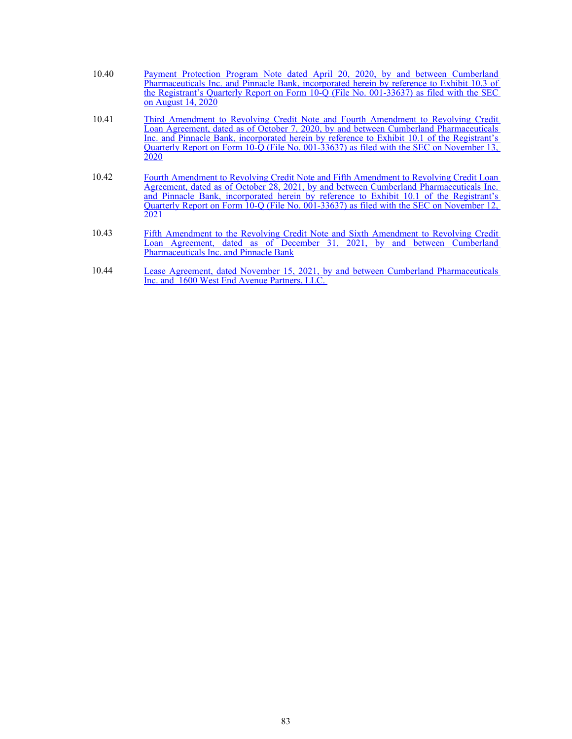- 10.40 Payment Protection Program Note dated April 20, 2020, by and between Cumberland Pharmaceuticals Inc. and Pinnacle Bank, incorporated herein by reference to Exhibit 10.3 of the Registrant's Quarterly Report on Form 10-Q (File No. 001-33637) as filed with the SEC on August 14, 2020
- 10.41 Third Amendment to Revolving Credit Note and Fourth Amendment to Revolving Credit Loan Agreement, dated as of October 7, 2020, by and between Cumberland Pharmaceuticals Inc. and Pinnacle Bank, incorporated herein by reference to Exhibit 10.1 of the Registrant's Quarterly Report on Form 10-Q (File No. 001-33637) as filed with the SEC on November 13,  $2020$
- 10.42 Fourth Amendment to Revolving Credit Note and Fifth Amendment to Revolving Credit Loan Agreement, dated as of October 28, 2021, by and between Cumberland Pharmaceuticals Inc. and Pinnacle Bank, incorporated herein by reference to Exhibit 10.1 of the Registrant's Quarterly Report on Form 10-Q (File No. 001-33637) as filed with the SEC on November 12, 2021
- 10.43 Fifth Amendment to the Revolving Credit Note and Sixth Amendment to Revolving Credit Loan Agreement, dated as of December 31, 2021, by and between Cumberland Pharmaceuticals Inc. and Pinnacle Bank
- 10.44 Lease Agreement, dated November 15, 2021, by and between Cumberland Pharmaceuticals Inc. and 1600 West End Avenue Partners, LLC.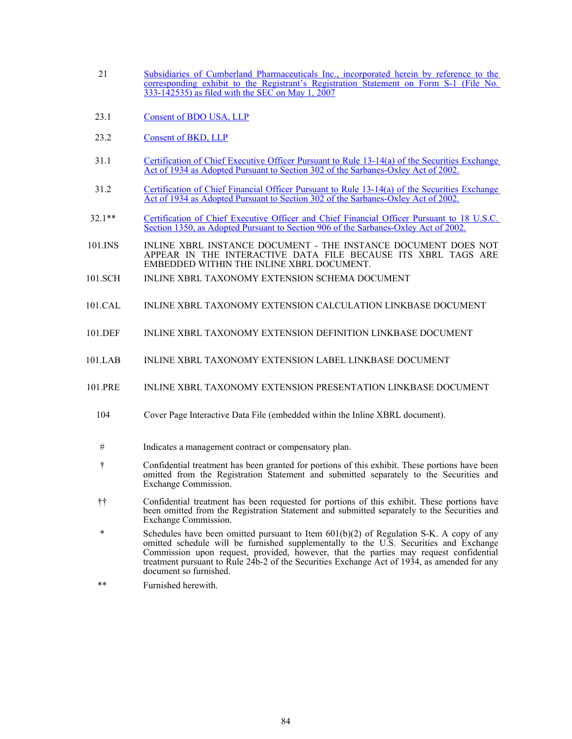- 21 Subsidiaries of Cumberland Pharmaceuticals Inc., incorporated herein by reference to the corresponding exhibit to the Registrant's Registration Statement on Form S-1 (File No.  $333 - 142535$ ) as filed with the SEC on May 1, 2007
- 23.1 Consent of BDO USA, LLP
- 23.2 Consent of BKD, LLP
- 31.1 Certification of Chief Executive Officer Pursuant to Rule 13-14(a) of the Securities Exchange Act of 1934 as Adopted Pursuant to Section 302 of the Sarbanes-Oxley Act of 2002.
- 31.2 Certification of Chief Financial Officer Pursuant to Rule 13-14(a) of the Securities Exchange Act of 1934 as Adopted Pursuant to Section 302 of the Sarbanes-Oxley Act of 2002.
- 32.1\*\* Certification of Chief Executive Officer and Chief Financial Officer Pursuant to 18 U.S.C. Section 1350, as Adopted Pursuant to Section 906 of the Sarbanes-Oxley Act of 2002.
- 101.INS INLINE XBRL INSTANCE DOCUMENT THE INSTANCE DOCUMENT DOES NOT APPEAR IN THE INTERACTIVE DATA FILE BECAUSE ITS XBRL TAGS ARE EMBEDDED WITHIN THE INLINE XBRL DOCUMENT.
- 101.SCH INLINE XBRL TAXONOMY EXTENSION SCHEMA DOCUMENT
- 101.CAL INLINE XBRL TAXONOMY EXTENSION CALCULATION LINKBASE DOCUMENT
- 101.DEF INLINE XBRL TAXONOMY EXTENSION DEFINITION LINKBASE DOCUMENT
- 101.LAB INLINE XBRL TAXONOMY EXTENSION LABEL LINKBASE DOCUMENT
- 101.PRE INLINE XBRL TAXONOMY EXTENSION PRESENTATION LINKBASE DOCUMENT
	- 104 Cover Page Interactive Data File (embedded within the Inline XBRL document).
	- # Indicates a management contract or compensatory plan.
	- † Confidential treatment has been granted for portions of this exhibit. These portions have been omitted from the Registration Statement and submitted separately to the Securities and Exchange Commission.
	- †† Confidential treatment has been requested for portions of this exhibit. These portions have been omitted from the Registration Statement and submitted separately to the Securities and Exchange Commission.
	- Schedules have been omitted pursuant to Item  $601(b)(2)$  of Regulation S-K. A copy of any omitted schedule will be furnished supplementally to the U.S. Securities and Exchange Commission upon request, provided, however, that the parties may request confidential treatment pursuant to Rule 24b-2 of the Securities Exchange Act of 1934, as amended for any document so furnished.
	- \*\* Furnished herewith.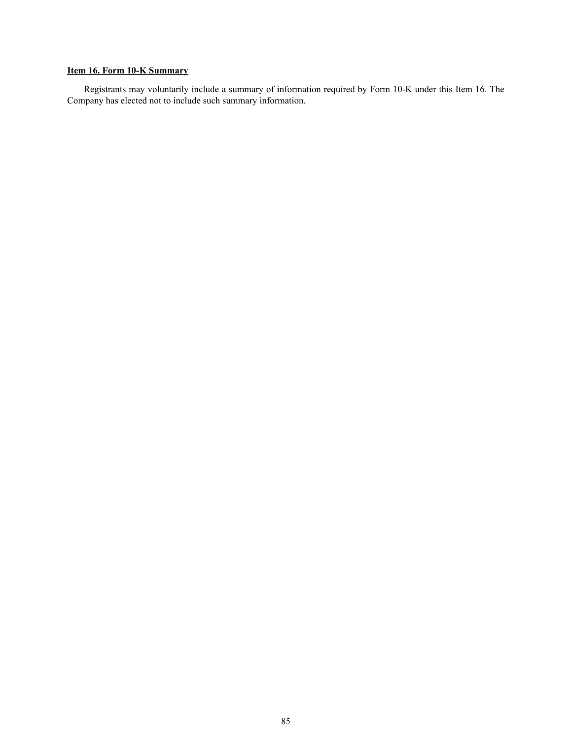# **Item 16. Form 10-K Summary**

Registrants may voluntarily include a summary of information required by Form 10-K under this Item 16. The Company has elected not to include such summary information.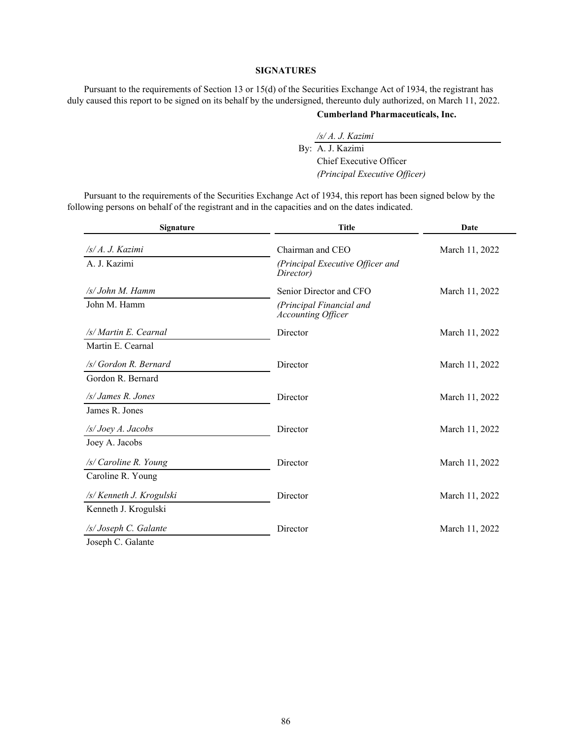# **SIGNATURES**

Pursuant to the requirements of Section 13 or 15(d) of the Securities Exchange Act of 1934, the registrant has duly caused this report to be signed on its behalf by the undersigned, thereunto duly authorized, on March 11, 2022.

# **Cumberland Pharmaceuticals, Inc.**

*/s/ A. J. Kazimi*

By: A. J. Kazimi Chief Executive Officer *(Principal Executive Officer)*

Pursuant to the requirements of the Securities Exchange Act of 1934, this report has been signed below by the following persons on behalf of the registrant and in the capacities and on the dates indicated.

| Signature                 | <b>Title</b>                                          | Date           |
|---------------------------|-------------------------------------------------------|----------------|
| $\sqrt{s}/A$ . J. Kazimi  | Chairman and CEO                                      | March 11, 2022 |
| A. J. Kazimi              | (Principal Executive Officer and<br>Director)         |                |
| $\sqrt{s}$ . John M. Hamm | Senior Director and CFO                               | March 11, 2022 |
| John M. Hamm              | (Principal Financial and<br><b>Accounting Officer</b> |                |
| /s/ Martin E. Cearnal     | Director                                              | March 11, 2022 |
| Martin E. Cearnal         |                                                       |                |
| /s/ Gordon R. Bernard     | Director                                              | March 11, 2022 |
| Gordon R. Bernard         |                                                       |                |
| /s/James R. Jones         | Director                                              | March 11, 2022 |
| James R. Jones            |                                                       |                |
| /s/ Joey A. Jacobs        | Director                                              | March 11, 2022 |
| Joey A. Jacobs            |                                                       |                |
| /s/ Caroline R. Young     | Director                                              | March 11, 2022 |
| Caroline R. Young         |                                                       |                |
| /s/ Kenneth J. Krogulski  | Director                                              | March 11, 2022 |
| Kenneth J. Krogulski      |                                                       |                |
| /s/ Joseph C. Galante     | Director                                              | March 11, 2022 |
| Joseph C. Galante         |                                                       |                |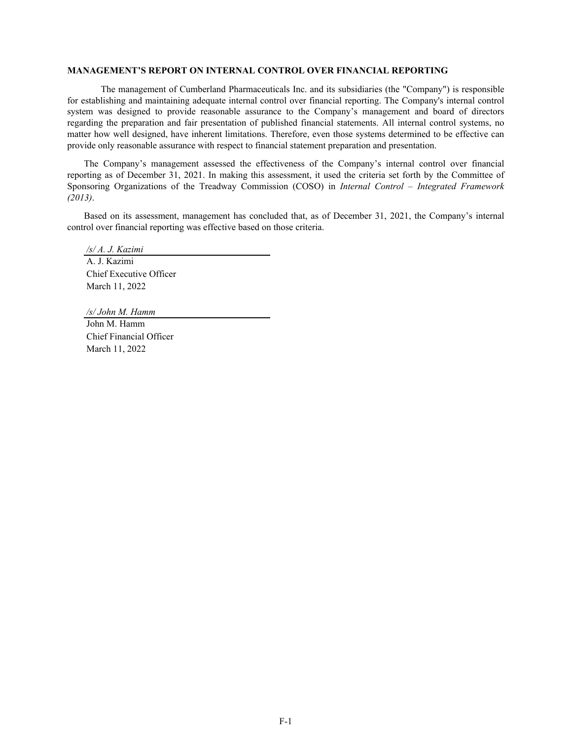## **MANAGEMENT'S REPORT ON INTERNAL CONTROL OVER FINANCIAL REPORTING**

The management of Cumberland Pharmaceuticals Inc. and its subsidiaries (the "Company") is responsible for establishing and maintaining adequate internal control over financial reporting. The Company's internal control system was designed to provide reasonable assurance to the Company's management and board of directors regarding the preparation and fair presentation of published financial statements. All internal control systems, no matter how well designed, have inherent limitations. Therefore, even those systems determined to be effective can provide only reasonable assurance with respect to financial statement preparation and presentation.

The Company's management assessed the effectiveness of the Company's internal control over financial reporting as of December 31, 2021. In making this assessment, it used the criteria set forth by the Committee of Sponsoring Organizations of the Treadway Commission (COSO) in *Internal Control – Integrated Framework (2013)*.

Based on its assessment, management has concluded that, as of December 31, 2021, the Company's internal control over financial reporting was effective based on those criteria.

*/s/ A. J. Kazimi* A. J. Kazimi Chief Executive Officer March 11, 2022

*/s/ John M. Hamm*

John M. Hamm Chief Financial Officer March 11, 2022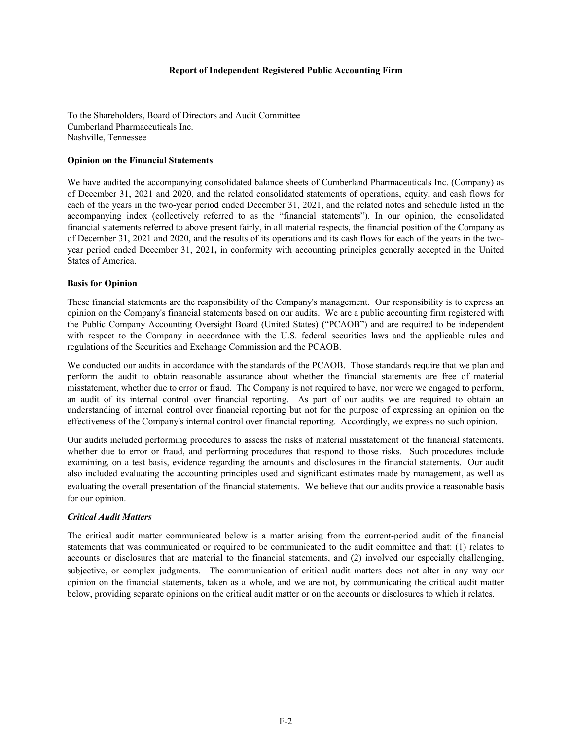### **Report of Independent Registered Public Accounting Firm**

To the Shareholders, Board of Directors and Audit Committee Cumberland Pharmaceuticals Inc. Nashville, Tennessee

#### **Opinion on the Financial Statements**

We have audited the accompanying consolidated balance sheets of Cumberland Pharmaceuticals Inc. (Company) as of December 31, 2021 and 2020, and the related consolidated statements of operations, equity, and cash flows for each of the years in the two-year period ended December 31, 2021, and the related notes and schedule listed in the accompanying index (collectively referred to as the "financial statements"). In our opinion, the consolidated financial statements referred to above present fairly, in all material respects, the financial position of the Company as of December 31, 2021 and 2020, and the results of its operations and its cash flows for each of the years in the twoyear period ended December 31, 2021**,** in conformity with accounting principles generally accepted in the United States of America.

#### **Basis for Opinion**

These financial statements are the responsibility of the Company's management. Our responsibility is to express an opinion on the Company's financial statements based on our audits. We are a public accounting firm registered with the Public Company Accounting Oversight Board (United States) ("PCAOB") and are required to be independent with respect to the Company in accordance with the U.S. federal securities laws and the applicable rules and regulations of the Securities and Exchange Commission and the PCAOB.

We conducted our audits in accordance with the standards of the PCAOB. Those standards require that we plan and perform the audit to obtain reasonable assurance about whether the financial statements are free of material misstatement, whether due to error or fraud. The Company is not required to have, nor were we engaged to perform, an audit of its internal control over financial reporting. As part of our audits we are required to obtain an understanding of internal control over financial reporting but not for the purpose of expressing an opinion on the effectiveness of the Company's internal control over financial reporting. Accordingly, we express no such opinion.

Our audits included performing procedures to assess the risks of material misstatement of the financial statements, whether due to error or fraud, and performing procedures that respond to those risks. Such procedures include examining, on a test basis, evidence regarding the amounts and disclosures in the financial statements. Our audit also included evaluating the accounting principles used and significant estimates made by management, as well as evaluating the overall presentation of the financial statements. We believe that our audits provide a reasonable basis for our opinion.

## *Critical Audit Matters*

The critical audit matter communicated below is a matter arising from the current-period audit of the financial statements that was communicated or required to be communicated to the audit committee and that: (1) relates to accounts or disclosures that are material to the financial statements, and (2) involved our especially challenging, subjective, or complex judgments. The communication of critical audit matters does not alter in any way our opinion on the financial statements, taken as a whole, and we are not, by communicating the critical audit matter below, providing separate opinions on the critical audit matter or on the accounts or disclosures to which it relates.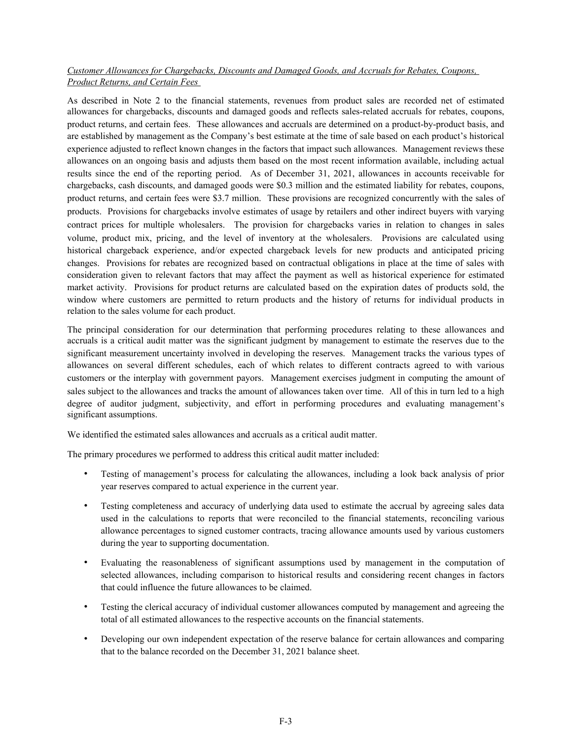# *Customer Allowances for Chargebacks, Discounts and Damaged Goods, and Accruals for Rebates, Coupons, Product Returns, and Certain Fees*

As described in Note 2 to the financial statements, revenues from product sales are recorded net of estimated allowances for chargebacks, discounts and damaged goods and reflects sales-related accruals for rebates, coupons, product returns, and certain fees. These allowances and accruals are determined on a product-by-product basis, and are established by management as the Company's best estimate at the time of sale based on each product's historical experience adjusted to reflect known changes in the factors that impact such allowances. Management reviews these allowances on an ongoing basis and adjusts them based on the most recent information available, including actual results since the end of the reporting period. As of December 31, 2021, allowances in accounts receivable for chargebacks, cash discounts, and damaged goods were \$0.3 million and the estimated liability for rebates, coupons, product returns, and certain fees were \$3.7 million. These provisions are recognized concurrently with the sales of products. Provisions for chargebacks involve estimates of usage by retailers and other indirect buyers with varying contract prices for multiple wholesalers. The provision for chargebacks varies in relation to changes in sales volume, product mix, pricing, and the level of inventory at the wholesalers. Provisions are calculated using historical chargeback experience, and/or expected chargeback levels for new products and anticipated pricing changes. Provisions for rebates are recognized based on contractual obligations in place at the time of sales with consideration given to relevant factors that may affect the payment as well as historical experience for estimated market activity. Provisions for product returns are calculated based on the expiration dates of products sold, the window where customers are permitted to return products and the history of returns for individual products in relation to the sales volume for each product.

The principal consideration for our determination that performing procedures relating to these allowances and accruals is a critical audit matter was the significant judgment by management to estimate the reserves due to the significant measurement uncertainty involved in developing the reserves. Management tracks the various types of allowances on several different schedules, each of which relates to different contracts agreed to with various customers or the interplay with government payors. Management exercises judgment in computing the amount of sales subject to the allowances and tracks the amount of allowances taken over time. All of this in turn led to a high degree of auditor judgment, subjectivity, and effort in performing procedures and evaluating management's significant assumptions.

We identified the estimated sales allowances and accruals as a critical audit matter.

The primary procedures we performed to address this critical audit matter included:

- Testing of management's process for calculating the allowances, including a look back analysis of prior year reserves compared to actual experience in the current year.
- Testing completeness and accuracy of underlying data used to estimate the accrual by agreeing sales data used in the calculations to reports that were reconciled to the financial statements, reconciling various allowance percentages to signed customer contracts, tracing allowance amounts used by various customers during the year to supporting documentation.
- Evaluating the reasonableness of significant assumptions used by management in the computation of selected allowances, including comparison to historical results and considering recent changes in factors that could influence the future allowances to be claimed.
- Testing the clerical accuracy of individual customer allowances computed by management and agreeing the total of all estimated allowances to the respective accounts on the financial statements.
- Developing our own independent expectation of the reserve balance for certain allowances and comparing that to the balance recorded on the December 31, 2021 balance sheet.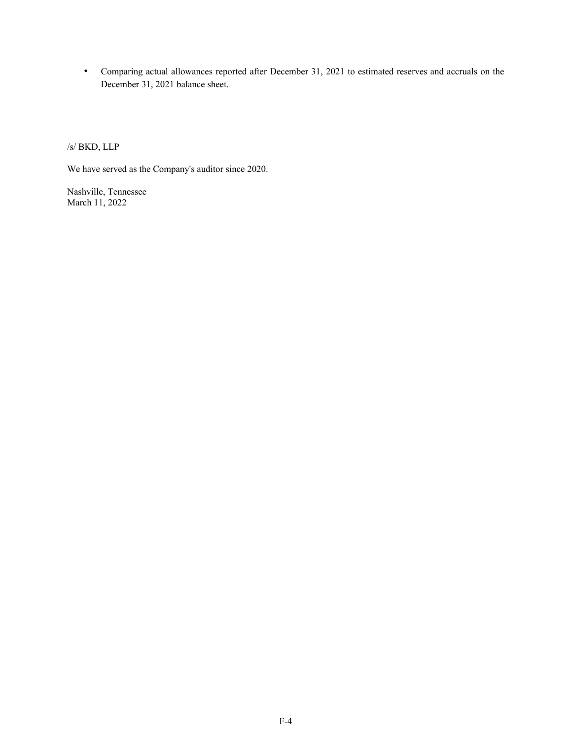• Comparing actual allowances reported after December 31, 2021 to estimated reserves and accruals on the December 31, 2021 balance sheet.

/s/ BKD, LLP

We have served as the Company's auditor since 2020.

Nashville, Tennessee March 11, 2022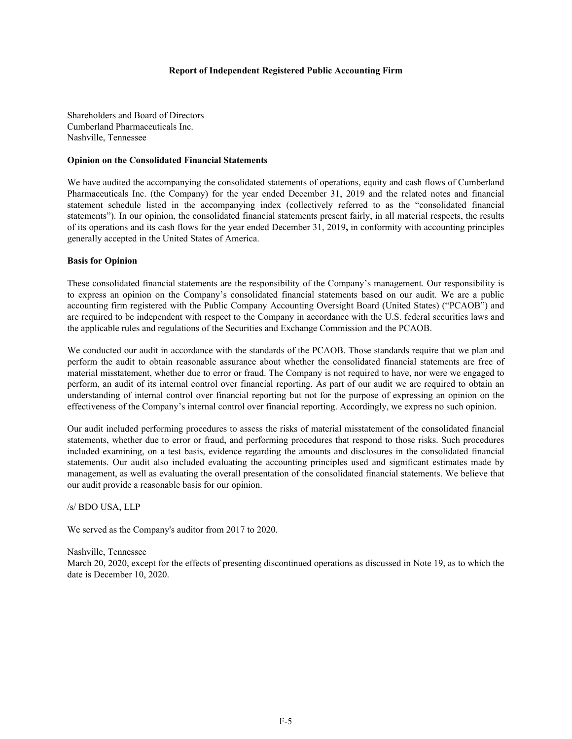## **Report of Independent Registered Public Accounting Firm**

Shareholders and Board of Directors Cumberland Pharmaceuticals Inc. Nashville, Tennessee

# **Opinion on the Consolidated Financial Statements**

We have audited the accompanying the consolidated statements of operations, equity and cash flows of Cumberland Pharmaceuticals Inc. (the Company) for the year ended December 31, 2019 and the related notes and financial statement schedule listed in the accompanying index (collectively referred to as the "consolidated financial statements"). In our opinion, the consolidated financial statements present fairly, in all material respects, the results of its operations and its cash flows for the year ended December 31, 2019**,** in conformity with accounting principles generally accepted in the United States of America.

# **Basis for Opinion**

These consolidated financial statements are the responsibility of the Company's management. Our responsibility is to express an opinion on the Company's consolidated financial statements based on our audit. We are a public accounting firm registered with the Public Company Accounting Oversight Board (United States) ("PCAOB") and are required to be independent with respect to the Company in accordance with the U.S. federal securities laws and the applicable rules and regulations of the Securities and Exchange Commission and the PCAOB.

We conducted our audit in accordance with the standards of the PCAOB. Those standards require that we plan and perform the audit to obtain reasonable assurance about whether the consolidated financial statements are free of material misstatement, whether due to error or fraud. The Company is not required to have, nor were we engaged to perform, an audit of its internal control over financial reporting. As part of our audit we are required to obtain an understanding of internal control over financial reporting but not for the purpose of expressing an opinion on the effectiveness of the Company's internal control over financial reporting. Accordingly, we express no such opinion.

Our audit included performing procedures to assess the risks of material misstatement of the consolidated financial statements, whether due to error or fraud, and performing procedures that respond to those risks. Such procedures included examining, on a test basis, evidence regarding the amounts and disclosures in the consolidated financial statements. Our audit also included evaluating the accounting principles used and significant estimates made by management, as well as evaluating the overall presentation of the consolidated financial statements. We believe that our audit provide a reasonable basis for our opinion.

# /s/ BDO USA, LLP

We served as the Company's auditor from 2017 to 2020.

Nashville, Tennessee March 20, 2020, except for the effects of presenting discontinued operations as discussed in Note 19, as to which the date is December 10, 2020.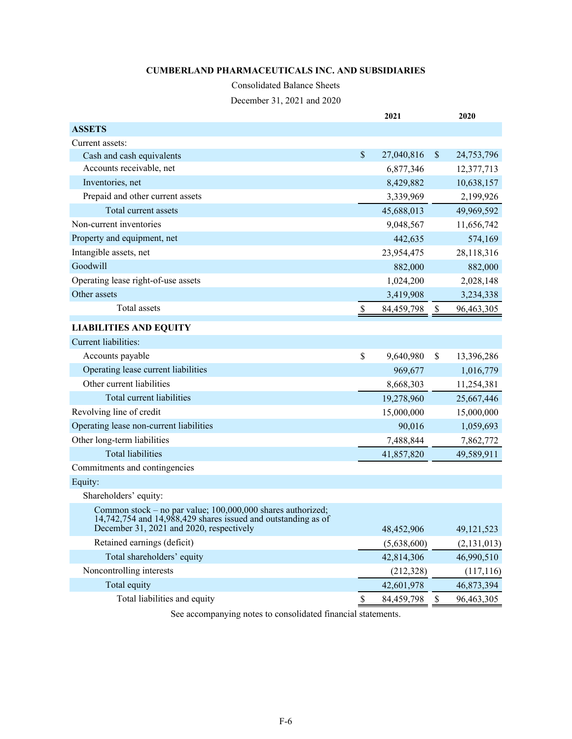# Consolidated Balance Sheets December 31, 2021 and 2020

|                                                                                                                                                                              |                          | 2021        | 2020          |               |
|------------------------------------------------------------------------------------------------------------------------------------------------------------------------------|--------------------------|-------------|---------------|---------------|
| <b>ASSETS</b>                                                                                                                                                                |                          |             |               |               |
| Current assets:                                                                                                                                                              |                          |             |               |               |
| Cash and cash equivalents                                                                                                                                                    | $\mathsf{\$}$            | 27,040,816  | $\mathbb{S}$  | 24,753,796    |
| Accounts receivable, net                                                                                                                                                     |                          | 6,877,346   |               | 12,377,713    |
| Inventories, net                                                                                                                                                             |                          | 8,429,882   |               | 10,638,157    |
| Prepaid and other current assets                                                                                                                                             |                          | 3,339,969   |               | 2,199,926     |
| Total current assets                                                                                                                                                         |                          | 45,688,013  |               | 49,969,592    |
| Non-current inventories                                                                                                                                                      |                          | 9,048,567   |               | 11,656,742    |
| Property and equipment, net                                                                                                                                                  |                          | 442,635     |               | 574,169       |
| Intangible assets, net                                                                                                                                                       |                          | 23,954,475  |               | 28,118,316    |
| Goodwill                                                                                                                                                                     |                          | 882,000     |               | 882,000       |
| Operating lease right-of-use assets                                                                                                                                          |                          | 1,024,200   |               | 2,028,148     |
| Other assets                                                                                                                                                                 |                          | 3,419,908   |               | 3,234,338     |
| Total assets                                                                                                                                                                 | -S                       | 84,459,798  | $\mathcal{P}$ | 96,463,305    |
| <b>LIABILITIES AND EQUITY</b>                                                                                                                                                |                          |             |               |               |
| Current liabilities:                                                                                                                                                         |                          |             |               |               |
| Accounts payable                                                                                                                                                             | $\mathbb{S}$             | 9,640,980   | \$            | 13,396,286    |
| Operating lease current liabilities                                                                                                                                          |                          | 969,677     |               | 1,016,779     |
| Other current liabilities                                                                                                                                                    |                          | 8,668,303   |               | 11,254,381    |
| Total current liabilities                                                                                                                                                    |                          | 19,278,960  |               | 25,667,446    |
| Revolving line of credit                                                                                                                                                     |                          | 15,000,000  |               | 15,000,000    |
| Operating lease non-current liabilities                                                                                                                                      |                          | 90,016      |               | 1,059,693     |
| Other long-term liabilities                                                                                                                                                  |                          | 7,488,844   |               | 7,862,772     |
| <b>Total liabilities</b>                                                                                                                                                     |                          | 41,857,820  |               | 49,589,911    |
| Commitments and contingencies                                                                                                                                                |                          |             |               |               |
| Equity:                                                                                                                                                                      |                          |             |               |               |
| Shareholders' equity:                                                                                                                                                        |                          |             |               |               |
| Common stock – no par value; 100,000,000 shares authorized;<br>$14,742,754$ and $14,988,429$ shares issued and outstanding as of<br>December 31, 2021 and 2020, respectively |                          | 48,452,906  |               | 49, 121, 523  |
| Retained earnings (deficit)                                                                                                                                                  |                          | (5,638,600) |               | (2, 131, 013) |
| Total shareholders' equity                                                                                                                                                   |                          | 42,814,306  |               | 46,990,510    |
| Noncontrolling interests                                                                                                                                                     |                          | (212, 328)  |               | (117, 116)    |
| Total equity                                                                                                                                                                 |                          | 42,601,978  |               | 46,873,394    |
| Total liabilities and equity                                                                                                                                                 |                          | 84,459,798  |               | 96,463,305    |
|                                                                                                                                                                              | $\overline{\mathcal{E}}$ |             | P             |               |

See accompanying notes to consolidated financial statements.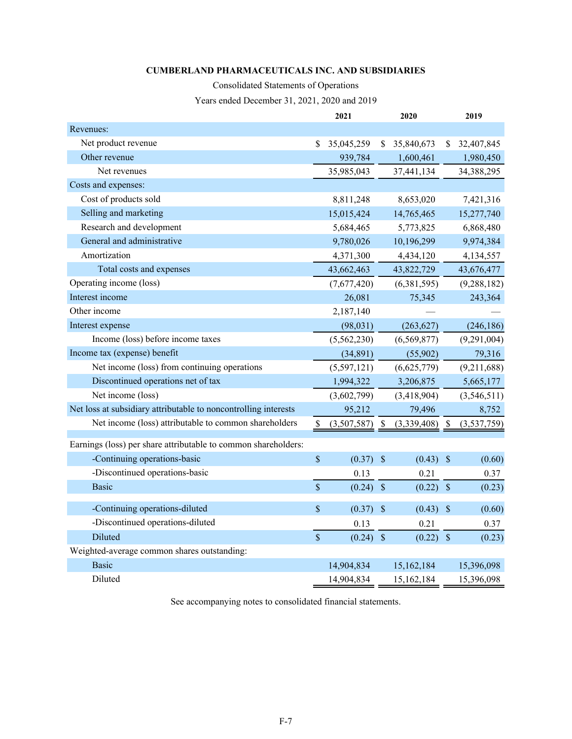# Consolidated Statements of Operations

Years ended December 31, 2021, 2020 and 2019

|                                                                                                |                           | 2021          |               | 2020          |               | 2019          |
|------------------------------------------------------------------------------------------------|---------------------------|---------------|---------------|---------------|---------------|---------------|
| Revenues:                                                                                      |                           |               |               |               |               |               |
| Net product revenue                                                                            | \$                        | 35,045,259    | S.            | 35,840,673    | S.            | 32,407,845    |
| Other revenue                                                                                  |                           | 939,784       |               | 1,600,461     |               | 1,980,450     |
| Net revenues                                                                                   |                           | 35,985,043    |               | 37,441,134    |               | 34,388,295    |
| Costs and expenses:                                                                            |                           |               |               |               |               |               |
| Cost of products sold                                                                          |                           | 8,811,248     |               | 8,653,020     |               | 7,421,316     |
| Selling and marketing                                                                          |                           | 15,015,424    |               | 14,765,465    |               | 15,277,740    |
| Research and development                                                                       |                           | 5,684,465     |               | 5,773,825     |               | 6,868,480     |
| General and administrative                                                                     |                           | 9,780,026     |               | 10,196,299    |               | 9,974,384     |
| Amortization                                                                                   |                           | 4,371,300     |               | 4,434,120     |               | 4,134,557     |
| Total costs and expenses                                                                       |                           | 43,662,463    |               | 43,822,729    |               | 43,676,477    |
| Operating income (loss)                                                                        |                           | (7,677,420)   |               | (6,381,595)   |               | (9, 288, 182) |
| Interest income                                                                                |                           | 26,081        |               | 75,345        |               | 243,364       |
| Other income                                                                                   |                           | 2,187,140     |               |               |               |               |
| Interest expense                                                                               |                           | (98, 031)     |               | (263, 627)    |               | (246, 186)    |
| Income (loss) before income taxes                                                              |                           | (5, 562, 230) |               | (6, 569, 877) |               | (9,291,004)   |
| Income tax (expense) benefit                                                                   |                           | (34,891)      |               | (55,902)      |               | 79,316        |
| Net income (loss) from continuing operations                                                   |                           | (5,597,121)   |               | (6,625,779)   |               | (9,211,688)   |
| Discontinued operations net of tax                                                             |                           | 1,994,322     |               | 3,206,875     |               | 5,665,177     |
| Net income (loss)                                                                              |                           | (3,602,799)   |               | (3,418,904)   |               | (3,546,511)   |
| Net loss at subsidiary attributable to noncontrolling interests                                |                           | 95,212        |               | 79,496        |               | 8,752         |
| Net income (loss) attributable to common shareholders                                          | $\boldsymbol{\mathbb{S}}$ | (3,507,587)   | $\mathcal{S}$ | (3,339,408)   | $\mathbb{S}$  | (3,537,759)   |
|                                                                                                |                           |               |               |               |               |               |
| Earnings (loss) per share attributable to common shareholders:<br>-Continuing operations-basic | $\sqrt{\frac{2}{\pi}}$    |               |               |               |               |               |
| -Discontinued operations-basic                                                                 |                           | (0.37)        | $\mathcal{S}$ | (0.43)        | $\mathcal{S}$ | (0.60)        |
| <b>Basic</b>                                                                                   |                           | 0.13          |               | 0.21          |               | 0.37          |
|                                                                                                | $\mathbf{\hat{S}}$        | (0.24)        | $\mathcal{S}$ | (0.22)        | $\mathcal{S}$ | (0.23)        |
| -Continuing operations-diluted                                                                 | $\sqrt{\frac{2}{\pi}}$    | (0.37)        | $\mathcal{S}$ | (0.43)        | $\sqrt{\ }$   | (0.60)        |
| -Discontinued operations-diluted                                                               |                           | 0.13          |               | 0.21          |               | 0.37          |
| Diluted                                                                                        | $\mathbf{\hat{S}}$        | $(0.24)$ \$   |               | $(0.22)$ \$   |               | (0.23)        |
| Weighted-average common shares outstanding:                                                    |                           |               |               |               |               |               |
| <b>Basic</b>                                                                                   |                           | 14,904,834    |               | 15,162,184    |               | 15,396,098    |
| Diluted                                                                                        |                           | 14,904,834    |               | 15,162,184    |               | 15,396,098    |

See accompanying notes to consolidated financial statements.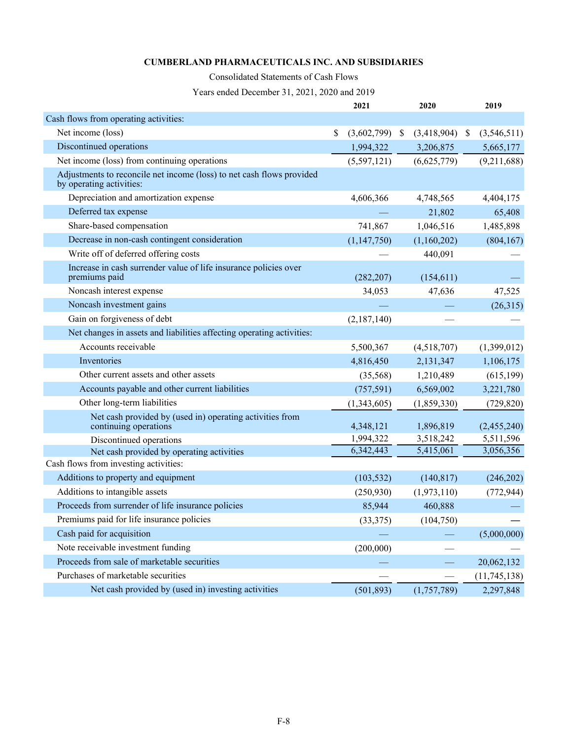# Consolidated Statements of Cash Flows

Years ended December 31, 2021, 2020 and 2019

|                                                                                                   | 2021                   | 2020             | 2019           |
|---------------------------------------------------------------------------------------------------|------------------------|------------------|----------------|
| Cash flows from operating activities:                                                             |                        |                  |                |
| Net income (loss)                                                                                 | \$<br>$(3,602,799)$ \$ | $(3,418,904)$ \$ | (3,546,511)    |
| Discontinued operations                                                                           | 1,994,322              | 3,206,875        | 5,665,177      |
| Net income (loss) from continuing operations                                                      | (5,597,121)            | (6,625,779)      | (9,211,688)    |
| Adjustments to reconcile net income (loss) to net cash flows provided<br>by operating activities: |                        |                  |                |
| Depreciation and amortization expense                                                             | 4,606,366              | 4,748,565        | 4,404,175      |
| Deferred tax expense                                                                              |                        | 21,802           | 65,408         |
| Share-based compensation                                                                          | 741,867                | 1,046,516        | 1,485,898      |
| Decrease in non-cash contingent consideration                                                     | (1, 147, 750)          | (1,160,202)      | (804, 167)     |
| Write off of deferred offering costs                                                              |                        | 440,091          |                |
| Increase in cash surrender value of life insurance policies over<br>premiums paid                 | (282, 207)             | (154, 611)       |                |
| Noncash interest expense                                                                          | 34,053                 | 47,636           | 47,525         |
| Noncash investment gains                                                                          |                        |                  | (26,315)       |
| Gain on forgiveness of debt                                                                       | (2,187,140)            |                  |                |
| Net changes in assets and liabilities affecting operating activities:                             |                        |                  |                |
| Accounts receivable                                                                               | 5,500,367              | (4,518,707)      | (1,399,012)    |
| Inventories                                                                                       | 4,816,450              | 2,131,347        | 1,106,175      |
| Other current assets and other assets                                                             | (35,568)               | 1,210,489        | (615, 199)     |
| Accounts payable and other current liabilities                                                    | (757, 591)             | 6,569,002        | 3,221,780      |
| Other long-term liabilities                                                                       | (1,343,605)            | (1,859,330)      | (729, 820)     |
| Net cash provided by (used in) operating activities from<br>continuing operations                 | 4,348,121              | 1,896,819        | (2,455,240)    |
| Discontinued operations                                                                           | 1,994,322              | 3,518,242        | 5,511,596      |
| Net cash provided by operating activities                                                         | 6,342,443              | 5,415,061        | 3,056,356      |
| Cash flows from investing activities:                                                             |                        |                  |                |
| Additions to property and equipment                                                               | (103, 532)             | (140, 817)       | (246,202)      |
| Additions to intangible assets                                                                    | (250,930)              | (1,973,110)      | (772, 944)     |
| Proceeds from surrender of life insurance policies                                                | 85,944                 | 460,888          |                |
| Premiums paid for life insurance policies                                                         | (33, 375)              | (104, 750)       |                |
| Cash paid for acquisition                                                                         |                        |                  | (5,000,000)    |
| Note receivable investment funding                                                                | (200,000)              |                  |                |
| Proceeds from sale of marketable securities                                                       |                        |                  | 20,062,132     |
| Purchases of marketable securities                                                                |                        |                  | (11, 745, 138) |
| Net cash provided by (used in) investing activities                                               | (501, 893)             | (1,757,789)      | 2,297,848      |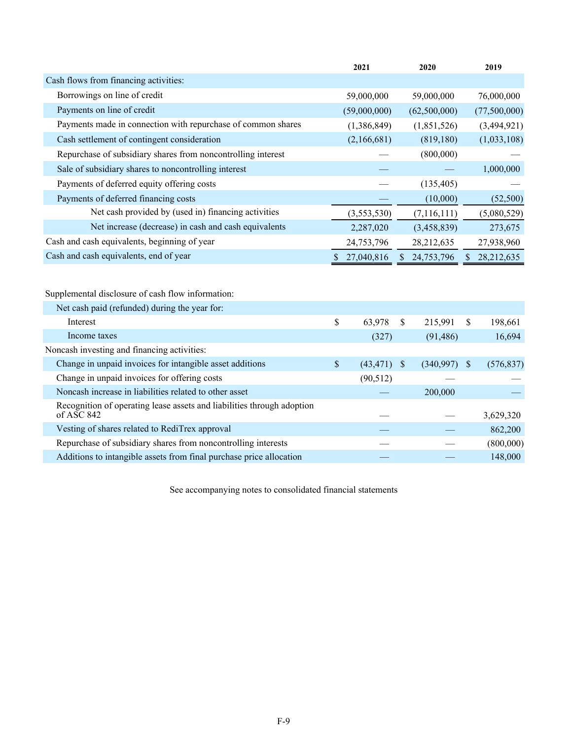|                                                                                                   |              | 2021         |               | 2020         |               | 2019         |
|---------------------------------------------------------------------------------------------------|--------------|--------------|---------------|--------------|---------------|--------------|
| Cash flows from financing activities:                                                             |              |              |               |              |               |              |
| Borrowings on line of credit                                                                      |              | 59,000,000   |               | 59,000,000   |               | 76,000,000   |
| Payments on line of credit                                                                        |              | (59,000,000) |               | (62,500,000) |               | (77,500,000) |
| Payments made in connection with repurchase of common shares                                      |              | (1,386,849)  |               | (1,851,526)  |               | (3,494,921)  |
| Cash settlement of contingent consideration                                                       |              | (2,166,681)  |               | (819, 180)   |               | (1,033,108)  |
| Repurchase of subsidiary shares from noncontrolling interest                                      |              |              |               | (800,000)    |               |              |
| Sale of subsidiary shares to noncontrolling interest                                              |              |              |               |              |               | 1,000,000    |
| Payments of deferred equity offering costs                                                        |              |              |               | (135, 405)   |               |              |
| Payments of deferred financing costs                                                              |              |              |               | (10,000)     |               | (52, 500)    |
| Net cash provided by (used in) financing activities                                               |              | (3,553,530)  |               | (7,116,111)  |               | (5,080,529)  |
| Net increase (decrease) in cash and cash equivalents                                              |              | 2,287,020    |               | (3,458,839)  |               | 273,675      |
| Cash and cash equivalents, beginning of year                                                      |              | 24,753,796   |               | 28,212,635   |               | 27,938,960   |
| Cash and cash equivalents, end of year                                                            | <sup>3</sup> | 27,040,816   | <sup>S</sup>  | 24,753,796   | $\mathcal{S}$ | 28, 212, 635 |
|                                                                                                   |              |              |               |              |               |              |
| Supplemental disclosure of cash flow information:                                                 |              |              |               |              |               |              |
| Net cash paid (refunded) during the year for:                                                     |              |              |               |              |               |              |
| Interest                                                                                          | \$           | 63,978       | \$            | 215,991      | \$            | 198,661      |
| Income taxes                                                                                      |              | (327)        |               | (91, 486)    |               | 16,694       |
| Noncash investing and financing activities:                                                       |              |              |               |              |               |              |
| Change in unpaid invoices for intangible asset additions                                          | \$           | (43, 471)    | $\mathcal{S}$ | (340,997)    | $\sqrt{3}$    | (576, 837)   |
| Change in unpaid invoices for offering costs                                                      |              | (90, 512)    |               |              |               |              |
| Noncash increase in liabilities related to other asset                                            |              |              |               | 200,000      |               |              |
| Recognition of operating lease assets and liabilities through adoption<br>of $A\overline{SC}$ 842 |              |              |               |              |               | 3,629,320    |
| Vesting of shares related to RediTrex approval                                                    |              |              |               |              |               | 862,200      |
| Repurchase of subsidiary shares from noncontrolling interests                                     |              |              |               |              |               | (800,000)    |
| Additions to intangible assets from final purchase price allocation                               |              |              |               |              |               | 148,000      |

See accompanying notes to consolidated financial statements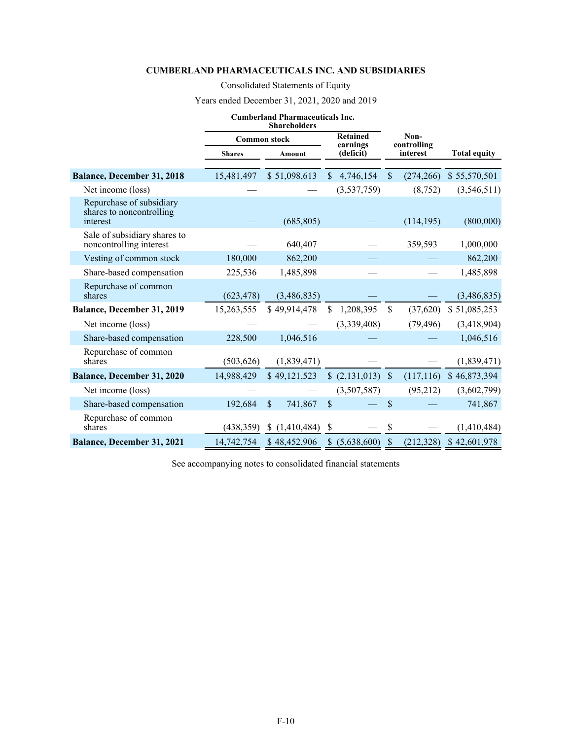Consolidated Statements of Equity

Years ended December 31, 2021, 2020 and 2019

|                                                                  |                     | <b>Cumberland Pharmaceuticals Inc.</b><br><b>Shareholders</b> |                       |                 |                           |                     |                     |
|------------------------------------------------------------------|---------------------|---------------------------------------------------------------|-----------------------|-----------------|---------------------------|---------------------|---------------------|
|                                                                  | <b>Common stock</b> |                                                               |                       | <b>Retained</b> |                           | Non-<br>controlling |                     |
|                                                                  | <b>Shares</b>       | <b>Amount</b>                                                 | earnings<br>(deficit) |                 |                           | interest            | <b>Total equity</b> |
| <b>Balance, December 31, 2018</b>                                | 15,481,497          | \$51,098,613                                                  | <sup>S</sup>          | 4,746,154       | $\mathcal{S}$             | (274, 266)          | \$55,570,501        |
| Net income (loss)                                                |                     |                                                               |                       | (3,537,759)     |                           | (8, 752)            | (3,546,511)         |
| Repurchase of subsidiary<br>shares to noncontrolling<br>interest |                     | (685, 805)                                                    |                       |                 |                           | (114, 195)          | (800,000)           |
| Sale of subsidiary shares to<br>noncontrolling interest          |                     | 640,407                                                       |                       |                 |                           | 359,593             | 1,000,000           |
| Vesting of common stock                                          | 180,000             | 862,200                                                       |                       |                 |                           |                     | 862,200             |
| Share-based compensation                                         | 225,536             | 1,485,898                                                     |                       |                 |                           |                     | 1,485,898           |
| Repurchase of common<br>shares                                   | (623, 478)          | (3,486,835)                                                   |                       |                 |                           |                     | (3,486,835)         |
| Balance, December 31, 2019                                       | 15,263,555          | \$49,914,478                                                  | <sup>\$</sup>         | 1,208,395       | $\mathbf{\$}$             | (37,620)            | \$51,085,253        |
| Net income (loss)                                                |                     |                                                               |                       | (3,339,408)     |                           | (79, 496)           | (3,418,904)         |
| Share-based compensation                                         | 228,500             | 1,046,516                                                     |                       |                 |                           |                     | 1,046,516           |
| Repurchase of common<br>shares                                   | (503, 626)          | (1,839,471)                                                   |                       |                 |                           |                     | (1,839,471)         |
| <b>Balance, December 31, 2020</b>                                | 14,988,429          | \$49,121,523                                                  |                       | (2,131,013)     | $\boldsymbol{\mathsf{S}}$ | (117, 116)          | \$46,873,394        |
| Net income (loss)                                                |                     |                                                               |                       | (3,507,587)     |                           | (95,212)            | (3,602,799)         |
| Share-based compensation                                         | 192,684             | $\boldsymbol{\mathsf{S}}$<br>741,867                          | \$                    |                 | $\$$                      |                     | 741,867             |
| Repurchase of common<br>shares                                   | (438, 359)          | \$(1,410,484)                                                 | S                     |                 | \$                        |                     | (1,410,484)         |
| <b>Balance, December 31, 2021</b>                                | 14,742,754          | \$48,452,906                                                  |                       | \$ (5,638,600)  | \$                        | (212, 328)          | \$42,601,978        |

See accompanying notes to consolidated financial statements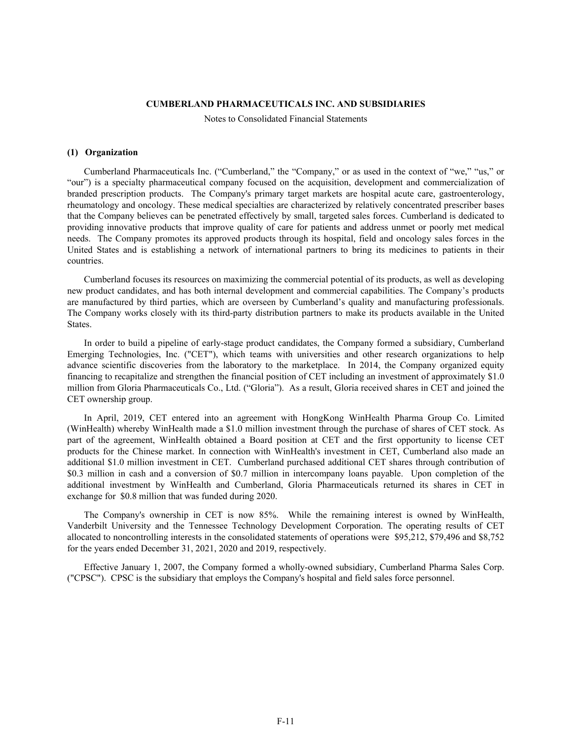Notes to Consolidated Financial Statements

#### **(1) Organization**

Cumberland Pharmaceuticals Inc. ("Cumberland," the "Company," or as used in the context of "we," "us," or "our") is a specialty pharmaceutical company focused on the acquisition, development and commercialization of branded prescription products. The Company's primary target markets are hospital acute care, gastroenterology, rheumatology and oncology. These medical specialties are characterized by relatively concentrated prescriber bases that the Company believes can be penetrated effectively by small, targeted sales forces. Cumberland is dedicated to providing innovative products that improve quality of care for patients and address unmet or poorly met medical needs. The Company promotes its approved products through its hospital, field and oncology sales forces in the United States and is establishing a network of international partners to bring its medicines to patients in their countries.

Cumberland focuses its resources on maximizing the commercial potential of its products, as well as developing new product candidates, and has both internal development and commercial capabilities. The Company's products are manufactured by third parties, which are overseen by Cumberland's quality and manufacturing professionals. The Company works closely with its third-party distribution partners to make its products available in the United States.

In order to build a pipeline of early-stage product candidates, the Company formed a subsidiary, Cumberland Emerging Technologies, Inc. ("CET"), which teams with universities and other research organizations to help advance scientific discoveries from the laboratory to the marketplace. In 2014, the Company organized equity financing to recapitalize and strengthen the financial position of CET including an investment of approximately \$1.0 million from Gloria Pharmaceuticals Co., Ltd. ("Gloria"). As a result, Gloria received shares in CET and joined the CET ownership group.

In April, 2019, CET entered into an agreement with HongKong WinHealth Pharma Group Co. Limited (WinHealth) whereby WinHealth made a \$1.0 million investment through the purchase of shares of CET stock. As part of the agreement, WinHealth obtained a Board position at CET and the first opportunity to license CET products for the Chinese market. In connection with WinHealth's investment in CET, Cumberland also made an additional \$1.0 million investment in CET. Cumberland purchased additional CET shares through contribution of \$0.3 million in cash and a conversion of \$0.7 million in intercompany loans payable. Upon completion of the additional investment by WinHealth and Cumberland, Gloria Pharmaceuticals returned its shares in CET in exchange for \$0.8 million that was funded during 2020.

The Company's ownership in CET is now 85%. While the remaining interest is owned by WinHealth, Vanderbilt University and the Tennessee Technology Development Corporation. The operating results of CET allocated to noncontrolling interests in the consolidated statements of operations were \$95,212, \$79,496 and \$8,752 for the years ended December 31, 2021, 2020 and 2019, respectively.

Effective January 1, 2007, the Company formed a wholly-owned subsidiary, Cumberland Pharma Sales Corp. ("CPSC"). CPSC is the subsidiary that employs the Company's hospital and field sales force personnel.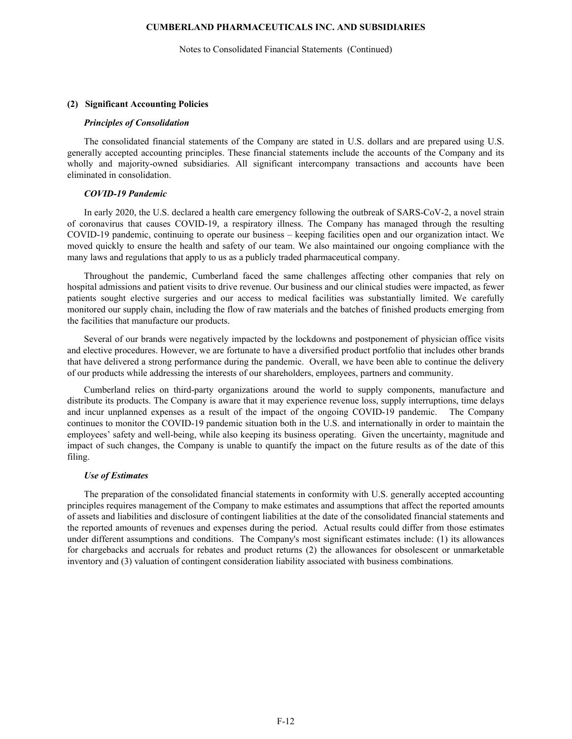Notes to Consolidated Financial Statements (Continued)

#### **(2) Significant Accounting Policies**

### *Principles of Consolidation*

The consolidated financial statements of the Company are stated in U.S. dollars and are prepared using U.S. generally accepted accounting principles. These financial statements include the accounts of the Company and its wholly and majority-owned subsidiaries. All significant intercompany transactions and accounts have been eliminated in consolidation.

# *COVID-19 Pandemic*

In early 2020, the U.S. declared a health care emergency following the outbreak of SARS-CoV-2, a novel strain of coronavirus that causes COVID-19, a respiratory illness. The Company has managed through the resulting COVID-19 pandemic, continuing to operate our business – keeping facilities open and our organization intact. We moved quickly to ensure the health and safety of our team. We also maintained our ongoing compliance with the many laws and regulations that apply to us as a publicly traded pharmaceutical company.

Throughout the pandemic, Cumberland faced the same challenges affecting other companies that rely on hospital admissions and patient visits to drive revenue. Our business and our clinical studies were impacted, as fewer patients sought elective surgeries and our access to medical facilities was substantially limited. We carefully monitored our supply chain, including the flow of raw materials and the batches of finished products emerging from the facilities that manufacture our products.

Several of our brands were negatively impacted by the lockdowns and postponement of physician office visits and elective procedures. However, we are fortunate to have a diversified product portfolio that includes other brands that have delivered a strong performance during the pandemic. Overall, we have been able to continue the delivery of our products while addressing the interests of our shareholders, employees, partners and community.

Cumberland relies on third-party organizations around the world to supply components, manufacture and distribute its products. The Company is aware that it may experience revenue loss, supply interruptions, time delays and incur unplanned expenses as a result of the impact of the ongoing COVID-19 pandemic. The Company continues to monitor the COVID-19 pandemic situation both in the U.S. and internationally in order to maintain the employees' safety and well-being, while also keeping its business operating. Given the uncertainty, magnitude and impact of such changes, the Company is unable to quantify the impact on the future results as of the date of this filing.

## *Use of Estimates*

The preparation of the consolidated financial statements in conformity with U.S. generally accepted accounting principles requires management of the Company to make estimates and assumptions that affect the reported amounts of assets and liabilities and disclosure of contingent liabilities at the date of the consolidated financial statements and the reported amounts of revenues and expenses during the period. Actual results could differ from those estimates under different assumptions and conditions. The Company's most significant estimates include: (1) its allowances for chargebacks and accruals for rebates and product returns (2) the allowances for obsolescent or unmarketable inventory and (3) valuation of contingent consideration liability associated with business combinations.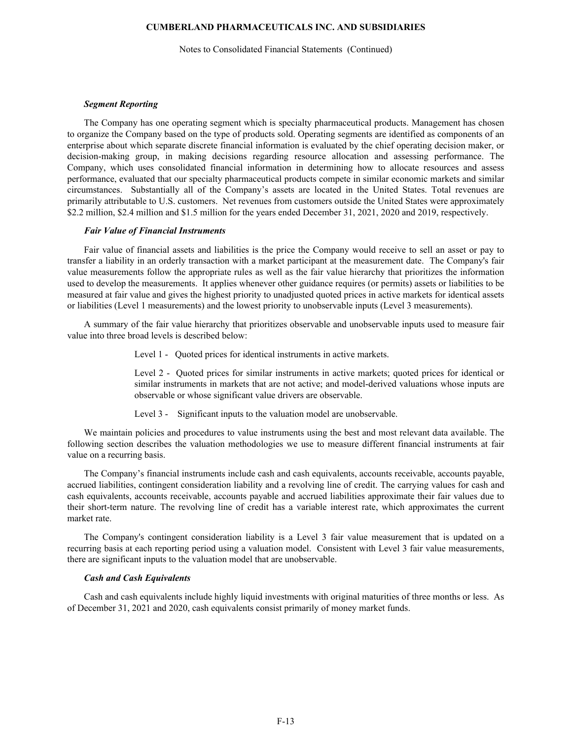Notes to Consolidated Financial Statements (Continued)

#### *Segment Reporting*

The Company has one operating segment which is specialty pharmaceutical products. Management has chosen to organize the Company based on the type of products sold. Operating segments are identified as components of an enterprise about which separate discrete financial information is evaluated by the chief operating decision maker, or decision-making group, in making decisions regarding resource allocation and assessing performance. The Company, which uses consolidated financial information in determining how to allocate resources and assess performance, evaluated that our specialty pharmaceutical products compete in similar economic markets and similar circumstances. Substantially all of the Company's assets are located in the United States. Total revenues are primarily attributable to U.S. customers. Net revenues from customers outside the United States were approximately \$2.2 million, \$2.4 million and \$1.5 million for the years ended December 31, 2021, 2020 and 2019, respectively.

### *Fair Value of Financial Instruments*

Fair value of financial assets and liabilities is the price the Company would receive to sell an asset or pay to transfer a liability in an orderly transaction with a market participant at the measurement date. The Company's fair value measurements follow the appropriate rules as well as the fair value hierarchy that prioritizes the information used to develop the measurements. It applies whenever other guidance requires (or permits) assets or liabilities to be measured at fair value and gives the highest priority to unadjusted quoted prices in active markets for identical assets or liabilities (Level 1 measurements) and the lowest priority to unobservable inputs (Level 3 measurements).

A summary of the fair value hierarchy that prioritizes observable and unobservable inputs used to measure fair value into three broad levels is described below:

Level 1 - Quoted prices for identical instruments in active markets.

Level 2 - Quoted prices for similar instruments in active markets; quoted prices for identical or similar instruments in markets that are not active; and model-derived valuations whose inputs are observable or whose significant value drivers are observable.

Level 3 - Significant inputs to the valuation model are unobservable.

We maintain policies and procedures to value instruments using the best and most relevant data available. The following section describes the valuation methodologies we use to measure different financial instruments at fair value on a recurring basis.

The Company's financial instruments include cash and cash equivalents, accounts receivable, accounts payable, accrued liabilities, contingent consideration liability and a revolving line of credit. The carrying values for cash and cash equivalents, accounts receivable, accounts payable and accrued liabilities approximate their fair values due to their short-term nature. The revolving line of credit has a variable interest rate, which approximates the current market rate.

The Company's contingent consideration liability is a Level 3 fair value measurement that is updated on a recurring basis at each reporting period using a valuation model. Consistent with Level 3 fair value measurements, there are significant inputs to the valuation model that are unobservable.

## *Cash and Cash Equivalents*

Cash and cash equivalents include highly liquid investments with original maturities of three months or less. As of December 31, 2021 and 2020, cash equivalents consist primarily of money market funds.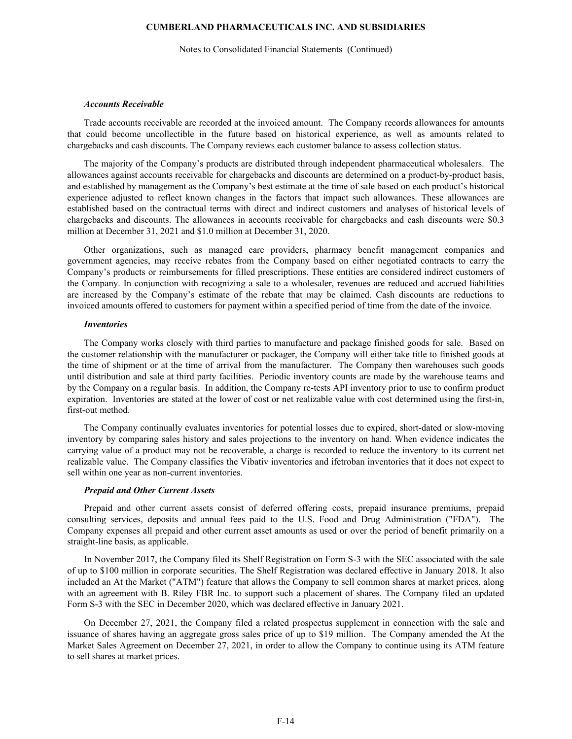Notes to Consolidated Financial Statements (Continued)

#### *Accounts Receivable*

Trade accounts receivable are recorded at the invoiced amount. The Company records allowances for amounts that could become uncollectible in the future based on historical experience, as well as amounts related to chargebacks and cash discounts. The Company reviews each customer balance to assess collection status.

The majority of the Company's products are distributed through independent pharmaceutical wholesalers. The allowances against accounts receivable for chargebacks and discounts are determined on a product-by-product basis, and established by management as the Company's best estimate at the time of sale based on each product's historical experience adjusted to reflect known changes in the factors that impact such allowances. These allowances are established based on the contractual terms with direct and indirect customers and analyses of historical levels of chargebacks and discounts. The allowances in accounts receivable for chargebacks and cash discounts were \$0.3 million at December 31, 2021 and \$1.0 million at December 31, 2020.

Other organizations, such as managed care providers, pharmacy benefit management companies and government agencies, may receive rebates from the Company based on either negotiated contracts to carry the Company's products or reimbursements for filled prescriptions. These entities are considered indirect customers of the Company. In conjunction with recognizing a sale to a wholesaler, revenues are reduced and accrued liabilities are increased by the Company's estimate of the rebate that may be claimed. Cash discounts are reductions to invoiced amounts offered to customers for payment within a specified period of time from the date of the invoice.

#### *Inventories*

The Company works closely with third parties to manufacture and package finished goods for sale. Based on the customer relationship with the manufacturer or packager, the Company will either take title to finished goods at the time of shipment or at the time of arrival from the manufacturer. The Company then warehouses such goods until distribution and sale at third party facilities. Periodic inventory counts are made by the warehouse teams and by the Company on a regular basis. In addition, the Company re-tests API inventory prior to use to confirm product expiration. Inventories are stated at the lower of cost or net realizable value with cost determined using the first-in, first-out method.

The Company continually evaluates inventories for potential losses due to expired, short-dated or slow-moving inventory by comparing sales history and sales projections to the inventory on hand. When evidence indicates the carrying value of a product may not be recoverable, a charge is recorded to reduce the inventory to its current net realizable value. The Company classifies the Vibativ inventories and ifetroban inventories that it does not expect to sell within one year as non-current inventories.

#### *Prepaid and Other Current Assets*

Prepaid and other current assets consist of deferred offering costs, prepaid insurance premiums, prepaid consulting services, deposits and annual fees paid to the U.S. Food and Drug Administration ("FDA"). The Company expenses all prepaid and other current asset amounts as used or over the period of benefit primarily on a straight-line basis, as applicable.

In November 2017, the Company filed its Shelf Registration on Form S-3 with the SEC associated with the sale of up to \$100 million in corporate securities. The Shelf Registration was declared effective in January 2018. It also included an At the Market ("ATM") feature that allows the Company to sell common shares at market prices, along with an agreement with B. Riley FBR Inc. to support such a placement of shares. The Company filed an updated Form S-3 with the SEC in December 2020, which was declared effective in January 2021.

On December 27, 2021, the Company filed a related prospectus supplement in connection with the sale and issuance of shares having an aggregate gross sales price of up to \$19 million. The Company amended the At the Market Sales Agreement on December 27, 2021, in order to allow the Company to continue using its ATM feature to sell shares at market prices.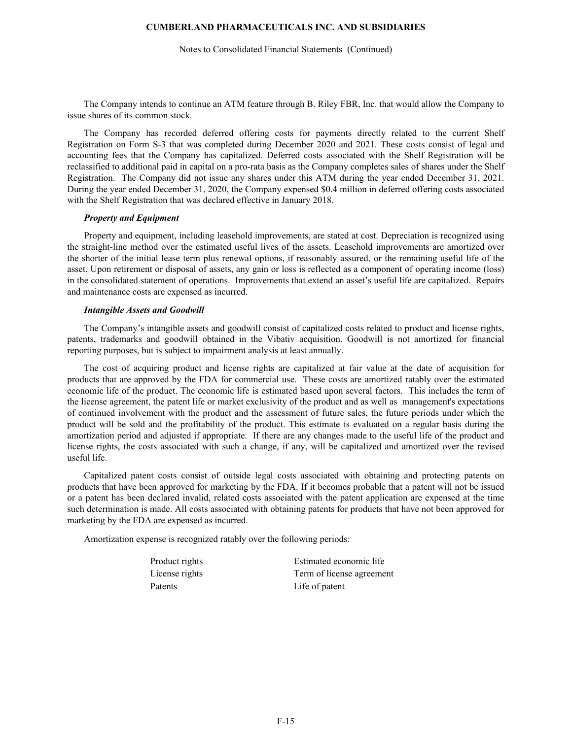Notes to Consolidated Financial Statements (Continued)

The Company intends to continue an ATM feature through B. Riley FBR, Inc. that would allow the Company to issue shares of its common stock.

The Company has recorded deferred offering costs for payments directly related to the current Shelf Registration on Form S-3 that was completed during December 2020 and 2021. These costs consist of legal and accounting fees that the Company has capitalized. Deferred costs associated with the Shelf Registration will be reclassified to additional paid in capital on a pro-rata basis as the Company completes sales of shares under the Shelf Registration. The Company did not issue any shares under this ATM during the year ended December 31, 2021. During the year ended December 31, 2020, the Company expensed \$0.4 million in deferred offering costs associated with the Shelf Registration that was declared effective in January 2018.

## *Property and Equipment*

Property and equipment, including leasehold improvements, are stated at cost. Depreciation is recognized using the straight-line method over the estimated useful lives of the assets. Leasehold improvements are amortized over the shorter of the initial lease term plus renewal options, if reasonably assured, or the remaining useful life of the asset. Upon retirement or disposal of assets, any gain or loss is reflected as a component of operating income (loss) in the consolidated statement of operations. Improvements that extend an asset's useful life are capitalized. Repairs and maintenance costs are expensed as incurred.

#### *Intangible Assets and Goodwill*

The Company's intangible assets and goodwill consist of capitalized costs related to product and license rights, patents, trademarks and goodwill obtained in the Vibativ acquisition. Goodwill is not amortized for financial reporting purposes, but is subject to impairment analysis at least annually.

The cost of acquiring product and license rights are capitalized at fair value at the date of acquisition for products that are approved by the FDA for commercial use. These costs are amortized ratably over the estimated economic life of the product. The economic life is estimated based upon several factors. This includes the term of the license agreement, the patent life or market exclusivity of the product and as well as management's expectations of continued involvement with the product and the assessment of future sales, the future periods under which the product will be sold and the profitability of the product. This estimate is evaluated on a regular basis during the amortization period and adjusted if appropriate. If there are any changes made to the useful life of the product and license rights, the costs associated with such a change, if any, will be capitalized and amortized over the revised useful life.

Capitalized patent costs consist of outside legal costs associated with obtaining and protecting patents on products that have been approved for marketing by the FDA. If it becomes probable that a patent will not be issued or a patent has been declared invalid, related costs associated with the patent application are expensed at the time such determination is made. All costs associated with obtaining patents for products that have not been approved for marketing by the FDA are expensed as incurred.

Amortization expense is recognized ratably over the following periods:

| Product rights | Estimated economic life   |
|----------------|---------------------------|
| License rights | Term of license agreement |
| Patents        | Life of patent            |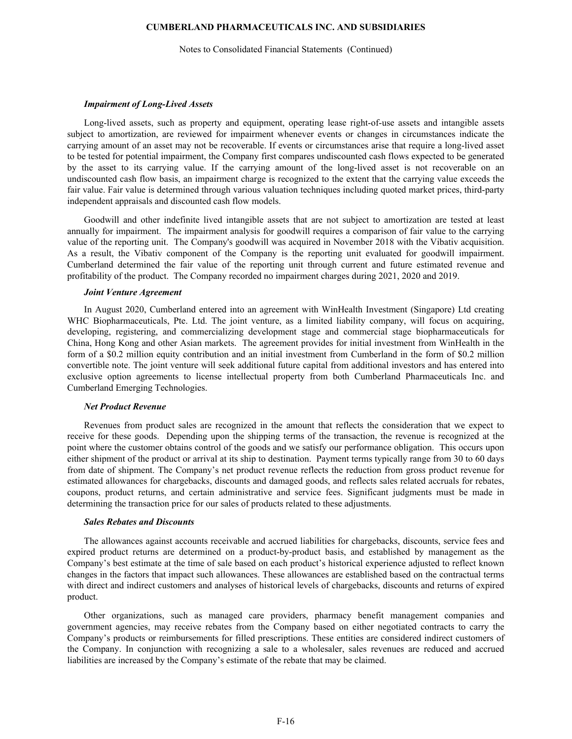Notes to Consolidated Financial Statements (Continued)

#### *Impairment of Long-Lived Assets*

Long-lived assets, such as property and equipment, operating lease right-of-use assets and intangible assets subject to amortization, are reviewed for impairment whenever events or changes in circumstances indicate the carrying amount of an asset may not be recoverable. If events or circumstances arise that require a long-lived asset to be tested for potential impairment, the Company first compares undiscounted cash flows expected to be generated by the asset to its carrying value. If the carrying amount of the long-lived asset is not recoverable on an undiscounted cash flow basis, an impairment charge is recognized to the extent that the carrying value exceeds the fair value. Fair value is determined through various valuation techniques including quoted market prices, third-party independent appraisals and discounted cash flow models.

Goodwill and other indefinite lived intangible assets that are not subject to amortization are tested at least annually for impairment. The impairment analysis for goodwill requires a comparison of fair value to the carrying value of the reporting unit. The Company's goodwill was acquired in November 2018 with the Vibativ acquisition. As a result, the Vibativ component of the Company is the reporting unit evaluated for goodwill impairment. Cumberland determined the fair value of the reporting unit through current and future estimated revenue and profitability of the product. The Company recorded no impairment charges during 2021, 2020 and 2019.

### *Joint Venture Agreement*

In August 2020, Cumberland entered into an agreement with WinHealth Investment (Singapore) Ltd creating WHC Biopharmaceuticals, Pte. Ltd. The joint venture, as a limited liability company, will focus on acquiring, developing, registering, and commercializing development stage and commercial stage biopharmaceuticals for China, Hong Kong and other Asian markets. The agreement provides for initial investment from WinHealth in the form of a \$0.2 million equity contribution and an initial investment from Cumberland in the form of \$0.2 million convertible note. The joint venture will seek additional future capital from additional investors and has entered into exclusive option agreements to license intellectual property from both Cumberland Pharmaceuticals Inc. and Cumberland Emerging Technologies.

#### *Net Product Revenue*

Revenues from product sales are recognized in the amount that reflects the consideration that we expect to receive for these goods. Depending upon the shipping terms of the transaction, the revenue is recognized at the point where the customer obtains control of the goods and we satisfy our performance obligation. This occurs upon either shipment of the product or arrival at its ship to destination. Payment terms typically range from 30 to 60 days from date of shipment. The Company's net product revenue reflects the reduction from gross product revenue for estimated allowances for chargebacks, discounts and damaged goods, and reflects sales related accruals for rebates, coupons, product returns, and certain administrative and service fees. Significant judgments must be made in determining the transaction price for our sales of products related to these adjustments.

#### *Sales Rebates and Discounts*

The allowances against accounts receivable and accrued liabilities for chargebacks, discounts, service fees and expired product returns are determined on a product-by-product basis, and established by management as the Company's best estimate at the time of sale based on each product's historical experience adjusted to reflect known changes in the factors that impact such allowances. These allowances are established based on the contractual terms with direct and indirect customers and analyses of historical levels of chargebacks, discounts and returns of expired product.

Other organizations, such as managed care providers, pharmacy benefit management companies and government agencies, may receive rebates from the Company based on either negotiated contracts to carry the Company's products or reimbursements for filled prescriptions. These entities are considered indirect customers of the Company. In conjunction with recognizing a sale to a wholesaler, sales revenues are reduced and accrued liabilities are increased by the Company's estimate of the rebate that may be claimed.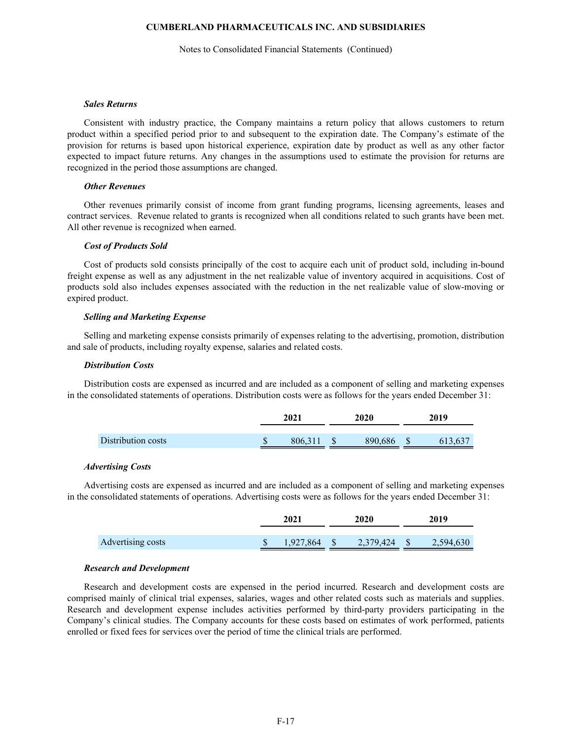#### Notes to Consolidated Financial Statements (Continued)

### *Sales Returns*

Consistent with industry practice, the Company maintains a return policy that allows customers to return product within a specified period prior to and subsequent to the expiration date. The Company's estimate of the provision for returns is based upon historical experience, expiration date by product as well as any other factor expected to impact future returns. Any changes in the assumptions used to estimate the provision for returns are recognized in the period those assumptions are changed.

# *Other Revenues*

Other revenues primarily consist of income from grant funding programs, licensing agreements, leases and contract services. Revenue related to grants is recognized when all conditions related to such grants have been met. All other revenue is recognized when earned.

# *Cost of Products Sold*

Cost of products sold consists principally of the cost to acquire each unit of product sold, including in-bound freight expense as well as any adjustment in the net realizable value of inventory acquired in acquisitions. Cost of products sold also includes expenses associated with the reduction in the net realizable value of slow-moving or expired product.

#### *Selling and Marketing Expense*

Selling and marketing expense consists primarily of expenses relating to the advertising, promotion, distribution and sale of products, including royalty expense, salaries and related costs.

#### *Distribution Costs*

Distribution costs are expensed as incurred and are included as a component of selling and marketing expenses in the consolidated statements of operations. Distribution costs were as follows for the years ended December 31:

|                    | 2021 |         |    | 2020    | 2019 |  |  |
|--------------------|------|---------|----|---------|------|--|--|
|                    |      |         |    |         |      |  |  |
| Distribution costs | uз   | 806.311 | ۰D | 890.686 | ۰D   |  |  |

#### *Advertising Costs*

Advertising costs are expensed as incurred and are included as a component of selling and marketing expenses in the consolidated statements of operations. Advertising costs were as follows for the years ended December 31:

|                   | 2021          | 2020 |           | 2019 |           |  |
|-------------------|---------------|------|-----------|------|-----------|--|
|                   |               |      |           |      |           |  |
| Advertising costs | $.927.864$ \$ |      | 2,379,424 |      | 2,594,630 |  |

#### *Research and Development*

Research and development costs are expensed in the period incurred. Research and development costs are comprised mainly of clinical trial expenses, salaries, wages and other related costs such as materials and supplies. Research and development expense includes activities performed by third-party providers participating in the Company's clinical studies. The Company accounts for these costs based on estimates of work performed, patients enrolled or fixed fees for services over the period of time the clinical trials are performed.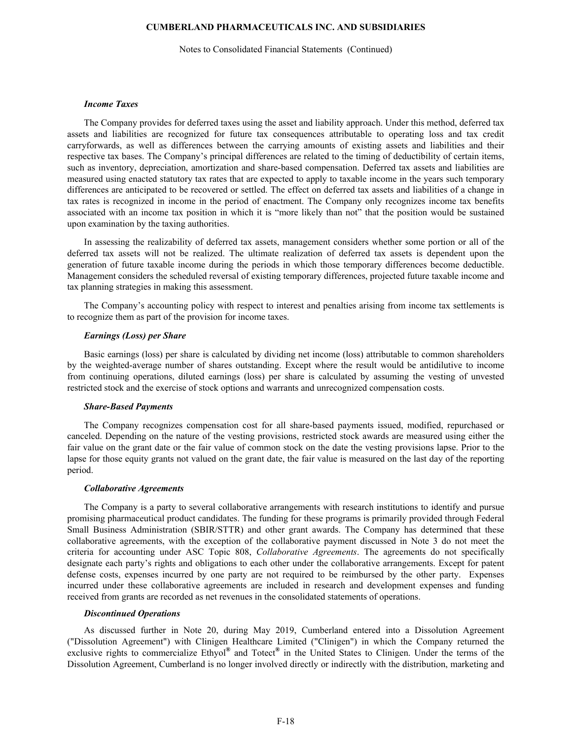Notes to Consolidated Financial Statements (Continued)

### *Income Taxes*

The Company provides for deferred taxes using the asset and liability approach. Under this method, deferred tax assets and liabilities are recognized for future tax consequences attributable to operating loss and tax credit carryforwards, as well as differences between the carrying amounts of existing assets and liabilities and their respective tax bases. The Company's principal differences are related to the timing of deductibility of certain items, such as inventory, depreciation, amortization and share-based compensation. Deferred tax assets and liabilities are measured using enacted statutory tax rates that are expected to apply to taxable income in the years such temporary differences are anticipated to be recovered or settled. The effect on deferred tax assets and liabilities of a change in tax rates is recognized in income in the period of enactment. The Company only recognizes income tax benefits associated with an income tax position in which it is "more likely than not" that the position would be sustained upon examination by the taxing authorities.

In assessing the realizability of deferred tax assets, management considers whether some portion or all of the deferred tax assets will not be realized. The ultimate realization of deferred tax assets is dependent upon the generation of future taxable income during the periods in which those temporary differences become deductible. Management considers the scheduled reversal of existing temporary differences, projected future taxable income and tax planning strategies in making this assessment.

The Company's accounting policy with respect to interest and penalties arising from income tax settlements is to recognize them as part of the provision for income taxes.

#### *Earnings (Loss) per Share*

Basic earnings (loss) per share is calculated by dividing net income (loss) attributable to common shareholders by the weighted-average number of shares outstanding. Except where the result would be antidilutive to income from continuing operations, diluted earnings (loss) per share is calculated by assuming the vesting of unvested restricted stock and the exercise of stock options and warrants and unrecognized compensation costs.

#### *Share-Based Payments*

The Company recognizes compensation cost for all share-based payments issued, modified, repurchased or canceled. Depending on the nature of the vesting provisions, restricted stock awards are measured using either the fair value on the grant date or the fair value of common stock on the date the vesting provisions lapse. Prior to the lapse for those equity grants not valued on the grant date, the fair value is measured on the last day of the reporting period.

#### *Collaborative Agreements*

The Company is a party to several collaborative arrangements with research institutions to identify and pursue promising pharmaceutical product candidates. The funding for these programs is primarily provided through Federal Small Business Administration (SBIR/STTR) and other grant awards. The Company has determined that these collaborative agreements, with the exception of the collaborative payment discussed in Note 3 do not meet the criteria for accounting under ASC Topic 808, *Collaborative Agreements*. The agreements do not specifically designate each party's rights and obligations to each other under the collaborative arrangements. Except for patent defense costs, expenses incurred by one party are not required to be reimbursed by the other party. Expenses incurred under these collaborative agreements are included in research and development expenses and funding received from grants are recorded as net revenues in the consolidated statements of operations.

#### *Discontinued Operations*

As discussed further in Note 20, during May 2019, Cumberland entered into a Dissolution Agreement ("Dissolution Agreement") with Clinigen Healthcare Limited ("Clinigen") in which the Company returned the exclusive rights to commercialize Ethyol**®** and Totect**®** in the United States to Clinigen. Under the terms of the Dissolution Agreement, Cumberland is no longer involved directly or indirectly with the distribution, marketing and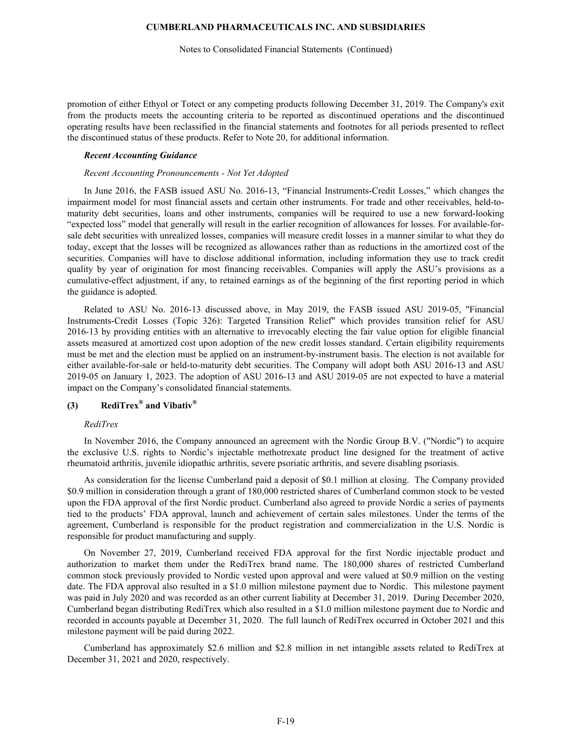#### Notes to Consolidated Financial Statements (Continued)

promotion of either Ethyol or Totect or any competing products following December 31, 2019. The Company's exit from the products meets the accounting criteria to be reported as discontinued operations and the discontinued operating results have been reclassified in the financial statements and footnotes for all periods presented to reflect the discontinued status of these products. Refer to Note 20, for additional information.

#### *Recent Accounting Guidance*

#### *Recent Accounting Pronouncements - Not Yet Adopted*

In June 2016, the FASB issued ASU No. 2016-13, "Financial Instruments-Credit Losses," which changes the impairment model for most financial assets and certain other instruments. For trade and other receivables, held-tomaturity debt securities, loans and other instruments, companies will be required to use a new forward-looking "expected loss" model that generally will result in the earlier recognition of allowances for losses. For available-forsale debt securities with unrealized losses, companies will measure credit losses in a manner similar to what they do today, except that the losses will be recognized as allowances rather than as reductions in the amortized cost of the securities. Companies will have to disclose additional information, including information they use to track credit quality by year of origination for most financing receivables. Companies will apply the ASU's provisions as a cumulative-effect adjustment, if any, to retained earnings as of the beginning of the first reporting period in which the guidance is adopted.

Related to ASU No. 2016-13 discussed above, in May 2019, the FASB issued ASU 2019-05, "Financial Instruments-Credit Losses (Topic 326): Targeted Transition Relief" which provides transition relief for ASU 2016-13 by providing entities with an alternative to irrevocably electing the fair value option for eligible financial assets measured at amortized cost upon adoption of the new credit losses standard. Certain eligibility requirements must be met and the election must be applied on an instrument-by-instrument basis. The election is not available for either available-for-sale or held-to-maturity debt securities. The Company will adopt both ASU 2016-13 and ASU 2019-05 on January 1, 2023. The adoption of ASU 2016-13 and ASU 2019-05 are not expected to have a material impact on the Company's consolidated financial statements.

# **(3) RediTrex® and Vibativ®**

#### *RediTrex*

In November 2016, the Company announced an agreement with the Nordic Group B.V. ("Nordic") to acquire the exclusive U.S. rights to Nordic's injectable methotrexate product line designed for the treatment of active rheumatoid arthritis, juvenile idiopathic arthritis, severe psoriatic arthritis, and severe disabling psoriasis.

As consideration for the license Cumberland paid a deposit of \$0.1 million at closing. The Company provided \$0.9 million in consideration through a grant of 180,000 restricted shares of Cumberland common stock to be vested upon the FDA approval of the first Nordic product. Cumberland also agreed to provide Nordic a series of payments tied to the products' FDA approval, launch and achievement of certain sales milestones. Under the terms of the agreement, Cumberland is responsible for the product registration and commercialization in the U.S. Nordic is responsible for product manufacturing and supply.

On November 27, 2019, Cumberland received FDA approval for the first Nordic injectable product and authorization to market them under the RediTrex brand name. The 180,000 shares of restricted Cumberland common stock previously provided to Nordic vested upon approval and were valued at \$0.9 million on the vesting date. The FDA approval also resulted in a \$1.0 million milestone payment due to Nordic. This milestone payment was paid in July 2020 and was recorded as an other current liability at December 31, 2019. During December 2020, Cumberland began distributing RediTrex which also resulted in a \$1.0 million milestone payment due to Nordic and recorded in accounts payable at December 31, 2020. The full launch of RediTrex occurred in October 2021 and this milestone payment will be paid during 2022.

Cumberland has approximately \$2.6 million and \$2.8 million in net intangible assets related to RediTrex at December 31, 2021 and 2020, respectively.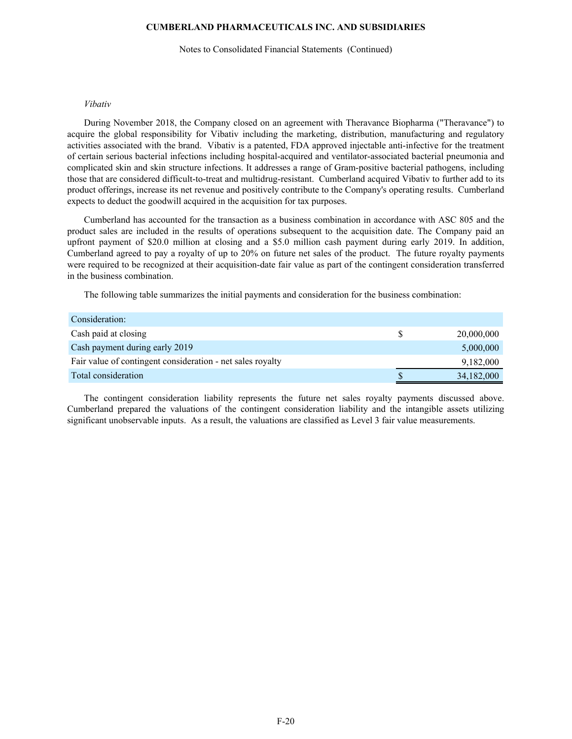#### Notes to Consolidated Financial Statements (Continued)

### *Vibativ*

During November 2018, the Company closed on an agreement with Theravance Biopharma ("Theravance") to acquire the global responsibility for Vibativ including the marketing, distribution, manufacturing and regulatory activities associated with the brand. Vibativ is a patented, FDA approved injectable anti-infective for the treatment of certain serious bacterial infections including hospital-acquired and ventilator-associated bacterial pneumonia and complicated skin and skin structure infections. It addresses a range of Gram-positive bacterial pathogens, including those that are considered difficult-to-treat and multidrug-resistant. Cumberland acquired Vibativ to further add to its product offerings, increase its net revenue and positively contribute to the Company's operating results. Cumberland expects to deduct the goodwill acquired in the acquisition for tax purposes.

Cumberland has accounted for the transaction as a business combination in accordance with ASC 805 and the product sales are included in the results of operations subsequent to the acquisition date. The Company paid an upfront payment of \$20.0 million at closing and a \$5.0 million cash payment during early 2019. In addition, Cumberland agreed to pay a royalty of up to 20% on future net sales of the product. The future royalty payments were required to be recognized at their acquisition-date fair value as part of the contingent consideration transferred in the business combination.

The following table summarizes the initial payments and consideration for the business combination:

| Consideration:                                             |            |
|------------------------------------------------------------|------------|
| Cash paid at closing                                       | 20,000,000 |
| Cash payment during early 2019                             | 5,000,000  |
| Fair value of contingent consideration - net sales royalty | 9,182,000  |
| Total consideration                                        | 34,182,000 |

The contingent consideration liability represents the future net sales royalty payments discussed above. Cumberland prepared the valuations of the contingent consideration liability and the intangible assets utilizing significant unobservable inputs. As a result, the valuations are classified as Level 3 fair value measurements.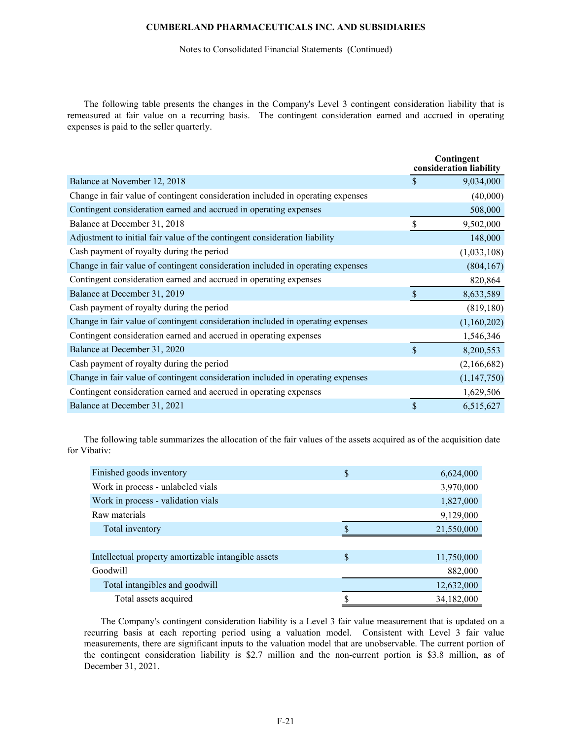## Notes to Consolidated Financial Statements (Continued)

The following table presents the changes in the Company's Level 3 contingent consideration liability that is remeasured at fair value on a recurring basis. The contingent consideration earned and accrued in operating expenses is paid to the seller quarterly.

|                                                                                 | Contingent<br>consideration liability |
|---------------------------------------------------------------------------------|---------------------------------------|
| Balance at November 12, 2018                                                    | \$<br>9,034,000                       |
| Change in fair value of contingent consideration included in operating expenses | (40,000)                              |
| Contingent consideration earned and accrued in operating expenses               | 508,000                               |
| Balance at December 31, 2018                                                    | \$<br>9,502,000                       |
| Adjustment to initial fair value of the contingent consideration liability      | 148,000                               |
| Cash payment of royalty during the period                                       | (1,033,108)                           |
| Change in fair value of contingent consideration included in operating expenses | (804, 167)                            |
| Contingent consideration earned and accrued in operating expenses               | 820,864                               |
| Balance at December 31, 2019                                                    | \$<br>8,633,589                       |
| Cash payment of royalty during the period                                       | (819, 180)                            |
| Change in fair value of contingent consideration included in operating expenses | (1,160,202)                           |
| Contingent consideration earned and accrued in operating expenses               | 1,546,346                             |
| Balance at December 31, 2020                                                    | \$<br>8,200,553                       |
| Cash payment of royalty during the period                                       | (2,166,682)                           |
| Change in fair value of contingent consideration included in operating expenses | (1, 147, 750)                         |
| Contingent consideration earned and accrued in operating expenses               | 1,629,506                             |
| Balance at December 31, 2021                                                    | \$<br>6,515,627                       |

The following table summarizes the allocation of the fair values of the assets acquired as of the acquisition date for Vibativ:

| Finished goods inventory                            | \$<br>6,624,000  |
|-----------------------------------------------------|------------------|
| Work in process - unlabeled vials                   | 3,970,000        |
| Work in process - validation vials                  | 1,827,000        |
| Raw materials                                       | 9,129,000        |
| Total inventory                                     | 21,550,000       |
|                                                     |                  |
|                                                     |                  |
| Intellectual property amortizable intangible assets | \$<br>11,750,000 |
| Goodwill                                            | 882,000          |
| Total intangibles and goodwill                      | 12,632,000       |

The Company's contingent consideration liability is a Level 3 fair value measurement that is updated on a recurring basis at each reporting period using a valuation model. Consistent with Level 3 fair value measurements, there are significant inputs to the valuation model that are unobservable. The current portion of the contingent consideration liability is \$2.7 million and the non-current portion is \$3.8 million, as of December 31, 2021.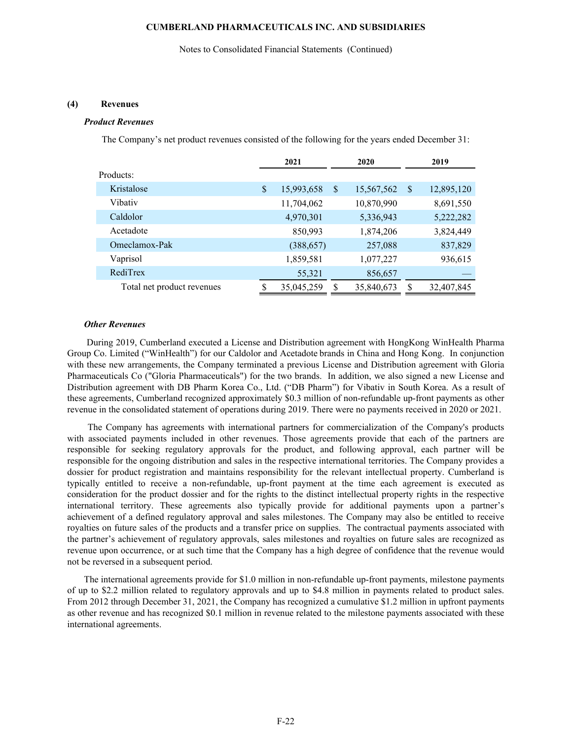Notes to Consolidated Financial Statements (Continued)

## **(4) Revenues**

#### *Product Revenues*

The Company's net product revenues consisted of the following for the years ended December 31:

|                            | 2021             |    | 2020       |               | 2019       |
|----------------------------|------------------|----|------------|---------------|------------|
| Products:                  |                  |    |            |               |            |
| Kristalose                 | \$<br>15,993,658 | -S | 15,567,562 | $\mathcal{S}$ | 12,895,120 |
| Vibativ                    | 11,704,062       |    | 10,870,990 |               | 8,691,550  |
| Caldolor                   | 4,970,301        |    | 5,336,943  |               | 5,222,282  |
| Acetadote                  | 850,993          |    | 1,874,206  |               | 3,824,449  |
| Omeclamox-Pak              | (388, 657)       |    | 257,088    |               | 837,829    |
| Vaprisol                   | 1,859,581        |    | 1,077,227  |               | 936,615    |
| RediTrex                   | 55,321           |    | 856,657    |               |            |
| Total net product revenues | 35,045,259       |    | 35,840,673 | \$            | 32,407,845 |

#### *Other Revenues*

During 2019, Cumberland executed a License and Distribution agreement with HongKong WinHealth Pharma Group Co. Limited ("WinHealth") for our Caldolor and Acetadote brands in China and Hong Kong. In conjunction with these new arrangements, the Company terminated a previous License and Distribution agreement with Gloria Pharmaceuticals Co ("Gloria Pharmaceuticals") for the two brands. In addition, we also signed a new License and Distribution agreement with DB Pharm Korea Co., Ltd. ("DB Pharm") for Vibativ in South Korea. As a result of these agreements, Cumberland recognized approximately \$0.3 million of non-refundable up-front payments as other revenue in the consolidated statement of operations during 2019. There were no payments received in 2020 or 2021.

 The Company has agreements with international partners for commercialization of the Company's products with associated payments included in other revenues. Those agreements provide that each of the partners are responsible for seeking regulatory approvals for the product, and following approval, each partner will be responsible for the ongoing distribution and sales in the respective international territories. The Company provides a dossier for product registration and maintains responsibility for the relevant intellectual property. Cumberland is typically entitled to receive a non-refundable, up-front payment at the time each agreement is executed as consideration for the product dossier and for the rights to the distinct intellectual property rights in the respective international territory. These agreements also typically provide for additional payments upon a partner's achievement of a defined regulatory approval and sales milestones. The Company may also be entitled to receive royalties on future sales of the products and a transfer price on supplies. The contractual payments associated with the partner's achievement of regulatory approvals, sales milestones and royalties on future sales are recognized as revenue upon occurrence, or at such time that the Company has a high degree of confidence that the revenue would not be reversed in a subsequent period.

The international agreements provide for \$1.0 million in non-refundable up-front payments, milestone payments of up to \$2.2 million related to regulatory approvals and up to \$4.8 million in payments related to product sales. From 2012 through December 31, 2021, the Company has recognized a cumulative \$1.2 million in upfront payments as other revenue and has recognized \$0.1 million in revenue related to the milestone payments associated with these international agreements.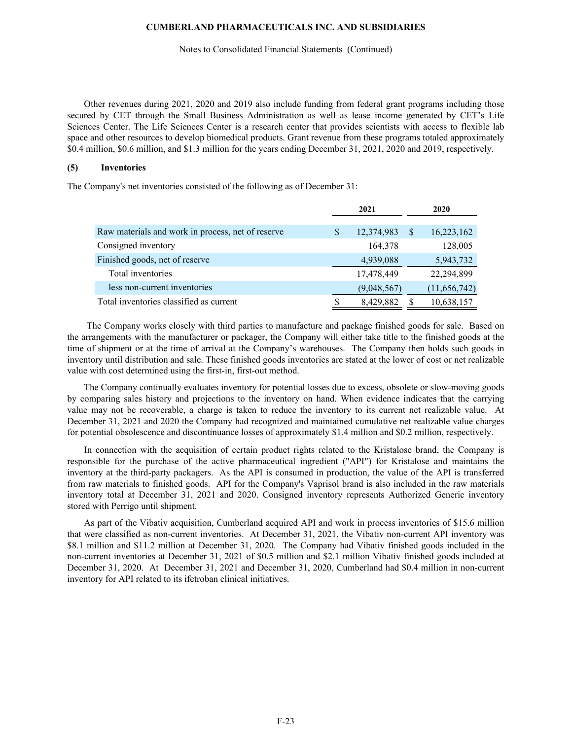## Notes to Consolidated Financial Statements (Continued)

Other revenues during 2021, 2020 and 2019 also include funding from federal grant programs including those secured by CET through the Small Business Administration as well as lease income generated by CET's Life Sciences Center. The Life Sciences Center is a research center that provides scientists with access to flexible lab space and other resources to develop biomedical products. Grant revenue from these programs totaled approximately \$0.4 million, \$0.6 million, and \$1.3 million for the years ending December 31, 2021, 2020 and 2019, respectively.

## **(5) Inventories**

The Company's net inventories consisted of the following as of December 31:

|                                                   | 2021 |             |    | <b>2020</b>  |
|---------------------------------------------------|------|-------------|----|--------------|
|                                                   |      |             |    |              |
| Raw materials and work in process, net of reserve |      | 12,374,983  | -S | 16,223,162   |
| Consigned inventory                               |      | 164,378     |    | 128,005      |
| Finished goods, net of reserve                    |      | 4,939,088   |    | 5,943,732    |
| Total inventories                                 |      | 17,478,449  |    | 22,294,899   |
| less non-current inventories                      |      | (9,048,567) |    | (11,656,742) |
| Total inventories classified as current           |      | 8,429,882   |    | 10,638,157   |

 The Company works closely with third parties to manufacture and package finished goods for sale. Based on the arrangements with the manufacturer or packager, the Company will either take title to the finished goods at the time of shipment or at the time of arrival at the Company's warehouses. The Company then holds such goods in inventory until distribution and sale. These finished goods inventories are stated at the lower of cost or net realizable value with cost determined using the first-in, first-out method.

The Company continually evaluates inventory for potential losses due to excess, obsolete or slow-moving goods by comparing sales history and projections to the inventory on hand. When evidence indicates that the carrying value may not be recoverable, a charge is taken to reduce the inventory to its current net realizable value. At December 31, 2021 and 2020 the Company had recognized and maintained cumulative net realizable value charges for potential obsolescence and discontinuance losses of approximately \$1.4 million and \$0.2 million, respectively.

In connection with the acquisition of certain product rights related to the Kristalose brand, the Company is responsible for the purchase of the active pharmaceutical ingredient ("API") for Kristalose and maintains the inventory at the third-party packagers. As the API is consumed in production, the value of the API is transferred from raw materials to finished goods. API for the Company's Vaprisol brand is also included in the raw materials inventory total at December 31, 2021 and 2020. Consigned inventory represents Authorized Generic inventory stored with Perrigo until shipment.

As part of the Vibativ acquisition, Cumberland acquired API and work in process inventories of \$15.6 million that were classified as non-current inventories. At December 31, 2021, the Vibativ non-current API inventory was \$8.1 million and \$11.2 million at December 31, 2020. The Company had Vibativ finished goods included in the non-current inventories at December 31, 2021 of \$0.5 million and \$2.1 million Vibativ finished goods included at December 31, 2020. At December 31, 2021 and December 31, 2020, Cumberland had \$0.4 million in non-current inventory for API related to its ifetroban clinical initiatives.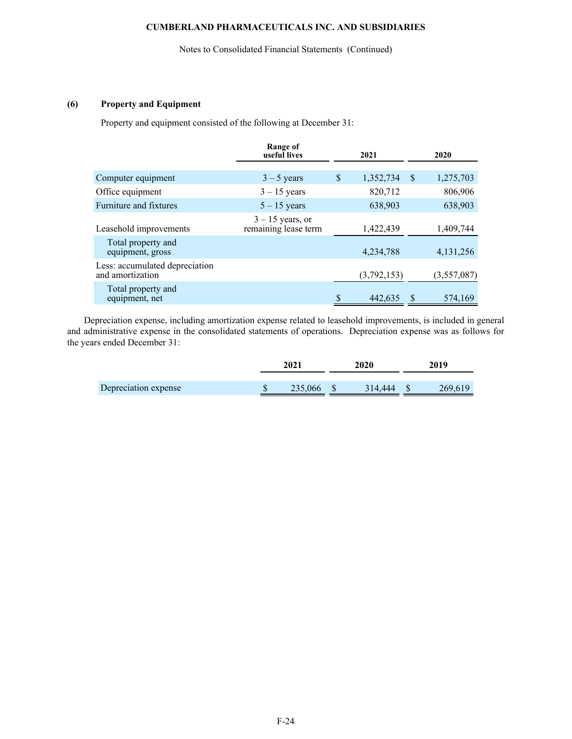Notes to Consolidated Financial Statements (Continued)

# **(6) Property and Equipment**

Property and equipment consisted of the following at December 31:

|                                                    | Range of<br>useful lives                   | 2021 |             |               | 2020        |
|----------------------------------------------------|--------------------------------------------|------|-------------|---------------|-------------|
|                                                    |                                            |      |             |               |             |
| Computer equipment                                 | $3 - 5$ years                              | \$   | 1,352,734   | <sup>\$</sup> | 1,275,703   |
| Office equipment                                   | $3 - 15$ years                             |      | 820,712     |               | 806,906     |
| <b>Furniture and fixtures</b>                      | $5 - 15$ years                             |      | 638,903     |               | 638,903     |
| Leasehold improvements                             | $3 - 15$ years, or<br>remaining lease term |      | 1,422,439   |               | 1,409,744   |
| Total property and<br>equipment, gross             |                                            |      | 4,234,788   |               | 4, 131, 256 |
| Less: accumulated depreciation<br>and amortization |                                            |      | (3,792,153) |               | (3,557,087) |
| Total property and<br>equipment, net               |                                            |      | 442,635     |               | 574,169     |

Depreciation expense, including amortization expense related to leasehold improvements, is included in general and administrative expense in the consolidated statements of operations. Depreciation expense was as follows for the years ended December 31:

|                      | 2021 |         | 2020 |         | 2019    |
|----------------------|------|---------|------|---------|---------|
|                      |      |         |      |         |         |
| Depreciation expense |      | 235,066 |      | 314.444 | 269,619 |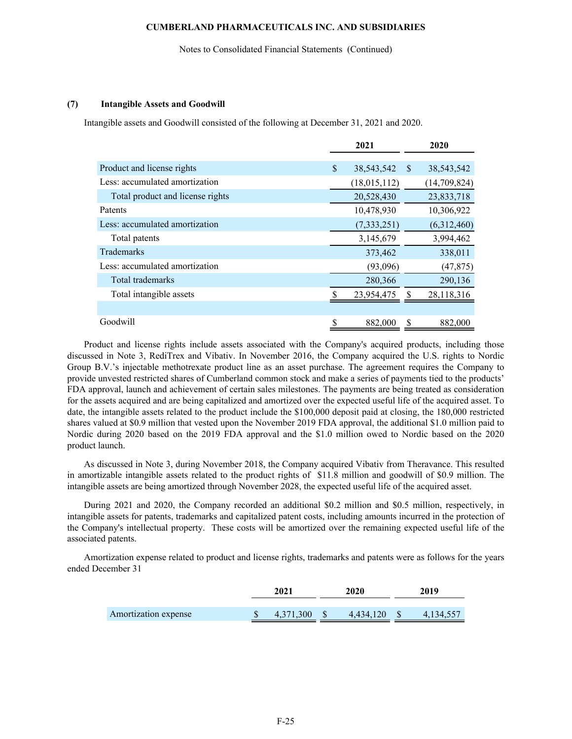Notes to Consolidated Financial Statements (Continued)

#### **(7) Intangible Assets and Goodwill**

Intangible assets and Goodwill consisted of the following at December 31, 2021 and 2020.

|                                  | 2021 |               |              | 2020           |
|----------------------------------|------|---------------|--------------|----------------|
|                                  |      |               |              |                |
| Product and license rights       | \$   | 38, 543, 542  | <sup>S</sup> | 38, 543, 542   |
| Less: accumulated amortization   |      | (18,015,112)  |              | (14, 709, 824) |
| Total product and license rights |      | 20,528,430    |              | 23,833,718     |
| Patents                          |      | 10,478,930    |              | 10,306,922     |
| Less: accumulated amortization   |      | (7, 333, 251) |              | (6,312,460)    |
| Total patents                    |      | 3,145,679     |              | 3,994,462      |
| <b>Trademarks</b>                |      | 373,462       |              | 338,011        |
| Less: accumulated amortization   |      | (93,096)      |              | (47, 875)      |
| Total trademarks                 |      | 280,366       |              | 290,136        |
| Total intangible assets          |      | 23,954,475    |              | 28,118,316     |
|                                  |      |               |              |                |
| Goodwill                         | S    | 882,000       | S            | 882,000        |

Product and license rights include assets associated with the Company's acquired products, including those discussed in Note 3, RediTrex and Vibativ. In November 2016, the Company acquired the U.S. rights to Nordic Group B.V.'s injectable methotrexate product line as an asset purchase. The agreement requires the Company to provide unvested restricted shares of Cumberland common stock and make a series of payments tied to the products' FDA approval, launch and achievement of certain sales milestones. The payments are being treated as consideration for the assets acquired and are being capitalized and amortized over the expected useful life of the acquired asset. To date, the intangible assets related to the product include the \$100,000 deposit paid at closing, the 180,000 restricted shares valued at \$0.9 million that vested upon the November 2019 FDA approval, the additional \$1.0 million paid to Nordic during 2020 based on the 2019 FDA approval and the \$1.0 million owed to Nordic based on the 2020 product launch.

As discussed in Note 3, during November 2018, the Company acquired Vibativ from Theravance. This resulted in amortizable intangible assets related to the product rights of \$11.8 million and goodwill of \$0.9 million. The intangible assets are being amortized through November 2028, the expected useful life of the acquired asset.

During 2021 and 2020, the Company recorded an additional \$0.2 million and \$0.5 million, respectively, in intangible assets for patents, trademarks and capitalized patent costs, including amounts incurred in the protection of the Company's intellectual property. These costs will be amortized over the remaining expected useful life of the associated patents.

Amortization expense related to product and license rights, trademarks and patents were as follows for the years ended December 31

|                      | 2021 |           | 2020      | 2019 |           |  |
|----------------------|------|-----------|-----------|------|-----------|--|
|                      |      |           |           |      |           |  |
| Amortization expense |      | 4,371,300 | 4,434,120 |      | 4,134,557 |  |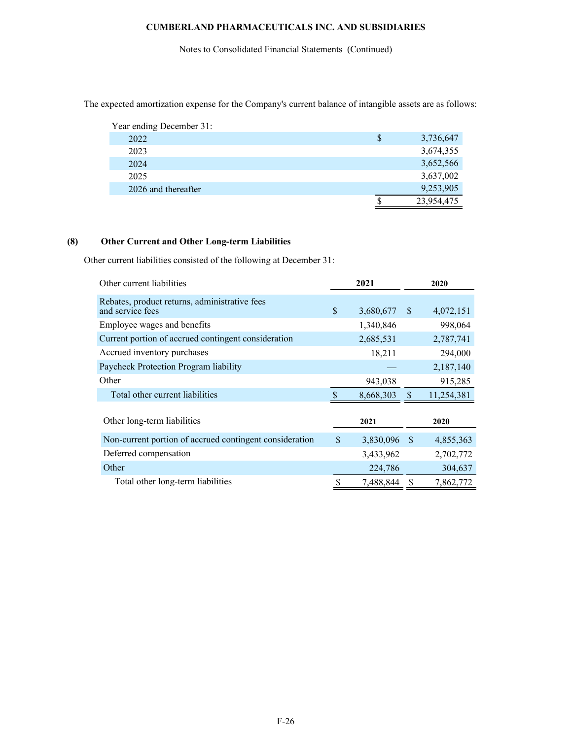Notes to Consolidated Financial Statements (Continued)

The expected amortization expense for the Company's current balance of intangible assets are as follows:

| Year ending December 31: |   |            |
|--------------------------|---|------------|
| 2022                     | S | 3,736,647  |
| 2023                     |   | 3,674,355  |
| 2024                     |   | 3,652,566  |
| 2025                     |   | 3,637,002  |
| 2026 and thereafter      |   | 9,253,905  |
|                          |   | 23,954,475 |

# **(8) Other Current and Other Long-term Liabilities**

Other current liabilities consisted of the following at December 31:

| Other current liabilities                                         | 2021            |               | 2020       |
|-------------------------------------------------------------------|-----------------|---------------|------------|
| Rebates, product returns, administrative fees<br>and service fees | \$<br>3,680,677 | <sup>S</sup>  | 4,072,151  |
| Employee wages and benefits                                       | 1,340,846       |               | 998,064    |
| Current portion of accrued contingent consideration               | 2,685,531       |               | 2,787,741  |
| Accrued inventory purchases                                       | 18,211          |               | 294,000    |
| Paycheck Protection Program liability                             |                 |               | 2,187,140  |
| Other                                                             | 943,038         |               | 915,285    |
| Total other current liabilities                                   | 8,668,303       | \$.           | 11,254,381 |
| Other long-term liabilities                                       | 2021            |               | 2020       |
| Non-current portion of accrued contingent consideration           | \$<br>3,830,096 | <sup>S</sup>  | 4,855,363  |
| Deferred compensation                                             | 3,433,962       |               | 2,702,772  |
| Other                                                             | 224,786         |               | 304,637    |
| Total other long-term liabilities                                 | \$<br>7,488,844 | <sup>\$</sup> | 7,862,772  |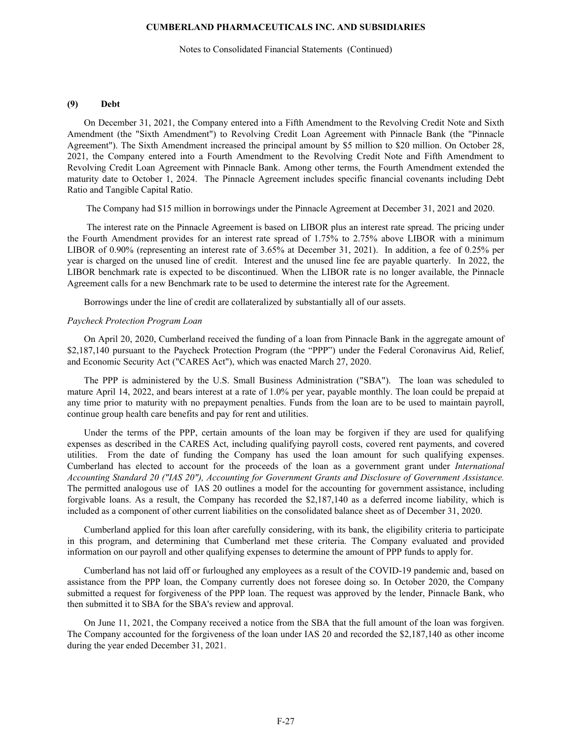Notes to Consolidated Financial Statements (Continued)

## **(9) Debt**

On December 31, 2021, the Company entered into a Fifth Amendment to the Revolving Credit Note and Sixth Amendment (the "Sixth Amendment") to Revolving Credit Loan Agreement with Pinnacle Bank (the "Pinnacle Agreement"). The Sixth Amendment increased the principal amount by \$5 million to \$20 million. On October 28, 2021, the Company entered into a Fourth Amendment to the Revolving Credit Note and Fifth Amendment to Revolving Credit Loan Agreement with Pinnacle Bank. Among other terms, the Fourth Amendment extended the maturity date to October 1, 2024. The Pinnacle Agreement includes specific financial covenants including Debt Ratio and Tangible Capital Ratio.

The Company had \$15 million in borrowings under the Pinnacle Agreement at December 31, 2021 and 2020.

 The interest rate on the Pinnacle Agreement is based on LIBOR plus an interest rate spread. The pricing under the Fourth Amendment provides for an interest rate spread of 1.75% to 2.75% above LIBOR with a minimum LIBOR of 0.90% (representing an interest rate of 3.65% at December 31, 2021). In addition, a fee of 0.25% per year is charged on the unused line of credit. Interest and the unused line fee are payable quarterly. In 2022, the LIBOR benchmark rate is expected to be discontinued. When the LIBOR rate is no longer available, the Pinnacle Agreement calls for a new Benchmark rate to be used to determine the interest rate for the Agreement.

Borrowings under the line of credit are collateralized by substantially all of our assets.

#### *Paycheck Protection Program Loan*

On April 20, 2020, Cumberland received the funding of a loan from Pinnacle Bank in the aggregate amount of \$2,187,140 pursuant to the Paycheck Protection Program (the "PPP") under the Federal Coronavirus Aid, Relief, and Economic Security Act ("CARES Act"), which was enacted March 27, 2020.

The PPP is administered by the U.S. Small Business Administration ("SBA"). The loan was scheduled to mature April 14, 2022, and bears interest at a rate of 1.0% per year, payable monthly. The loan could be prepaid at any time prior to maturity with no prepayment penalties. Funds from the loan are to be used to maintain payroll, continue group health care benefits and pay for rent and utilities.

Under the terms of the PPP, certain amounts of the loan may be forgiven if they are used for qualifying expenses as described in the CARES Act, including qualifying payroll costs, covered rent payments, and covered utilities. From the date of funding the Company has used the loan amount for such qualifying expenses. Cumberland has elected to account for the proceeds of the loan as a government grant under *International Accounting Standard 20 ("IAS 20"), Accounting for Government Grants and Disclosure of Government Assistance.*  The permitted analogous use of IAS 20 outlines a model for the accounting for government assistance, including forgivable loans. As a result, the Company has recorded the \$2,187,140 as a deferred income liability, which is included as a component of other current liabilities on the consolidated balance sheet as of December 31, 2020.

Cumberland applied for this loan after carefully considering, with its bank, the eligibility criteria to participate in this program, and determining that Cumberland met these criteria. The Company evaluated and provided information on our payroll and other qualifying expenses to determine the amount of PPP funds to apply for.

Cumberland has not laid off or furloughed any employees as a result of the COVID-19 pandemic and, based on assistance from the PPP loan, the Company currently does not foresee doing so. In October 2020, the Company submitted a request for forgiveness of the PPP loan. The request was approved by the lender, Pinnacle Bank, who then submitted it to SBA for the SBA's review and approval.

On June 11, 2021, the Company received a notice from the SBA that the full amount of the loan was forgiven. The Company accounted for the forgiveness of the loan under IAS 20 and recorded the \$2,187,140 as other income during the year ended December 31, 2021.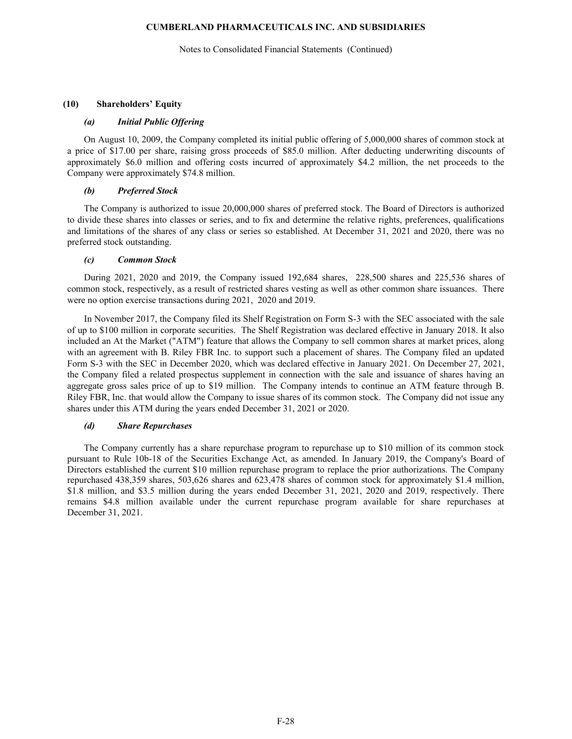Notes to Consolidated Financial Statements (Continued)

## **(10) Shareholders' Equity**

#### *(a) Initial Public Offering*

On August 10, 2009, the Company completed its initial public offering of 5,000,000 shares of common stock at a price of \$17.00 per share, raising gross proceeds of \$85.0 million. After deducting underwriting discounts of approximately \$6.0 million and offering costs incurred of approximately \$4.2 million, the net proceeds to the Company were approximately \$74.8 million.

## *(b) Preferred Stock*

The Company is authorized to issue 20,000,000 shares of preferred stock. The Board of Directors is authorized to divide these shares into classes or series, and to fix and determine the relative rights, preferences, qualifications and limitations of the shares of any class or series so established. At December 31, 2021 and 2020, there was no preferred stock outstanding.

#### *(c) Common Stock*

During 2021, 2020 and 2019, the Company issued 192,684 shares, 228,500 shares and 225,536 shares of common stock, respectively, as a result of restricted shares vesting as well as other common share issuances. There were no option exercise transactions during 2021, 2020 and 2019.

In November 2017, the Company filed its Shelf Registration on Form S-3 with the SEC associated with the sale of up to \$100 million in corporate securities. The Shelf Registration was declared effective in January 2018. It also included an At the Market ("ATM") feature that allows the Company to sell common shares at market prices, along with an agreement with B. Riley FBR Inc. to support such a placement of shares. The Company filed an updated Form S-3 with the SEC in December 2020, which was declared effective in January 2021. On December 27, 2021, the Company filed a related prospectus supplement in connection with the sale and issuance of shares having an aggregate gross sales price of up to \$19 million. The Company intends to continue an ATM feature through B. Riley FBR, Inc. that would allow the Company to issue shares of its common stock. The Company did not issue any shares under this ATM during the years ended December 31, 2021 or 2020.

## *(d) Share Repurchases*

The Company currently has a share repurchase program to repurchase up to \$10 million of its common stock pursuant to Rule 10b-18 of the Securities Exchange Act, as amended. In January 2019, the Company's Board of Directors established the current \$10 million repurchase program to replace the prior authorizations. The Company repurchased 438,359 shares, 503,626 shares and 623,478 shares of common stock for approximately \$1.4 million, \$1.8 million, and \$3.5 million during the years ended December 31, 2021, 2020 and 2019, respectively. There remains \$4.8 million available under the current repurchase program available for share repurchases at December 31, 2021.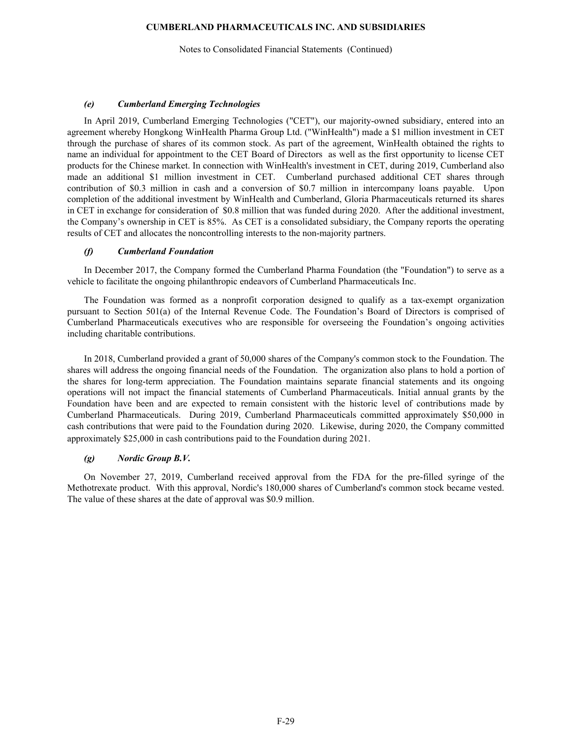Notes to Consolidated Financial Statements (Continued)

## *(e) Cumberland Emerging Technologies*

In April 2019, Cumberland Emerging Technologies ("CET"), our majority-owned subsidiary, entered into an agreement whereby Hongkong WinHealth Pharma Group Ltd. ("WinHealth") made a \$1 million investment in CET through the purchase of shares of its common stock. As part of the agreement, WinHealth obtained the rights to name an individual for appointment to the CET Board of Directors as well as the first opportunity to license CET products for the Chinese market. In connection with WinHealth's investment in CET, during 2019, Cumberland also made an additional \$1 million investment in CET. Cumberland purchased additional CET shares through contribution of \$0.3 million in cash and a conversion of \$0.7 million in intercompany loans payable. Upon completion of the additional investment by WinHealth and Cumberland, Gloria Pharmaceuticals returned its shares in CET in exchange for consideration of \$0.8 million that was funded during 2020. After the additional investment, the Company's ownership in CET is 85%. As CET is a consolidated subsidiary, the Company reports the operating results of CET and allocates the noncontrolling interests to the non-majority partners.

## *(f) Cumberland Foundation*

In December 2017, the Company formed the Cumberland Pharma Foundation (the "Foundation") to serve as a vehicle to facilitate the ongoing philanthropic endeavors of Cumberland Pharmaceuticals Inc.

The Foundation was formed as a nonprofit corporation designed to qualify as a tax-exempt organization pursuant to Section 501(a) of the Internal Revenue Code. The Foundation's Board of Directors is comprised of Cumberland Pharmaceuticals executives who are responsible for overseeing the Foundation's ongoing activities including charitable contributions.

In 2018, Cumberland provided a grant of 50,000 shares of the Company's common stock to the Foundation. The shares will address the ongoing financial needs of the Foundation. The organization also plans to hold a portion of the shares for long-term appreciation. The Foundation maintains separate financial statements and its ongoing operations will not impact the financial statements of Cumberland Pharmaceuticals. Initial annual grants by the Foundation have been and are expected to remain consistent with the historic level of contributions made by Cumberland Pharmaceuticals. During 2019, Cumberland Pharmaceuticals committed approximately \$50,000 in cash contributions that were paid to the Foundation during 2020. Likewise, during 2020, the Company committed approximately \$25,000 in cash contributions paid to the Foundation during 2021.

## *(g) Nordic Group B.V.*

On November 27, 2019, Cumberland received approval from the FDA for the pre-filled syringe of the Methotrexate product. With this approval, Nordic's 180,000 shares of Cumberland's common stock became vested. The value of these shares at the date of approval was \$0.9 million.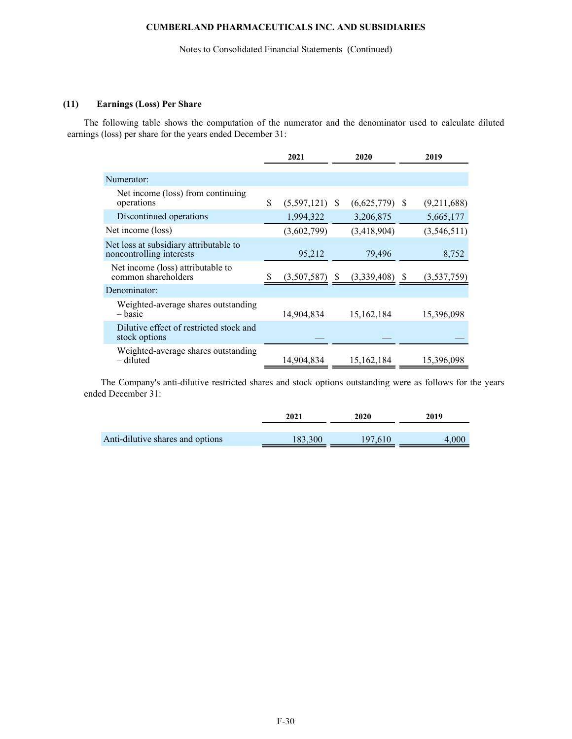Notes to Consolidated Financial Statements (Continued)

## **(11) Earnings (Loss) Per Share**

The following table shows the computation of the numerator and the denominator used to calculate diluted earnings (loss) per share for the years ended December 31:

|                                                                    | 2021<br>2020 |                  |     | 2019             |               |
|--------------------------------------------------------------------|--------------|------------------|-----|------------------|---------------|
| Numerator:                                                         |              |                  |     |                  |               |
| Net income (loss) from continuing<br>operations                    | \$           | $(5,597,121)$ \$ |     | $(6,625,779)$ \$ | (9,211,688)   |
| Discontinued operations                                            |              | 1,994,322        |     | 3,206,875        | 5,665,177     |
| Net income (loss)                                                  |              | (3,602,799)      |     | (3,418,904)      | (3,546,511)   |
| Net loss at subsidiary attributable to<br>noncontrolling interests |              | 95,212           |     | 79,496           | 8,752         |
| Net income (loss) attributable to<br>common shareholders           |              | (3,507,587)      | - S | $(3,339,408)$ \$ | (3, 537, 759) |
| Denominator:                                                       |              |                  |     |                  |               |
| Weighted-average shares outstanding<br>– basic                     |              | 14,904,834       |     | 15,162,184       | 15,396,098    |
| Dilutive effect of restricted stock and<br>stock options           |              |                  |     |                  |               |
| Weighted-average shares outstanding<br>– diluted                   |              | 14,904,834       |     | 15, 162, 184     | 15,396,098    |

The Company's anti-dilutive restricted shares and stock options outstanding were as follows for the years ended December 31:

|                                  | 2021    | 2020    | 2019  |
|----------------------------------|---------|---------|-------|
|                                  |         |         |       |
| Anti-dilutive shares and options | 183.300 | 197.610 | 4.000 |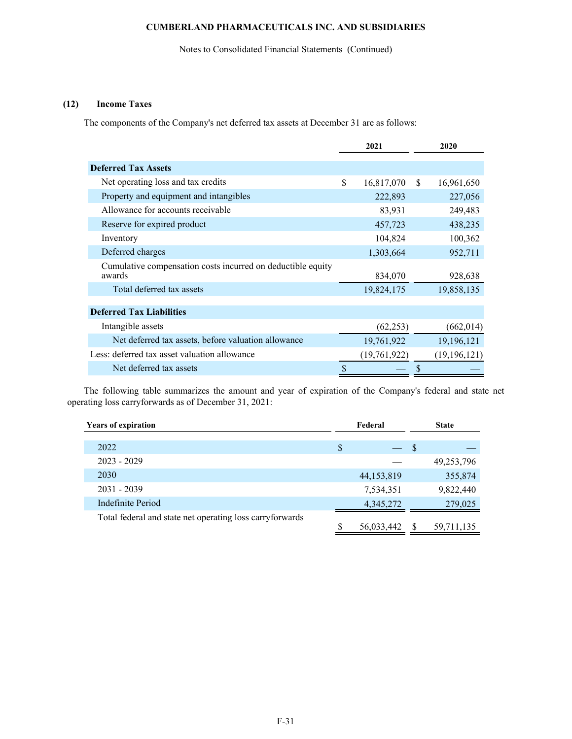Notes to Consolidated Financial Statements (Continued)

# **(12) Income Taxes**

The components of the Company's net deferred tax assets at December 31 are as follows:

|                                                                       | 2021             |              | 2020           |
|-----------------------------------------------------------------------|------------------|--------------|----------------|
| <b>Deferred Tax Assets</b>                                            |                  |              |                |
| Net operating loss and tax credits                                    | \$<br>16,817,070 | <sup>S</sup> | 16,961,650     |
| Property and equipment and intangibles                                | 222,893          |              | 227,056        |
| Allowance for accounts receivable                                     | 83,931           |              | 249,483        |
| Reserve for expired product                                           | 457,723          |              | 438,235        |
| Inventory                                                             | 104,824          |              | 100,362        |
| Deferred charges                                                      | 1,303,664        |              | 952,711        |
| Cumulative compensation costs incurred on deductible equity<br>awards | 834,070          |              | 928,638        |
| Total deferred tax assets                                             | 19,824,175       |              | 19,858,135     |
|                                                                       |                  |              |                |
| <b>Deferred Tax Liabilities</b>                                       |                  |              |                |
| Intangible assets                                                     | (62, 253)        |              | (662, 014)     |
| Net deferred tax assets, before valuation allowance                   | 19,761,922       |              | 19,196,121     |
| Less: deferred tax asset valuation allowance                          | (19, 761, 922)   |              | (19, 196, 121) |
| Net deferred tax assets                                               | \$               | \$           |                |

The following table summarizes the amount and year of expiration of the Company's federal and state net operating loss carryforwards as of December 31, 2021:

| <b>Years of expiration</b>                               | Federal          |    | <b>State</b> |
|----------------------------------------------------------|------------------|----|--------------|
|                                                          |                  |    |              |
| 2022                                                     | \$               | -S |              |
| $2023 - 2029$                                            |                  |    | 49,253,796   |
| 2030                                                     | 44,153,819       |    | 355,874      |
| $2031 - 2039$                                            | 7,534,351        |    | 9,822,440    |
| Indefinite Period                                        | 4,345,272        |    | 279,025      |
| Total federal and state net operating loss carryforwards |                  |    |              |
|                                                          | \$<br>56,033,442 | S  | 59,711,135   |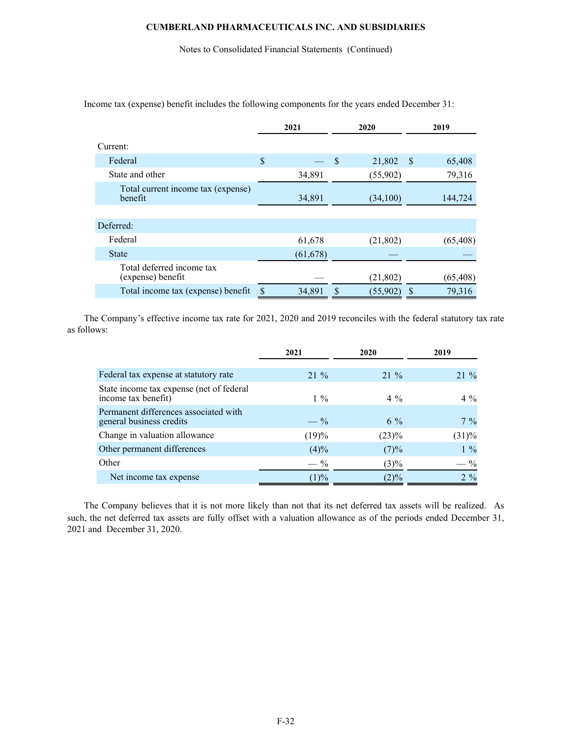## Notes to Consolidated Financial Statements (Continued)

|                                                |               | 2021      |               | 2020      |              | 2019      |
|------------------------------------------------|---------------|-----------|---------------|-----------|--------------|-----------|
| Current:                                       |               |           |               |           |              |           |
| Federal                                        | $\mathcal{S}$ |           | <sup>\$</sup> | 21,802    | <sup>S</sup> | 65,408    |
| State and other                                |               | 34,891    |               | (55, 902) |              | 79,316    |
| Total current income tax (expense)<br>benefit  |               | 34,891    |               | (34,100)  |              | 144,724   |
|                                                |               |           |               |           |              |           |
| Deferred:                                      |               |           |               |           |              |           |
| Federal                                        |               | 61,678    |               | (21, 802) |              | (65, 408) |
| <b>State</b>                                   |               | (61, 678) |               |           |              |           |
| Total deferred income tax<br>(expense) benefit |               |           |               | (21, 802) |              | (65, 408) |
| Total income tax (expense) benefit             | $\mathcal{S}$ | 34,891    | \$            | (55,902)  | S            | 79,316    |

Income tax (expense) benefit includes the following components for the years ended December 31:

The Company's effective income tax rate for 2021, 2020 and 2019 reconciles with the federal statutory tax rate as follows:

|                                                                   | 2021            | 2020    | 2019     |
|-------------------------------------------------------------------|-----------------|---------|----------|
| Federal tax expense at statutory rate                             | $21\%$          | $21\%$  | 21 %     |
| State income tax expense (net of federal<br>income tax benefit)   | $1\%$           | $4\%$   | $4\%$    |
| Permanent differences associated with<br>general business credits | $- \frac{9}{6}$ | $6\%$   | $7\%$    |
| Change in valuation allowance                                     | (19)%           | (23)%   | $(31)\%$ |
| Other permanent differences                                       | $(4)\%$         | (7)%    | $1\%$    |
| Other                                                             | $-$ %           | $(3)\%$ | $-$ %    |
| Net income tax expense                                            | $(1)\%$         | $(2)\%$ | $2\%$    |

The Company believes that it is not more likely than not that its net deferred tax assets will be realized. As such, the net deferred tax assets are fully offset with a valuation allowance as of the periods ended December 31, 2021 and December 31, 2020.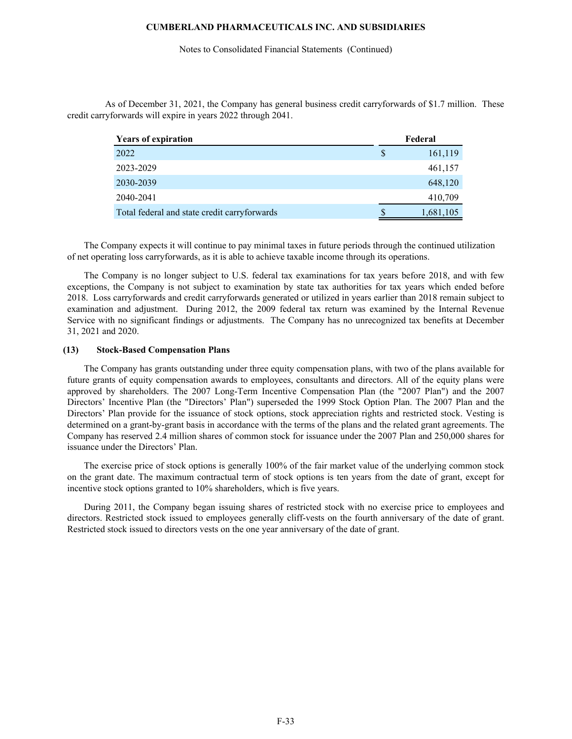Notes to Consolidated Financial Statements (Continued)

As of December 31, 2021, the Company has general business credit carryforwards of \$1.7 million. These credit carryforwards will expire in years 2022 through 2041.

| <b>Years of expiration</b>                   | Federal   |
|----------------------------------------------|-----------|
| 2022                                         | 161,119   |
| 2023-2029                                    | 461,157   |
| 2030-2039                                    | 648,120   |
| 2040-2041                                    | 410,709   |
| Total federal and state credit carryforwards | 1,681,105 |

The Company expects it will continue to pay minimal taxes in future periods through the continued utilization of net operating loss carryforwards, as it is able to achieve taxable income through its operations.

The Company is no longer subject to U.S. federal tax examinations for tax years before 2018, and with few exceptions, the Company is not subject to examination by state tax authorities for tax years which ended before 2018. Loss carryforwards and credit carryforwards generated or utilized in years earlier than 2018 remain subject to examination and adjustment. During 2012, the 2009 federal tax return was examined by the Internal Revenue Service with no significant findings or adjustments. The Company has no unrecognized tax benefits at December 31, 2021 and 2020.

#### **(13) Stock-Based Compensation Plans**

The Company has grants outstanding under three equity compensation plans, with two of the plans available for future grants of equity compensation awards to employees, consultants and directors. All of the equity plans were approved by shareholders. The 2007 Long-Term Incentive Compensation Plan (the "2007 Plan") and the 2007 Directors' Incentive Plan (the "Directors' Plan") superseded the 1999 Stock Option Plan. The 2007 Plan and the Directors' Plan provide for the issuance of stock options, stock appreciation rights and restricted stock. Vesting is determined on a grant-by-grant basis in accordance with the terms of the plans and the related grant agreements. The Company has reserved 2.4 million shares of common stock for issuance under the 2007 Plan and 250,000 shares for issuance under the Directors' Plan.

The exercise price of stock options is generally 100% of the fair market value of the underlying common stock on the grant date. The maximum contractual term of stock options is ten years from the date of grant, except for incentive stock options granted to 10% shareholders, which is five years.

During 2011, the Company began issuing shares of restricted stock with no exercise price to employees and directors. Restricted stock issued to employees generally cliff-vests on the fourth anniversary of the date of grant. Restricted stock issued to directors vests on the one year anniversary of the date of grant.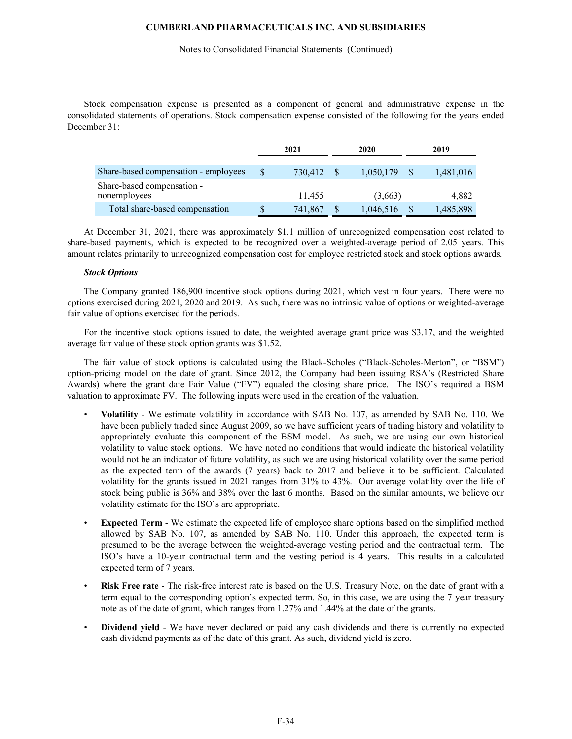## Notes to Consolidated Financial Statements (Continued)

Stock compensation expense is presented as a component of general and administrative expense in the consolidated statements of operations. Stock compensation expense consisted of the following for the years ended December 31:

|                                            | 2021          | 2020           | 2019      |
|--------------------------------------------|---------------|----------------|-----------|
|                                            |               |                |           |
| Share-based compensation - employees       | 730.412       | $1,050,179$ \$ | 1,481,016 |
| Share-based compensation -<br>nonemployees | 11,455        | (3,663)        | 4,882     |
| Total share-based compensation             | \$<br>741.867 | 1,046,516      | 1,485,898 |

At December 31, 2021, there was approximately \$1.1 million of unrecognized compensation cost related to share-based payments, which is expected to be recognized over a weighted-average period of 2.05 years. This amount relates primarily to unrecognized compensation cost for employee restricted stock and stock options awards.

## *Stock Options*

The Company granted 186,900 incentive stock options during 2021, which vest in four years. There were no options exercised during 2021, 2020 and 2019. As such, there was no intrinsic value of options or weighted-average fair value of options exercised for the periods.

For the incentive stock options issued to date, the weighted average grant price was \$3.17, and the weighted average fair value of these stock option grants was \$1.52.

The fair value of stock options is calculated using the Black-Scholes ("Black-Scholes-Merton", or "BSM") option-pricing model on the date of grant. Since 2012, the Company had been issuing RSA's (Restricted Share Awards) where the grant date Fair Value ("FV") equaled the closing share price. The ISO's required a BSM valuation to approximate FV. The following inputs were used in the creation of the valuation.

- **Volatility** We estimate volatility in accordance with SAB No. 107, as amended by SAB No. 110. We have been publicly traded since August 2009, so we have sufficient years of trading history and volatility to appropriately evaluate this component of the BSM model. As such, we are using our own historical volatility to value stock options. We have noted no conditions that would indicate the historical volatility would not be an indicator of future volatility, as such we are using historical volatility over the same period as the expected term of the awards (7 years) back to 2017 and believe it to be sufficient. Calculated volatility for the grants issued in 2021 ranges from 31% to 43%. Our average volatility over the life of stock being public is 36% and 38% over the last 6 months. Based on the similar amounts, we believe our volatility estimate for the ISO's are appropriate.
- **Expected Term** We estimate the expected life of employee share options based on the simplified method allowed by SAB No. 107, as amended by SAB No. 110. Under this approach, the expected term is presumed to be the average between the weighted-average vesting period and the contractual term. The ISO's have a 10-year contractual term and the vesting period is 4 years. This results in a calculated expected term of 7 years.
- **Risk Free rate** The risk-free interest rate is based on the U.S. Treasury Note, on the date of grant with a term equal to the corresponding option's expected term. So, in this case, we are using the 7 year treasury note as of the date of grant, which ranges from 1.27% and 1.44% at the date of the grants.
- **Dividend yield** We have never declared or paid any cash dividends and there is currently no expected cash dividend payments as of the date of this grant. As such, dividend yield is zero.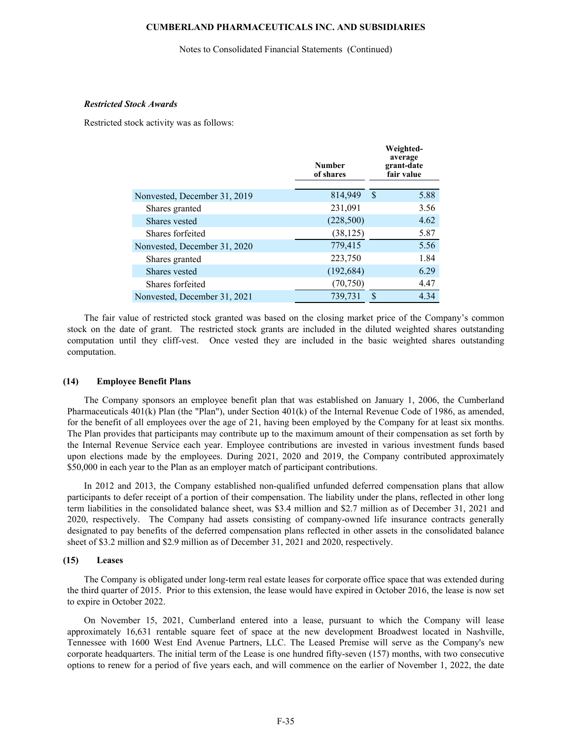#### Notes to Consolidated Financial Statements (Continued)

## *Restricted Stock Awards*

Restricted stock activity was as follows:

|                              | Number<br>of shares |               | Weighted-<br>average<br>grant-date<br>fair value |
|------------------------------|---------------------|---------------|--------------------------------------------------|
| Nonvested, December 31, 2019 | 814,949             | $\mathcal{S}$ | 5.88                                             |
| Shares granted               | 231,091             |               | 3.56                                             |
| Shares vested                | (228, 500)          |               | 4.62                                             |
| Shares forfeited             | (38, 125)           |               | 5.87                                             |
| Nonvested, December 31, 2020 | 779,415             |               | 5.56                                             |
| Shares granted               | 223,750             |               | 1.84                                             |
| Shares vested                | (192, 684)          |               | 6.29                                             |
| Shares forfeited             | (70, 750)           |               | 4.47                                             |
| Nonvested, December 31, 2021 | 739,731             | <sup>\$</sup> | 4.34                                             |

The fair value of restricted stock granted was based on the closing market price of the Company's common stock on the date of grant. The restricted stock grants are included in the diluted weighted shares outstanding computation until they cliff-vest. Once vested they are included in the basic weighted shares outstanding computation.

#### **(14) Employee Benefit Plans**

The Company sponsors an employee benefit plan that was established on January 1, 2006, the Cumberland Pharmaceuticals 401(k) Plan (the "Plan"), under Section 401(k) of the Internal Revenue Code of 1986, as amended, for the benefit of all employees over the age of 21, having been employed by the Company for at least six months. The Plan provides that participants may contribute up to the maximum amount of their compensation as set forth by the Internal Revenue Service each year. Employee contributions are invested in various investment funds based upon elections made by the employees. During 2021, 2020 and 2019, the Company contributed approximately \$50,000 in each year to the Plan as an employer match of participant contributions.

In 2012 and 2013, the Company established non-qualified unfunded deferred compensation plans that allow participants to defer receipt of a portion of their compensation. The liability under the plans, reflected in other long term liabilities in the consolidated balance sheet, was \$3.4 million and \$2.7 million as of December 31, 2021 and 2020, respectively. The Company had assets consisting of company-owned life insurance contracts generally designated to pay benefits of the deferred compensation plans reflected in other assets in the consolidated balance sheet of \$3.2 million and \$2.9 million as of December 31, 2021 and 2020, respectively.

## **(15) Leases**

The Company is obligated under long-term real estate leases for corporate office space that was extended during the third quarter of 2015. Prior to this extension, the lease would have expired in October 2016, the lease is now set to expire in October 2022.

On November 15, 2021, Cumberland entered into a lease, pursuant to which the Company will lease approximately 16,631 rentable square feet of space at the new development Broadwest located in Nashville, Tennessee with 1600 West End Avenue Partners, LLC. The Leased Premise will serve as the Company's new corporate headquarters. The initial term of the Lease is one hundred fifty-seven (157) months, with two consecutive options to renew for a period of five years each, and will commence on the earlier of November 1, 2022, the date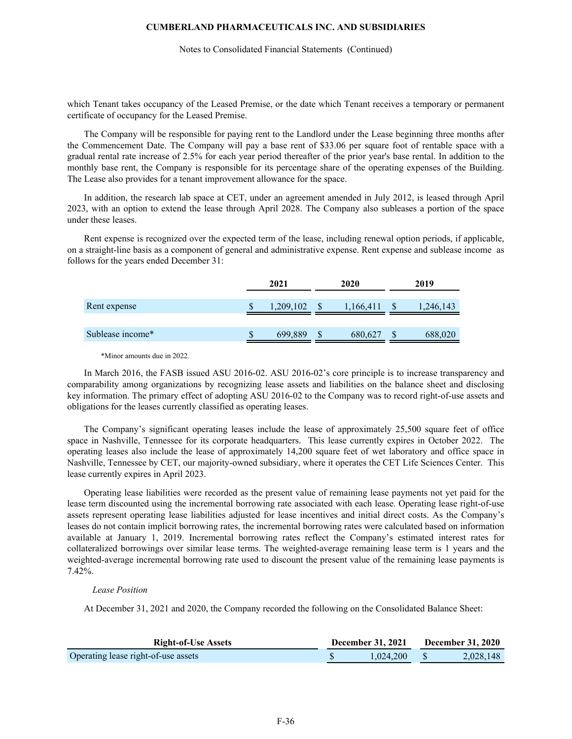## Notes to Consolidated Financial Statements (Continued)

which Tenant takes occupancy of the Leased Premise, or the date which Tenant receives a temporary or permanent certificate of occupancy for the Leased Premise.

The Company will be responsible for paying rent to the Landlord under the Lease beginning three months after the Commencement Date. The Company will pay a base rent of \$33.06 per square foot of rentable space with a gradual rental rate increase of 2.5% for each year period thereafter of the prior year's base rental. In addition to the monthly base rent, the Company is responsible for its percentage share of the operating expenses of the Building. The Lease also provides for a tenant improvement allowance for the space.

In addition, the research lab space at CET, under an agreement amended in July 2012, is leased through April 2023, with an option to extend the lease through April 2028. The Company also subleases a portion of the space under these leases.

Rent expense is recognized over the expected term of the lease, including renewal option periods, if applicable, on a straight-line basis as a component of general and administrative expense. Rent expense and sublease income as follows for the years ended December 31:

|                  | 2021    | 2020     |    | 2019    |
|------------------|---------|----------|----|---------|
|                  |         |          |    |         |
| Rent expense     | 209,102 | ,166,411 |    | 246,143 |
|                  |         |          |    |         |
| Sublease income* | 699,889 | 680,627  | ۰D | 688,020 |

\*Minor amounts due in 2022.

In March 2016, the FASB issued ASU 2016-02. ASU 2016-02's core principle is to increase transparency and comparability among organizations by recognizing lease assets and liabilities on the balance sheet and disclosing key information. The primary effect of adopting ASU 2016-02 to the Company was to record right-of-use assets and obligations for the leases currently classified as operating leases.

The Company's significant operating leases include the lease of approximately 25,500 square feet of office space in Nashville, Tennessee for its corporate headquarters. This lease currently expires in October 2022. The operating leases also include the lease of approximately 14,200 square feet of wet laboratory and office space in Nashville, Tennessee by CET, our majority-owned subsidiary, where it operates the CET Life Sciences Center. This lease currently expires in April 2023.

Operating lease liabilities were recorded as the present value of remaining lease payments not yet paid for the lease term discounted using the incremental borrowing rate associated with each lease. Operating lease right-of-use assets represent operating lease liabilities adjusted for lease incentives and initial direct costs. As the Company's leases do not contain implicit borrowing rates, the incremental borrowing rates were calculated based on information available at January 1, 2019. Incremental borrowing rates reflect the Company's estimated interest rates for collateralized borrowings over similar lease terms. The weighted-average remaining lease term is 1 years and the weighted-average incremental borrowing rate used to discount the present value of the remaining lease payments is 7.42%.

## *Lease Position*

At December 31, 2021 and 2020, the Company recorded the following on the Consolidated Balance Sheet:

| <b>Right-of-Use Assets</b>          | <b>December 31, 2021</b> |           | <b>December 31, 2020</b> |
|-------------------------------------|--------------------------|-----------|--------------------------|
| Operating lease right-of-use assets |                          | 1.024.200 | 2,028,148                |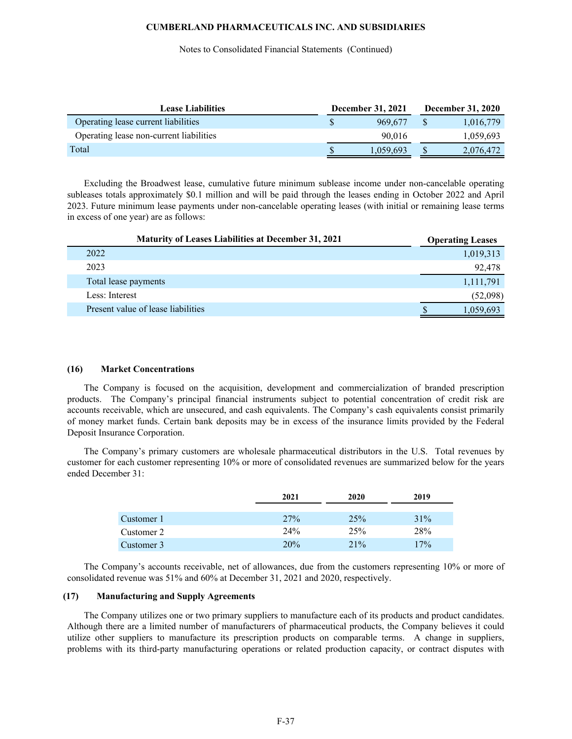## Notes to Consolidated Financial Statements (Continued)

| <b>Lease Liabilities</b>                | December 31, 2021 |           | <b>December 31, 2020</b> |           |  |
|-----------------------------------------|-------------------|-----------|--------------------------|-----------|--|
| Operating lease current liabilities     |                   | 969.677   |                          | 1,016,779 |  |
| Operating lease non-current liabilities |                   | 90.016    |                          | 1,059,693 |  |
| Total                                   |                   | 1.059.693 |                          | 2,076,472 |  |

Excluding the Broadwest lease, cumulative future minimum sublease income under non-cancelable operating subleases totals approximately \$0.1 million and will be paid through the leases ending in October 2022 and April 2023. Future minimum lease payments under non-cancelable operating leases (with initial or remaining lease terms in excess of one year) are as follows:

| <b>Maturity of Leases Liabilities at December 31, 2021</b> | <b>Operating Leases</b> |
|------------------------------------------------------------|-------------------------|
| 2022                                                       | 1,019,313               |
| 2023                                                       | 92,478                  |
| Total lease payments                                       | 1,111,791               |
| Less: Interest                                             | (52,098)                |
| Present value of lease liabilities                         | 1,059,693               |

#### **(16) Market Concentrations**

The Company is focused on the acquisition, development and commercialization of branded prescription products. The Company's principal financial instruments subject to potential concentration of credit risk are accounts receivable, which are unsecured, and cash equivalents. The Company's cash equivalents consist primarily of money market funds. Certain bank deposits may be in excess of the insurance limits provided by the Federal Deposit Insurance Corporation.

The Company's primary customers are wholesale pharmaceutical distributors in the U.S. Total revenues by customer for each customer representing 10% or more of consolidated revenues are summarized below for the years ended December 31:

|            | 2021 | 2020 | 2019 |
|------------|------|------|------|
|            |      |      |      |
| Customer 1 | 27%  | 25%  | 31%  |
| Customer 2 | 24%  | 25%  | 28%  |
| Customer 3 | 20%  | 21%  | 17%  |

The Company's accounts receivable, net of allowances, due from the customers representing 10% or more of consolidated revenue was 51% and 60% at December 31, 2021 and 2020, respectively.

#### **(17) Manufacturing and Supply Agreements**

The Company utilizes one or two primary suppliers to manufacture each of its products and product candidates. Although there are a limited number of manufacturers of pharmaceutical products, the Company believes it could utilize other suppliers to manufacture its prescription products on comparable terms. A change in suppliers, problems with its third-party manufacturing operations or related production capacity, or contract disputes with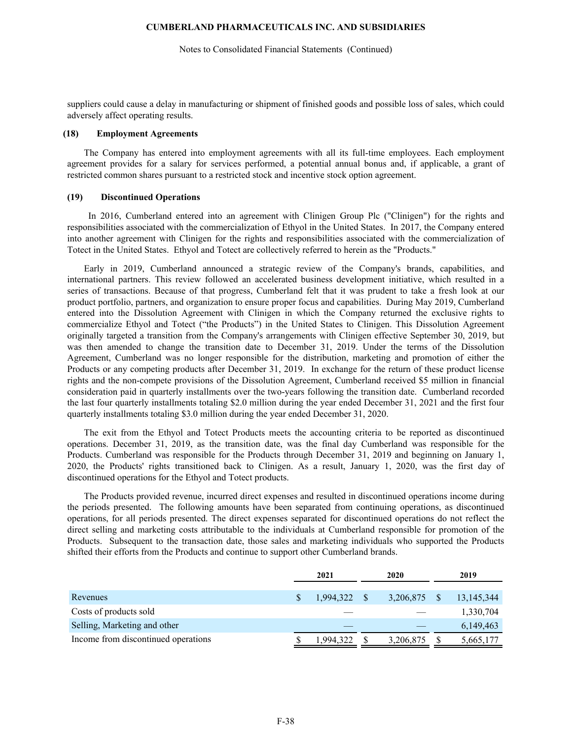Notes to Consolidated Financial Statements (Continued)

suppliers could cause a delay in manufacturing or shipment of finished goods and possible loss of sales, which could adversely affect operating results.

## **(18) Employment Agreements**

The Company has entered into employment agreements with all its full-time employees. Each employment agreement provides for a salary for services performed, a potential annual bonus and, if applicable, a grant of restricted common shares pursuant to a restricted stock and incentive stock option agreement.

#### **(19) Discontinued Operations**

 In 2016, Cumberland entered into an agreement with Clinigen Group Plc ("Clinigen") for the rights and responsibilities associated with the commercialization of Ethyol in the United States. In 2017, the Company entered into another agreement with Clinigen for the rights and responsibilities associated with the commercialization of Totect in the United States. Ethyol and Totect are collectively referred to herein as the "Products."

Early in 2019, Cumberland announced a strategic review of the Company's brands, capabilities, and international partners. This review followed an accelerated business development initiative, which resulted in a series of transactions. Because of that progress, Cumberland felt that it was prudent to take a fresh look at our product portfolio, partners, and organization to ensure proper focus and capabilities. During May 2019, Cumberland entered into the Dissolution Agreement with Clinigen in which the Company returned the exclusive rights to commercialize Ethyol and Totect ("the Products") in the United States to Clinigen. This Dissolution Agreement originally targeted a transition from the Company's arrangements with Clinigen effective September 30, 2019, but was then amended to change the transition date to December 31, 2019. Under the terms of the Dissolution Agreement, Cumberland was no longer responsible for the distribution, marketing and promotion of either the Products or any competing products after December 31, 2019. In exchange for the return of these product license rights and the non-compete provisions of the Dissolution Agreement, Cumberland received \$5 million in financial consideration paid in quarterly installments over the two-years following the transition date. Cumberland recorded the last four quarterly installments totaling \$2.0 million during the year ended December 31, 2021 and the first four quarterly installments totaling \$3.0 million during the year ended December 31, 2020.

The exit from the Ethyol and Totect Products meets the accounting criteria to be reported as discontinued operations. December 31, 2019, as the transition date, was the final day Cumberland was responsible for the Products. Cumberland was responsible for the Products through December 31, 2019 and beginning on January 1, 2020, the Products' rights transitioned back to Clinigen. As a result, January 1, 2020, was the first day of discontinued operations for the Ethyol and Totect products.

The Products provided revenue, incurred direct expenses and resulted in discontinued operations income during the periods presented. The following amounts have been separated from continuing operations, as discontinued operations, for all periods presented. The direct expenses separated for discontinued operations do not reflect the direct selling and marketing costs attributable to the individuals at Cumberland responsible for promotion of the Products. Subsequent to the transaction date, those sales and marketing individuals who supported the Products shifted their efforts from the Products and continue to support other Cumberland brands.

|                                     | 2021 |           |  | 2020      | 2019 |            |  |
|-------------------------------------|------|-----------|--|-----------|------|------------|--|
|                                     |      |           |  |           |      |            |  |
| Revenues                            |      | 1,994,322 |  | 3,206,875 |      | 13,145,344 |  |
| Costs of products sold              |      |           |  |           |      | 1,330,704  |  |
| Selling, Marketing and other        |      |           |  |           |      | 6,149,463  |  |
| Income from discontinued operations |      | 1.994.322 |  | 3,206,875 |      | 5,665,177  |  |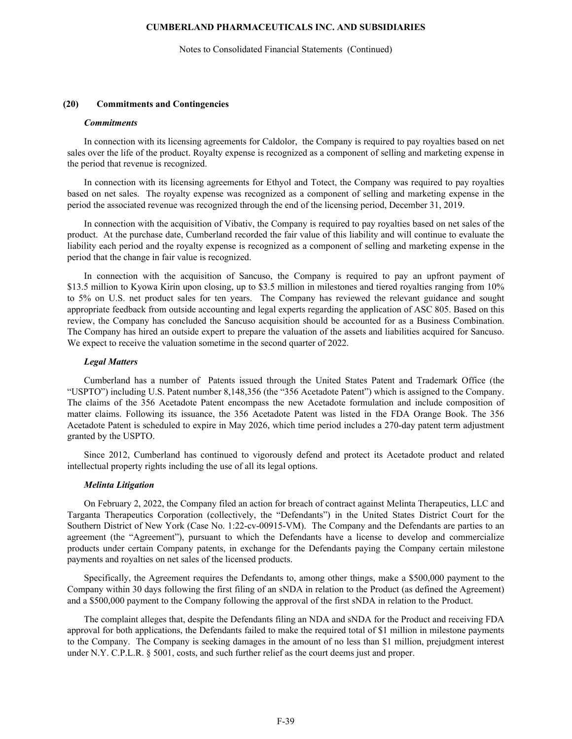Notes to Consolidated Financial Statements (Continued)

## **(20) Commitments and Contingencies**

#### *Commitments*

In connection with its licensing agreements for Caldolor, the Company is required to pay royalties based on net sales over the life of the product. Royalty expense is recognized as a component of selling and marketing expense in the period that revenue is recognized.

In connection with its licensing agreements for Ethyol and Totect, the Company was required to pay royalties based on net sales. The royalty expense was recognized as a component of selling and marketing expense in the period the associated revenue was recognized through the end of the licensing period, December 31, 2019.

In connection with the acquisition of Vibativ, the Company is required to pay royalties based on net sales of the product. At the purchase date, Cumberland recorded the fair value of this liability and will continue to evaluate the liability each period and the royalty expense is recognized as a component of selling and marketing expense in the period that the change in fair value is recognized.

In connection with the acquisition of Sancuso, the Company is required to pay an upfront payment of \$13.5 million to Kyowa Kirin upon closing, up to \$3.5 million in milestones and tiered royalties ranging from 10% to 5% on U.S. net product sales for ten years. The Company has reviewed the relevant guidance and sought appropriate feedback from outside accounting and legal experts regarding the application of ASC 805. Based on this review, the Company has concluded the Sancuso acquisition should be accounted for as a Business Combination. The Company has hired an outside expert to prepare the valuation of the assets and liabilities acquired for Sancuso. We expect to receive the valuation sometime in the second quarter of 2022.

#### *Legal Matters*

Cumberland has a number of Patents issued through the United States Patent and Trademark Office (the "USPTO") including U.S. Patent number 8,148,356 (the "356 Acetadote Patent") which is assigned to the Company. The claims of the 356 Acetadote Patent encompass the new Acetadote formulation and include composition of matter claims. Following its issuance, the 356 Acetadote Patent was listed in the FDA Orange Book. The 356 Acetadote Patent is scheduled to expire in May 2026, which time period includes a 270-day patent term adjustment granted by the USPTO.

Since 2012, Cumberland has continued to vigorously defend and protect its Acetadote product and related intellectual property rights including the use of all its legal options.

#### *Melinta Litigation*

On February 2, 2022, the Company filed an action for breach of contract against Melinta Therapeutics, LLC and Targanta Therapeutics Corporation (collectively, the "Defendants") in the United States District Court for the Southern District of New York (Case No. 1:22-cv-00915-VM). The Company and the Defendants are parties to an agreement (the "Agreement"), pursuant to which the Defendants have a license to develop and commercialize products under certain Company patents, in exchange for the Defendants paying the Company certain milestone payments and royalties on net sales of the licensed products.

Specifically, the Agreement requires the Defendants to, among other things, make a \$500,000 payment to the Company within 30 days following the first filing of an sNDA in relation to the Product (as defined the Agreement) and a \$500,000 payment to the Company following the approval of the first sNDA in relation to the Product.

The complaint alleges that, despite the Defendants filing an NDA and sNDA for the Product and receiving FDA approval for both applications, the Defendants failed to make the required total of \$1 million in milestone payments to the Company. The Company is seeking damages in the amount of no less than \$1 million, prejudgment interest under N.Y. C.P.L.R. § 5001, costs, and such further relief as the court deems just and proper.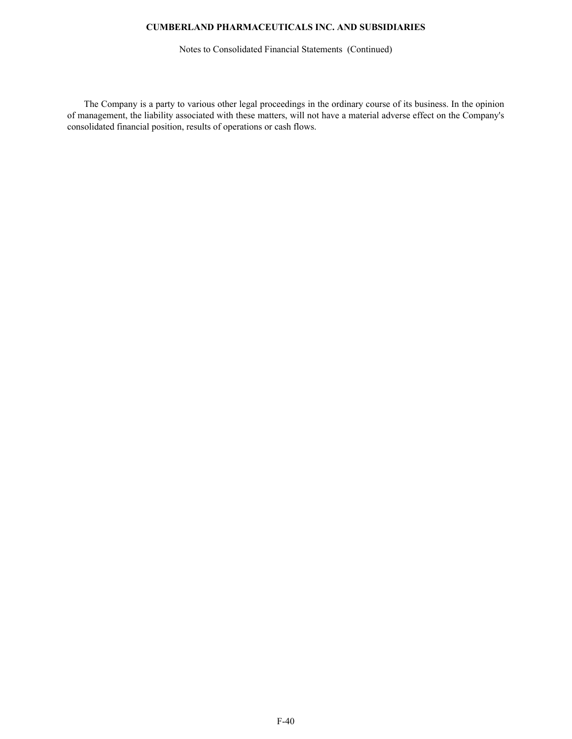Notes to Consolidated Financial Statements (Continued)

The Company is a party to various other legal proceedings in the ordinary course of its business. In the opinion of management, the liability associated with these matters, will not have a material adverse effect on the Company's consolidated financial position, results of operations or cash flows.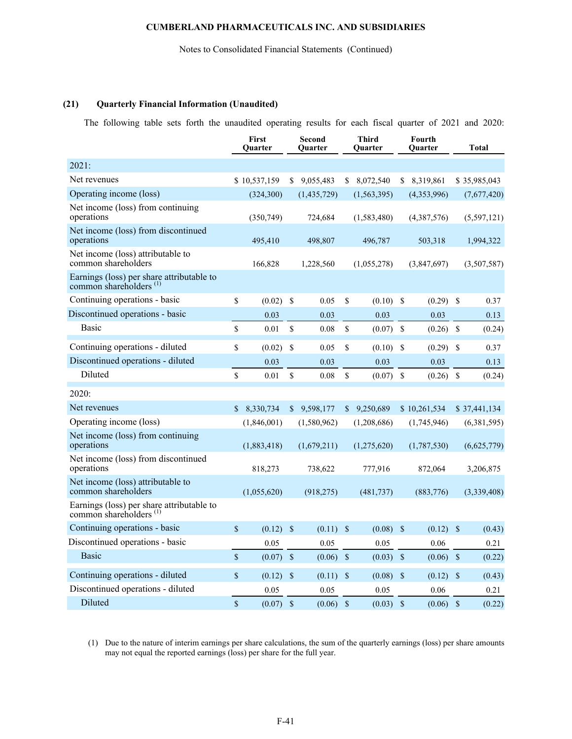Notes to Consolidated Financial Statements (Continued)

## **(21) Quarterly Financial Information (Unaudited)**

The following table sets forth the unaudited operating results for each fiscal quarter of 2021 and 2020:

|                                                                        |               | First<br><b>Ouarter</b> |                    | Second<br><b>Ouarter</b> |                    | Third<br><b>Ouarter</b> |                           | Fourth<br><b>Ouarter</b> |                           | <b>Total</b> |
|------------------------------------------------------------------------|---------------|-------------------------|--------------------|--------------------------|--------------------|-------------------------|---------------------------|--------------------------|---------------------------|--------------|
| 2021:                                                                  |               |                         |                    |                          |                    |                         |                           |                          |                           |              |
| Net revenues                                                           |               | \$10,537,159            | S.                 | 9,055,483                | S.                 | 8,072,540               | \$                        | 8,319,861                |                           | \$35,985,043 |
| Operating income (loss)                                                |               | (324, 300)              |                    | (1,435,729)              |                    | (1, 563, 395)           |                           | (4,353,996)              |                           | (7,677,420)  |
| Net income (loss) from continuing<br>operations                        |               | (350, 749)              |                    | 724,684                  |                    | (1,583,480)             |                           | (4,387,576)              |                           | (5,597,121)  |
| Net income (loss) from discontinued<br>operations                      |               | 495,410                 |                    | 498,807                  |                    | 496,787                 |                           | 503,318                  |                           | 1,994,322    |
| Net income (loss) attributable to<br>common shareholders               |               | 166,828                 |                    | 1,228,560                |                    | (1,055,278)             |                           | (3,847,697)              |                           | (3,507,587)  |
| Earnings (loss) per share attributable to<br>common shareholders $(1)$ |               |                         |                    |                          |                    |                         |                           |                          |                           |              |
| Continuing operations - basic                                          | \$            | (0.02)                  | $\mathbb S$        | 0.05                     | \$                 | $(0.10)$ \$             |                           | (0.29)                   | \$                        | 0.37         |
| Discontinued operations - basic                                        |               | 0.03                    |                    | 0.03                     |                    | 0.03                    |                           | 0.03                     |                           | 0.13         |
| <b>Basic</b>                                                           | \$            | 0.01                    | $\mathbb{S}$       | 0.08                     | \$                 | $(0.07)$ \$             |                           | $(0.26)$ \$              |                           | (0.24)       |
| Continuing operations - diluted                                        | \$            | (0.02)                  | $\mathcal{S}$      | 0.05                     | \$                 | $(0.10)$ \$             |                           | (0.29)                   | - \$                      | 0.37         |
| Discontinued operations - diluted                                      |               | 0.03                    |                    | 0.03                     |                    | 0.03                    |                           | 0.03                     |                           | 0.13         |
| Diluted                                                                | \$            | 0.01                    | $\mathbf{\hat{S}}$ | 0.08                     | $\mathbf{\hat{S}}$ | (0.07)                  | <sup>\$</sup>             | (0.26)                   | $\mathbf S$               | (0.24)       |
| 2020:                                                                  |               |                         |                    |                          |                    |                         |                           |                          |                           |              |
| Net revenues                                                           |               | \$8,330,734             |                    | \$9,598,177              | $\mathbb{S}$       | 9,250,689               |                           | \$10,261,534             |                           | \$37,441,134 |
| Operating income (loss)                                                |               | (1,846,001)             |                    | (1,580,962)              |                    | (1,208,686)             |                           | (1,745,946)              |                           | (6,381,595)  |
| Net income (loss) from continuing<br>operations                        |               | (1,883,418)             |                    | (1,679,211)              |                    | (1,275,620)             |                           | (1,787,530)              |                           | (6,625,779)  |
| Net income (loss) from discontinued<br>operations                      |               | 818,273                 |                    | 738,622                  |                    | 777,916                 |                           | 872,064                  |                           | 3,206,875    |
| Net income (loss) attributable to<br>common shareholders               |               | (1,055,620)             |                    | (918, 275)               |                    | (481, 737)              |                           | (883,776)                |                           | (3,339,408)  |
| Earnings (loss) per share attributable to<br>common shareholders $(1)$ |               |                         |                    |                          |                    |                         |                           |                          |                           |              |
| Continuing operations - basic                                          | \$            | (0.12)                  | $\mathbb S$        | (0.11)                   | $\mathcal{S}$      | (0.08)                  | $\boldsymbol{\mathsf{S}}$ | (0.12)                   | $\boldsymbol{\mathsf{S}}$ | (0.43)       |
| Discontinued operations - basic                                        |               | 0.05                    |                    | 0.05                     |                    | 0.05                    |                           | 0.06                     |                           | 0.21         |
| <b>Basic</b>                                                           | $\mathsf{\$}$ | $(0.07)$ \$             |                    | (0.06)                   | $\mathbf{\hat{s}}$ | $(0.03)$ \$             |                           | $(0.06)$ \$              |                           | (0.22)       |
| Continuing operations - diluted                                        | \$            | (0.12)                  | $\mathbb{S}$       | (0.11)                   | $\mathbf{\hat{s}}$ | (0.08)                  | $\mathcal{S}$             | (0.12)                   | $\mathcal{S}$             | (0.43)       |
| Discontinued operations - diluted                                      |               | 0.05                    |                    | 0.05                     |                    | 0.05                    |                           | 0.06                     |                           | 0.21         |
| Diluted                                                                | \$            | (0.07)                  | $\sqrt{\ }$        | (0.06)                   | $\mathbf{\hat{S}}$ | (0.03)                  | $\mathbf{s}$              | (0.06)                   | $\sqrt{\frac{2}{5}}$      | (0.22)       |

(1) Due to the nature of interim earnings per share calculations, the sum of the quarterly earnings (loss) per share amounts may not equal the reported earnings (loss) per share for the full year.